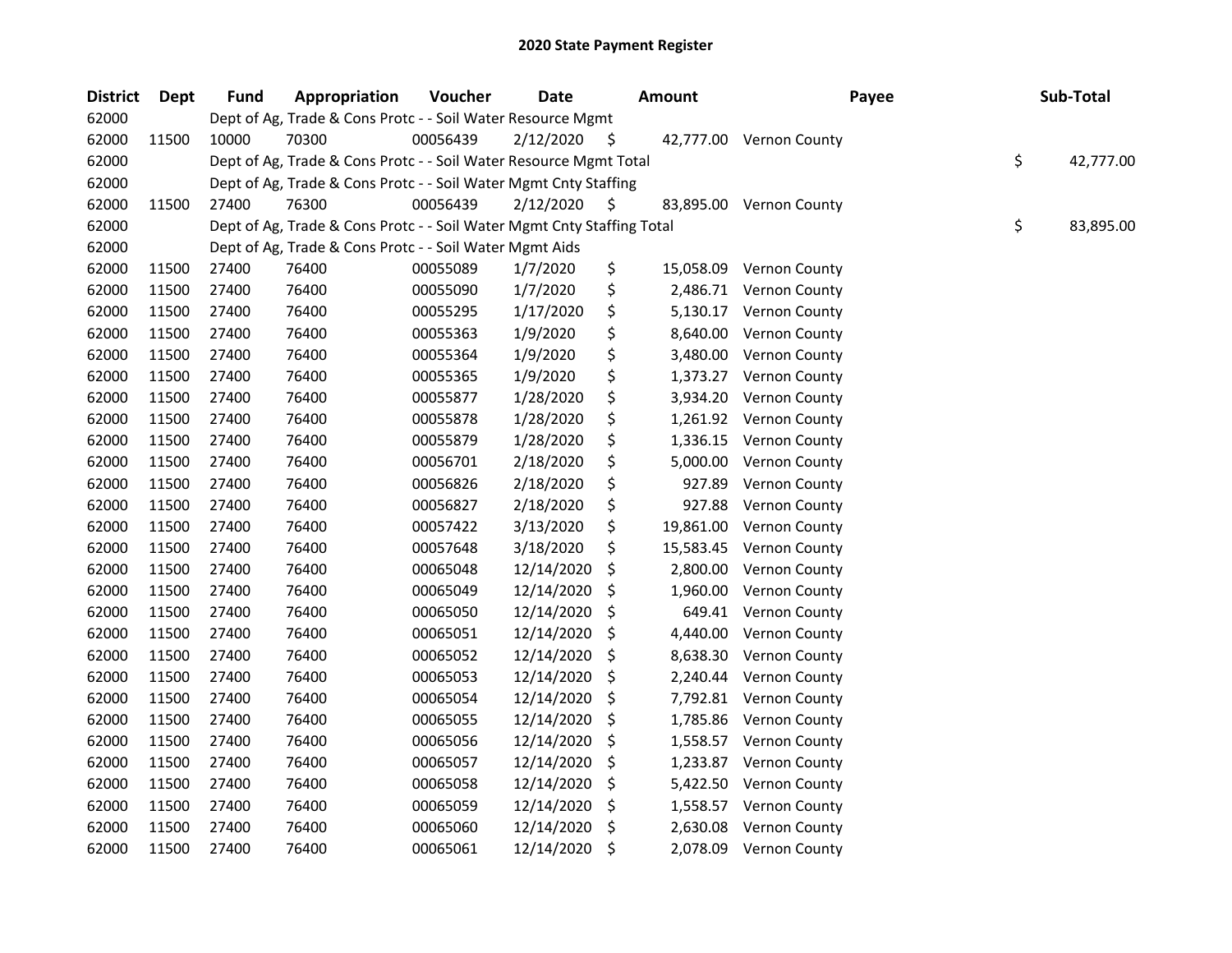| <b>District</b> | <b>Dept</b> | <b>Fund</b> | Appropriation                                                          | Voucher  | <b>Date</b> |     | <b>Amount</b> | Payee                   | Sub-Total       |
|-----------------|-------------|-------------|------------------------------------------------------------------------|----------|-------------|-----|---------------|-------------------------|-----------------|
| 62000           |             |             | Dept of Ag, Trade & Cons Protc - - Soil Water Resource Mgmt            |          |             |     |               |                         |                 |
| 62000           | 11500       | 10000       | 70300                                                                  | 00056439 | 2/12/2020   | \$. |               | 42,777.00 Vernon County |                 |
| 62000           |             |             | Dept of Ag, Trade & Cons Protc - - Soil Water Resource Mgmt Total      |          |             |     |               |                         | \$<br>42,777.00 |
| 62000           |             |             | Dept of Ag, Trade & Cons Protc - - Soil Water Mgmt Cnty Staffing       |          |             |     |               |                         |                 |
| 62000           | 11500       | 27400       | 76300                                                                  | 00056439 | 2/12/2020   | S.  |               | 83,895.00 Vernon County |                 |
| 62000           |             |             | Dept of Ag, Trade & Cons Protc - - Soil Water Mgmt Cnty Staffing Total |          |             |     |               |                         | \$<br>83,895.00 |
| 62000           |             |             | Dept of Ag, Trade & Cons Protc - - Soil Water Mgmt Aids                |          |             |     |               |                         |                 |
| 62000           | 11500       | 27400       | 76400                                                                  | 00055089 | 1/7/2020    | \$  | 15,058.09     | Vernon County           |                 |
| 62000           | 11500       | 27400       | 76400                                                                  | 00055090 | 1/7/2020    | \$  | 2,486.71      | <b>Vernon County</b>    |                 |
| 62000           | 11500       | 27400       | 76400                                                                  | 00055295 | 1/17/2020   | \$  | 5,130.17      | <b>Vernon County</b>    |                 |
| 62000           | 11500       | 27400       | 76400                                                                  | 00055363 | 1/9/2020    | \$  | 8,640.00      | <b>Vernon County</b>    |                 |
| 62000           | 11500       | 27400       | 76400                                                                  | 00055364 | 1/9/2020    | \$  | 3,480.00      | Vernon County           |                 |
| 62000           | 11500       | 27400       | 76400                                                                  | 00055365 | 1/9/2020    | \$  | 1,373.27      | <b>Vernon County</b>    |                 |
| 62000           | 11500       | 27400       | 76400                                                                  | 00055877 | 1/28/2020   | \$  | 3,934.20      | Vernon County           |                 |
| 62000           | 11500       | 27400       | 76400                                                                  | 00055878 | 1/28/2020   | \$  | 1,261.92      | Vernon County           |                 |
| 62000           | 11500       | 27400       | 76400                                                                  | 00055879 | 1/28/2020   | \$  | 1,336.15      | Vernon County           |                 |
| 62000           | 11500       | 27400       | 76400                                                                  | 00056701 | 2/18/2020   | \$  | 5,000.00      | Vernon County           |                 |
| 62000           | 11500       | 27400       | 76400                                                                  | 00056826 | 2/18/2020   | \$  | 927.89        | Vernon County           |                 |
| 62000           | 11500       | 27400       | 76400                                                                  | 00056827 | 2/18/2020   | \$  | 927.88        | Vernon County           |                 |
| 62000           | 11500       | 27400       | 76400                                                                  | 00057422 | 3/13/2020   | \$  | 19,861.00     | Vernon County           |                 |
| 62000           | 11500       | 27400       | 76400                                                                  | 00057648 | 3/18/2020   | \$  | 15,583.45     | Vernon County           |                 |
| 62000           | 11500       | 27400       | 76400                                                                  | 00065048 | 12/14/2020  | \$  | 2,800.00      | Vernon County           |                 |
| 62000           | 11500       | 27400       | 76400                                                                  | 00065049 | 12/14/2020  | \$  | 1,960.00      | Vernon County           |                 |
| 62000           | 11500       | 27400       | 76400                                                                  | 00065050 | 12/14/2020  | \$  | 649.41        | <b>Vernon County</b>    |                 |
| 62000           | 11500       | 27400       | 76400                                                                  | 00065051 | 12/14/2020  | \$  | 4,440.00      | Vernon County           |                 |
| 62000           | 11500       | 27400       | 76400                                                                  | 00065052 | 12/14/2020  | \$  | 8,638.30      | Vernon County           |                 |
| 62000           | 11500       | 27400       | 76400                                                                  | 00065053 | 12/14/2020  | \$  | 2,240.44      | Vernon County           |                 |
| 62000           | 11500       | 27400       | 76400                                                                  | 00065054 | 12/14/2020  | \$  | 7,792.81      | Vernon County           |                 |
| 62000           | 11500       | 27400       | 76400                                                                  | 00065055 | 12/14/2020  | \$  | 1,785.86      | Vernon County           |                 |
| 62000           | 11500       | 27400       | 76400                                                                  | 00065056 | 12/14/2020  | \$. | 1,558.57      | Vernon County           |                 |
| 62000           | 11500       | 27400       | 76400                                                                  | 00065057 | 12/14/2020  | \$  | 1,233.87      | Vernon County           |                 |
| 62000           | 11500       | 27400       | 76400                                                                  | 00065058 | 12/14/2020  | \$  | 5,422.50      | Vernon County           |                 |
| 62000           | 11500       | 27400       | 76400                                                                  | 00065059 | 12/14/2020  | \$  | 1,558.57      | <b>Vernon County</b>    |                 |
| 62000           | 11500       | 27400       | 76400                                                                  | 00065060 | 12/14/2020  | \$  | 2,630.08      | Vernon County           |                 |
| 62000           | 11500       | 27400       | 76400                                                                  | 00065061 | 12/14/2020  | \$  | 2,078.09      | <b>Vernon County</b>    |                 |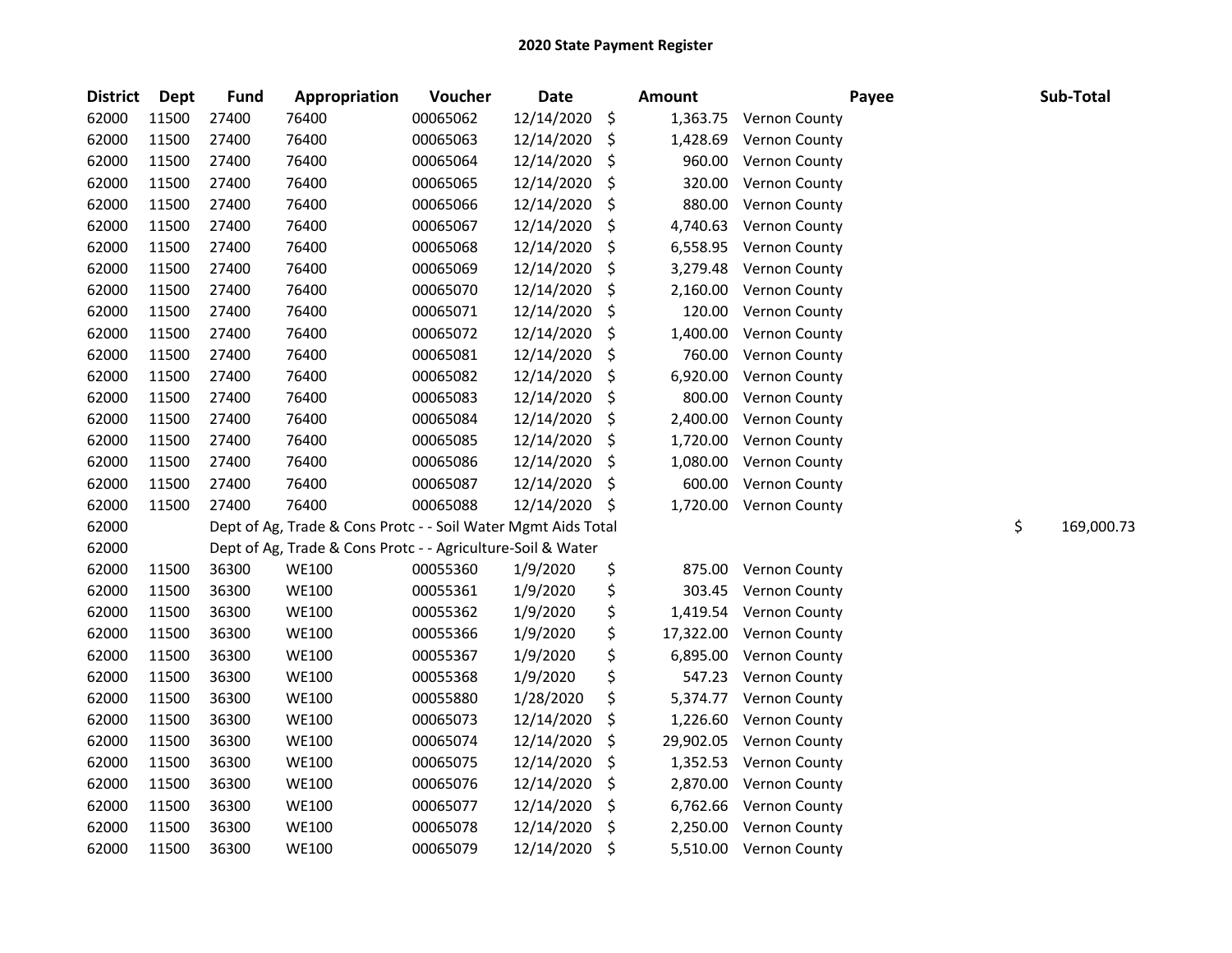| <b>District</b> | <b>Dept</b> | <b>Fund</b> | Appropriation                                                 | Voucher  | <b>Date</b> |     | <b>Amount</b> | Payee                | Sub-Total        |
|-----------------|-------------|-------------|---------------------------------------------------------------|----------|-------------|-----|---------------|----------------------|------------------|
| 62000           | 11500       | 27400       | 76400                                                         | 00065062 | 12/14/2020  | \$  | 1,363.75      | Vernon County        |                  |
| 62000           | 11500       | 27400       | 76400                                                         | 00065063 | 12/14/2020  | \$  | 1,428.69      | Vernon County        |                  |
| 62000           | 11500       | 27400       | 76400                                                         | 00065064 | 12/14/2020  | \$  | 960.00        | Vernon County        |                  |
| 62000           | 11500       | 27400       | 76400                                                         | 00065065 | 12/14/2020  | \$  | 320.00        | Vernon County        |                  |
| 62000           | 11500       | 27400       | 76400                                                         | 00065066 | 12/14/2020  | \$  | 880.00        | Vernon County        |                  |
| 62000           | 11500       | 27400       | 76400                                                         | 00065067 | 12/14/2020  | \$  | 4,740.63      | Vernon County        |                  |
| 62000           | 11500       | 27400       | 76400                                                         | 00065068 | 12/14/2020  | \$  | 6,558.95      | Vernon County        |                  |
| 62000           | 11500       | 27400       | 76400                                                         | 00065069 | 12/14/2020  | \$  | 3,279.48      | Vernon County        |                  |
| 62000           | 11500       | 27400       | 76400                                                         | 00065070 | 12/14/2020  | \$  | 2,160.00      | Vernon County        |                  |
| 62000           | 11500       | 27400       | 76400                                                         | 00065071 | 12/14/2020  | \$  | 120.00        | Vernon County        |                  |
| 62000           | 11500       | 27400       | 76400                                                         | 00065072 | 12/14/2020  | \$  | 1,400.00      | Vernon County        |                  |
| 62000           | 11500       | 27400       | 76400                                                         | 00065081 | 12/14/2020  | \$  | 760.00        | Vernon County        |                  |
| 62000           | 11500       | 27400       | 76400                                                         | 00065082 | 12/14/2020  | \$  | 6,920.00      | Vernon County        |                  |
| 62000           | 11500       | 27400       | 76400                                                         | 00065083 | 12/14/2020  | \$  | 800.00        | Vernon County        |                  |
| 62000           | 11500       | 27400       | 76400                                                         | 00065084 | 12/14/2020  | \$  | 2,400.00      | Vernon County        |                  |
| 62000           | 11500       | 27400       | 76400                                                         | 00065085 | 12/14/2020  | \$  | 1,720.00      | Vernon County        |                  |
| 62000           | 11500       | 27400       | 76400                                                         | 00065086 | 12/14/2020  | \$  | 1,080.00      | Vernon County        |                  |
| 62000           | 11500       | 27400       | 76400                                                         | 00065087 | 12/14/2020  | \$  | 600.00        | Vernon County        |                  |
| 62000           | 11500       | 27400       | 76400                                                         | 00065088 | 12/14/2020  | -\$ | 1,720.00      | Vernon County        |                  |
| 62000           |             |             | Dept of Ag, Trade & Cons Protc - - Soil Water Mgmt Aids Total |          |             |     |               |                      | \$<br>169,000.73 |
| 62000           |             |             | Dept of Ag, Trade & Cons Protc - - Agriculture-Soil & Water   |          |             |     |               |                      |                  |
| 62000           | 11500       | 36300       | <b>WE100</b>                                                  | 00055360 | 1/9/2020    | \$  | 875.00        | Vernon County        |                  |
| 62000           | 11500       | 36300       | <b>WE100</b>                                                  | 00055361 | 1/9/2020    | \$  | 303.45        | Vernon County        |                  |
| 62000           | 11500       | 36300       | <b>WE100</b>                                                  | 00055362 | 1/9/2020    | \$  | 1,419.54      | Vernon County        |                  |
| 62000           | 11500       | 36300       | <b>WE100</b>                                                  | 00055366 | 1/9/2020    | \$  | 17,322.00     | Vernon County        |                  |
| 62000           | 11500       | 36300       | <b>WE100</b>                                                  | 00055367 | 1/9/2020    | \$  | 6,895.00      | Vernon County        |                  |
| 62000           | 11500       | 36300       | <b>WE100</b>                                                  | 00055368 | 1/9/2020    | \$  | 547.23        | Vernon County        |                  |
| 62000           | 11500       | 36300       | <b>WE100</b>                                                  | 00055880 | 1/28/2020   | \$  | 5,374.77      | Vernon County        |                  |
| 62000           | 11500       | 36300       | <b>WE100</b>                                                  | 00065073 | 12/14/2020  | \$  | 1,226.60      | Vernon County        |                  |
| 62000           | 11500       | 36300       | <b>WE100</b>                                                  | 00065074 | 12/14/2020  | \$  | 29,902.05     | Vernon County        |                  |
| 62000           | 11500       | 36300       | <b>WE100</b>                                                  | 00065075 | 12/14/2020  | \$  | 1,352.53      | Vernon County        |                  |
| 62000           | 11500       | 36300       | <b>WE100</b>                                                  | 00065076 | 12/14/2020  | \$  | 2,870.00      | Vernon County        |                  |
| 62000           | 11500       | 36300       | <b>WE100</b>                                                  | 00065077 | 12/14/2020  | \$  | 6,762.66      | Vernon County        |                  |
| 62000           | 11500       | 36300       | <b>WE100</b>                                                  | 00065078 | 12/14/2020  | \$  | 2,250.00      | Vernon County        |                  |
| 62000           | 11500       | 36300       | <b>WE100</b>                                                  | 00065079 | 12/14/2020  | \$  | 5,510.00      | <b>Vernon County</b> |                  |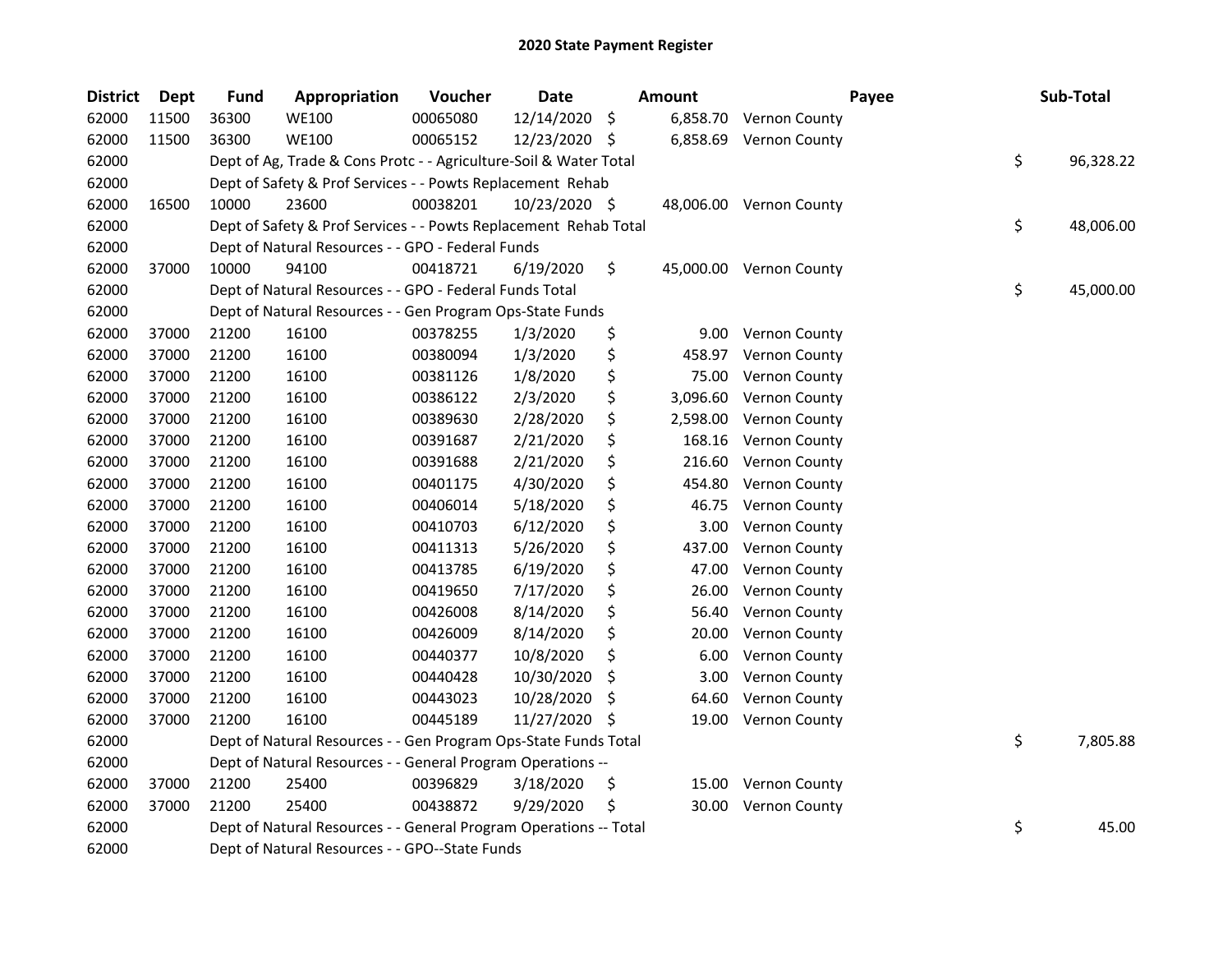| <b>District</b> | <b>Dept</b> | <b>Fund</b> | Appropriation                                                     | Voucher  | <b>Date</b>   |     | <b>Amount</b> |                         | Payee | Sub-Total       |
|-----------------|-------------|-------------|-------------------------------------------------------------------|----------|---------------|-----|---------------|-------------------------|-------|-----------------|
| 62000           | 11500       | 36300       | <b>WE100</b>                                                      | 00065080 | 12/14/2020    | \$  | 6,858.70      | Vernon County           |       |                 |
| 62000           | 11500       | 36300       | <b>WE100</b>                                                      | 00065152 | 12/23/2020 \$ |     | 6,858.69      | <b>Vernon County</b>    |       |                 |
| 62000           |             |             | Dept of Ag, Trade & Cons Protc - - Agriculture-Soil & Water Total |          |               |     |               |                         |       | \$<br>96,328.22 |
| 62000           |             |             | Dept of Safety & Prof Services - - Powts Replacement Rehab        |          |               |     |               |                         |       |                 |
| 62000           | 16500       | 10000       | 23600                                                             | 00038201 | 10/23/2020 \$ |     |               | 48,006.00 Vernon County |       |                 |
| 62000           |             |             | Dept of Safety & Prof Services - - Powts Replacement Rehab Total  |          |               |     |               |                         |       | \$<br>48,006.00 |
| 62000           |             |             | Dept of Natural Resources - - GPO - Federal Funds                 |          |               |     |               |                         |       |                 |
| 62000           | 37000       | 10000       | 94100                                                             | 00418721 | 6/19/2020     | \$  |               | 45,000.00 Vernon County |       |                 |
| 62000           |             |             | Dept of Natural Resources - - GPO - Federal Funds Total           |          |               |     |               |                         |       | \$<br>45,000.00 |
| 62000           |             |             | Dept of Natural Resources - - Gen Program Ops-State Funds         |          |               |     |               |                         |       |                 |
| 62000           | 37000       | 21200       | 16100                                                             | 00378255 | 1/3/2020      | \$  | 9.00          | <b>Vernon County</b>    |       |                 |
| 62000           | 37000       | 21200       | 16100                                                             | 00380094 | 1/3/2020      | \$  | 458.97        | Vernon County           |       |                 |
| 62000           | 37000       | 21200       | 16100                                                             | 00381126 | 1/8/2020      | \$  | 75.00         | Vernon County           |       |                 |
| 62000           | 37000       | 21200       | 16100                                                             | 00386122 | 2/3/2020      | \$  | 3,096.60      | Vernon County           |       |                 |
| 62000           | 37000       | 21200       | 16100                                                             | 00389630 | 2/28/2020     | \$  | 2,598.00      | Vernon County           |       |                 |
| 62000           | 37000       | 21200       | 16100                                                             | 00391687 | 2/21/2020     | \$  | 168.16        | Vernon County           |       |                 |
| 62000           | 37000       | 21200       | 16100                                                             | 00391688 | 2/21/2020     | \$  | 216.60        | Vernon County           |       |                 |
| 62000           | 37000       | 21200       | 16100                                                             | 00401175 | 4/30/2020     | \$  | 454.80        | Vernon County           |       |                 |
| 62000           | 37000       | 21200       | 16100                                                             | 00406014 | 5/18/2020     | \$  | 46.75         | Vernon County           |       |                 |
| 62000           | 37000       | 21200       | 16100                                                             | 00410703 | 6/12/2020     | \$  | 3.00          | Vernon County           |       |                 |
| 62000           | 37000       | 21200       | 16100                                                             | 00411313 | 5/26/2020     | \$  | 437.00        | Vernon County           |       |                 |
| 62000           | 37000       | 21200       | 16100                                                             | 00413785 | 6/19/2020     | \$  | 47.00         | Vernon County           |       |                 |
| 62000           | 37000       | 21200       | 16100                                                             | 00419650 | 7/17/2020     | \$  | 26.00         | Vernon County           |       |                 |
| 62000           | 37000       | 21200       | 16100                                                             | 00426008 | 8/14/2020     | \$  | 56.40         | Vernon County           |       |                 |
| 62000           | 37000       | 21200       | 16100                                                             | 00426009 | 8/14/2020     | \$  | 20.00         | Vernon County           |       |                 |
| 62000           | 37000       | 21200       | 16100                                                             | 00440377 | 10/8/2020     | \$  | 6.00          | Vernon County           |       |                 |
| 62000           | 37000       | 21200       | 16100                                                             | 00440428 | 10/30/2020    | \$  | 3.00          | Vernon County           |       |                 |
| 62000           | 37000       | 21200       | 16100                                                             | 00443023 | 10/28/2020    | \$  | 64.60         | Vernon County           |       |                 |
| 62000           | 37000       | 21200       | 16100                                                             | 00445189 | 11/27/2020    | S   | 19.00         | Vernon County           |       |                 |
| 62000           |             |             | Dept of Natural Resources - - Gen Program Ops-State Funds Total   |          |               |     |               |                         |       | \$<br>7,805.88  |
| 62000           |             |             | Dept of Natural Resources - - General Program Operations --       |          |               |     |               |                         |       |                 |
| 62000           | 37000       | 21200       | 25400                                                             | 00396829 | 3/18/2020     | \$  | 15.00         | Vernon County           |       |                 |
| 62000           | 37000       | 21200       | 25400                                                             | 00438872 | 9/29/2020     | \$, | 30.00         | <b>Vernon County</b>    |       |                 |
| 62000           |             |             | Dept of Natural Resources - - General Program Operations -- Total |          |               |     |               |                         |       | \$<br>45.00     |
| 62000           |             |             | Dept of Natural Resources - - GPO--State Funds                    |          |               |     |               |                         |       |                 |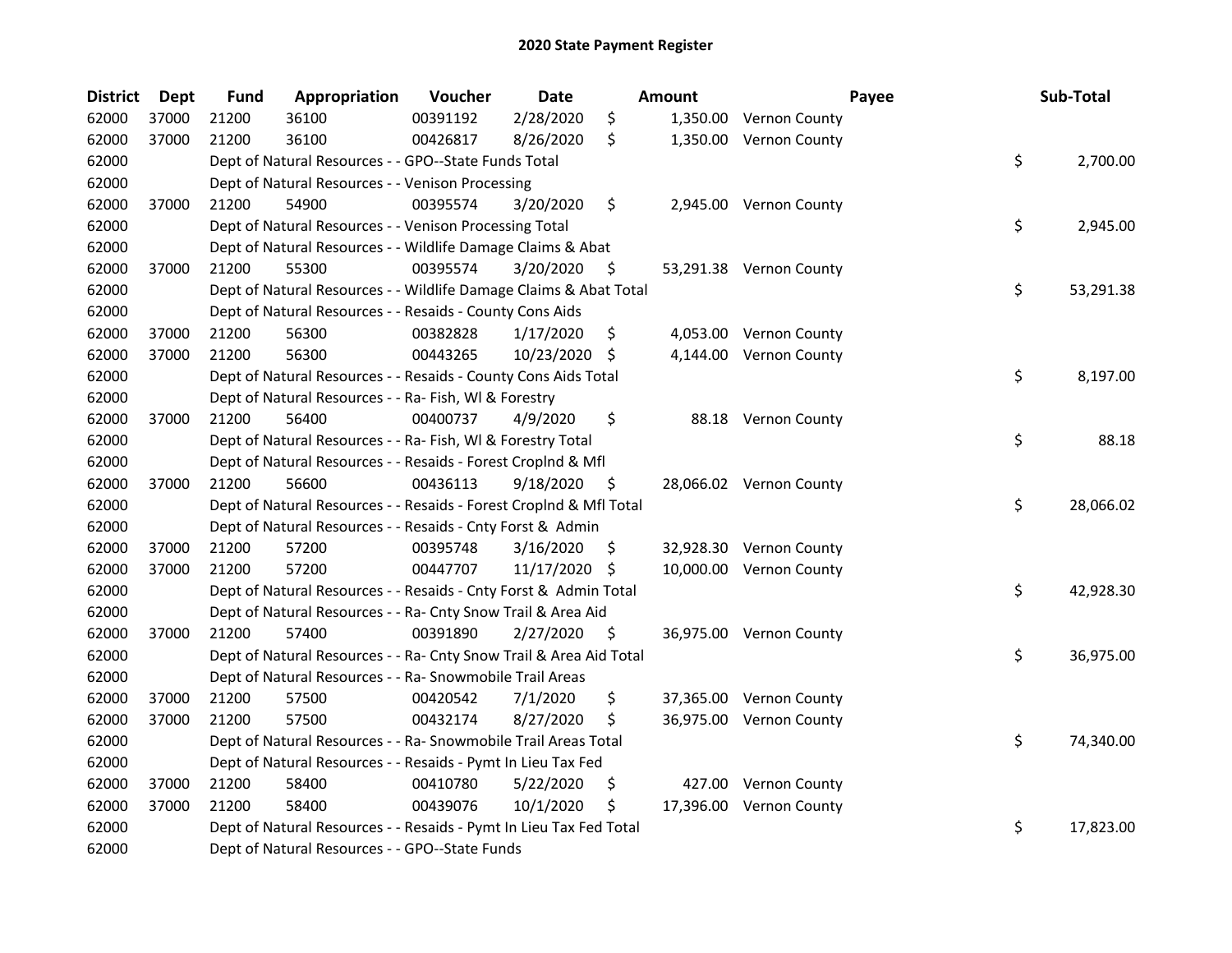| <b>District</b> | <b>Dept</b> | <b>Fund</b> | Appropriation                                                      | Voucher  | Date          |     | <b>Amount</b> |                         | Payee | Sub-Total       |
|-----------------|-------------|-------------|--------------------------------------------------------------------|----------|---------------|-----|---------------|-------------------------|-------|-----------------|
| 62000           | 37000       | 21200       | 36100                                                              | 00391192 | 2/28/2020     | \$  |               | 1,350.00 Vernon County  |       |                 |
| 62000           | 37000       | 21200       | 36100                                                              | 00426817 | 8/26/2020     | \$  |               | 1,350.00 Vernon County  |       |                 |
| 62000           |             |             | Dept of Natural Resources - - GPO--State Funds Total               |          |               |     |               |                         |       | \$<br>2,700.00  |
| 62000           |             |             | Dept of Natural Resources - - Venison Processing                   |          |               |     |               |                         |       |                 |
| 62000           | 37000       | 21200       | 54900                                                              | 00395574 | 3/20/2020     | \$  |               | 2,945.00 Vernon County  |       |                 |
| 62000           |             |             | Dept of Natural Resources - - Venison Processing Total             |          |               |     |               |                         |       | \$<br>2,945.00  |
| 62000           |             |             | Dept of Natural Resources - - Wildlife Damage Claims & Abat        |          |               |     |               |                         |       |                 |
| 62000           | 37000       | 21200       | 55300                                                              | 00395574 | 3/20/2020     | \$  |               | 53,291.38 Vernon County |       |                 |
| 62000           |             |             | Dept of Natural Resources - - Wildlife Damage Claims & Abat Total  |          |               |     |               |                         |       | \$<br>53,291.38 |
| 62000           |             |             | Dept of Natural Resources - - Resaids - County Cons Aids           |          |               |     |               |                         |       |                 |
| 62000           | 37000       | 21200       | 56300                                                              | 00382828 | 1/17/2020     | \$  |               | 4,053.00 Vernon County  |       |                 |
| 62000           | 37000       | 21200       | 56300                                                              | 00443265 | 10/23/2020 \$ |     |               | 4,144.00 Vernon County  |       |                 |
| 62000           |             |             | Dept of Natural Resources - - Resaids - County Cons Aids Total     |          |               |     |               |                         |       | \$<br>8,197.00  |
| 62000           |             |             | Dept of Natural Resources - - Ra- Fish, WI & Forestry              |          |               |     |               |                         |       |                 |
| 62000           | 37000       | 21200       | 56400                                                              | 00400737 | 4/9/2020      | \$  |               | 88.18 Vernon County     |       |                 |
| 62000           |             |             | Dept of Natural Resources - - Ra- Fish, WI & Forestry Total        |          |               |     |               |                         |       | \$<br>88.18     |
| 62000           |             |             | Dept of Natural Resources - - Resaids - Forest Croplnd & Mfl       |          |               |     |               |                         |       |                 |
| 62000           | 37000       | 21200       | 56600                                                              | 00436113 | 9/18/2020     | \$  |               | 28,066.02 Vernon County |       |                 |
| 62000           |             |             | Dept of Natural Resources - - Resaids - Forest CropInd & Mfl Total |          |               |     |               |                         |       | \$<br>28,066.02 |
| 62000           |             |             | Dept of Natural Resources - - Resaids - Cnty Forst & Admin         |          |               |     |               |                         |       |                 |
| 62000           | 37000       | 21200       | 57200                                                              | 00395748 | 3/16/2020     | \$  |               | 32,928.30 Vernon County |       |                 |
| 62000           | 37000       | 21200       | 57200                                                              | 00447707 | 11/17/2020 \$ |     |               | 10,000.00 Vernon County |       |                 |
| 62000           |             |             | Dept of Natural Resources - - Resaids - Cnty Forst & Admin Total   |          |               |     |               |                         |       | \$<br>42,928.30 |
| 62000           |             |             | Dept of Natural Resources - - Ra- Cnty Snow Trail & Area Aid       |          |               |     |               |                         |       |                 |
| 62000           | 37000       | 21200       | 57400                                                              | 00391890 | 2/27/2020     | -\$ |               | 36,975.00 Vernon County |       |                 |
| 62000           |             |             | Dept of Natural Resources - - Ra- Cnty Snow Trail & Area Aid Total |          |               |     |               |                         |       | \$<br>36,975.00 |
| 62000           |             |             | Dept of Natural Resources - - Ra- Snowmobile Trail Areas           |          |               |     |               |                         |       |                 |
| 62000           | 37000       | 21200       | 57500                                                              | 00420542 | 7/1/2020      | \$  |               | 37,365.00 Vernon County |       |                 |
| 62000           | 37000       | 21200       | 57500                                                              | 00432174 | 8/27/2020     | \$  |               | 36,975.00 Vernon County |       |                 |
| 62000           |             |             | Dept of Natural Resources - - Ra- Snowmobile Trail Areas Total     |          |               |     |               |                         |       | \$<br>74,340.00 |
| 62000           |             |             | Dept of Natural Resources - - Resaids - Pymt In Lieu Tax Fed       |          |               |     |               |                         |       |                 |
| 62000           | 37000       | 21200       | 58400                                                              | 00410780 | 5/22/2020     | \$  |               | 427.00 Vernon County    |       |                 |
| 62000           | 37000       | 21200       | 58400                                                              | 00439076 | 10/1/2020     | \$  |               | 17,396.00 Vernon County |       |                 |
| 62000           |             |             | Dept of Natural Resources - - Resaids - Pymt In Lieu Tax Fed Total |          |               |     |               |                         |       | \$<br>17,823.00 |
| 62000           |             |             | Dept of Natural Resources - - GPO--State Funds                     |          |               |     |               |                         |       |                 |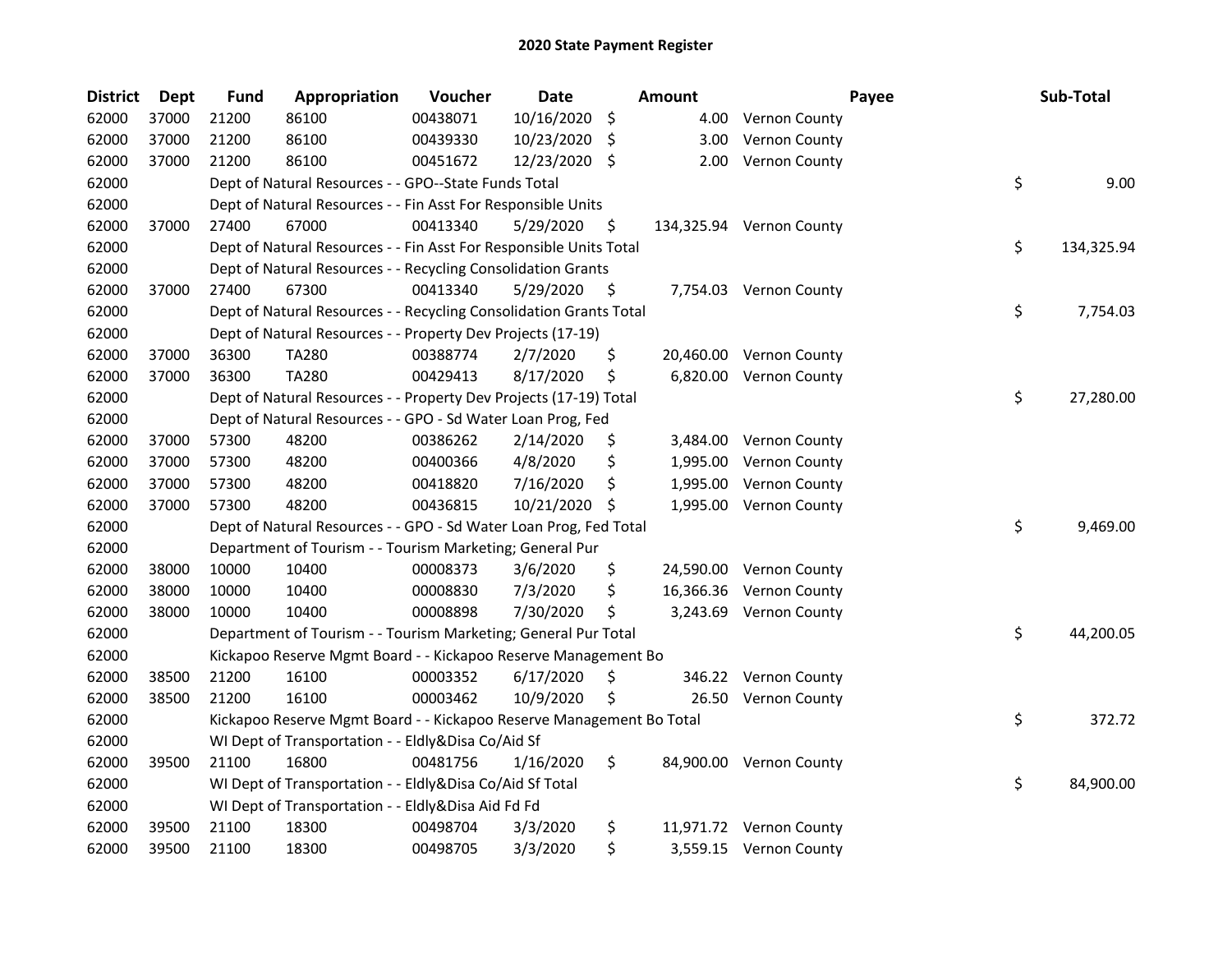| <b>District</b> | <b>Dept</b> | <b>Fund</b> | Appropriation                                                        | Voucher  | <b>Date</b> |     | Amount   |                          | Payee | Sub-Total  |
|-----------------|-------------|-------------|----------------------------------------------------------------------|----------|-------------|-----|----------|--------------------------|-------|------------|
| 62000           | 37000       | 21200       | 86100                                                                | 00438071 | 10/16/2020  | \$  | 4.00     | <b>Vernon County</b>     |       |            |
| 62000           | 37000       | 21200       | 86100                                                                | 00439330 | 10/23/2020  | -\$ | 3.00     | <b>Vernon County</b>     |       |            |
| 62000           | 37000       | 21200       | 86100                                                                | 00451672 | 12/23/2020  | Ŝ.  | 2.00     | <b>Vernon County</b>     |       |            |
| 62000           |             |             | Dept of Natural Resources - - GPO--State Funds Total                 |          |             |     |          |                          | \$    | 9.00       |
| 62000           |             |             | Dept of Natural Resources - - Fin Asst For Responsible Units         |          |             |     |          |                          |       |            |
| 62000           | 37000       | 27400       | 67000                                                                | 00413340 | 5/29/2020   | \$  |          | 134,325.94 Vernon County |       |            |
| 62000           |             |             | Dept of Natural Resources - - Fin Asst For Responsible Units Total   |          |             |     |          |                          | \$    | 134,325.94 |
| 62000           |             |             | Dept of Natural Resources - - Recycling Consolidation Grants         |          |             |     |          |                          |       |            |
| 62000           | 37000       | 27400       | 67300                                                                | 00413340 | 5/29/2020   | \$  |          | 7,754.03 Vernon County   |       |            |
| 62000           |             |             | Dept of Natural Resources - - Recycling Consolidation Grants Total   |          |             |     |          |                          | \$    | 7,754.03   |
| 62000           |             |             | Dept of Natural Resources - - Property Dev Projects (17-19)          |          |             |     |          |                          |       |            |
| 62000           | 37000       | 36300       | <b>TA280</b>                                                         | 00388774 | 2/7/2020    | \$  |          | 20,460.00 Vernon County  |       |            |
| 62000           | 37000       | 36300       | <b>TA280</b>                                                         | 00429413 | 8/17/2020   | \$  |          | 6,820.00 Vernon County   |       |            |
| 62000           |             |             | Dept of Natural Resources - - Property Dev Projects (17-19) Total    |          |             |     |          |                          | \$    | 27,280.00  |
| 62000           |             |             | Dept of Natural Resources - - GPO - Sd Water Loan Prog, Fed          |          |             |     |          |                          |       |            |
| 62000           | 37000       | 57300       | 48200                                                                | 00386262 | 2/14/2020   | \$, | 3,484.00 | <b>Vernon County</b>     |       |            |
| 62000           | 37000       | 57300       | 48200                                                                | 00400366 | 4/8/2020    | \$  | 1,995.00 | Vernon County            |       |            |
| 62000           | 37000       | 57300       | 48200                                                                | 00418820 | 7/16/2020   | \$  | 1,995.00 | Vernon County            |       |            |
| 62000           | 37000       | 57300       | 48200                                                                | 00436815 | 10/21/2020  | \$  | 1,995.00 | Vernon County            |       |            |
| 62000           |             |             | Dept of Natural Resources - - GPO - Sd Water Loan Prog, Fed Total    |          |             |     |          |                          | \$    | 9,469.00   |
| 62000           |             |             | Department of Tourism - - Tourism Marketing; General Pur             |          |             |     |          |                          |       |            |
| 62000           | 38000       | 10000       | 10400                                                                | 00008373 | 3/6/2020    | \$  |          | 24,590.00 Vernon County  |       |            |
| 62000           | 38000       | 10000       | 10400                                                                | 00008830 | 7/3/2020    | \$  |          | 16,366.36 Vernon County  |       |            |
| 62000           | 38000       | 10000       | 10400                                                                | 00008898 | 7/30/2020   | \$  |          | 3,243.69 Vernon County   |       |            |
| 62000           |             |             | Department of Tourism - - Tourism Marketing; General Pur Total       |          |             |     |          |                          | \$    | 44,200.05  |
| 62000           |             |             | Kickapoo Reserve Mgmt Board - - Kickapoo Reserve Management Bo       |          |             |     |          |                          |       |            |
| 62000           | 38500       | 21200       | 16100                                                                | 00003352 | 6/17/2020   | \$, | 346.22   | <b>Vernon County</b>     |       |            |
| 62000           | 38500       | 21200       | 16100                                                                | 00003462 | 10/9/2020   | \$  | 26.50    | <b>Vernon County</b>     |       |            |
| 62000           |             |             | Kickapoo Reserve Mgmt Board - - Kickapoo Reserve Management Bo Total |          |             |     |          |                          | \$    | 372.72     |
| 62000           |             |             | WI Dept of Transportation - - Eldly&Disa Co/Aid Sf                   |          |             |     |          |                          |       |            |
| 62000           | 39500       | 21100       | 16800                                                                | 00481756 | 1/16/2020   | \$  |          | 84,900.00 Vernon County  |       |            |
| 62000           |             |             | WI Dept of Transportation - - Eldly&Disa Co/Aid Sf Total             |          |             |     |          |                          | \$    | 84,900.00  |
| 62000           |             |             | WI Dept of Transportation - - Eldly&Disa Aid Fd Fd                   |          |             |     |          |                          |       |            |
| 62000           | 39500       | 21100       | 18300                                                                | 00498704 | 3/3/2020    | \$  |          | 11,971.72 Vernon County  |       |            |
| 62000           | 39500       | 21100       | 18300                                                                | 00498705 | 3/3/2020    | \$  |          | 3,559.15 Vernon County   |       |            |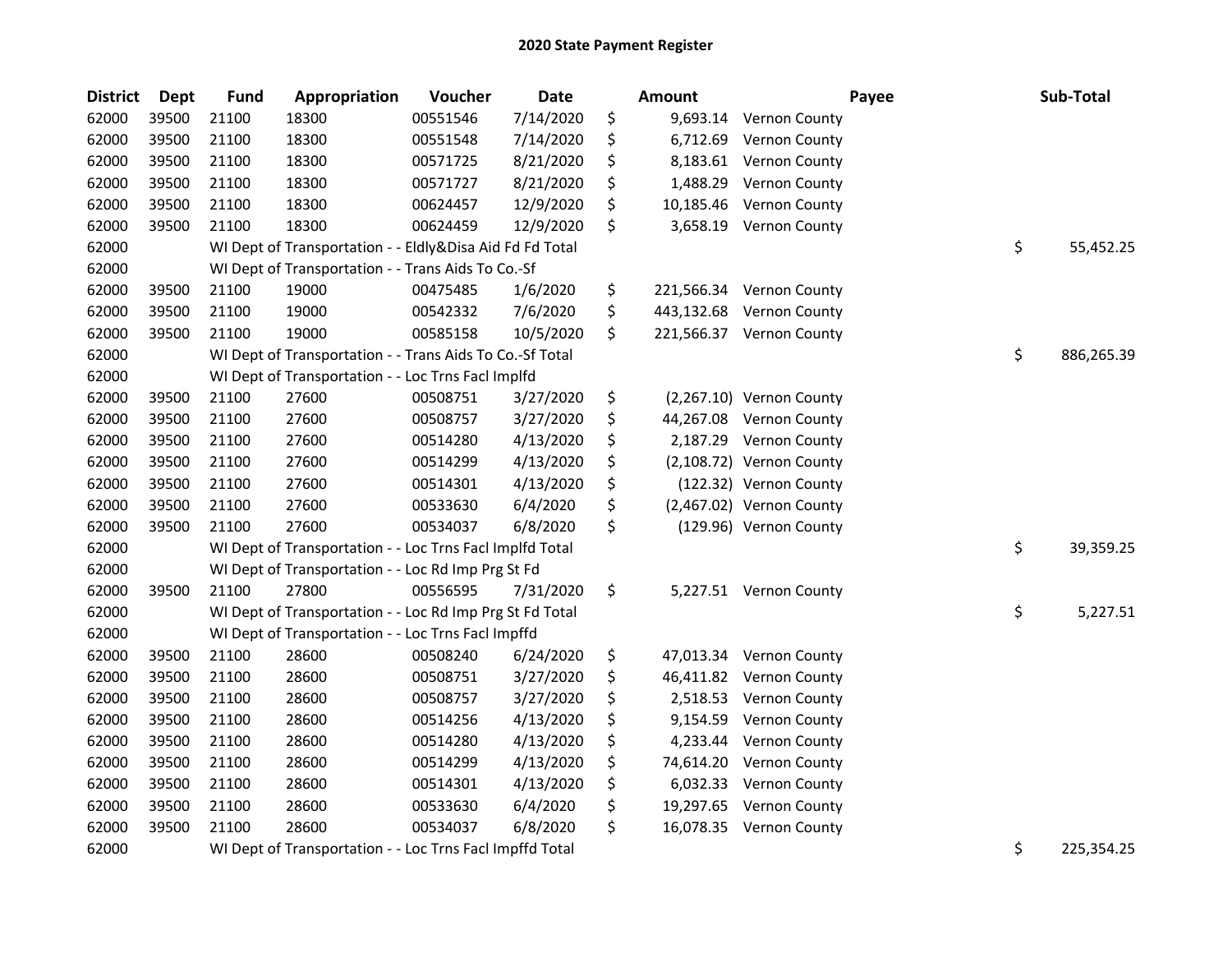| <b>District</b> | <b>Dept</b> | <b>Fund</b> | Appropriation                                            | Voucher  | <b>Date</b> | <b>Amount</b>   |                          | Payee | Sub-Total  |
|-----------------|-------------|-------------|----------------------------------------------------------|----------|-------------|-----------------|--------------------------|-------|------------|
| 62000           | 39500       | 21100       | 18300                                                    | 00551546 | 7/14/2020   | \$<br>9,693.14  | <b>Vernon County</b>     |       |            |
| 62000           | 39500       | 21100       | 18300                                                    | 00551548 | 7/14/2020   | \$<br>6,712.69  | Vernon County            |       |            |
| 62000           | 39500       | 21100       | 18300                                                    | 00571725 | 8/21/2020   | \$<br>8,183.61  | <b>Vernon County</b>     |       |            |
| 62000           | 39500       | 21100       | 18300                                                    | 00571727 | 8/21/2020   | \$<br>1,488.29  | <b>Vernon County</b>     |       |            |
| 62000           | 39500       | 21100       | 18300                                                    | 00624457 | 12/9/2020   | \$<br>10,185.46 | Vernon County            |       |            |
| 62000           | 39500       | 21100       | 18300                                                    | 00624459 | 12/9/2020   | \$              | 3,658.19 Vernon County   |       |            |
| 62000           |             |             | WI Dept of Transportation - - Eldly&Disa Aid Fd Fd Total |          |             |                 |                          | \$    | 55,452.25  |
| 62000           |             |             | WI Dept of Transportation - - Trans Aids To Co.-Sf       |          |             |                 |                          |       |            |
| 62000           | 39500       | 21100       | 19000                                                    | 00475485 | 1/6/2020    | \$              | 221,566.34 Vernon County |       |            |
| 62000           | 39500       | 21100       | 19000                                                    | 00542332 | 7/6/2020    | \$              | 443,132.68 Vernon County |       |            |
| 62000           | 39500       | 21100       | 19000                                                    | 00585158 | 10/5/2020   | \$              | 221,566.37 Vernon County |       |            |
| 62000           |             |             | WI Dept of Transportation - - Trans Aids To Co.-Sf Total |          |             |                 |                          | \$    | 886,265.39 |
| 62000           |             |             | WI Dept of Transportation - - Loc Trns Facl Implfd       |          |             |                 |                          |       |            |
| 62000           | 39500       | 21100       | 27600                                                    | 00508751 | 3/27/2020   | \$              | (2,267.10) Vernon County |       |            |
| 62000           | 39500       | 21100       | 27600                                                    | 00508757 | 3/27/2020   | \$              | 44,267.08 Vernon County  |       |            |
| 62000           | 39500       | 21100       | 27600                                                    | 00514280 | 4/13/2020   | \$              | 2,187.29 Vernon County   |       |            |
| 62000           | 39500       | 21100       | 27600                                                    | 00514299 | 4/13/2020   | \$              | (2,108.72) Vernon County |       |            |
| 62000           | 39500       | 21100       | 27600                                                    | 00514301 | 4/13/2020   | \$              | (122.32) Vernon County   |       |            |
| 62000           | 39500       | 21100       | 27600                                                    | 00533630 | 6/4/2020    | \$              | (2,467.02) Vernon County |       |            |
| 62000           | 39500       | 21100       | 27600                                                    | 00534037 | 6/8/2020    | \$              | (129.96) Vernon County   |       |            |
| 62000           |             |             | WI Dept of Transportation - - Loc Trns Facl Implfd Total |          |             |                 |                          | \$    | 39,359.25  |
| 62000           |             |             | WI Dept of Transportation - - Loc Rd Imp Prg St Fd       |          |             |                 |                          |       |            |
| 62000           | 39500       | 21100       | 27800                                                    | 00556595 | 7/31/2020   | \$              | 5,227.51 Vernon County   |       |            |
| 62000           |             |             | WI Dept of Transportation - - Loc Rd Imp Prg St Fd Total |          |             |                 |                          | \$    | 5,227.51   |
| 62000           |             |             | WI Dept of Transportation - - Loc Trns Facl Impffd       |          |             |                 |                          |       |            |
| 62000           | 39500       | 21100       | 28600                                                    | 00508240 | 6/24/2020   | \$              | 47,013.34 Vernon County  |       |            |
| 62000           | 39500       | 21100       | 28600                                                    | 00508751 | 3/27/2020   | \$              | 46,411.82 Vernon County  |       |            |
| 62000           | 39500       | 21100       | 28600                                                    | 00508757 | 3/27/2020   | \$              | 2,518.53 Vernon County   |       |            |
| 62000           | 39500       | 21100       | 28600                                                    | 00514256 | 4/13/2020   | \$<br>9,154.59  | Vernon County            |       |            |
| 62000           | 39500       | 21100       | 28600                                                    | 00514280 | 4/13/2020   | \$<br>4,233.44  | <b>Vernon County</b>     |       |            |
| 62000           | 39500       | 21100       | 28600                                                    | 00514299 | 4/13/2020   | \$<br>74,614.20 | Vernon County            |       |            |
| 62000           | 39500       | 21100       | 28600                                                    | 00514301 | 4/13/2020   | \$<br>6,032.33  | <b>Vernon County</b>     |       |            |
| 62000           | 39500       | 21100       | 28600                                                    | 00533630 | 6/4/2020    | \$              | 19,297.65 Vernon County  |       |            |
| 62000           | 39500       | 21100       | 28600                                                    | 00534037 | 6/8/2020    | \$              | 16,078.35 Vernon County  |       |            |
| 62000           |             |             | WI Dept of Transportation - - Loc Trns FacI Impffd Total |          |             |                 |                          | \$    | 225,354.25 |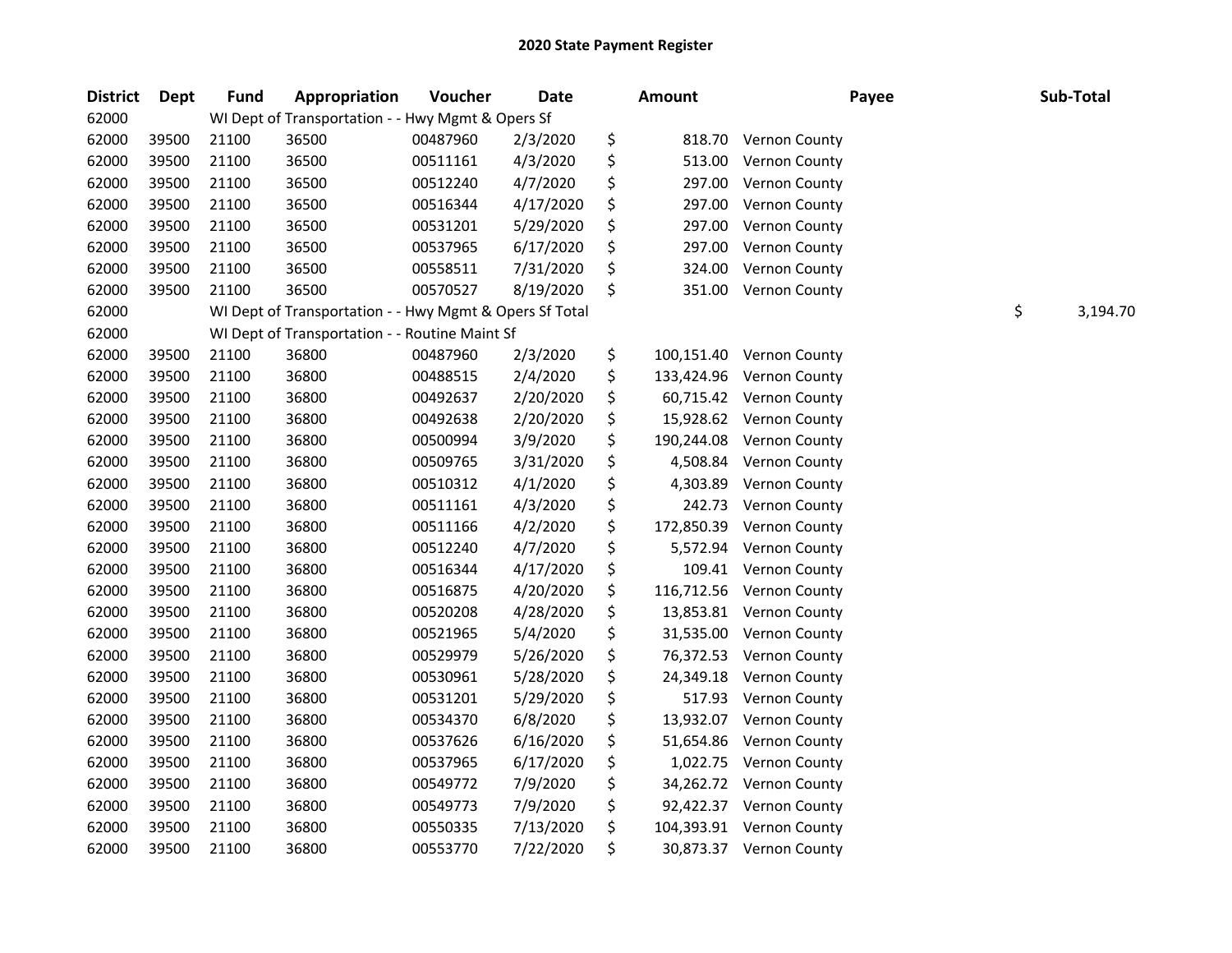| <b>District</b> | Dept  | <b>Fund</b> | Appropriation                                           | Voucher  | <b>Date</b> | <b>Amount</b>    | Payee                    | Sub-Total      |
|-----------------|-------|-------------|---------------------------------------------------------|----------|-------------|------------------|--------------------------|----------------|
| 62000           |       |             | WI Dept of Transportation - - Hwy Mgmt & Opers Sf       |          |             |                  |                          |                |
| 62000           | 39500 | 21100       | 36500                                                   | 00487960 | 2/3/2020    | \$<br>818.70     | <b>Vernon County</b>     |                |
| 62000           | 39500 | 21100       | 36500                                                   | 00511161 | 4/3/2020    | \$<br>513.00     | Vernon County            |                |
| 62000           | 39500 | 21100       | 36500                                                   | 00512240 | 4/7/2020    | \$<br>297.00     | Vernon County            |                |
| 62000           | 39500 | 21100       | 36500                                                   | 00516344 | 4/17/2020   | \$<br>297.00     | Vernon County            |                |
| 62000           | 39500 | 21100       | 36500                                                   | 00531201 | 5/29/2020   | \$<br>297.00     | Vernon County            |                |
| 62000           | 39500 | 21100       | 36500                                                   | 00537965 | 6/17/2020   | \$<br>297.00     | Vernon County            |                |
| 62000           | 39500 | 21100       | 36500                                                   | 00558511 | 7/31/2020   | \$<br>324.00     | Vernon County            |                |
| 62000           | 39500 | 21100       | 36500                                                   | 00570527 | 8/19/2020   | \$<br>351.00     | Vernon County            |                |
| 62000           |       |             | WI Dept of Transportation - - Hwy Mgmt & Opers Sf Total |          |             |                  |                          | \$<br>3,194.70 |
| 62000           |       |             | WI Dept of Transportation - - Routine Maint Sf          |          |             |                  |                          |                |
| 62000           | 39500 | 21100       | 36800                                                   | 00487960 | 2/3/2020    | \$<br>100,151.40 | Vernon County            |                |
| 62000           | 39500 | 21100       | 36800                                                   | 00488515 | 2/4/2020    | \$<br>133,424.96 | Vernon County            |                |
| 62000           | 39500 | 21100       | 36800                                                   | 00492637 | 2/20/2020   | \$<br>60,715.42  | <b>Vernon County</b>     |                |
| 62000           | 39500 | 21100       | 36800                                                   | 00492638 | 2/20/2020   | \$<br>15,928.62  | <b>Vernon County</b>     |                |
| 62000           | 39500 | 21100       | 36800                                                   | 00500994 | 3/9/2020    | \$<br>190,244.08 | Vernon County            |                |
| 62000           | 39500 | 21100       | 36800                                                   | 00509765 | 3/31/2020   | \$<br>4,508.84   | Vernon County            |                |
| 62000           | 39500 | 21100       | 36800                                                   | 00510312 | 4/1/2020    | \$<br>4,303.89   | Vernon County            |                |
| 62000           | 39500 | 21100       | 36800                                                   | 00511161 | 4/3/2020    | \$<br>242.73     | Vernon County            |                |
| 62000           | 39500 | 21100       | 36800                                                   | 00511166 | 4/2/2020    | \$<br>172,850.39 | Vernon County            |                |
| 62000           | 39500 | 21100       | 36800                                                   | 00512240 | 4/7/2020    | \$<br>5,572.94   | Vernon County            |                |
| 62000           | 39500 | 21100       | 36800                                                   | 00516344 | 4/17/2020   | \$<br>109.41     | <b>Vernon County</b>     |                |
| 62000           | 39500 | 21100       | 36800                                                   | 00516875 | 4/20/2020   | \$<br>116,712.56 | <b>Vernon County</b>     |                |
| 62000           | 39500 | 21100       | 36800                                                   | 00520208 | 4/28/2020   | \$<br>13,853.81  | Vernon County            |                |
| 62000           | 39500 | 21100       | 36800                                                   | 00521965 | 5/4/2020    | \$<br>31,535.00  | Vernon County            |                |
| 62000           | 39500 | 21100       | 36800                                                   | 00529979 | 5/26/2020   | \$<br>76,372.53  | <b>Vernon County</b>     |                |
| 62000           | 39500 | 21100       | 36800                                                   | 00530961 | 5/28/2020   | \$<br>24,349.18  | Vernon County            |                |
| 62000           | 39500 | 21100       | 36800                                                   | 00531201 | 5/29/2020   | \$<br>517.93     | <b>Vernon County</b>     |                |
| 62000           | 39500 | 21100       | 36800                                                   | 00534370 | 6/8/2020    | \$               | 13,932.07 Vernon County  |                |
| 62000           | 39500 | 21100       | 36800                                                   | 00537626 | 6/16/2020   | \$<br>51,654.86  | <b>Vernon County</b>     |                |
| 62000           | 39500 | 21100       | 36800                                                   | 00537965 | 6/17/2020   | \$<br>1,022.75   | <b>Vernon County</b>     |                |
| 62000           | 39500 | 21100       | 36800                                                   | 00549772 | 7/9/2020    | \$               | 34,262.72 Vernon County  |                |
| 62000           | 39500 | 21100       | 36800                                                   | 00549773 | 7/9/2020    | \$               | 92,422.37 Vernon County  |                |
| 62000           | 39500 | 21100       | 36800                                                   | 00550335 | 7/13/2020   | \$               | 104,393.91 Vernon County |                |
| 62000           | 39500 | 21100       | 36800                                                   | 00553770 | 7/22/2020   | \$               | 30,873.37 Vernon County  |                |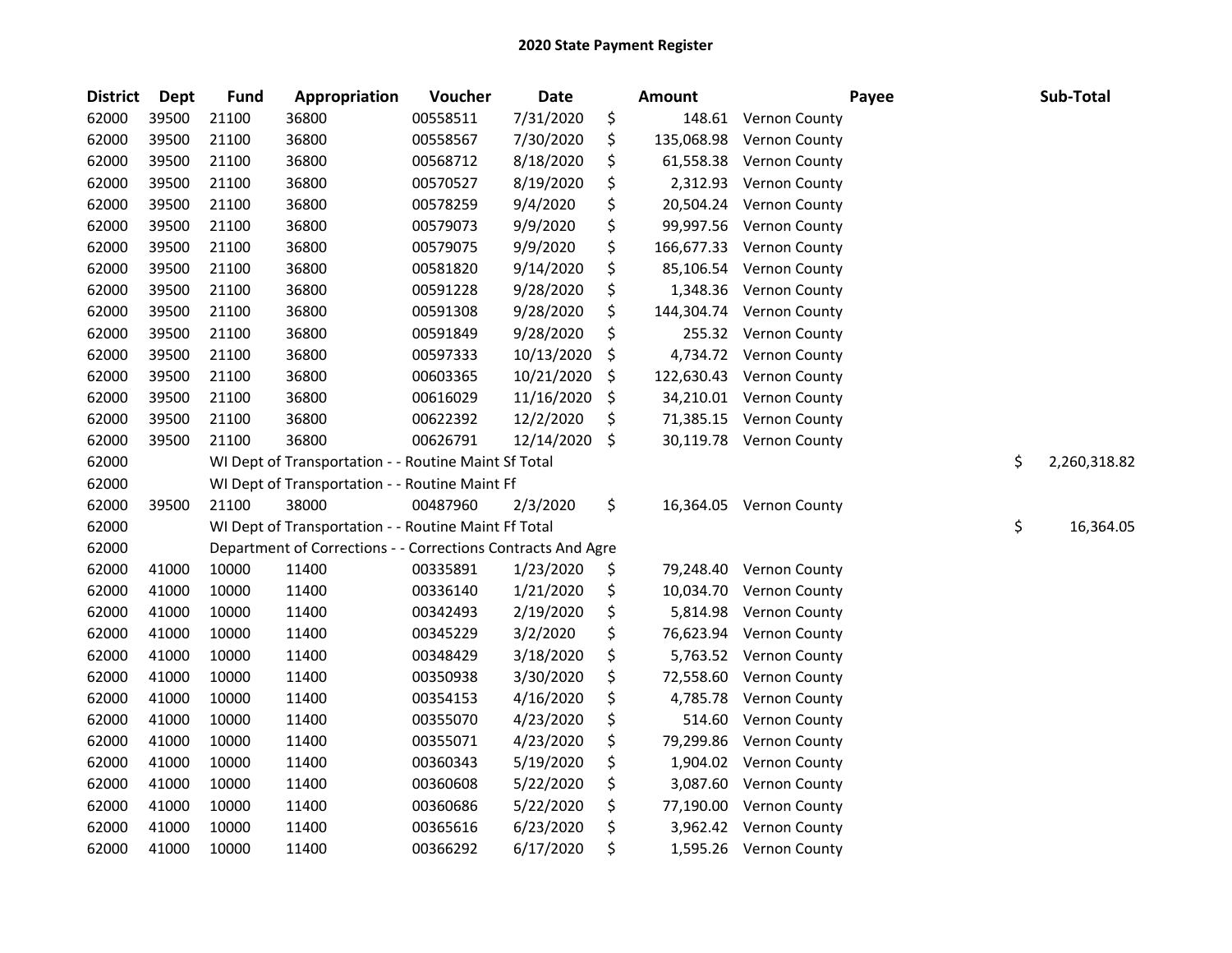| <b>District</b> | <b>Dept</b> | <b>Fund</b> | Appropriation                                                | Voucher  | <b>Date</b> | <b>Amount</b>    | Payee                   | Sub-Total          |
|-----------------|-------------|-------------|--------------------------------------------------------------|----------|-------------|------------------|-------------------------|--------------------|
| 62000           | 39500       | 21100       | 36800                                                        | 00558511 | 7/31/2020   | \$<br>148.61     | <b>Vernon County</b>    |                    |
| 62000           | 39500       | 21100       | 36800                                                        | 00558567 | 7/30/2020   | \$<br>135,068.98 | Vernon County           |                    |
| 62000           | 39500       | 21100       | 36800                                                        | 00568712 | 8/18/2020   | \$<br>61,558.38  | Vernon County           |                    |
| 62000           | 39500       | 21100       | 36800                                                        | 00570527 | 8/19/2020   | \$<br>2,312.93   | Vernon County           |                    |
| 62000           | 39500       | 21100       | 36800                                                        | 00578259 | 9/4/2020    | \$<br>20,504.24  | Vernon County           |                    |
| 62000           | 39500       | 21100       | 36800                                                        | 00579073 | 9/9/2020    | \$<br>99,997.56  | Vernon County           |                    |
| 62000           | 39500       | 21100       | 36800                                                        | 00579075 | 9/9/2020    | \$<br>166,677.33 | Vernon County           |                    |
| 62000           | 39500       | 21100       | 36800                                                        | 00581820 | 9/14/2020   | \$<br>85,106.54  | Vernon County           |                    |
| 62000           | 39500       | 21100       | 36800                                                        | 00591228 | 9/28/2020   | \$<br>1,348.36   | <b>Vernon County</b>    |                    |
| 62000           | 39500       | 21100       | 36800                                                        | 00591308 | 9/28/2020   | \$<br>144,304.74 | <b>Vernon County</b>    |                    |
| 62000           | 39500       | 21100       | 36800                                                        | 00591849 | 9/28/2020   | \$<br>255.32     | <b>Vernon County</b>    |                    |
| 62000           | 39500       | 21100       | 36800                                                        | 00597333 | 10/13/2020  | \$<br>4,734.72   | <b>Vernon County</b>    |                    |
| 62000           | 39500       | 21100       | 36800                                                        | 00603365 | 10/21/2020  | \$<br>122,630.43 | Vernon County           |                    |
| 62000           | 39500       | 21100       | 36800                                                        | 00616029 | 11/16/2020  | \$               | 34,210.01 Vernon County |                    |
| 62000           | 39500       | 21100       | 36800                                                        | 00622392 | 12/2/2020   | \$<br>71,385.15  | <b>Vernon County</b>    |                    |
| 62000           | 39500       | 21100       | 36800                                                        | 00626791 | 12/14/2020  | \$               | 30,119.78 Vernon County |                    |
| 62000           |             |             | WI Dept of Transportation - - Routine Maint Sf Total         |          |             |                  |                         | \$<br>2,260,318.82 |
| 62000           |             |             | WI Dept of Transportation - - Routine Maint Ff               |          |             |                  |                         |                    |
| 62000           | 39500       | 21100       | 38000                                                        | 00487960 | 2/3/2020    | \$<br>16,364.05  | <b>Vernon County</b>    |                    |
| 62000           |             |             | WI Dept of Transportation - - Routine Maint Ff Total         |          |             |                  |                         | \$<br>16,364.05    |
| 62000           |             |             | Department of Corrections - - Corrections Contracts And Agre |          |             |                  |                         |                    |
| 62000           | 41000       | 10000       | 11400                                                        | 00335891 | 1/23/2020   | \$<br>79,248.40  | <b>Vernon County</b>    |                    |
| 62000           | 41000       | 10000       | 11400                                                        | 00336140 | 1/21/2020   | \$<br>10,034.70  | <b>Vernon County</b>    |                    |
| 62000           | 41000       | 10000       | 11400                                                        | 00342493 | 2/19/2020   | \$<br>5,814.98   | Vernon County           |                    |
| 62000           | 41000       | 10000       | 11400                                                        | 00345229 | 3/2/2020    | \$<br>76,623.94  | Vernon County           |                    |
| 62000           | 41000       | 10000       | 11400                                                        | 00348429 | 3/18/2020   | \$<br>5,763.52   | Vernon County           |                    |
| 62000           | 41000       | 10000       | 11400                                                        | 00350938 | 3/30/2020   | \$<br>72,558.60  | <b>Vernon County</b>    |                    |
| 62000           | 41000       | 10000       | 11400                                                        | 00354153 | 4/16/2020   | \$<br>4,785.78   | Vernon County           |                    |
| 62000           | 41000       | 10000       | 11400                                                        | 00355070 | 4/23/2020   | \$<br>514.60     | <b>Vernon County</b>    |                    |
| 62000           | 41000       | 10000       | 11400                                                        | 00355071 | 4/23/2020   | \$<br>79,299.86  | Vernon County           |                    |
| 62000           | 41000       | 10000       | 11400                                                        | 00360343 | 5/19/2020   | \$<br>1,904.02   | Vernon County           |                    |
| 62000           | 41000       | 10000       | 11400                                                        | 00360608 | 5/22/2020   | \$<br>3,087.60   | Vernon County           |                    |
| 62000           | 41000       | 10000       | 11400                                                        | 00360686 | 5/22/2020   | \$<br>77,190.00  | Vernon County           |                    |
| 62000           | 41000       | 10000       | 11400                                                        | 00365616 | 6/23/2020   | \$<br>3,962.42   | <b>Vernon County</b>    |                    |
| 62000           | 41000       | 10000       | 11400                                                        | 00366292 | 6/17/2020   | \$               | 1,595.26 Vernon County  |                    |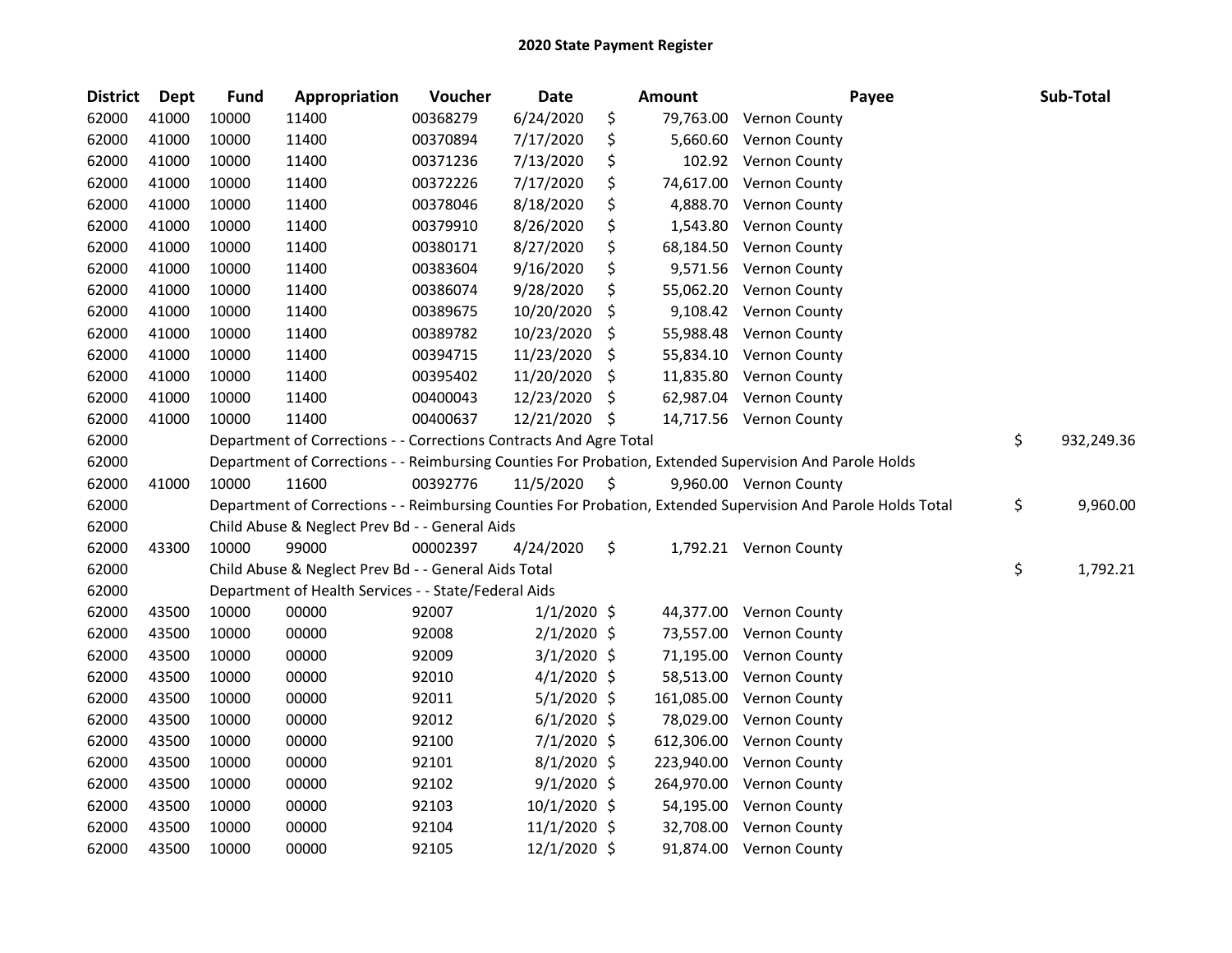| <b>District</b> | Dept  | <b>Fund</b> | Appropriation                                                      | Voucher  | Date          | <b>Amount</b>   | Payee                                                                                                         | Sub-Total        |
|-----------------|-------|-------------|--------------------------------------------------------------------|----------|---------------|-----------------|---------------------------------------------------------------------------------------------------------------|------------------|
| 62000           | 41000 | 10000       | 11400                                                              | 00368279 | 6/24/2020     | \$<br>79,763.00 | <b>Vernon County</b>                                                                                          |                  |
| 62000           | 41000 | 10000       | 11400                                                              | 00370894 | 7/17/2020     | \$<br>5,660.60  | <b>Vernon County</b>                                                                                          |                  |
| 62000           | 41000 | 10000       | 11400                                                              | 00371236 | 7/13/2020     | \$<br>102.92    | <b>Vernon County</b>                                                                                          |                  |
| 62000           | 41000 | 10000       | 11400                                                              | 00372226 | 7/17/2020     | \$<br>74,617.00 | Vernon County                                                                                                 |                  |
| 62000           | 41000 | 10000       | 11400                                                              | 00378046 | 8/18/2020     | \$<br>4,888.70  | Vernon County                                                                                                 |                  |
| 62000           | 41000 | 10000       | 11400                                                              | 00379910 | 8/26/2020     | \$<br>1,543.80  | Vernon County                                                                                                 |                  |
| 62000           | 41000 | 10000       | 11400                                                              | 00380171 | 8/27/2020     | \$<br>68,184.50 | <b>Vernon County</b>                                                                                          |                  |
| 62000           | 41000 | 10000       | 11400                                                              | 00383604 | 9/16/2020     | \$<br>9,571.56  | Vernon County                                                                                                 |                  |
| 62000           | 41000 | 10000       | 11400                                                              | 00386074 | 9/28/2020     | \$<br>55,062.20 | <b>Vernon County</b>                                                                                          |                  |
| 62000           | 41000 | 10000       | 11400                                                              | 00389675 | 10/20/2020    | \$<br>9,108.42  | <b>Vernon County</b>                                                                                          |                  |
| 62000           | 41000 | 10000       | 11400                                                              | 00389782 | 10/23/2020    | \$<br>55,988.48 | <b>Vernon County</b>                                                                                          |                  |
| 62000           | 41000 | 10000       | 11400                                                              | 00394715 | 11/23/2020    | \$<br>55,834.10 | <b>Vernon County</b>                                                                                          |                  |
| 62000           | 41000 | 10000       | 11400                                                              | 00395402 | 11/20/2020    | \$<br>11,835.80 | <b>Vernon County</b>                                                                                          |                  |
| 62000           | 41000 | 10000       | 11400                                                              | 00400043 | 12/23/2020    | \$<br>62,987.04 | Vernon County                                                                                                 |                  |
| 62000           | 41000 | 10000       | 11400                                                              | 00400637 | 12/21/2020    | \$              | 14,717.56 Vernon County                                                                                       |                  |
| 62000           |       |             | Department of Corrections - - Corrections Contracts And Agre Total |          |               |                 |                                                                                                               | \$<br>932,249.36 |
| 62000           |       |             |                                                                    |          |               |                 | Department of Corrections - - Reimbursing Counties For Probation, Extended Supervision And Parole Holds       |                  |
| 62000           | 41000 | 10000       | 11600                                                              | 00392776 | 11/5/2020     | \$              | 9,960.00 Vernon County                                                                                        |                  |
| 62000           |       |             |                                                                    |          |               |                 | Department of Corrections - - Reimbursing Counties For Probation, Extended Supervision And Parole Holds Total | \$<br>9,960.00   |
| 62000           |       |             | Child Abuse & Neglect Prev Bd - - General Aids                     |          |               |                 |                                                                                                               |                  |
| 62000           | 43300 | 10000       | 99000                                                              | 00002397 | 4/24/2020     | \$              | 1,792.21 Vernon County                                                                                        |                  |
| 62000           |       |             | Child Abuse & Neglect Prev Bd - - General Aids Total               |          |               |                 |                                                                                                               | \$<br>1,792.21   |
| 62000           |       |             | Department of Health Services - - State/Federal Aids               |          |               |                 |                                                                                                               |                  |
| 62000           | 43500 | 10000       | 00000                                                              | 92007    | $1/1/2020$ \$ | 44,377.00       | <b>Vernon County</b>                                                                                          |                  |
| 62000           | 43500 | 10000       | 00000                                                              | 92008    | $2/1/2020$ \$ | 73,557.00       | Vernon County                                                                                                 |                  |
| 62000           | 43500 | 10000       | 00000                                                              | 92009    | $3/1/2020$ \$ | 71,195.00       | <b>Vernon County</b>                                                                                          |                  |
| 62000           | 43500 | 10000       | 00000                                                              | 92010    | $4/1/2020$ \$ | 58,513.00       | <b>Vernon County</b>                                                                                          |                  |
| 62000           | 43500 | 10000       | 00000                                                              | 92011    | $5/1/2020$ \$ | 161,085.00      | Vernon County                                                                                                 |                  |
| 62000           | 43500 | 10000       | 00000                                                              | 92012    | $6/1/2020$ \$ | 78,029.00       | Vernon County                                                                                                 |                  |
| 62000           | 43500 | 10000       | 00000                                                              | 92100    | 7/1/2020 \$   | 612,306.00      | Vernon County                                                                                                 |                  |
| 62000           | 43500 | 10000       | 00000                                                              | 92101    | 8/1/2020 \$   | 223,940.00      | Vernon County                                                                                                 |                  |
| 62000           | 43500 | 10000       | 00000                                                              | 92102    | $9/1/2020$ \$ | 264,970.00      | Vernon County                                                                                                 |                  |
| 62000           | 43500 | 10000       | 00000                                                              | 92103    | 10/1/2020 \$  | 54,195.00       | <b>Vernon County</b>                                                                                          |                  |
| 62000           | 43500 | 10000       | 00000                                                              | 92104    | 11/1/2020 \$  | 32,708.00       | Vernon County                                                                                                 |                  |
| 62000           | 43500 | 10000       | 00000                                                              | 92105    | 12/1/2020 \$  |                 | 91,874.00 Vernon County                                                                                       |                  |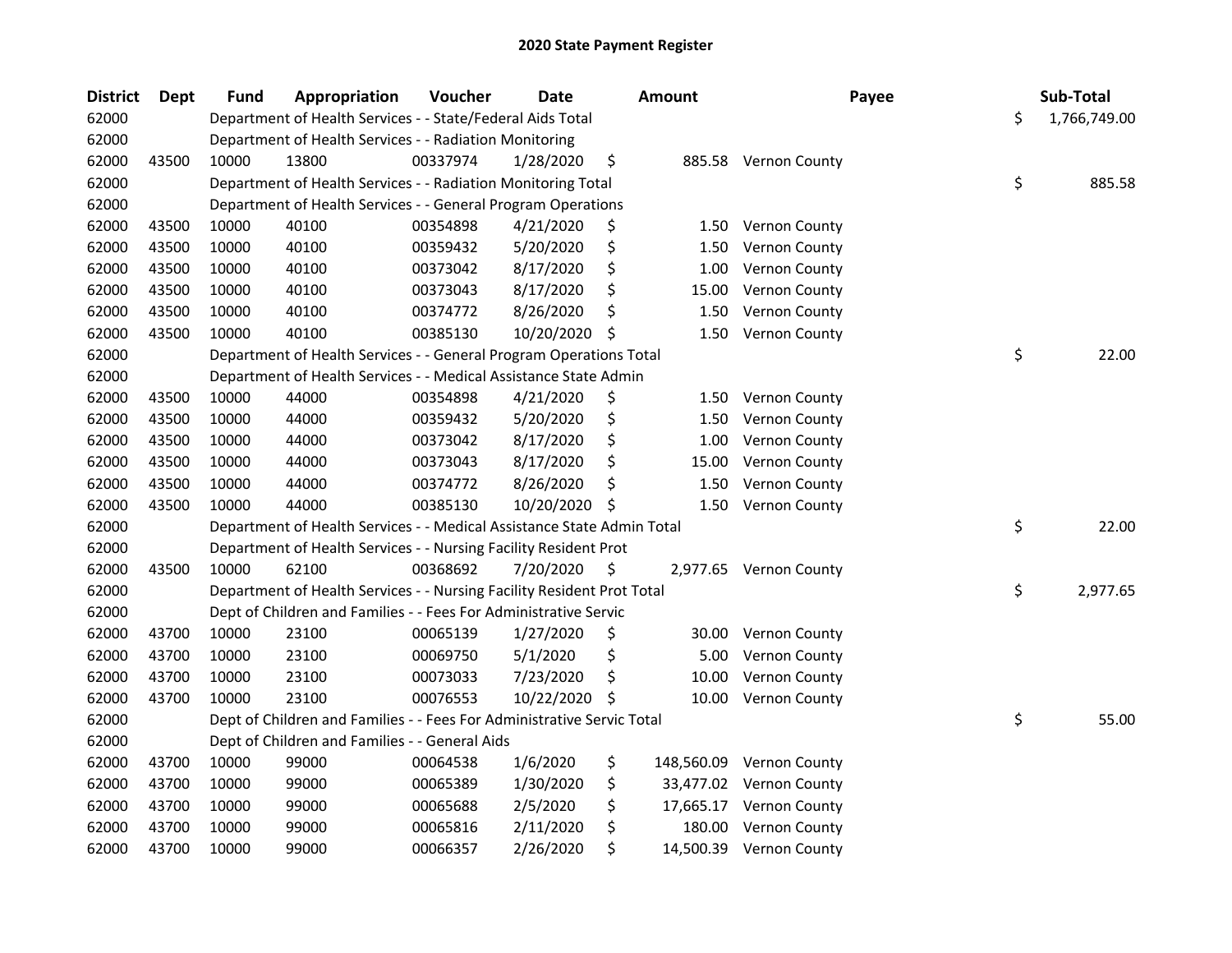| <b>District</b> | <b>Dept</b> | <b>Fund</b> | Appropriation                                                          | Voucher  | <b>Date</b> | Amount       | Payee                    | Sub-Total          |
|-----------------|-------------|-------------|------------------------------------------------------------------------|----------|-------------|--------------|--------------------------|--------------------|
| 62000           |             |             | Department of Health Services - - State/Federal Aids Total             |          |             |              |                          | \$<br>1,766,749.00 |
| 62000           |             |             | Department of Health Services - - Radiation Monitoring                 |          |             |              |                          |                    |
| 62000           | 43500       | 10000       | 13800                                                                  | 00337974 | 1/28/2020   | \$           | 885.58 Vernon County     |                    |
| 62000           |             |             | Department of Health Services - - Radiation Monitoring Total           |          |             |              |                          | \$<br>885.58       |
| 62000           |             |             | Department of Health Services - - General Program Operations           |          |             |              |                          |                    |
| 62000           | 43500       | 10000       | 40100                                                                  | 00354898 | 4/21/2020   | \$           | 1.50 Vernon County       |                    |
| 62000           | 43500       | 10000       | 40100                                                                  | 00359432 | 5/20/2020   | \$<br>1.50   | Vernon County            |                    |
| 62000           | 43500       | 10000       | 40100                                                                  | 00373042 | 8/17/2020   | \$<br>1.00   | Vernon County            |                    |
| 62000           | 43500       | 10000       | 40100                                                                  | 00373043 | 8/17/2020   | \$<br>15.00  | <b>Vernon County</b>     |                    |
| 62000           | 43500       | 10000       | 40100                                                                  | 00374772 | 8/26/2020   | \$<br>1.50   | Vernon County            |                    |
| 62000           | 43500       | 10000       | 40100                                                                  | 00385130 | 10/20/2020  | \$<br>1.50   | <b>Vernon County</b>     |                    |
| 62000           |             |             | Department of Health Services - - General Program Operations Total     |          |             |              |                          | \$<br>22.00        |
| 62000           |             |             | Department of Health Services - - Medical Assistance State Admin       |          |             |              |                          |                    |
| 62000           | 43500       | 10000       | 44000                                                                  | 00354898 | 4/21/2020   | \$<br>1.50   | <b>Vernon County</b>     |                    |
| 62000           | 43500       | 10000       | 44000                                                                  | 00359432 | 5/20/2020   | \$<br>1.50   | <b>Vernon County</b>     |                    |
| 62000           | 43500       | 10000       | 44000                                                                  | 00373042 | 8/17/2020   | \$<br>1.00   | Vernon County            |                    |
| 62000           | 43500       | 10000       | 44000                                                                  | 00373043 | 8/17/2020   | \$<br>15.00  | Vernon County            |                    |
| 62000           | 43500       | 10000       | 44000                                                                  | 00374772 | 8/26/2020   | \$<br>1.50   | <b>Vernon County</b>     |                    |
| 62000           | 43500       | 10000       | 44000                                                                  | 00385130 | 10/20/2020  | \$<br>1.50   | Vernon County            |                    |
| 62000           |             |             | Department of Health Services - - Medical Assistance State Admin Total |          |             |              |                          | \$<br>22.00        |
| 62000           |             |             | Department of Health Services - - Nursing Facility Resident Prot       |          |             |              |                          |                    |
| 62000           | 43500       | 10000       | 62100                                                                  | 00368692 | 7/20/2020   | \$           | 2,977.65 Vernon County   |                    |
| 62000           |             |             | Department of Health Services - - Nursing Facility Resident Prot Total |          |             |              |                          | \$<br>2,977.65     |
| 62000           |             |             | Dept of Children and Families - - Fees For Administrative Servic       |          |             |              |                          |                    |
| 62000           | 43700       | 10000       | 23100                                                                  | 00065139 | 1/27/2020   | \$<br>30.00  | <b>Vernon County</b>     |                    |
| 62000           | 43700       | 10000       | 23100                                                                  | 00069750 | 5/1/2020    | \$<br>5.00   | <b>Vernon County</b>     |                    |
| 62000           | 43700       | 10000       | 23100                                                                  | 00073033 | 7/23/2020   | \$<br>10.00  | Vernon County            |                    |
| 62000           | 43700       | 10000       | 23100                                                                  | 00076553 | 10/22/2020  | \$<br>10.00  | Vernon County            |                    |
| 62000           |             |             | Dept of Children and Families - - Fees For Administrative Servic Total |          |             |              |                          | \$<br>55.00        |
| 62000           |             |             | Dept of Children and Families - - General Aids                         |          |             |              |                          |                    |
| 62000           | 43700       | 10000       | 99000                                                                  | 00064538 | 1/6/2020    | \$           | 148,560.09 Vernon County |                    |
| 62000           | 43700       | 10000       | 99000                                                                  | 00065389 | 1/30/2020   | \$           | 33,477.02 Vernon County  |                    |
| 62000           | 43700       | 10000       | 99000                                                                  | 00065688 | 2/5/2020    | \$           | 17,665.17 Vernon County  |                    |
| 62000           | 43700       | 10000       | 99000                                                                  | 00065816 | 2/11/2020   | \$<br>180.00 | Vernon County            |                    |
| 62000           | 43700       | 10000       | 99000                                                                  | 00066357 | 2/26/2020   | \$           | 14,500.39 Vernon County  |                    |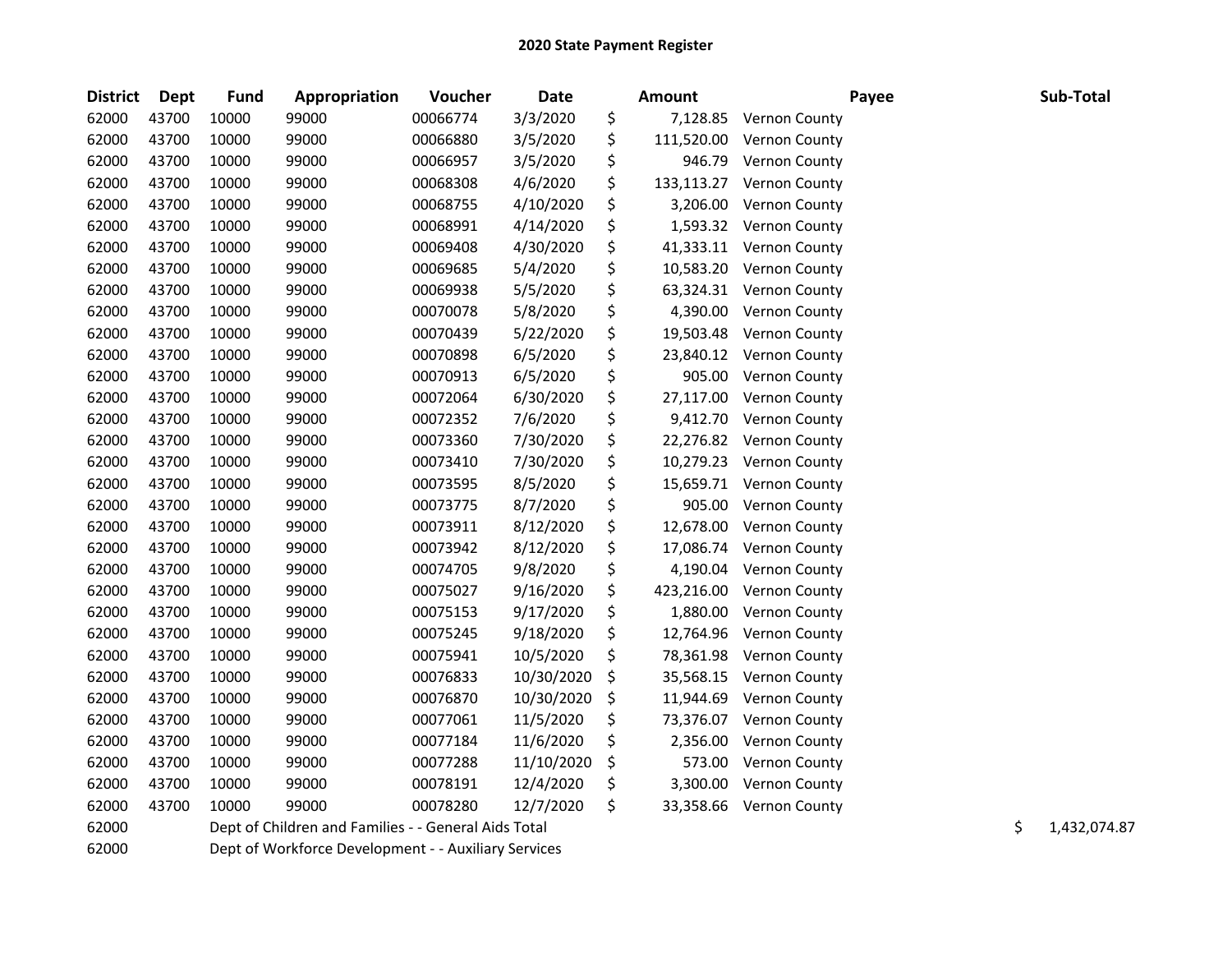| <b>District</b> | Dept  | <b>Fund</b> | Appropriation                                        | Voucher  | <b>Date</b> | <b>Amount</b>    |                      | Payee | Sub-Total          |
|-----------------|-------|-------------|------------------------------------------------------|----------|-------------|------------------|----------------------|-------|--------------------|
| 62000           | 43700 | 10000       | 99000                                                | 00066774 | 3/3/2020    | \$<br>7,128.85   | <b>Vernon County</b> |       |                    |
| 62000           | 43700 | 10000       | 99000                                                | 00066880 | 3/5/2020    | \$<br>111,520.00 | Vernon County        |       |                    |
| 62000           | 43700 | 10000       | 99000                                                | 00066957 | 3/5/2020    | \$<br>946.79     | Vernon County        |       |                    |
| 62000           | 43700 | 10000       | 99000                                                | 00068308 | 4/6/2020    | \$<br>133,113.27 | Vernon County        |       |                    |
| 62000           | 43700 | 10000       | 99000                                                | 00068755 | 4/10/2020   | \$<br>3,206.00   | Vernon County        |       |                    |
| 62000           | 43700 | 10000       | 99000                                                | 00068991 | 4/14/2020   | \$<br>1,593.32   | <b>Vernon County</b> |       |                    |
| 62000           | 43700 | 10000       | 99000                                                | 00069408 | 4/30/2020   | \$<br>41,333.11  | <b>Vernon County</b> |       |                    |
| 62000           | 43700 | 10000       | 99000                                                | 00069685 | 5/4/2020    | \$<br>10,583.20  | <b>Vernon County</b> |       |                    |
| 62000           | 43700 | 10000       | 99000                                                | 00069938 | 5/5/2020    | \$<br>63,324.31  | <b>Vernon County</b> |       |                    |
| 62000           | 43700 | 10000       | 99000                                                | 00070078 | 5/8/2020    | \$<br>4,390.00   | <b>Vernon County</b> |       |                    |
| 62000           | 43700 | 10000       | 99000                                                | 00070439 | 5/22/2020   | \$<br>19,503.48  | Vernon County        |       |                    |
| 62000           | 43700 | 10000       | 99000                                                | 00070898 | 6/5/2020    | \$<br>23,840.12  | Vernon County        |       |                    |
| 62000           | 43700 | 10000       | 99000                                                | 00070913 | 6/5/2020    | \$<br>905.00     | <b>Vernon County</b> |       |                    |
| 62000           | 43700 | 10000       | 99000                                                | 00072064 | 6/30/2020   | \$<br>27,117.00  | <b>Vernon County</b> |       |                    |
| 62000           | 43700 | 10000       | 99000                                                | 00072352 | 7/6/2020    | \$<br>9,412.70   | <b>Vernon County</b> |       |                    |
| 62000           | 43700 | 10000       | 99000                                                | 00073360 | 7/30/2020   | \$<br>22,276.82  | Vernon County        |       |                    |
| 62000           | 43700 | 10000       | 99000                                                | 00073410 | 7/30/2020   | \$<br>10,279.23  | Vernon County        |       |                    |
| 62000           | 43700 | 10000       | 99000                                                | 00073595 | 8/5/2020    | \$<br>15,659.71  | Vernon County        |       |                    |
| 62000           | 43700 | 10000       | 99000                                                | 00073775 | 8/7/2020    | \$<br>905.00     | Vernon County        |       |                    |
| 62000           | 43700 | 10000       | 99000                                                | 00073911 | 8/12/2020   | \$<br>12,678.00  | Vernon County        |       |                    |
| 62000           | 43700 | 10000       | 99000                                                | 00073942 | 8/12/2020   | \$<br>17,086.74  | <b>Vernon County</b> |       |                    |
| 62000           | 43700 | 10000       | 99000                                                | 00074705 | 9/8/2020    | \$<br>4,190.04   | Vernon County        |       |                    |
| 62000           | 43700 | 10000       | 99000                                                | 00075027 | 9/16/2020   | \$<br>423,216.00 | Vernon County        |       |                    |
| 62000           | 43700 | 10000       | 99000                                                | 00075153 | 9/17/2020   | \$<br>1,880.00   | Vernon County        |       |                    |
| 62000           | 43700 | 10000       | 99000                                                | 00075245 | 9/18/2020   | \$<br>12,764.96  | Vernon County        |       |                    |
| 62000           | 43700 | 10000       | 99000                                                | 00075941 | 10/5/2020   | \$<br>78,361.98  | Vernon County        |       |                    |
| 62000           | 43700 | 10000       | 99000                                                | 00076833 | 10/30/2020  | \$<br>35,568.15  | Vernon County        |       |                    |
| 62000           | 43700 | 10000       | 99000                                                | 00076870 | 10/30/2020  | \$<br>11,944.69  | Vernon County        |       |                    |
| 62000           | 43700 | 10000       | 99000                                                | 00077061 | 11/5/2020   | \$<br>73,376.07  | Vernon County        |       |                    |
| 62000           | 43700 | 10000       | 99000                                                | 00077184 | 11/6/2020   | \$<br>2,356.00   | Vernon County        |       |                    |
| 62000           | 43700 | 10000       | 99000                                                | 00077288 | 11/10/2020  | \$<br>573.00     | Vernon County        |       |                    |
| 62000           | 43700 | 10000       | 99000                                                | 00078191 | 12/4/2020   | \$<br>3,300.00   | Vernon County        |       |                    |
| 62000           | 43700 | 10000       | 99000                                                | 00078280 | 12/7/2020   | \$<br>33,358.66  | <b>Vernon County</b> |       |                    |
| 62000           |       |             | Dept of Children and Families - - General Aids Total |          |             |                  |                      |       | \$<br>1,432,074.87 |
| 62000           |       |             | Dept of Workforce Development - - Auxiliary Services |          |             |                  |                      |       |                    |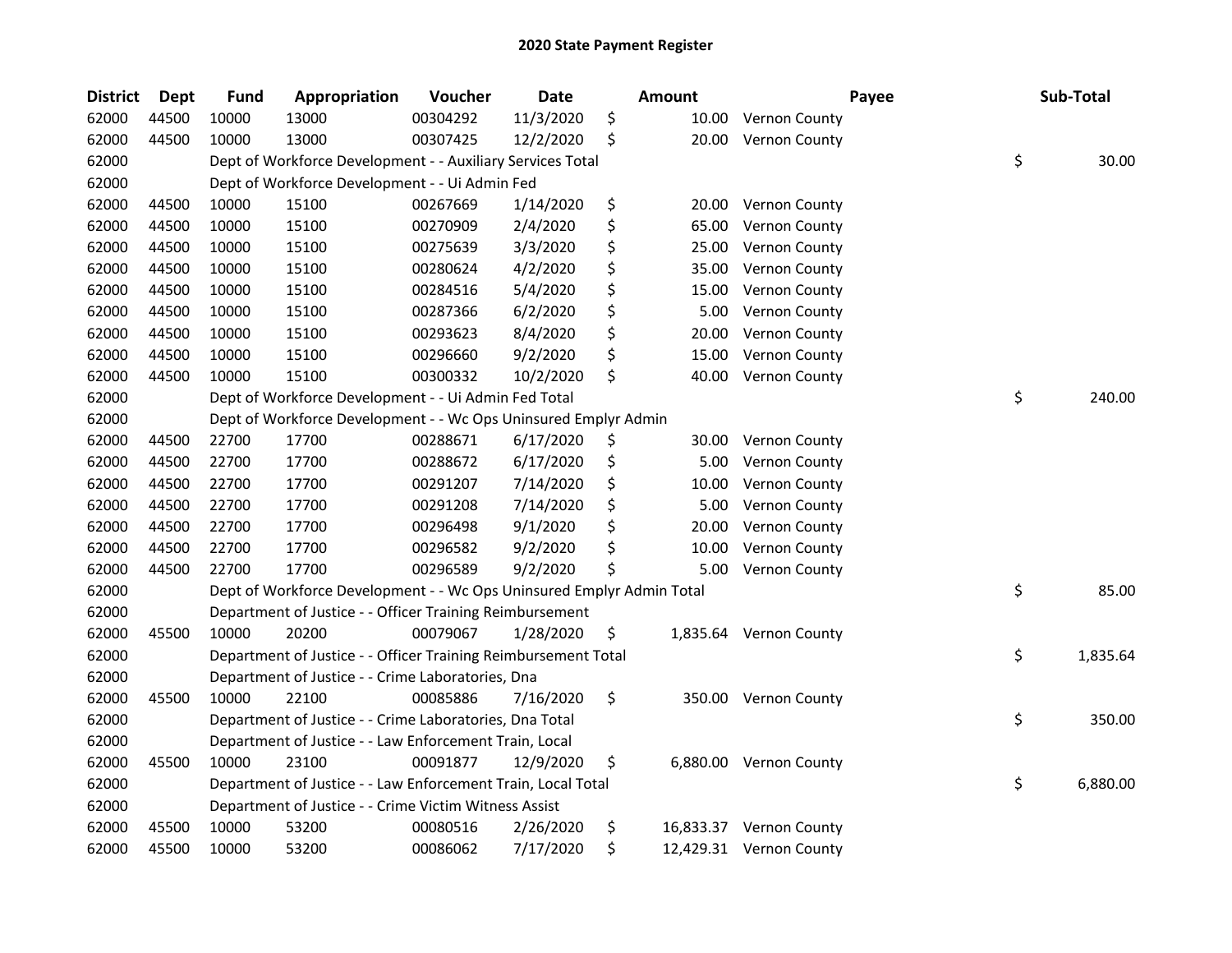| <b>District</b> | <b>Dept</b> | <b>Fund</b> | Appropriation                                                         | Voucher  | <b>Date</b> | <b>Amount</b> |                         | Payee | Sub-Total |          |
|-----------------|-------------|-------------|-----------------------------------------------------------------------|----------|-------------|---------------|-------------------------|-------|-----------|----------|
| 62000           | 44500       | 10000       | 13000                                                                 | 00304292 | 11/3/2020   | \$<br>10.00   | <b>Vernon County</b>    |       |           |          |
| 62000           | 44500       | 10000       | 13000                                                                 | 00307425 | 12/2/2020   | \$            | 20.00 Vernon County     |       |           |          |
| 62000           |             |             | Dept of Workforce Development - - Auxiliary Services Total            |          |             |               |                         | \$    |           | 30.00    |
| 62000           |             |             | Dept of Workforce Development - - Ui Admin Fed                        |          |             |               |                         |       |           |          |
| 62000           | 44500       | 10000       | 15100                                                                 | 00267669 | 1/14/2020   | \$            | 20.00 Vernon County     |       |           |          |
| 62000           | 44500       | 10000       | 15100                                                                 | 00270909 | 2/4/2020    | \$<br>65.00   | Vernon County           |       |           |          |
| 62000           | 44500       | 10000       | 15100                                                                 | 00275639 | 3/3/2020    | \$<br>25.00   | <b>Vernon County</b>    |       |           |          |
| 62000           | 44500       | 10000       | 15100                                                                 | 00280624 | 4/2/2020    | \$<br>35.00   | <b>Vernon County</b>    |       |           |          |
| 62000           | 44500       | 10000       | 15100                                                                 | 00284516 | 5/4/2020    | \$<br>15.00   | <b>Vernon County</b>    |       |           |          |
| 62000           | 44500       | 10000       | 15100                                                                 | 00287366 | 6/2/2020    | \$<br>5.00    | <b>Vernon County</b>    |       |           |          |
| 62000           | 44500       | 10000       | 15100                                                                 | 00293623 | 8/4/2020    | \$<br>20.00   | <b>Vernon County</b>    |       |           |          |
| 62000           | 44500       | 10000       | 15100                                                                 | 00296660 | 9/2/2020    | \$<br>15.00   | Vernon County           |       |           |          |
| 62000           | 44500       | 10000       | 15100                                                                 | 00300332 | 10/2/2020   | \$<br>40.00   | Vernon County           |       |           |          |
| 62000           |             |             | Dept of Workforce Development - - Ui Admin Fed Total                  |          |             |               |                         | \$    |           | 240.00   |
| 62000           |             |             | Dept of Workforce Development - - Wc Ops Uninsured Emplyr Admin       |          |             |               |                         |       |           |          |
| 62000           | 44500       | 22700       | 17700                                                                 | 00288671 | 6/17/2020   | \$<br>30.00   | <b>Vernon County</b>    |       |           |          |
| 62000           | 44500       | 22700       | 17700                                                                 | 00288672 | 6/17/2020   | \$<br>5.00    | Vernon County           |       |           |          |
| 62000           | 44500       | 22700       | 17700                                                                 | 00291207 | 7/14/2020   | \$<br>10.00   | Vernon County           |       |           |          |
| 62000           | 44500       | 22700       | 17700                                                                 | 00291208 | 7/14/2020   | \$<br>5.00    | Vernon County           |       |           |          |
| 62000           | 44500       | 22700       | 17700                                                                 | 00296498 | 9/1/2020    | \$<br>20.00   | Vernon County           |       |           |          |
| 62000           | 44500       | 22700       | 17700                                                                 | 00296582 | 9/2/2020    | \$<br>10.00   | Vernon County           |       |           |          |
| 62000           | 44500       | 22700       | 17700                                                                 | 00296589 | 9/2/2020    | \$<br>5.00    | <b>Vernon County</b>    |       |           |          |
| 62000           |             |             | Dept of Workforce Development - - Wc Ops Uninsured Emplyr Admin Total |          |             |               |                         | \$    |           | 85.00    |
| 62000           |             |             | Department of Justice - - Officer Training Reimbursement              |          |             |               |                         |       |           |          |
| 62000           | 45500       | 10000       | 20200                                                                 | 00079067 | 1/28/2020   | \$            | 1,835.64 Vernon County  |       |           |          |
| 62000           |             |             | Department of Justice - - Officer Training Reimbursement Total        |          |             |               |                         | \$    |           | 1,835.64 |
| 62000           |             |             | Department of Justice - - Crime Laboratories, Dna                     |          |             |               |                         |       |           |          |
| 62000           | 45500       | 10000       | 22100                                                                 | 00085886 | 7/16/2020   | \$            | 350.00 Vernon County    |       |           |          |
| 62000           |             |             | Department of Justice - - Crime Laboratories, Dna Total               |          |             |               |                         | \$    |           | 350.00   |
| 62000           |             |             | Department of Justice - - Law Enforcement Train, Local                |          |             |               |                         |       |           |          |
| 62000           | 45500       | 10000       | 23100                                                                 | 00091877 | 12/9/2020   | \$            | 6,880.00 Vernon County  |       |           |          |
| 62000           |             |             | Department of Justice - - Law Enforcement Train, Local Total          |          |             |               |                         | \$    |           | 6,880.00 |
| 62000           |             |             | Department of Justice - - Crime Victim Witness Assist                 |          |             |               |                         |       |           |          |
| 62000           | 45500       | 10000       | 53200                                                                 | 00080516 | 2/26/2020   | \$            | 16,833.37 Vernon County |       |           |          |
| 62000           | 45500       | 10000       | 53200                                                                 | 00086062 | 7/17/2020   | \$            | 12,429.31 Vernon County |       |           |          |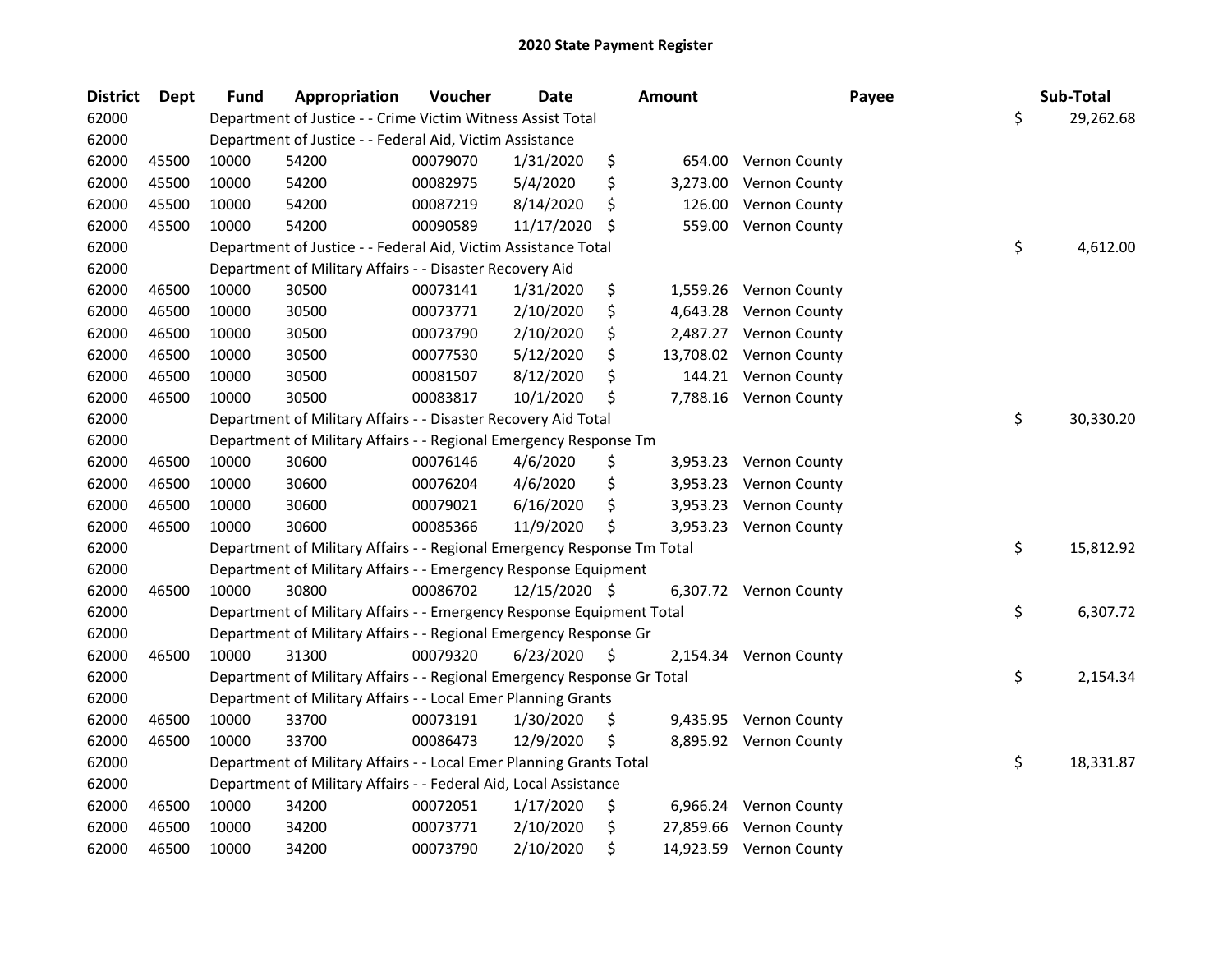| <b>District</b> | <b>Dept</b> | <b>Fund</b> | Appropriation                                                           | Voucher  | <b>Date</b>   |    | Amount   | Payee                   | Sub-Total       |
|-----------------|-------------|-------------|-------------------------------------------------------------------------|----------|---------------|----|----------|-------------------------|-----------------|
| 62000           |             |             | Department of Justice - - Crime Victim Witness Assist Total             |          |               |    |          |                         | \$<br>29,262.68 |
| 62000           |             |             | Department of Justice - - Federal Aid, Victim Assistance                |          |               |    |          |                         |                 |
| 62000           | 45500       | 10000       | 54200                                                                   | 00079070 | 1/31/2020     | \$ | 654.00   | <b>Vernon County</b>    |                 |
| 62000           | 45500       | 10000       | 54200                                                                   | 00082975 | 5/4/2020      | \$ | 3,273.00 | Vernon County           |                 |
| 62000           | 45500       | 10000       | 54200                                                                   | 00087219 | 8/14/2020     | \$ | 126.00   | Vernon County           |                 |
| 62000           | 45500       | 10000       | 54200                                                                   | 00090589 | 11/17/2020    | S  | 559.00   | Vernon County           |                 |
| 62000           |             |             | Department of Justice - - Federal Aid, Victim Assistance Total          |          |               |    |          |                         | \$<br>4,612.00  |
| 62000           |             |             | Department of Military Affairs - - Disaster Recovery Aid                |          |               |    |          |                         |                 |
| 62000           | 46500       | 10000       | 30500                                                                   | 00073141 | 1/31/2020     | \$ |          | 1,559.26 Vernon County  |                 |
| 62000           | 46500       | 10000       | 30500                                                                   | 00073771 | 2/10/2020     | \$ |          | 4,643.28 Vernon County  |                 |
| 62000           | 46500       | 10000       | 30500                                                                   | 00073790 | 2/10/2020     | \$ |          | 2,487.27 Vernon County  |                 |
| 62000           | 46500       | 10000       | 30500                                                                   | 00077530 | 5/12/2020     | \$ |          | 13,708.02 Vernon County |                 |
| 62000           | 46500       | 10000       | 30500                                                                   | 00081507 | 8/12/2020     | \$ |          | 144.21 Vernon County    |                 |
| 62000           | 46500       | 10000       | 30500                                                                   | 00083817 | 10/1/2020     | \$ |          | 7,788.16 Vernon County  |                 |
| 62000           |             |             | Department of Military Affairs - - Disaster Recovery Aid Total          |          |               |    |          |                         | \$<br>30,330.20 |
| 62000           |             |             | Department of Military Affairs - - Regional Emergency Response Tm       |          |               |    |          |                         |                 |
| 62000           | 46500       | 10000       | 30600                                                                   | 00076146 | 4/6/2020      | \$ | 3,953.23 | <b>Vernon County</b>    |                 |
| 62000           | 46500       | 10000       | 30600                                                                   | 00076204 | 4/6/2020      | \$ | 3,953.23 | <b>Vernon County</b>    |                 |
| 62000           | 46500       | 10000       | 30600                                                                   | 00079021 | 6/16/2020     | \$ | 3,953.23 | Vernon County           |                 |
| 62000           | 46500       | 10000       | 30600                                                                   | 00085366 | 11/9/2020     | \$ | 3,953.23 | Vernon County           |                 |
| 62000           |             |             | Department of Military Affairs - - Regional Emergency Response Tm Total |          |               |    |          |                         | \$<br>15,812.92 |
| 62000           |             |             | Department of Military Affairs - - Emergency Response Equipment         |          |               |    |          |                         |                 |
| 62000           | 46500       | 10000       | 30800                                                                   | 00086702 | 12/15/2020 \$ |    |          | 6,307.72 Vernon County  |                 |
| 62000           |             |             | Department of Military Affairs - - Emergency Response Equipment Total   |          |               |    |          |                         | \$<br>6,307.72  |
| 62000           |             |             | Department of Military Affairs - - Regional Emergency Response Gr       |          |               |    |          |                         |                 |
| 62000           | 46500       | 10000       | 31300                                                                   | 00079320 | 6/23/2020     | \$ | 2,154.34 | Vernon County           |                 |
| 62000           |             |             | Department of Military Affairs - - Regional Emergency Response Gr Total |          |               |    |          |                         | \$<br>2,154.34  |
| 62000           |             |             | Department of Military Affairs - - Local Emer Planning Grants           |          |               |    |          |                         |                 |
| 62000           | 46500       | 10000       | 33700                                                                   | 00073191 | 1/30/2020     | \$ |          | 9,435.95 Vernon County  |                 |
| 62000           | 46500       | 10000       | 33700                                                                   | 00086473 | 12/9/2020     | \$ |          | 8,895.92 Vernon County  |                 |
| 62000           |             |             | Department of Military Affairs - - Local Emer Planning Grants Total     |          |               |    |          |                         | \$<br>18,331.87 |
| 62000           |             |             | Department of Military Affairs - - Federal Aid, Local Assistance        |          |               |    |          |                         |                 |
| 62000           | 46500       | 10000       | 34200                                                                   | 00072051 | 1/17/2020     | \$ |          | 6,966.24 Vernon County  |                 |
| 62000           | 46500       | 10000       | 34200                                                                   | 00073771 | 2/10/2020     | \$ |          | 27,859.66 Vernon County |                 |
| 62000           | 46500       | 10000       | 34200                                                                   | 00073790 | 2/10/2020     | \$ |          | 14,923.59 Vernon County |                 |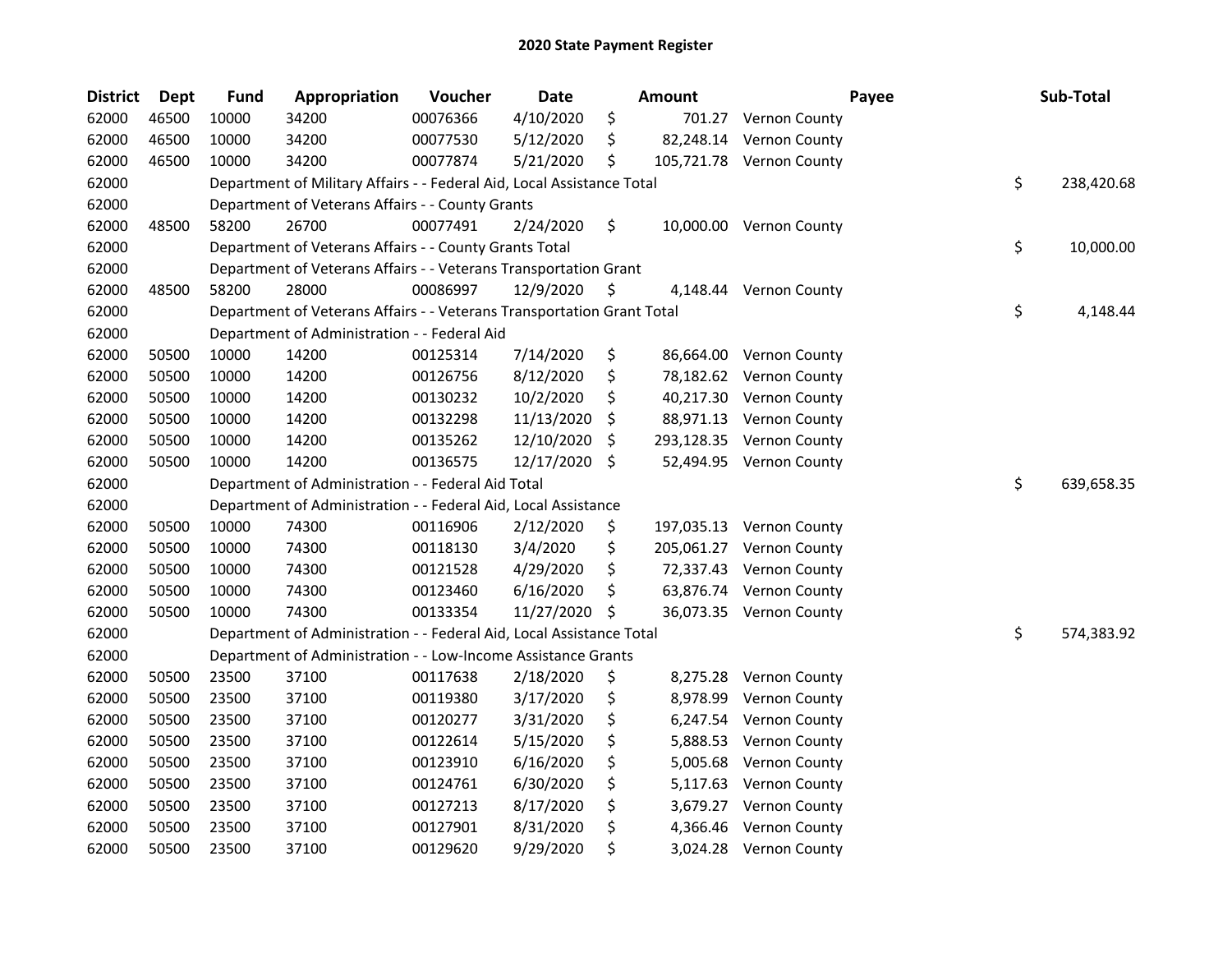| <b>District</b> | Dept  | <b>Fund</b> | Appropriation                                                          | Voucher  | <b>Date</b> |     | <b>Amount</b> |                          | Payee | Sub-Total        |
|-----------------|-------|-------------|------------------------------------------------------------------------|----------|-------------|-----|---------------|--------------------------|-------|------------------|
| 62000           | 46500 | 10000       | 34200                                                                  | 00076366 | 4/10/2020   | \$  |               | 701.27 Vernon County     |       |                  |
| 62000           | 46500 | 10000       | 34200                                                                  | 00077530 | 5/12/2020   | \$  |               | 82,248.14 Vernon County  |       |                  |
| 62000           | 46500 | 10000       | 34200                                                                  | 00077874 | 5/21/2020   | \$  |               | 105,721.78 Vernon County |       |                  |
| 62000           |       |             | Department of Military Affairs - - Federal Aid, Local Assistance Total |          |             |     |               |                          |       | \$<br>238,420.68 |
| 62000           |       |             | Department of Veterans Affairs - - County Grants                       |          |             |     |               |                          |       |                  |
| 62000           | 48500 | 58200       | 26700                                                                  | 00077491 | 2/24/2020   | \$  |               | 10,000.00 Vernon County  |       |                  |
| 62000           |       |             | Department of Veterans Affairs - - County Grants Total                 |          |             |     |               |                          |       | \$<br>10,000.00  |
| 62000           |       |             | Department of Veterans Affairs - - Veterans Transportation Grant       |          |             |     |               |                          |       |                  |
| 62000           | 48500 | 58200       | 28000                                                                  | 00086997 | 12/9/2020   | \$, |               | 4,148.44 Vernon County   |       |                  |
| 62000           |       |             | Department of Veterans Affairs - - Veterans Transportation Grant Total |          |             |     |               |                          |       | \$<br>4,148.44   |
| 62000           |       |             | Department of Administration - - Federal Aid                           |          |             |     |               |                          |       |                  |
| 62000           | 50500 | 10000       | 14200                                                                  | 00125314 | 7/14/2020   | \$  |               | 86,664.00 Vernon County  |       |                  |
| 62000           | 50500 | 10000       | 14200                                                                  | 00126756 | 8/12/2020   | \$  |               | 78,182.62 Vernon County  |       |                  |
| 62000           | 50500 | 10000       | 14200                                                                  | 00130232 | 10/2/2020   | \$  |               | 40,217.30 Vernon County  |       |                  |
| 62000           | 50500 | 10000       | 14200                                                                  | 00132298 | 11/13/2020  | S   |               | 88,971.13 Vernon County  |       |                  |
| 62000           | 50500 | 10000       | 14200                                                                  | 00135262 | 12/10/2020  | \$  | 293,128.35    | Vernon County            |       |                  |
| 62000           | 50500 | 10000       | 14200                                                                  | 00136575 | 12/17/2020  | \$  |               | 52,494.95 Vernon County  |       |                  |
| 62000           |       |             | Department of Administration - - Federal Aid Total                     |          |             |     |               |                          |       | \$<br>639,658.35 |
| 62000           |       |             | Department of Administration - - Federal Aid, Local Assistance         |          |             |     |               |                          |       |                  |
| 62000           | 50500 | 10000       | 74300                                                                  | 00116906 | 2/12/2020   | \$  |               | 197,035.13 Vernon County |       |                  |
| 62000           | 50500 | 10000       | 74300                                                                  | 00118130 | 3/4/2020    | \$  |               | 205,061.27 Vernon County |       |                  |
| 62000           | 50500 | 10000       | 74300                                                                  | 00121528 | 4/29/2020   | \$  |               | 72,337.43 Vernon County  |       |                  |
| 62000           | 50500 | 10000       | 74300                                                                  | 00123460 | 6/16/2020   | \$  |               | 63,876.74 Vernon County  |       |                  |
| 62000           | 50500 | 10000       | 74300                                                                  | 00133354 | 11/27/2020  | \$  |               | 36,073.35 Vernon County  |       |                  |
| 62000           |       |             | Department of Administration - - Federal Aid, Local Assistance Total   |          |             |     |               |                          |       | \$<br>574,383.92 |
| 62000           |       |             | Department of Administration - - Low-Income Assistance Grants          |          |             |     |               |                          |       |                  |
| 62000           | 50500 | 23500       | 37100                                                                  | 00117638 | 2/18/2020   | \$  | 8,275.28      | <b>Vernon County</b>     |       |                  |
| 62000           | 50500 | 23500       | 37100                                                                  | 00119380 | 3/17/2020   | \$  | 8,978.99      | <b>Vernon County</b>     |       |                  |
| 62000           | 50500 | 23500       | 37100                                                                  | 00120277 | 3/31/2020   | \$  | 6,247.54      | <b>Vernon County</b>     |       |                  |
| 62000           | 50500 | 23500       | 37100                                                                  | 00122614 | 5/15/2020   | \$  | 5,888.53      | <b>Vernon County</b>     |       |                  |
| 62000           | 50500 | 23500       | 37100                                                                  | 00123910 | 6/16/2020   | \$  | 5,005.68      | <b>Vernon County</b>     |       |                  |
| 62000           | 50500 | 23500       | 37100                                                                  | 00124761 | 6/30/2020   | \$  | 5,117.63      | Vernon County            |       |                  |
| 62000           | 50500 | 23500       | 37100                                                                  | 00127213 | 8/17/2020   | \$  | 3,679.27      | <b>Vernon County</b>     |       |                  |
| 62000           | 50500 | 23500       | 37100                                                                  | 00127901 | 8/31/2020   | \$  | 4,366.46      | Vernon County            |       |                  |
| 62000           | 50500 | 23500       | 37100                                                                  | 00129620 | 9/29/2020   | \$  |               | 3,024.28 Vernon County   |       |                  |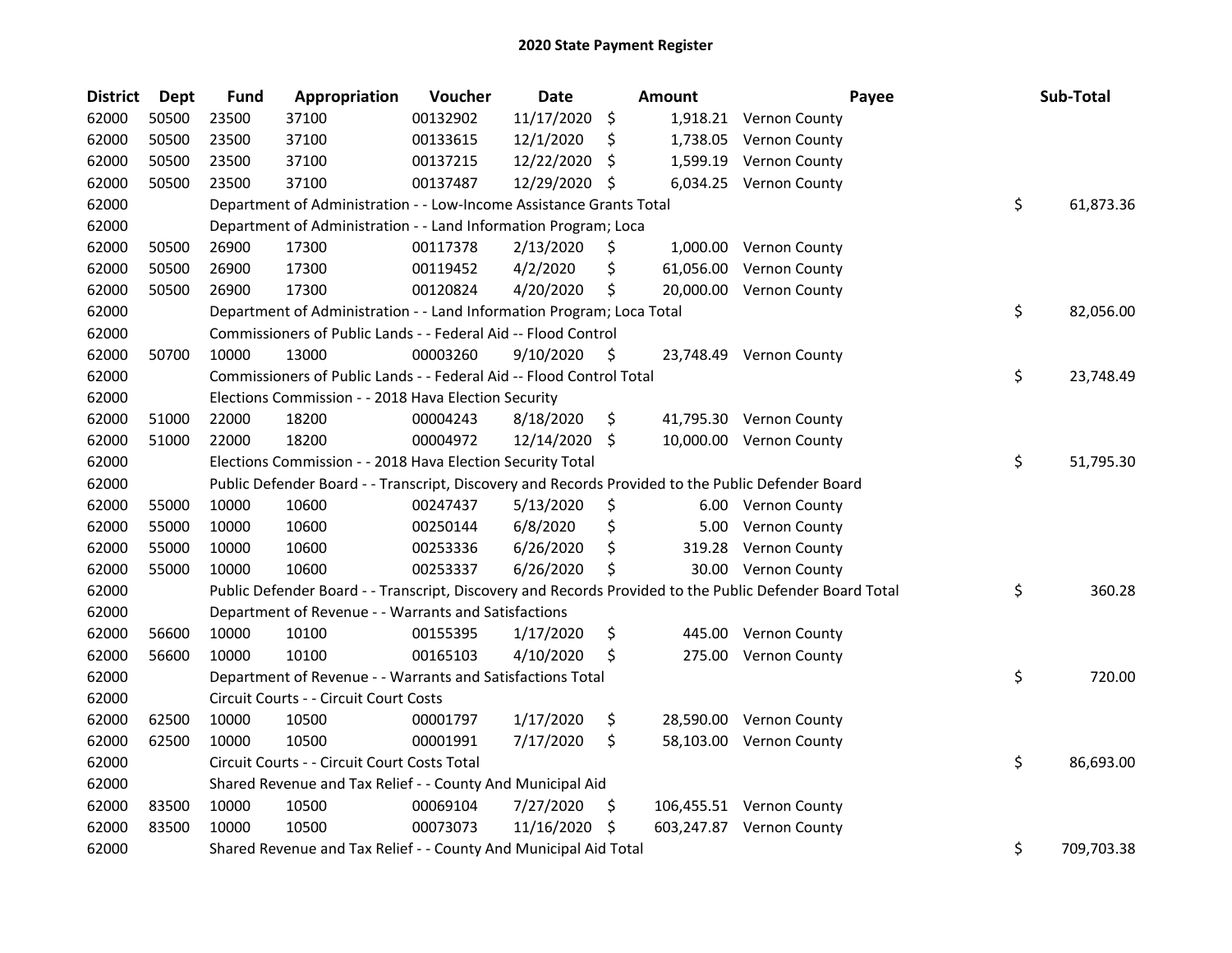| <b>District</b> | Dept  | <b>Fund</b> | Appropriation                                                                                     | Voucher  | Date          |    | Amount   |                                                                                                         | Payee | Sub-Total  |
|-----------------|-------|-------------|---------------------------------------------------------------------------------------------------|----------|---------------|----|----------|---------------------------------------------------------------------------------------------------------|-------|------------|
| 62000           | 50500 | 23500       | 37100                                                                                             | 00132902 | 11/17/2020    | \$ |          | 1,918.21 Vernon County                                                                                  |       |            |
| 62000           | 50500 | 23500       | 37100                                                                                             | 00133615 | 12/1/2020     | S  | 1,738.05 | Vernon County                                                                                           |       |            |
| 62000           | 50500 | 23500       | 37100                                                                                             | 00137215 | 12/22/2020    | Ŝ. | 1,599.19 | Vernon County                                                                                           |       |            |
| 62000           | 50500 | 23500       | 37100                                                                                             | 00137487 | 12/29/2020    | \$ |          | 6,034.25 Vernon County                                                                                  |       |            |
| 62000           |       |             | Department of Administration - - Low-Income Assistance Grants Total                               |          |               |    |          |                                                                                                         | \$    | 61,873.36  |
| 62000           |       |             | Department of Administration - - Land Information Program; Loca                                   |          |               |    |          |                                                                                                         |       |            |
| 62000           | 50500 | 26900       | 17300                                                                                             | 00117378 | 2/13/2020     | \$ |          | 1,000.00 Vernon County                                                                                  |       |            |
| 62000           | 50500 | 26900       | 17300                                                                                             | 00119452 | 4/2/2020      | \$ |          | 61,056.00 Vernon County                                                                                 |       |            |
| 62000           | 50500 | 26900       | 17300                                                                                             | 00120824 | 4/20/2020     | \$ |          | 20,000.00 Vernon County                                                                                 |       |            |
| 62000           |       |             | Department of Administration - - Land Information Program; Loca Total                             |          |               |    |          |                                                                                                         | \$    | 82,056.00  |
| 62000           |       |             | Commissioners of Public Lands - - Federal Aid -- Flood Control                                    |          |               |    |          |                                                                                                         |       |            |
| 62000           | 50700 | 10000       | 13000                                                                                             | 00003260 | 9/10/2020     | Ş. |          | 23,748.49 Vernon County                                                                                 |       |            |
| 62000           |       |             | Commissioners of Public Lands - - Federal Aid -- Flood Control Total                              |          |               |    |          |                                                                                                         | \$    | 23,748.49  |
| 62000           |       |             | Elections Commission - - 2018 Hava Election Security                                              |          |               |    |          |                                                                                                         |       |            |
| 62000           | 51000 | 22000       | 18200                                                                                             | 00004243 | 8/18/2020     | \$ |          | 41,795.30 Vernon County                                                                                 |       |            |
| 62000           | 51000 | 22000       | 18200                                                                                             | 00004972 | 12/14/2020 \$ |    |          | 10,000.00 Vernon County                                                                                 |       |            |
| 62000           |       |             | Elections Commission - - 2018 Hava Election Security Total                                        |          |               |    |          |                                                                                                         | \$    | 51,795.30  |
| 62000           |       |             | Public Defender Board - - Transcript, Discovery and Records Provided to the Public Defender Board |          |               |    |          |                                                                                                         |       |            |
| 62000           | 55000 | 10000       | 10600                                                                                             | 00247437 | 5/13/2020     | \$ |          | 6.00 Vernon County                                                                                      |       |            |
| 62000           | 55000 | 10000       | 10600                                                                                             | 00250144 | 6/8/2020      | \$ | 5.00     | Vernon County                                                                                           |       |            |
| 62000           | 55000 | 10000       | 10600                                                                                             | 00253336 | 6/26/2020     | \$ | 319.28   | <b>Vernon County</b>                                                                                    |       |            |
| 62000           | 55000 | 10000       | 10600                                                                                             | 00253337 | 6/26/2020     | \$ |          | 30.00 Vernon County                                                                                     |       |            |
| 62000           |       |             |                                                                                                   |          |               |    |          | Public Defender Board - - Transcript, Discovery and Records Provided to the Public Defender Board Total | \$    | 360.28     |
| 62000           |       |             | Department of Revenue - - Warrants and Satisfactions                                              |          |               |    |          |                                                                                                         |       |            |
| 62000           | 56600 | 10000       | 10100                                                                                             | 00155395 | 1/17/2020     | \$ |          | 445.00 Vernon County                                                                                    |       |            |
| 62000           | 56600 | 10000       | 10100                                                                                             | 00165103 | 4/10/2020     | \$ |          | 275.00 Vernon County                                                                                    |       |            |
| 62000           |       |             | Department of Revenue - - Warrants and Satisfactions Total                                        |          |               |    |          |                                                                                                         | \$    | 720.00     |
| 62000           |       |             | Circuit Courts - - Circuit Court Costs                                                            |          |               |    |          |                                                                                                         |       |            |
| 62000           | 62500 | 10000       | 10500                                                                                             | 00001797 | 1/17/2020     | \$ |          | 28,590.00 Vernon County                                                                                 |       |            |
| 62000           | 62500 | 10000       | 10500                                                                                             | 00001991 | 7/17/2020     | \$ |          | 58,103.00 Vernon County                                                                                 |       |            |
| 62000           |       |             | Circuit Courts - - Circuit Court Costs Total                                                      |          |               |    |          |                                                                                                         | \$    | 86,693.00  |
| 62000           |       |             | Shared Revenue and Tax Relief - - County And Municipal Aid                                        |          |               |    |          |                                                                                                         |       |            |
| 62000           | 83500 | 10000       | 10500                                                                                             | 00069104 | 7/27/2020     | \$ |          | 106,455.51 Vernon County                                                                                |       |            |
| 62000           | 83500 | 10000       | 10500                                                                                             | 00073073 | 11/16/2020 \$ |    |          | 603,247.87 Vernon County                                                                                |       |            |
| 62000           |       |             | Shared Revenue and Tax Relief - - County And Municipal Aid Total                                  |          |               |    |          |                                                                                                         | \$    | 709,703.38 |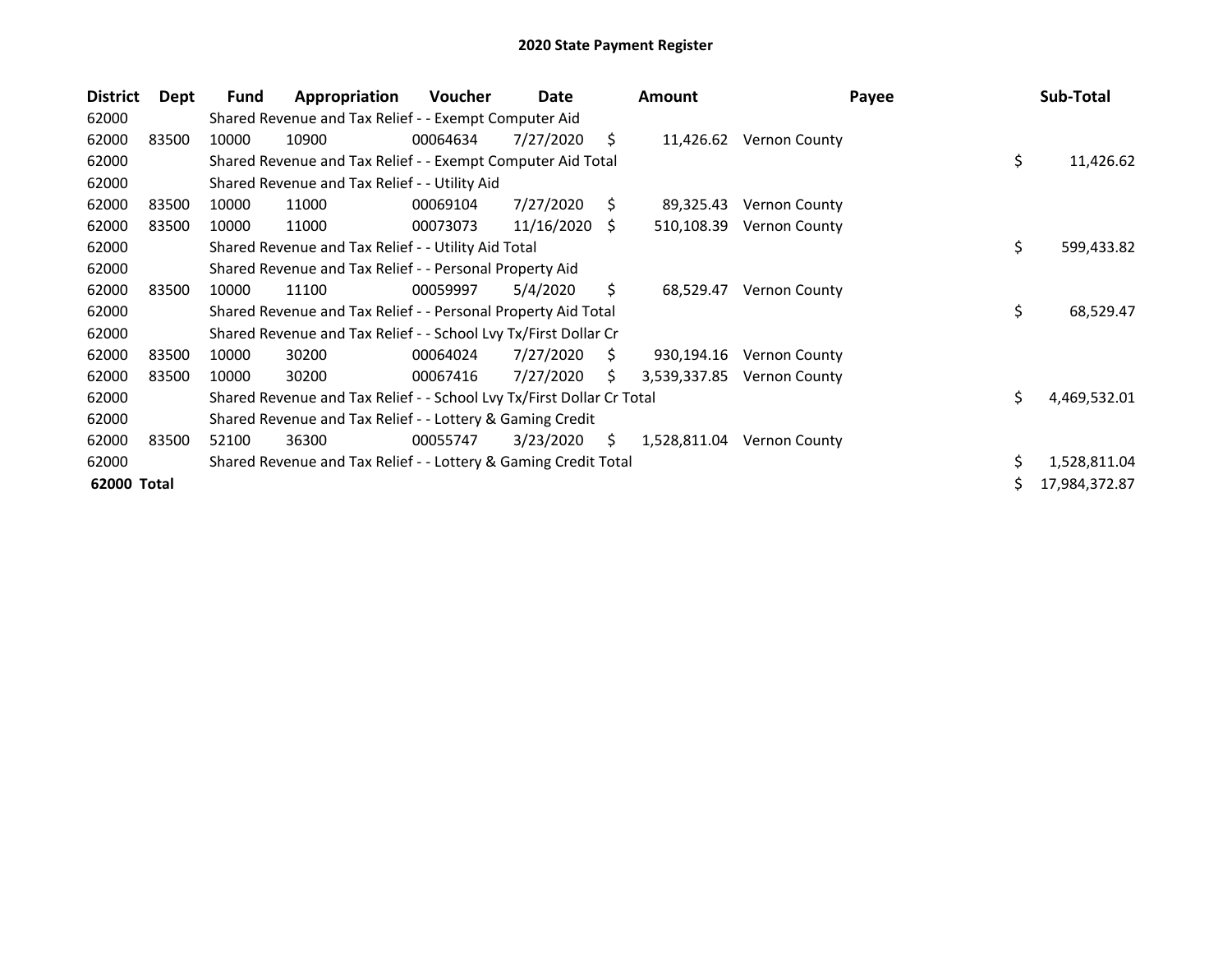| <b>District</b> | Dept  | <b>Fund</b> | Appropriation                                                         | <b>Voucher</b> | Date       |    | <b>Amount</b> | Payee                |    | Sub-Total     |
|-----------------|-------|-------------|-----------------------------------------------------------------------|----------------|------------|----|---------------|----------------------|----|---------------|
| 62000           |       |             | Shared Revenue and Tax Relief - - Exempt Computer Aid                 |                |            |    |               |                      |    |               |
| 62000           | 83500 | 10000       | 10900                                                                 | 00064634       | 7/27/2020  | S. | 11,426.62     | <b>Vernon County</b> |    |               |
| 62000           |       |             | Shared Revenue and Tax Relief - - Exempt Computer Aid Total           |                |            |    |               |                      | \$ | 11,426.62     |
| 62000           |       |             | Shared Revenue and Tax Relief - - Utility Aid                         |                |            |    |               |                      |    |               |
| 62000           | 83500 | 10000       | 11000                                                                 | 00069104       | 7/27/2020  | S. | 89,325.43     | <b>Vernon County</b> |    |               |
| 62000           | 83500 | 10000       | 11000                                                                 | 00073073       | 11/16/2020 | -S | 510,108.39    | <b>Vernon County</b> |    |               |
| 62000           |       |             | Shared Revenue and Tax Relief - - Utility Aid Total                   |                |            |    |               |                      | \$ | 599,433.82    |
| 62000           |       |             | Shared Revenue and Tax Relief - - Personal Property Aid               |                |            |    |               |                      |    |               |
| 62000           | 83500 | 10000       | 11100                                                                 | 00059997       | 5/4/2020   | Ŝ. | 68,529.47     | <b>Vernon County</b> |    |               |
| 62000           |       |             | Shared Revenue and Tax Relief - - Personal Property Aid Total         |                |            |    |               |                      | \$ | 68,529.47     |
| 62000           |       |             | Shared Revenue and Tax Relief - - School Lvy Tx/First Dollar Cr       |                |            |    |               |                      |    |               |
| 62000           | 83500 | 10000       | 30200                                                                 | 00064024       | 7/27/2020  | S. | 930,194.16    | Vernon County        |    |               |
| 62000           | 83500 | 10000       | 30200                                                                 | 00067416       | 7/27/2020  | S. | 3,539,337.85  | Vernon County        |    |               |
| 62000           |       |             | Shared Revenue and Tax Relief - - School Lvy Tx/First Dollar Cr Total |                |            |    |               |                      | Ś. | 4,469,532.01  |
| 62000           |       |             | Shared Revenue and Tax Relief - - Lottery & Gaming Credit             |                |            |    |               |                      |    |               |
| 62000           | 83500 | 52100       | 36300                                                                 | 00055747       | 3/23/2020  | S. | 1,528,811.04  | Vernon County        |    |               |
| 62000           |       |             | Shared Revenue and Tax Relief - - Lottery & Gaming Credit Total       |                |            |    |               |                      |    | 1,528,811.04  |
| 62000 Total     |       |             |                                                                       |                |            |    |               |                      |    | 17,984,372.87 |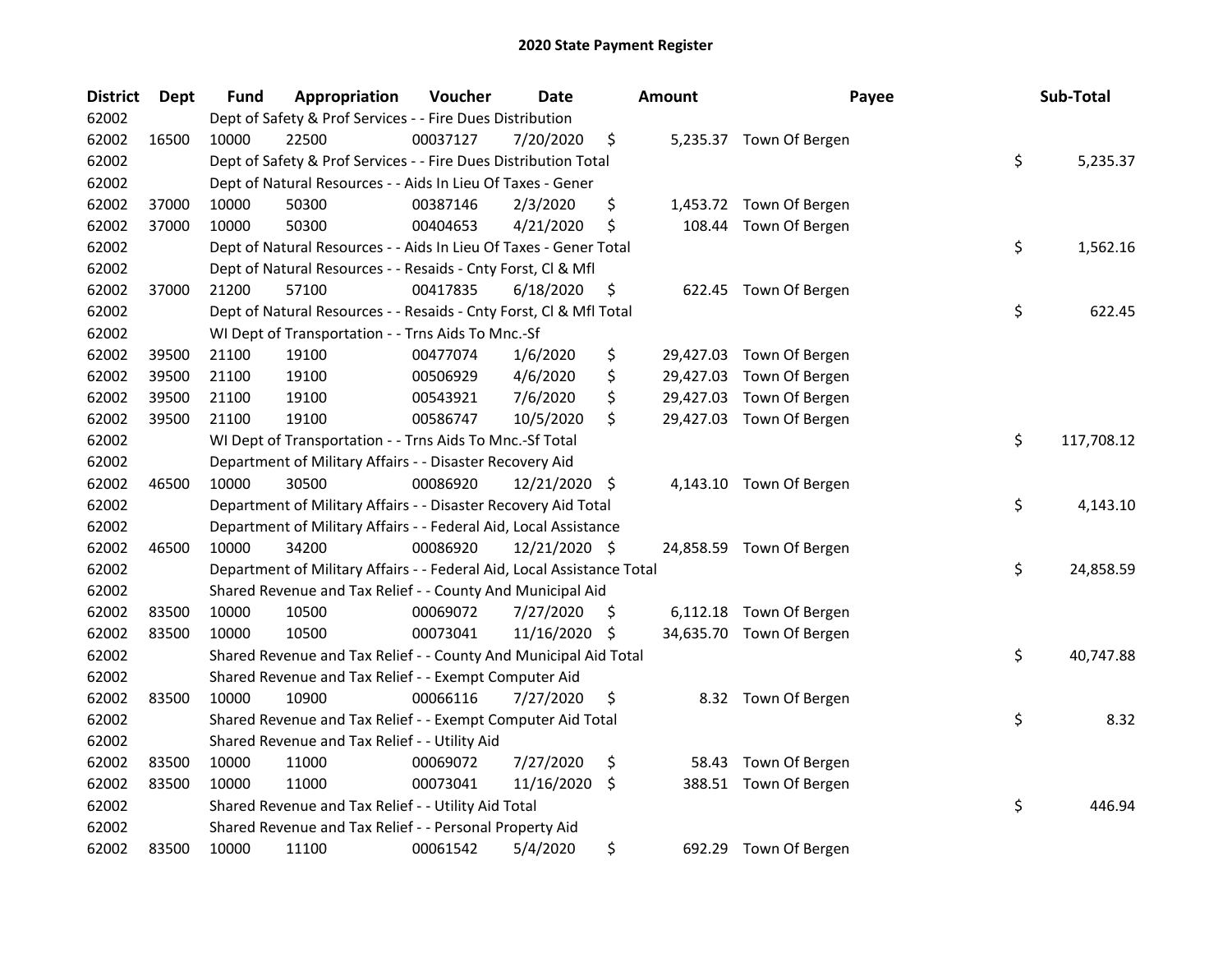| <b>District</b> | Dept  | Fund  | Appropriation                                                          | Voucher  | Date          |     | <b>Amount</b> | Payee                    | Sub-Total        |
|-----------------|-------|-------|------------------------------------------------------------------------|----------|---------------|-----|---------------|--------------------------|------------------|
| 62002           |       |       | Dept of Safety & Prof Services - - Fire Dues Distribution              |          |               |     |               |                          |                  |
| 62002           | 16500 | 10000 | 22500                                                                  | 00037127 | 7/20/2020     | \$  |               | 5,235.37 Town Of Bergen  |                  |
| 62002           |       |       | Dept of Safety & Prof Services - - Fire Dues Distribution Total        |          |               |     |               |                          | \$<br>5,235.37   |
| 62002           |       |       | Dept of Natural Resources - - Aids In Lieu Of Taxes - Gener            |          |               |     |               |                          |                  |
| 62002           | 37000 | 10000 | 50300                                                                  | 00387146 | 2/3/2020      | \$  |               | 1,453.72 Town Of Bergen  |                  |
| 62002           | 37000 | 10000 | 50300                                                                  | 00404653 | 4/21/2020     | \$  | 108.44        | Town Of Bergen           |                  |
| 62002           |       |       | Dept of Natural Resources - - Aids In Lieu Of Taxes - Gener Total      |          |               |     |               |                          | \$<br>1,562.16   |
| 62002           |       |       | Dept of Natural Resources - - Resaids - Cnty Forst, Cl & Mfl           |          |               |     |               |                          |                  |
| 62002           | 37000 | 21200 | 57100                                                                  | 00417835 | 6/18/2020     | \$  |               | 622.45 Town Of Bergen    |                  |
| 62002           |       |       | Dept of Natural Resources - - Resaids - Cnty Forst, Cl & Mfl Total     |          |               |     |               |                          | \$<br>622.45     |
| 62002           |       |       | WI Dept of Transportation - - Trns Aids To Mnc.-Sf                     |          |               |     |               |                          |                  |
| 62002           | 39500 | 21100 | 19100                                                                  | 00477074 | 1/6/2020      | \$  |               | 29,427.03 Town Of Bergen |                  |
| 62002           | 39500 | 21100 | 19100                                                                  | 00506929 | 4/6/2020      | \$  | 29,427.03     | Town Of Bergen           |                  |
| 62002           | 39500 | 21100 | 19100                                                                  | 00543921 | 7/6/2020      | \$  | 29,427.03     | Town Of Bergen           |                  |
| 62002           | 39500 | 21100 | 19100                                                                  | 00586747 | 10/5/2020     | \$  |               | 29,427.03 Town Of Bergen |                  |
| 62002           |       |       | WI Dept of Transportation - - Trns Aids To Mnc.-Sf Total               |          |               |     |               |                          | \$<br>117,708.12 |
| 62002           |       |       | Department of Military Affairs - - Disaster Recovery Aid               |          |               |     |               |                          |                  |
| 62002           | 46500 | 10000 | 30500                                                                  | 00086920 | 12/21/2020 \$ |     |               | 4,143.10 Town Of Bergen  |                  |
| 62002           |       |       | Department of Military Affairs - - Disaster Recovery Aid Total         |          |               |     |               |                          | \$<br>4,143.10   |
| 62002           |       |       | Department of Military Affairs - - Federal Aid, Local Assistance       |          |               |     |               |                          |                  |
| 62002           | 46500 | 10000 | 34200                                                                  | 00086920 | 12/21/2020 \$ |     |               | 24,858.59 Town Of Bergen |                  |
| 62002           |       |       | Department of Military Affairs - - Federal Aid, Local Assistance Total |          |               |     |               |                          | \$<br>24,858.59  |
| 62002           |       |       | Shared Revenue and Tax Relief - - County And Municipal Aid             |          |               |     |               |                          |                  |
| 62002           | 83500 | 10000 | 10500                                                                  | 00069072 | 7/27/2020     | \$. | 6,112.18      | Town Of Bergen           |                  |
| 62002           | 83500 | 10000 | 10500                                                                  | 00073041 | 11/16/2020    | \$  |               | 34,635.70 Town Of Bergen |                  |
| 62002           |       |       | Shared Revenue and Tax Relief - - County And Municipal Aid Total       |          |               |     |               |                          | \$<br>40,747.88  |
| 62002           |       |       | Shared Revenue and Tax Relief - - Exempt Computer Aid                  |          |               |     |               |                          |                  |
| 62002           | 83500 | 10000 | 10900                                                                  | 00066116 | 7/27/2020     | \$  |               | 8.32 Town Of Bergen      |                  |
| 62002           |       |       | Shared Revenue and Tax Relief - - Exempt Computer Aid Total            |          |               |     |               |                          | \$<br>8.32       |
| 62002           |       |       | Shared Revenue and Tax Relief - - Utility Aid                          |          |               |     |               |                          |                  |
| 62002           | 83500 | 10000 | 11000                                                                  | 00069072 | 7/27/2020     | \$  | 58.43         | Town Of Bergen           |                  |
| 62002           | 83500 | 10000 | 11000                                                                  | 00073041 | 11/16/2020    | \$  |               | 388.51 Town Of Bergen    |                  |
| 62002           |       |       | Shared Revenue and Tax Relief - - Utility Aid Total                    |          |               |     |               |                          | \$<br>446.94     |
| 62002           |       |       | Shared Revenue and Tax Relief - - Personal Property Aid                |          |               |     |               |                          |                  |
| 62002           | 83500 | 10000 | 11100                                                                  | 00061542 | 5/4/2020      | \$  |               | 692.29 Town Of Bergen    |                  |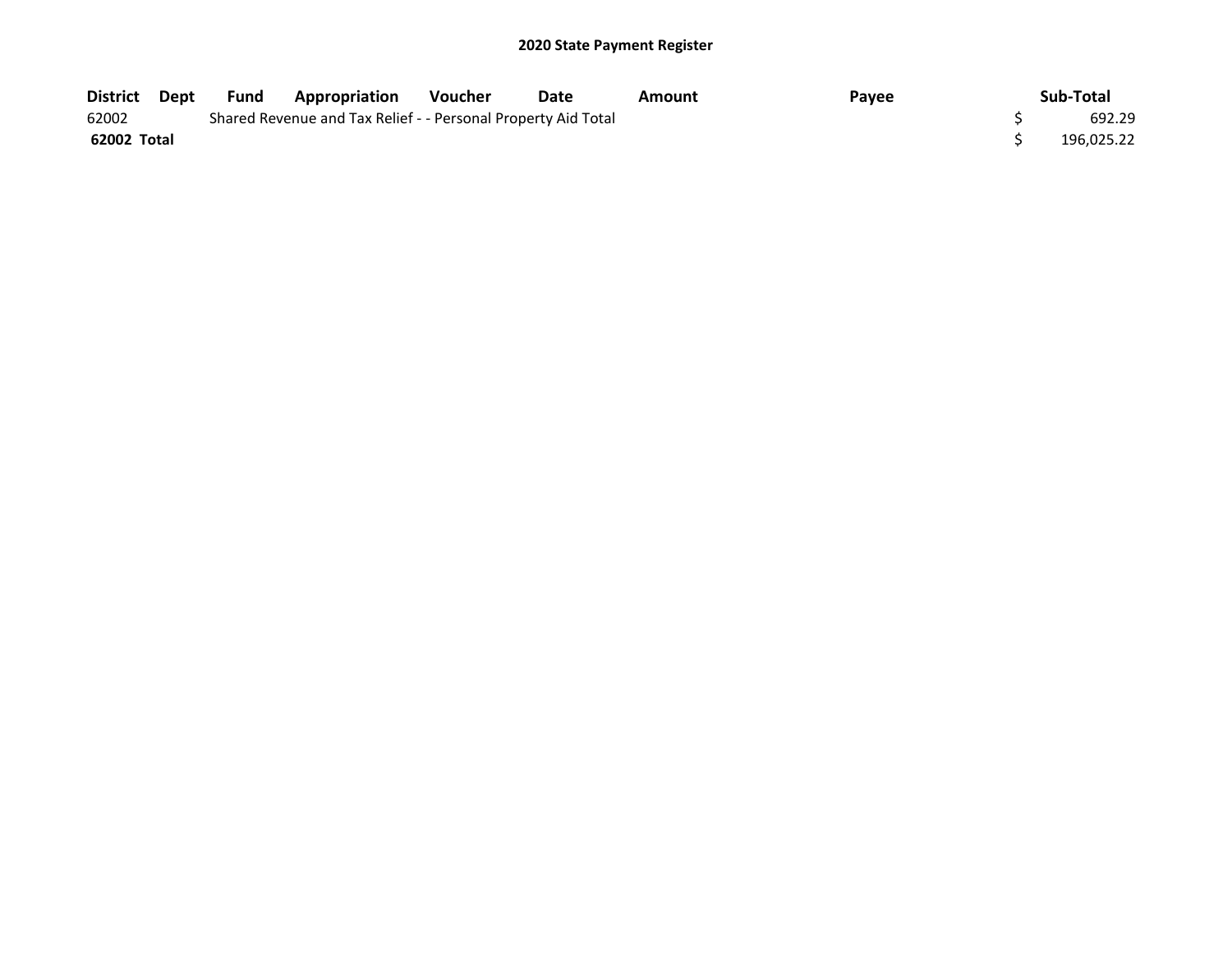| District Dept | Fund | <b>Appropriation</b>                                          | <b>Voucher</b> | Date | Amount | Payee | Sub-Total  |
|---------------|------|---------------------------------------------------------------|----------------|------|--------|-------|------------|
| 62002         |      | Shared Revenue and Tax Relief - - Personal Property Aid Total |                |      |        |       | 692.29     |
| 62002 Total   |      |                                                               |                |      |        |       | 196.025.22 |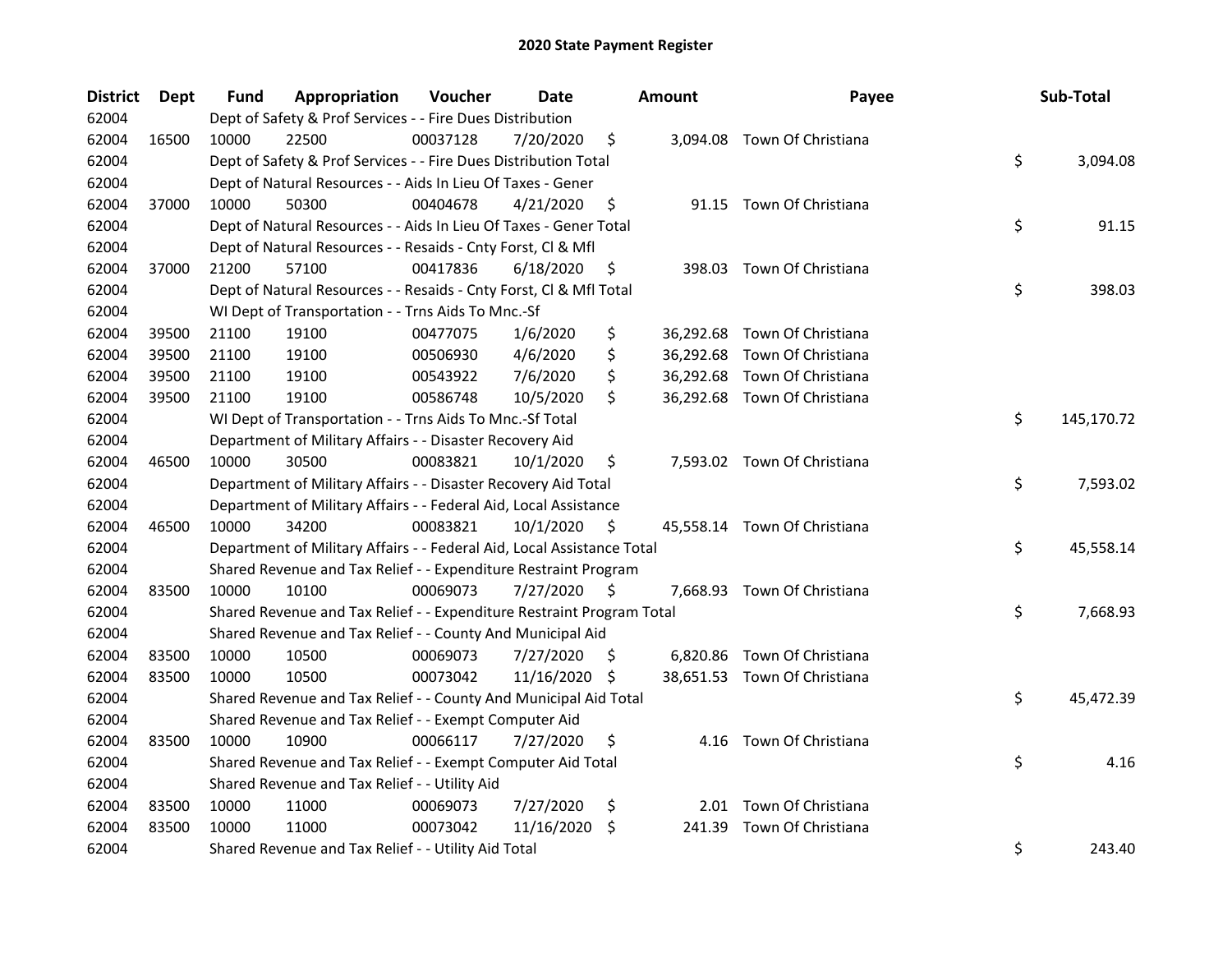| <b>District</b> | <b>Dept</b> | Fund  | Appropriation                                                          | Voucher  | Date          |      | <b>Amount</b> | Payee                        | Sub-Total        |
|-----------------|-------------|-------|------------------------------------------------------------------------|----------|---------------|------|---------------|------------------------------|------------------|
| 62004           |             |       | Dept of Safety & Prof Services - - Fire Dues Distribution              |          |               |      |               |                              |                  |
| 62004           | 16500       | 10000 | 22500                                                                  | 00037128 | 7/20/2020     | \$   |               | 3,094.08 Town Of Christiana  |                  |
| 62004           |             |       | Dept of Safety & Prof Services - - Fire Dues Distribution Total        |          |               |      |               |                              | \$<br>3,094.08   |
| 62004           |             |       | Dept of Natural Resources - - Aids In Lieu Of Taxes - Gener            |          |               |      |               |                              |                  |
| 62004           | 37000       | 10000 | 50300                                                                  | 00404678 | 4/21/2020     | \$   |               | 91.15 Town Of Christiana     |                  |
| 62004           |             |       | Dept of Natural Resources - - Aids In Lieu Of Taxes - Gener Total      |          |               |      |               |                              | \$<br>91.15      |
| 62004           |             |       | Dept of Natural Resources - - Resaids - Cnty Forst, Cl & Mfl           |          |               |      |               |                              |                  |
| 62004           | 37000       | 21200 | 57100                                                                  | 00417836 | 6/18/2020     | \$   |               | 398.03 Town Of Christiana    |                  |
| 62004           |             |       | Dept of Natural Resources - - Resaids - Cnty Forst, Cl & Mfl Total     |          |               |      |               |                              | \$<br>398.03     |
| 62004           |             |       | WI Dept of Transportation - - Trns Aids To Mnc.-Sf                     |          |               |      |               |                              |                  |
| 62004           | 39500       | 21100 | 19100                                                                  | 00477075 | 1/6/2020      | \$   |               | 36,292.68 Town Of Christiana |                  |
| 62004           | 39500       | 21100 | 19100                                                                  | 00506930 | 4/6/2020      | \$   |               | 36,292.68 Town Of Christiana |                  |
| 62004           | 39500       | 21100 | 19100                                                                  | 00543922 | 7/6/2020      | \$   |               | 36,292.68 Town Of Christiana |                  |
| 62004           | 39500       | 21100 | 19100                                                                  | 00586748 | 10/5/2020     | \$   |               | 36,292.68 Town Of Christiana |                  |
| 62004           |             |       | WI Dept of Transportation - - Trns Aids To Mnc.-Sf Total               |          |               |      |               |                              | \$<br>145,170.72 |
| 62004           |             |       | Department of Military Affairs - - Disaster Recovery Aid               |          |               |      |               |                              |                  |
| 62004           | 46500       | 10000 | 30500                                                                  | 00083821 | 10/1/2020     | \$   |               | 7,593.02 Town Of Christiana  |                  |
| 62004           |             |       | Department of Military Affairs - - Disaster Recovery Aid Total         |          |               |      |               |                              | \$<br>7,593.02   |
| 62004           |             |       | Department of Military Affairs - - Federal Aid, Local Assistance       |          |               |      |               |                              |                  |
| 62004           | 46500       | 10000 | 34200                                                                  | 00083821 | 10/1/2020     | \$   |               | 45,558.14 Town Of Christiana |                  |
| 62004           |             |       | Department of Military Affairs - - Federal Aid, Local Assistance Total |          |               |      |               |                              | \$<br>45,558.14  |
| 62004           |             |       | Shared Revenue and Tax Relief - - Expenditure Restraint Program        |          |               |      |               |                              |                  |
| 62004           | 83500       | 10000 | 10100                                                                  | 00069073 | 7/27/2020     | - \$ |               | 7,668.93 Town Of Christiana  |                  |
| 62004           |             |       | Shared Revenue and Tax Relief - - Expenditure Restraint Program Total  |          |               |      |               |                              | \$<br>7,668.93   |
| 62004           |             |       | Shared Revenue and Tax Relief - - County And Municipal Aid             |          |               |      |               |                              |                  |
| 62004           | 83500       | 10000 | 10500                                                                  | 00069073 | 7/27/2020     | -S   |               | 6,820.86 Town Of Christiana  |                  |
| 62004           | 83500       | 10000 | 10500                                                                  | 00073042 | 11/16/2020 \$ |      |               | 38,651.53 Town Of Christiana |                  |
| 62004           |             |       | Shared Revenue and Tax Relief - - County And Municipal Aid Total       |          |               |      |               |                              | \$<br>45,472.39  |
| 62004           |             |       | Shared Revenue and Tax Relief - - Exempt Computer Aid                  |          |               |      |               |                              |                  |
| 62004           | 83500       | 10000 | 10900                                                                  | 00066117 | 7/27/2020     | \$   |               | 4.16 Town Of Christiana      |                  |
| 62004           |             |       | Shared Revenue and Tax Relief - - Exempt Computer Aid Total            |          |               |      |               |                              | \$<br>4.16       |
| 62004           |             |       | Shared Revenue and Tax Relief - - Utility Aid                          |          |               |      |               |                              |                  |
| 62004           | 83500       | 10000 | 11000                                                                  | 00069073 | 7/27/2020     | \$   |               | 2.01 Town Of Christiana      |                  |
| 62004           | 83500       | 10000 | 11000                                                                  | 00073042 | 11/16/2020    | \$   | 241.39        | Town Of Christiana           |                  |
| 62004           |             |       | Shared Revenue and Tax Relief - - Utility Aid Total                    |          |               |      |               |                              | \$<br>243.40     |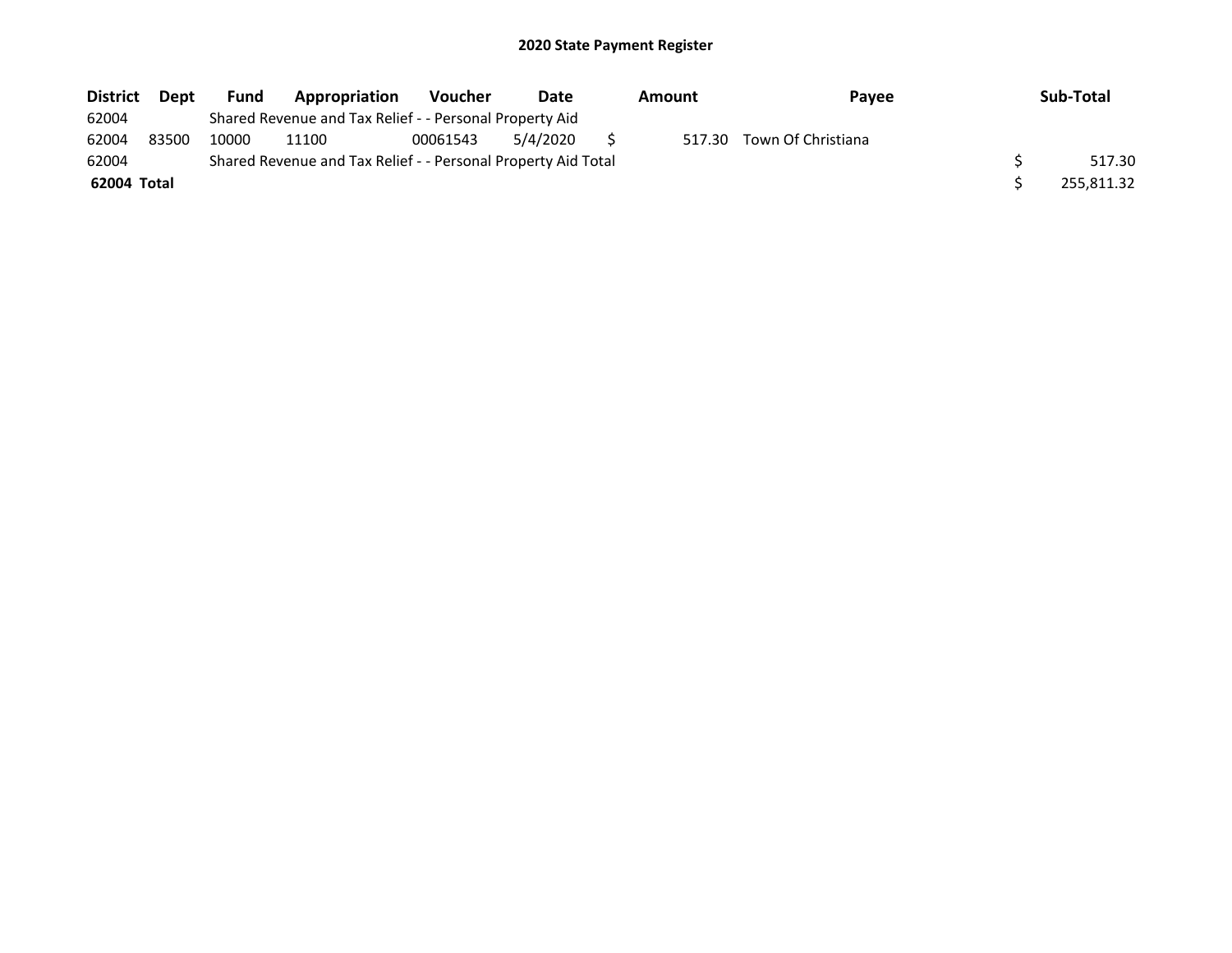| <b>District</b> | <b>Dept</b> | <b>Fund</b> | Appropriation                                                 | <b>Voucher</b> | Date     | <b>Pavee</b><br>Amount |        |                    | Sub-Total  |
|-----------------|-------------|-------------|---------------------------------------------------------------|----------------|----------|------------------------|--------|--------------------|------------|
| 62004           |             |             | Shared Revenue and Tax Relief - - Personal Property Aid       |                |          |                        |        |                    |            |
| 62004           | 83500       | 10000       | 11100                                                         | 00061543       | 5/4/2020 |                        | 517.30 | Town Of Christiana |            |
| 62004           |             |             | Shared Revenue and Tax Relief - - Personal Property Aid Total |                |          |                        |        |                    | 517.30     |
| 62004 Total     |             |             |                                                               |                |          |                        |        |                    | 255.811.32 |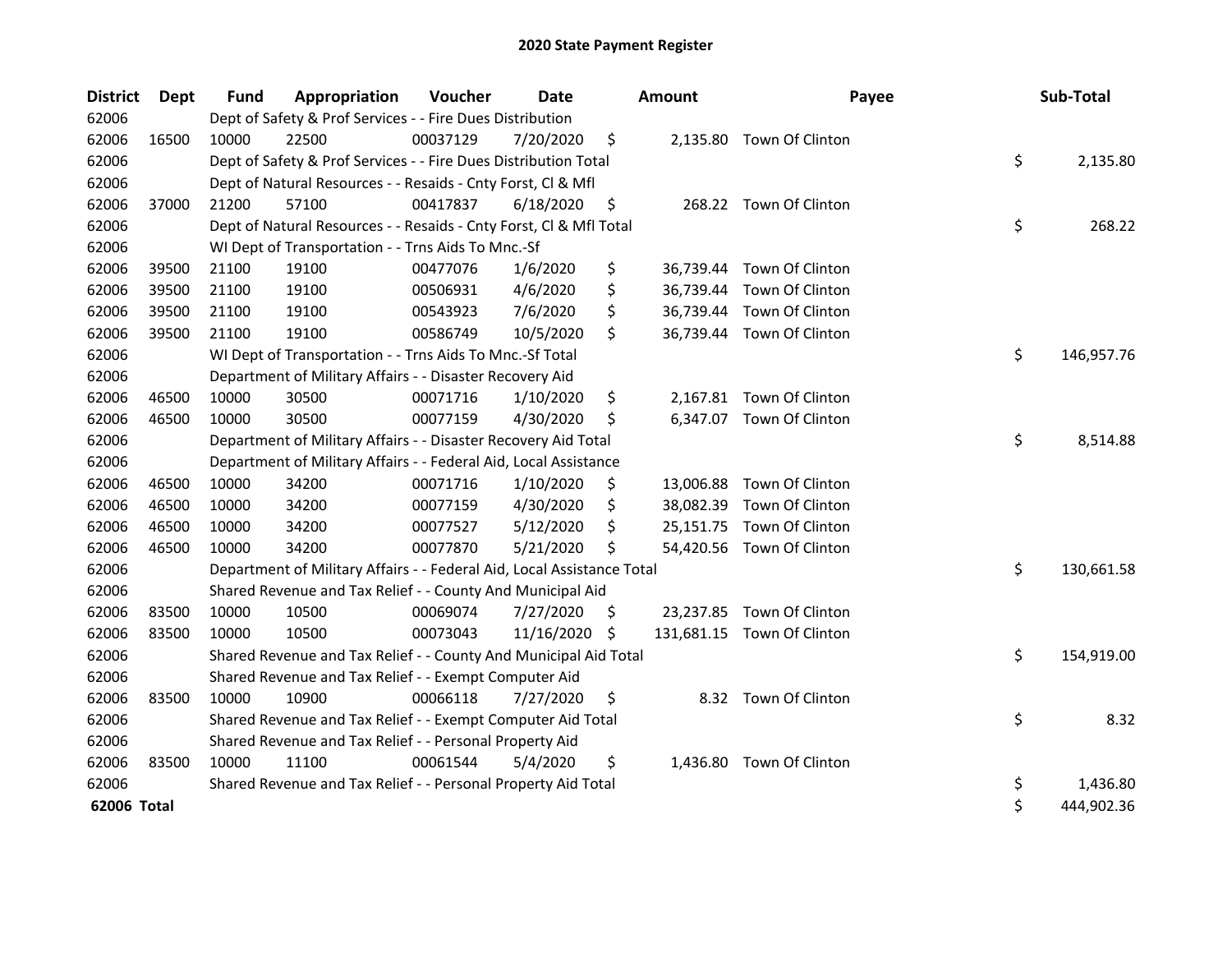| <b>District</b> | <b>Dept</b> | Fund  | Appropriation                                                          | Voucher  | Date       |     | <b>Amount</b> | Payee                      | Sub-Total        |
|-----------------|-------------|-------|------------------------------------------------------------------------|----------|------------|-----|---------------|----------------------------|------------------|
| 62006           |             |       | Dept of Safety & Prof Services - - Fire Dues Distribution              |          |            |     |               |                            |                  |
| 62006           | 16500       | 10000 | 22500                                                                  | 00037129 | 7/20/2020  | \$  |               | 2,135.80 Town Of Clinton   |                  |
| 62006           |             |       | Dept of Safety & Prof Services - - Fire Dues Distribution Total        |          |            |     |               |                            | \$<br>2,135.80   |
| 62006           |             |       | Dept of Natural Resources - - Resaids - Cnty Forst, CI & Mfl           |          |            |     |               |                            |                  |
| 62006           | 37000       | 21200 | 57100                                                                  | 00417837 | 6/18/2020  | \$  |               | 268.22 Town Of Clinton     |                  |
| 62006           |             |       | Dept of Natural Resources - - Resaids - Cnty Forst, Cl & Mfl Total     |          |            |     |               |                            | \$<br>268.22     |
| 62006           |             |       | WI Dept of Transportation - - Trns Aids To Mnc.-Sf                     |          |            |     |               |                            |                  |
| 62006           | 39500       | 21100 | 19100                                                                  | 00477076 | 1/6/2020   | \$  | 36,739.44     | Town Of Clinton            |                  |
| 62006           | 39500       | 21100 | 19100                                                                  | 00506931 | 4/6/2020   | \$  |               | 36,739.44 Town Of Clinton  |                  |
| 62006           | 39500       | 21100 | 19100                                                                  | 00543923 | 7/6/2020   | \$  | 36,739.44     | Town Of Clinton            |                  |
| 62006           | 39500       | 21100 | 19100                                                                  | 00586749 | 10/5/2020  | \$  |               | 36,739.44 Town Of Clinton  |                  |
| 62006           |             |       | WI Dept of Transportation - - Trns Aids To Mnc.-Sf Total               |          |            |     |               |                            | \$<br>146,957.76 |
| 62006           |             |       | Department of Military Affairs - - Disaster Recovery Aid               |          |            |     |               |                            |                  |
| 62006           | 46500       | 10000 | 30500                                                                  | 00071716 | 1/10/2020  | \$  |               | 2,167.81 Town Of Clinton   |                  |
| 62006           | 46500       | 10000 | 30500                                                                  | 00077159 | 4/30/2020  | \$  | 6,347.07      | Town Of Clinton            |                  |
| 62006           |             |       | Department of Military Affairs - - Disaster Recovery Aid Total         |          |            |     |               |                            | \$<br>8,514.88   |
| 62006           |             |       | Department of Military Affairs - - Federal Aid, Local Assistance       |          |            |     |               |                            |                  |
| 62006           | 46500       | 10000 | 34200                                                                  | 00071716 | 1/10/2020  | \$  | 13,006.88     | Town Of Clinton            |                  |
| 62006           | 46500       | 10000 | 34200                                                                  | 00077159 | 4/30/2020  | \$, | 38,082.39     | Town Of Clinton            |                  |
| 62006           | 46500       | 10000 | 34200                                                                  | 00077527 | 5/12/2020  | \$  | 25,151.75     | Town Of Clinton            |                  |
| 62006           | 46500       | 10000 | 34200                                                                  | 00077870 | 5/21/2020  | Ś   |               | 54,420.56 Town Of Clinton  |                  |
| 62006           |             |       | Department of Military Affairs - - Federal Aid, Local Assistance Total |          |            |     |               |                            | \$<br>130,661.58 |
| 62006           |             |       | Shared Revenue and Tax Relief - - County And Municipal Aid             |          |            |     |               |                            |                  |
| 62006           | 83500       | 10000 | 10500                                                                  | 00069074 | 7/27/2020  | \$. |               | 23,237.85 Town Of Clinton  |                  |
| 62006           | 83500       | 10000 | 10500                                                                  | 00073043 | 11/16/2020 | \$  |               | 131,681.15 Town Of Clinton |                  |
| 62006           |             |       | Shared Revenue and Tax Relief - - County And Municipal Aid Total       |          |            |     |               |                            | \$<br>154,919.00 |
| 62006           |             |       | Shared Revenue and Tax Relief - - Exempt Computer Aid                  |          |            |     |               |                            |                  |
| 62006           | 83500       | 10000 | 10900                                                                  | 00066118 | 7/27/2020  | \$  |               | 8.32 Town Of Clinton       |                  |
| 62006           |             |       | Shared Revenue and Tax Relief - - Exempt Computer Aid Total            |          |            |     |               |                            | \$<br>8.32       |
| 62006           |             |       | Shared Revenue and Tax Relief - - Personal Property Aid                |          |            |     |               |                            |                  |
| 62006           | 83500       | 10000 | 11100                                                                  | 00061544 | 5/4/2020   | \$  | 1,436.80      | Town Of Clinton            |                  |
| 62006           |             |       | Shared Revenue and Tax Relief - - Personal Property Aid Total          |          |            |     |               |                            | \$<br>1,436.80   |
| 62006 Total     |             |       |                                                                        |          |            |     |               |                            | \$<br>444,902.36 |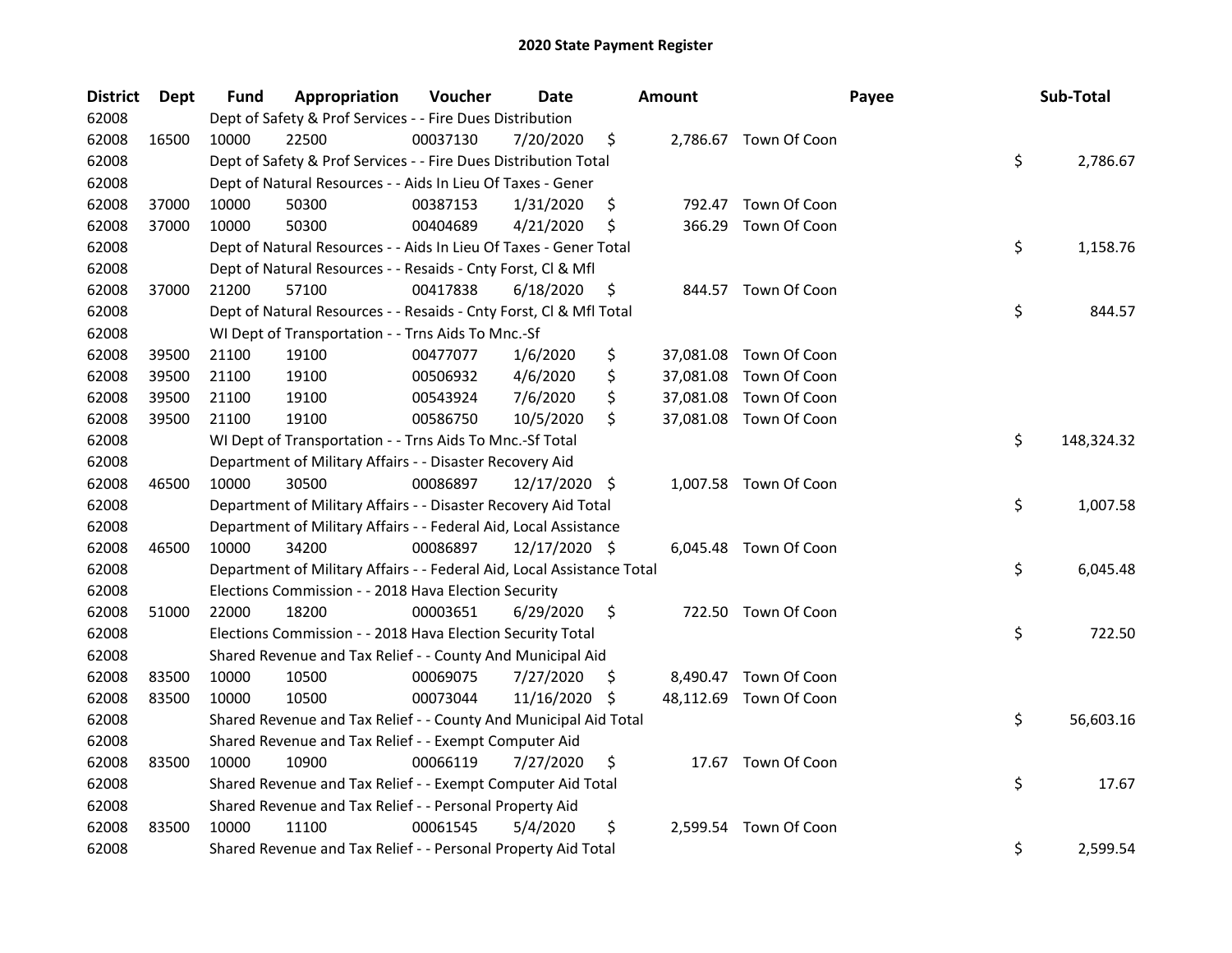| <b>District</b> | <b>Dept</b> | Fund  | Appropriation                                                          | Voucher  | Date          |     | <b>Amount</b> |                        | Payee | Sub-Total        |
|-----------------|-------------|-------|------------------------------------------------------------------------|----------|---------------|-----|---------------|------------------------|-------|------------------|
| 62008           |             |       | Dept of Safety & Prof Services - - Fire Dues Distribution              |          |               |     |               |                        |       |                  |
| 62008           | 16500       | 10000 | 22500                                                                  | 00037130 | 7/20/2020     | \$  |               | 2,786.67 Town Of Coon  |       |                  |
| 62008           |             |       | Dept of Safety & Prof Services - - Fire Dues Distribution Total        |          |               |     |               |                        |       | \$<br>2,786.67   |
| 62008           |             |       | Dept of Natural Resources - - Aids In Lieu Of Taxes - Gener            |          |               |     |               |                        |       |                  |
| 62008           | 37000       | 10000 | 50300                                                                  | 00387153 | 1/31/2020     | \$  |               | 792.47 Town Of Coon    |       |                  |
| 62008           | 37000       | 10000 | 50300                                                                  | 00404689 | 4/21/2020     | \$  | 366.29        | Town Of Coon           |       |                  |
| 62008           |             |       | Dept of Natural Resources - - Aids In Lieu Of Taxes - Gener Total      |          |               |     |               |                        |       | \$<br>1,158.76   |
| 62008           |             |       | Dept of Natural Resources - - Resaids - Cnty Forst, Cl & Mfl           |          |               |     |               |                        |       |                  |
| 62008           | 37000       | 21200 | 57100                                                                  | 00417838 | 6/18/2020     | \$  |               | 844.57 Town Of Coon    |       |                  |
| 62008           |             |       | Dept of Natural Resources - - Resaids - Cnty Forst, Cl & Mfl Total     |          |               |     |               |                        |       | \$<br>844.57     |
| 62008           |             |       | WI Dept of Transportation - - Trns Aids To Mnc.-Sf                     |          |               |     |               |                        |       |                  |
| 62008           | 39500       | 21100 | 19100                                                                  | 00477077 | 1/6/2020      | \$  |               | 37,081.08 Town Of Coon |       |                  |
| 62008           | 39500       | 21100 | 19100                                                                  | 00506932 | 4/6/2020      | \$  |               | 37,081.08 Town Of Coon |       |                  |
| 62008           | 39500       | 21100 | 19100                                                                  | 00543924 | 7/6/2020      | \$  | 37,081.08     | Town Of Coon           |       |                  |
| 62008           | 39500       | 21100 | 19100                                                                  | 00586750 | 10/5/2020     | \$  |               | 37,081.08 Town Of Coon |       |                  |
| 62008           |             |       | WI Dept of Transportation - - Trns Aids To Mnc.-Sf Total               |          |               |     |               |                        |       | \$<br>148,324.32 |
| 62008           |             |       | Department of Military Affairs - - Disaster Recovery Aid               |          |               |     |               |                        |       |                  |
| 62008           | 46500       | 10000 | 30500                                                                  | 00086897 | 12/17/2020    | \$  |               | 1,007.58 Town Of Coon  |       |                  |
| 62008           |             |       | Department of Military Affairs - - Disaster Recovery Aid Total         |          |               |     |               |                        |       | \$<br>1,007.58   |
| 62008           |             |       | Department of Military Affairs - - Federal Aid, Local Assistance       |          |               |     |               |                        |       |                  |
| 62008           | 46500       | 10000 | 34200                                                                  | 00086897 | 12/17/2020 \$ |     |               | 6,045.48 Town Of Coon  |       |                  |
| 62008           |             |       | Department of Military Affairs - - Federal Aid, Local Assistance Total |          |               |     |               |                        |       | \$<br>6,045.48   |
| 62008           |             |       | Elections Commission - - 2018 Hava Election Security                   |          |               |     |               |                        |       |                  |
| 62008           | 51000       | 22000 | 18200                                                                  | 00003651 | 6/29/2020     | \$  |               | 722.50 Town Of Coon    |       |                  |
| 62008           |             |       | Elections Commission - - 2018 Hava Election Security Total             |          |               |     |               |                        |       | \$<br>722.50     |
| 62008           |             |       | Shared Revenue and Tax Relief - - County And Municipal Aid             |          |               |     |               |                        |       |                  |
| 62008           | 83500       | 10000 | 10500                                                                  | 00069075 | 7/27/2020     | \$. |               | 8,490.47 Town Of Coon  |       |                  |
| 62008           | 83500       | 10000 | 10500                                                                  | 00073044 | 11/16/2020    | S.  |               | 48,112.69 Town Of Coon |       |                  |
| 62008           |             |       | Shared Revenue and Tax Relief - - County And Municipal Aid Total       |          |               |     |               |                        |       | \$<br>56,603.16  |
| 62008           |             |       | Shared Revenue and Tax Relief - - Exempt Computer Aid                  |          |               |     |               |                        |       |                  |
| 62008           | 83500       | 10000 | 10900                                                                  | 00066119 | 7/27/2020     | \$  |               | 17.67 Town Of Coon     |       |                  |
| 62008           |             |       | Shared Revenue and Tax Relief - - Exempt Computer Aid Total            |          |               |     |               |                        |       | \$<br>17.67      |
| 62008           |             |       | Shared Revenue and Tax Relief - - Personal Property Aid                |          |               |     |               |                        |       |                  |
| 62008           | 83500       | 10000 | 11100                                                                  | 00061545 | 5/4/2020      | \$  |               | 2,599.54 Town Of Coon  |       |                  |
| 62008           |             |       | Shared Revenue and Tax Relief - - Personal Property Aid Total          |          |               |     |               |                        |       | \$<br>2,599.54   |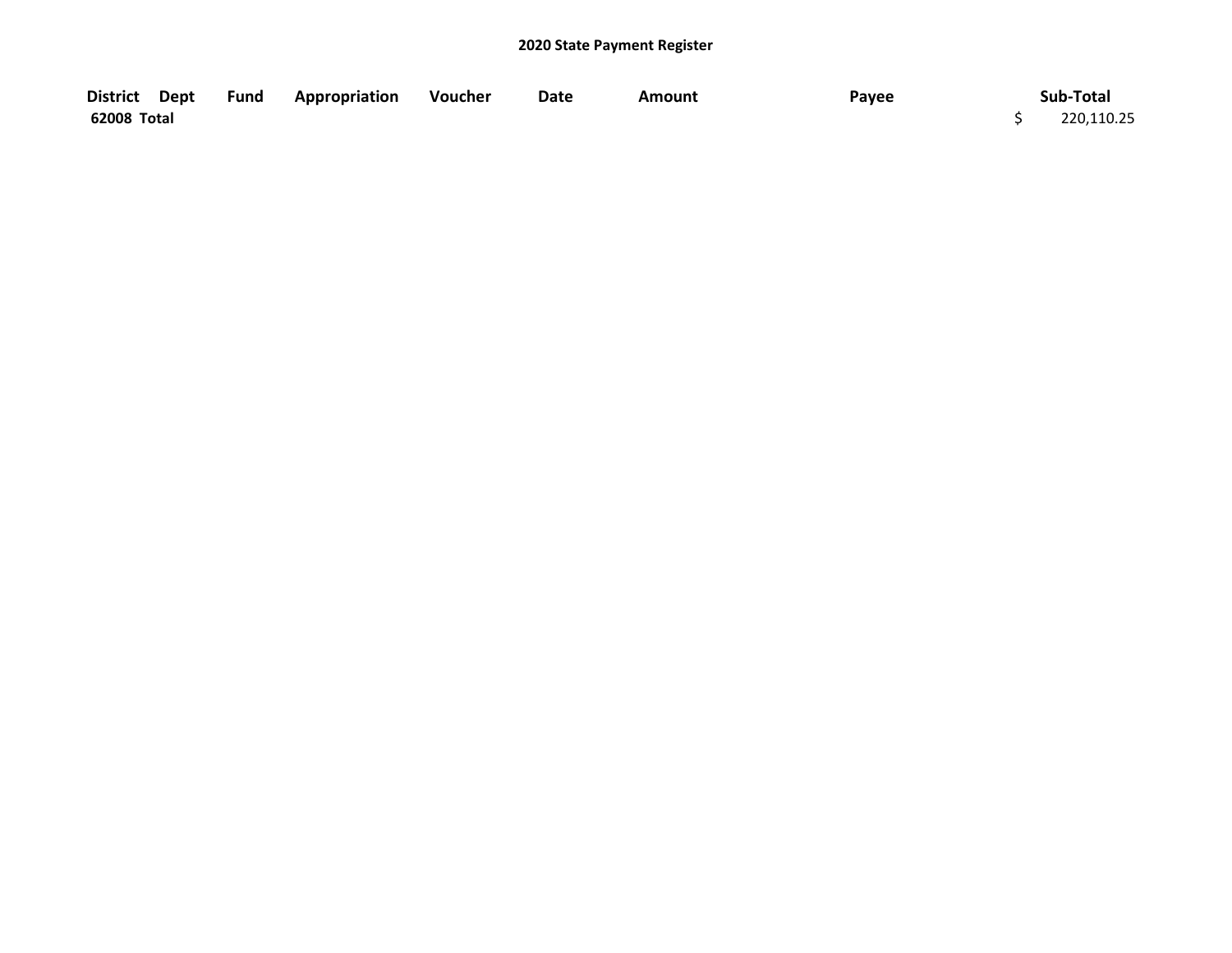| District Dept | Fund | Appropriation | Voucher | Date | Amount | Payee | Sub-Total  |
|---------------|------|---------------|---------|------|--------|-------|------------|
| 62008 Total   |      |               |         |      |        |       | 220,110.25 |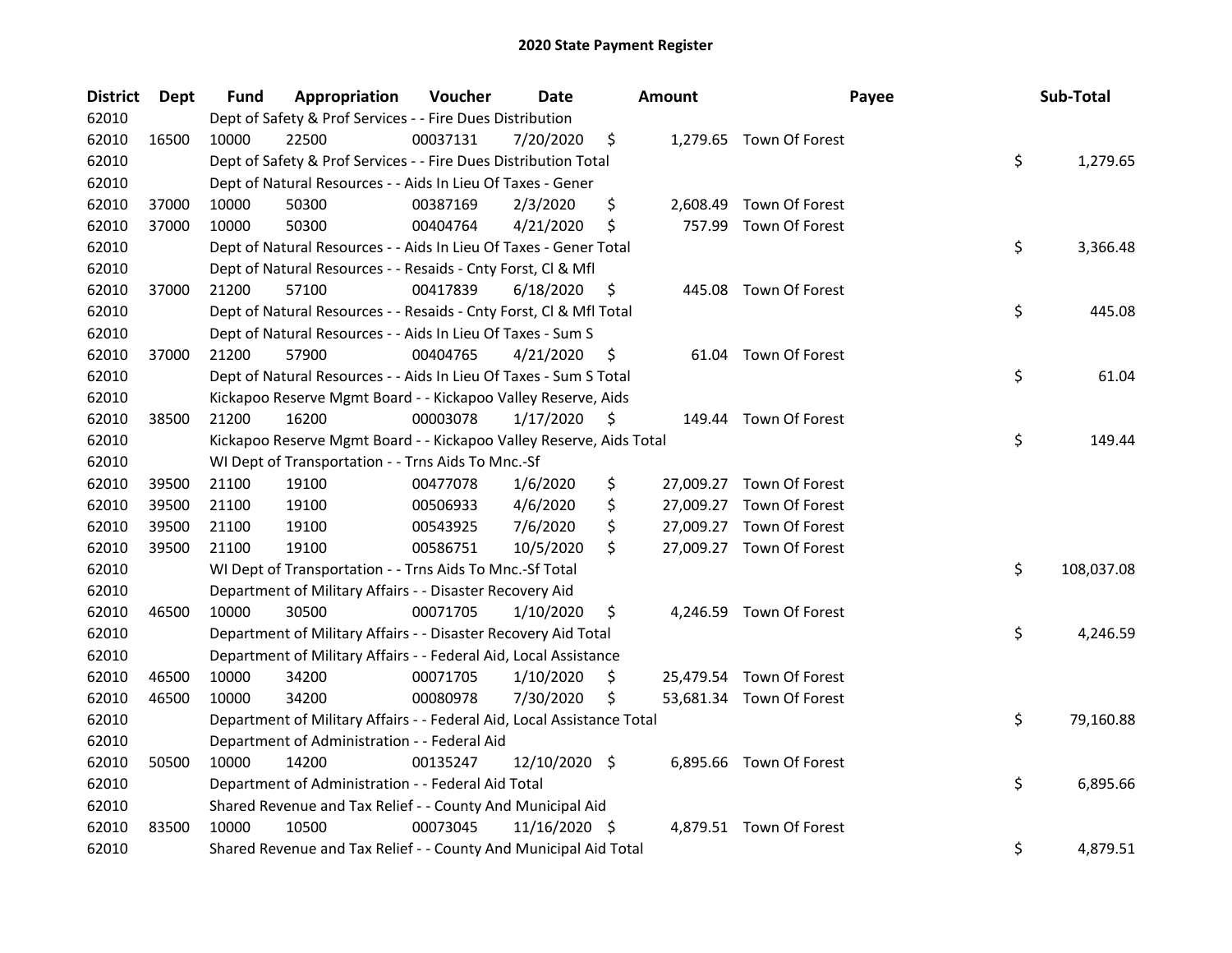| <b>District</b> | <b>Dept</b> | Fund  | Appropriation                                                          | Voucher  | <b>Date</b>   |     | <b>Amount</b> | Payee                    | Sub-Total        |
|-----------------|-------------|-------|------------------------------------------------------------------------|----------|---------------|-----|---------------|--------------------------|------------------|
| 62010           |             |       | Dept of Safety & Prof Services - - Fire Dues Distribution              |          |               |     |               |                          |                  |
| 62010           | 16500       | 10000 | 22500                                                                  | 00037131 | 7/20/2020     | \$  |               | 1,279.65 Town Of Forest  |                  |
| 62010           |             |       | Dept of Safety & Prof Services - - Fire Dues Distribution Total        |          |               |     |               |                          | \$<br>1,279.65   |
| 62010           |             |       | Dept of Natural Resources - - Aids In Lieu Of Taxes - Gener            |          |               |     |               |                          |                  |
| 62010           | 37000       | 10000 | 50300                                                                  | 00387169 | 2/3/2020      | \$  |               | 2,608.49 Town Of Forest  |                  |
| 62010           | 37000       | 10000 | 50300                                                                  | 00404764 | 4/21/2020     | \$  | 757.99        | Town Of Forest           |                  |
| 62010           |             |       | Dept of Natural Resources - - Aids In Lieu Of Taxes - Gener Total      |          |               |     |               |                          | \$<br>3,366.48   |
| 62010           |             |       | Dept of Natural Resources - - Resaids - Cnty Forst, Cl & Mfl           |          |               |     |               |                          |                  |
| 62010           | 37000       | 21200 | 57100                                                                  | 00417839 | 6/18/2020     | \$  |               | 445.08 Town Of Forest    |                  |
| 62010           |             |       | Dept of Natural Resources - - Resaids - Cnty Forst, Cl & Mfl Total     |          |               |     |               |                          | \$<br>445.08     |
| 62010           |             |       | Dept of Natural Resources - - Aids In Lieu Of Taxes - Sum S            |          |               |     |               |                          |                  |
| 62010           | 37000       | 21200 | 57900                                                                  | 00404765 | 4/21/2020     | \$  |               | 61.04 Town Of Forest     |                  |
| 62010           |             |       | Dept of Natural Resources - - Aids In Lieu Of Taxes - Sum S Total      |          |               |     |               |                          | \$<br>61.04      |
| 62010           |             |       | Kickapoo Reserve Mgmt Board - - Kickapoo Valley Reserve, Aids          |          |               |     |               |                          |                  |
| 62010           | 38500       | 21200 | 16200                                                                  | 00003078 | 1/17/2020     | \$  |               | 149.44 Town Of Forest    |                  |
| 62010           |             |       | Kickapoo Reserve Mgmt Board - - Kickapoo Valley Reserve, Aids Total    |          |               |     |               |                          | \$<br>149.44     |
| 62010           |             |       | WI Dept of Transportation - - Trns Aids To Mnc.-Sf                     |          |               |     |               |                          |                  |
| 62010           | 39500       | 21100 | 19100                                                                  | 00477078 | 1/6/2020      | \$  |               | 27,009.27 Town Of Forest |                  |
| 62010           | 39500       | 21100 | 19100                                                                  | 00506933 | 4/6/2020      | \$  |               | 27,009.27 Town Of Forest |                  |
| 62010           | 39500       | 21100 | 19100                                                                  | 00543925 | 7/6/2020      | \$  |               | 27,009.27 Town Of Forest |                  |
| 62010           | 39500       | 21100 | 19100                                                                  | 00586751 | 10/5/2020     | \$  |               | 27,009.27 Town Of Forest |                  |
| 62010           |             |       | WI Dept of Transportation - - Trns Aids To Mnc.-Sf Total               |          |               |     |               |                          | \$<br>108,037.08 |
| 62010           |             |       | Department of Military Affairs - - Disaster Recovery Aid               |          |               |     |               |                          |                  |
| 62010           | 46500       | 10000 | 30500                                                                  | 00071705 | 1/10/2020     | \$. |               | 4,246.59 Town Of Forest  |                  |
| 62010           |             |       | Department of Military Affairs - - Disaster Recovery Aid Total         |          |               |     |               |                          | \$<br>4,246.59   |
| 62010           |             |       | Department of Military Affairs - - Federal Aid, Local Assistance       |          |               |     |               |                          |                  |
| 62010           | 46500       | 10000 | 34200                                                                  | 00071705 | 1/10/2020     | \$  |               | 25,479.54 Town Of Forest |                  |
| 62010           | 46500       | 10000 | 34200                                                                  | 00080978 | 7/30/2020     | \$  |               | 53,681.34 Town Of Forest |                  |
| 62010           |             |       | Department of Military Affairs - - Federal Aid, Local Assistance Total |          |               |     |               |                          | \$<br>79,160.88  |
| 62010           |             |       | Department of Administration - - Federal Aid                           |          |               |     |               |                          |                  |
| 62010           | 50500       | 10000 | 14200                                                                  | 00135247 | 12/10/2020 \$ |     |               | 6,895.66 Town Of Forest  |                  |
| 62010           |             |       | Department of Administration - - Federal Aid Total                     |          |               |     |               |                          | \$<br>6,895.66   |
| 62010           |             |       | Shared Revenue and Tax Relief - - County And Municipal Aid             |          |               |     |               |                          |                  |
| 62010           | 83500       | 10000 | 10500                                                                  | 00073045 | 11/16/2020 \$ |     |               | 4,879.51 Town Of Forest  |                  |
| 62010           |             |       | Shared Revenue and Tax Relief - - County And Municipal Aid Total       |          |               |     |               |                          | \$<br>4,879.51   |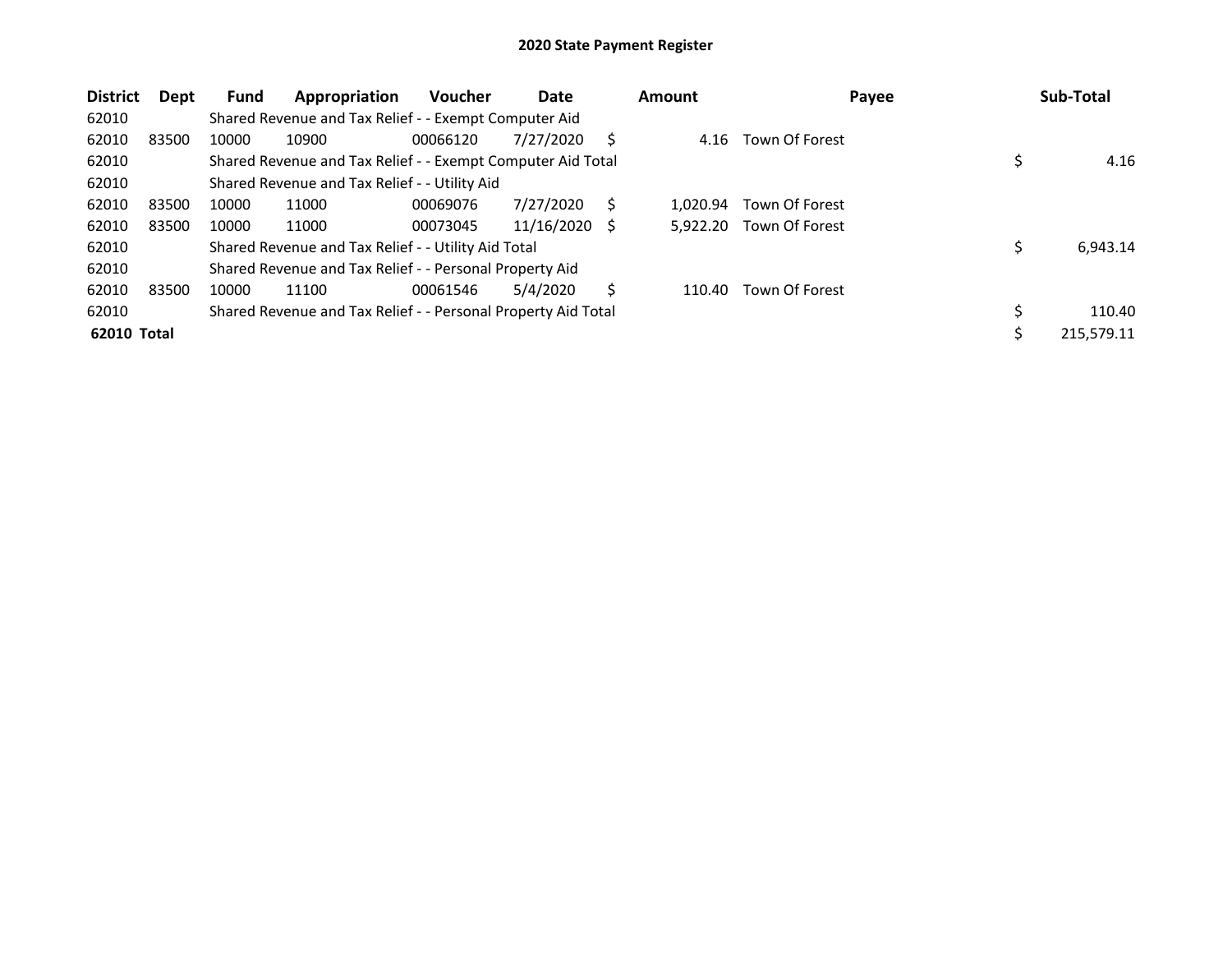| <b>District</b> | Dept  | <b>Fund</b> | Appropriation                                                 | <b>Voucher</b> | Date       |     | <b>Amount</b> | Payee          | Sub-Total      |
|-----------------|-------|-------------|---------------------------------------------------------------|----------------|------------|-----|---------------|----------------|----------------|
| 62010           |       |             | Shared Revenue and Tax Relief - - Exempt Computer Aid         |                |            |     |               |                |                |
| 62010           | 83500 | 10000       | 10900                                                         | 00066120       | 7/27/2020  | S   | 4.16          | Town Of Forest |                |
| 62010           |       |             | Shared Revenue and Tax Relief - - Exempt Computer Aid Total   |                |            |     |               |                | 4.16           |
| 62010           |       |             | Shared Revenue and Tax Relief - - Utility Aid                 |                |            |     |               |                |                |
| 62010           | 83500 | 10000       | 11000                                                         | 00069076       | 7/27/2020  | S   | 1.020.94      | Town Of Forest |                |
| 62010           | 83500 | 10000       | 11000                                                         | 00073045       | 11/16/2020 | - S | 5.922.20      | Town Of Forest |                |
| 62010           |       |             | Shared Revenue and Tax Relief - - Utility Aid Total           |                |            |     |               |                | \$<br>6,943.14 |
| 62010           |       |             | Shared Revenue and Tax Relief - - Personal Property Aid       |                |            |     |               |                |                |
| 62010           | 83500 | 10000       | 11100                                                         | 00061546       | 5/4/2020   | S   | 110.40        | Town Of Forest |                |
| 62010           |       |             | Shared Revenue and Tax Relief - - Personal Property Aid Total |                |            |     |               |                | \$<br>110.40   |
| 62010 Total     |       |             |                                                               |                |            |     |               |                | 215,579.11     |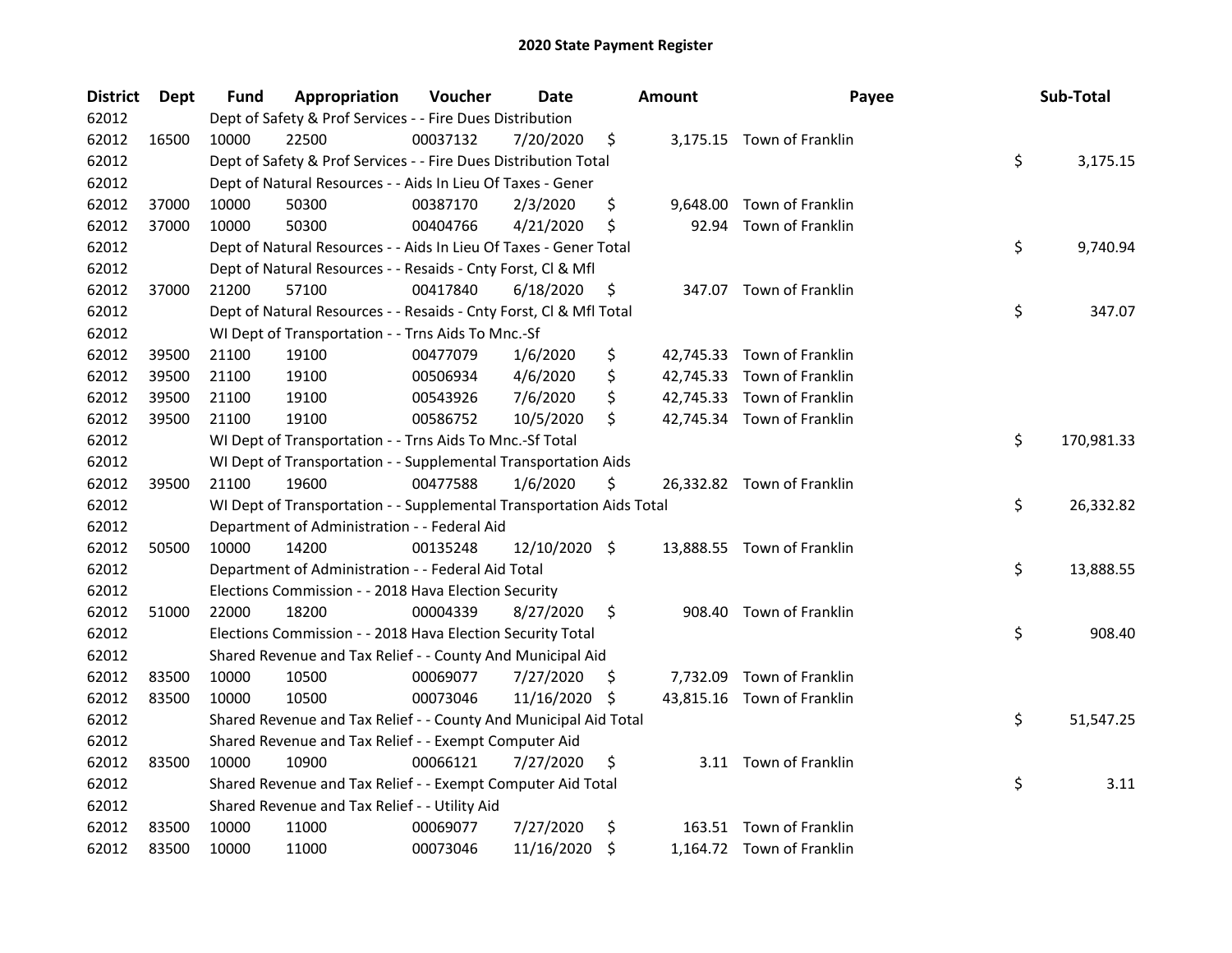| <b>District</b> | <b>Dept</b> | Fund  | Appropriation                                                        | Voucher  | Date          |     | <b>Amount</b> | Payee                      | Sub-Total        |
|-----------------|-------------|-------|----------------------------------------------------------------------|----------|---------------|-----|---------------|----------------------------|------------------|
| 62012           |             |       | Dept of Safety & Prof Services - - Fire Dues Distribution            |          |               |     |               |                            |                  |
| 62012           | 16500       | 10000 | 22500                                                                | 00037132 | 7/20/2020     | \$  |               | 3,175.15 Town of Franklin  |                  |
| 62012           |             |       | Dept of Safety & Prof Services - - Fire Dues Distribution Total      |          |               |     |               |                            | \$<br>3,175.15   |
| 62012           |             |       | Dept of Natural Resources - - Aids In Lieu Of Taxes - Gener          |          |               |     |               |                            |                  |
| 62012           | 37000       | 10000 | 50300                                                                | 00387170 | 2/3/2020      | \$  |               | 9,648.00 Town of Franklin  |                  |
| 62012           | 37000       | 10000 | 50300                                                                | 00404766 | 4/21/2020     | \$  |               | 92.94 Town of Franklin     |                  |
| 62012           |             |       | Dept of Natural Resources - - Aids In Lieu Of Taxes - Gener Total    |          |               |     |               |                            | \$<br>9,740.94   |
| 62012           |             |       | Dept of Natural Resources - - Resaids - Cnty Forst, Cl & Mfl         |          |               |     |               |                            |                  |
| 62012           | 37000       | 21200 | 57100                                                                | 00417840 | 6/18/2020     | \$, |               | 347.07 Town of Franklin    |                  |
| 62012           |             |       | Dept of Natural Resources - - Resaids - Cnty Forst, Cl & Mfl Total   |          |               |     |               |                            | \$<br>347.07     |
| 62012           |             |       | WI Dept of Transportation - - Trns Aids To Mnc.-Sf                   |          |               |     |               |                            |                  |
| 62012           | 39500       | 21100 | 19100                                                                | 00477079 | 1/6/2020      | \$  |               | 42,745.33 Town of Franklin |                  |
| 62012           | 39500       | 21100 | 19100                                                                | 00506934 | 4/6/2020      | \$  |               | 42,745.33 Town of Franklin |                  |
| 62012           | 39500       | 21100 | 19100                                                                | 00543926 | 7/6/2020      | \$  |               | 42,745.33 Town of Franklin |                  |
| 62012           | 39500       | 21100 | 19100                                                                | 00586752 | 10/5/2020     | \$  |               | 42,745.34 Town of Franklin |                  |
| 62012           |             |       | WI Dept of Transportation - - Trns Aids To Mnc.-Sf Total             |          |               |     |               |                            | \$<br>170,981.33 |
| 62012           |             |       | WI Dept of Transportation - - Supplemental Transportation Aids       |          |               |     |               |                            |                  |
| 62012           | 39500       | 21100 | 19600                                                                | 00477588 | 1/6/2020      | \$  |               | 26,332.82 Town of Franklin |                  |
| 62012           |             |       | WI Dept of Transportation - - Supplemental Transportation Aids Total |          |               |     |               |                            | \$<br>26,332.82  |
| 62012           |             |       | Department of Administration - - Federal Aid                         |          |               |     |               |                            |                  |
| 62012           | 50500       | 10000 | 14200                                                                | 00135248 | 12/10/2020 \$ |     |               | 13,888.55 Town of Franklin |                  |
| 62012           |             |       | Department of Administration - - Federal Aid Total                   |          |               |     |               |                            | \$<br>13,888.55  |
| 62012           |             |       | Elections Commission - - 2018 Hava Election Security                 |          |               |     |               |                            |                  |
| 62012           | 51000       | 22000 | 18200                                                                | 00004339 | 8/27/2020     | \$  |               | 908.40 Town of Franklin    |                  |
| 62012           |             |       | Elections Commission - - 2018 Hava Election Security Total           |          |               |     |               |                            | \$<br>908.40     |
| 62012           |             |       | Shared Revenue and Tax Relief - - County And Municipal Aid           |          |               |     |               |                            |                  |
| 62012           | 83500       | 10000 | 10500                                                                | 00069077 | 7/27/2020     | \$, |               | 7,732.09 Town of Franklin  |                  |
| 62012           | 83500       | 10000 | 10500                                                                | 00073046 | 11/16/2020    | -S  |               | 43,815.16 Town of Franklin |                  |
| 62012           |             |       | Shared Revenue and Tax Relief - - County And Municipal Aid Total     |          |               |     |               |                            | \$<br>51,547.25  |
| 62012           |             |       | Shared Revenue and Tax Relief - - Exempt Computer Aid                |          |               |     |               |                            |                  |
| 62012           | 83500       | 10000 | 10900                                                                | 00066121 | 7/27/2020     | \$  |               | 3.11 Town of Franklin      |                  |
| 62012           |             |       | Shared Revenue and Tax Relief - - Exempt Computer Aid Total          |          |               |     |               |                            | \$<br>3.11       |
| 62012           |             |       | Shared Revenue and Tax Relief - - Utility Aid                        |          |               |     |               |                            |                  |
| 62012           | 83500       | 10000 | 11000                                                                | 00069077 | 7/27/2020     | \$  |               | 163.51 Town of Franklin    |                  |
| 62012           | 83500       | 10000 | 11000                                                                | 00073046 | 11/16/2020    | \$  |               | 1,164.72 Town of Franklin  |                  |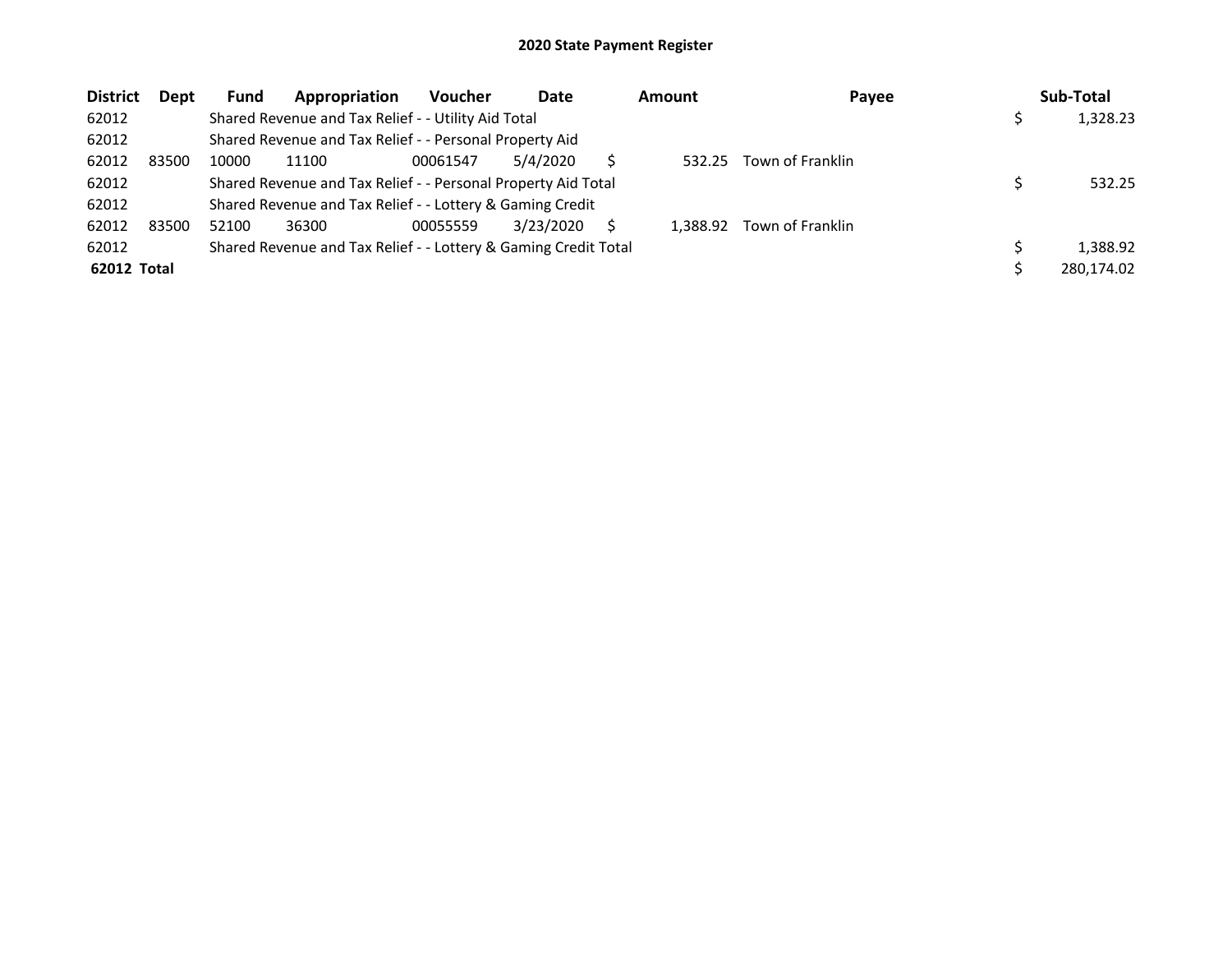| <b>District</b>    | <b>Dept</b> | <b>Fund</b> | Appropriation                                                   | Voucher  | Date      |   | <b>Amount</b> | Payee            | Sub-Total  |
|--------------------|-------------|-------------|-----------------------------------------------------------------|----------|-----------|---|---------------|------------------|------------|
| 62012              |             |             | Shared Revenue and Tax Relief - - Utility Aid Total             |          |           |   |               |                  | 1,328.23   |
| 62012              |             |             | Shared Revenue and Tax Relief - - Personal Property Aid         |          |           |   |               |                  |            |
| 62012              | 83500       | 10000       | 11100                                                           | 00061547 | 5/4/2020  |   | 532.25        | Town of Franklin |            |
| 62012              |             |             | Shared Revenue and Tax Relief - - Personal Property Aid Total   |          |           |   |               |                  | 532.25     |
| 62012              |             |             | Shared Revenue and Tax Relief - - Lottery & Gaming Credit       |          |           |   |               |                  |            |
| 62012              | 83500       | 52100       | 36300                                                           | 00055559 | 3/23/2020 | S | 1.388.92      | Town of Franklin |            |
| 62012              |             |             | Shared Revenue and Tax Relief - - Lottery & Gaming Credit Total |          |           |   |               |                  | 1,388.92   |
| <b>62012 Total</b> |             |             |                                                                 |          |           |   |               |                  | 280,174.02 |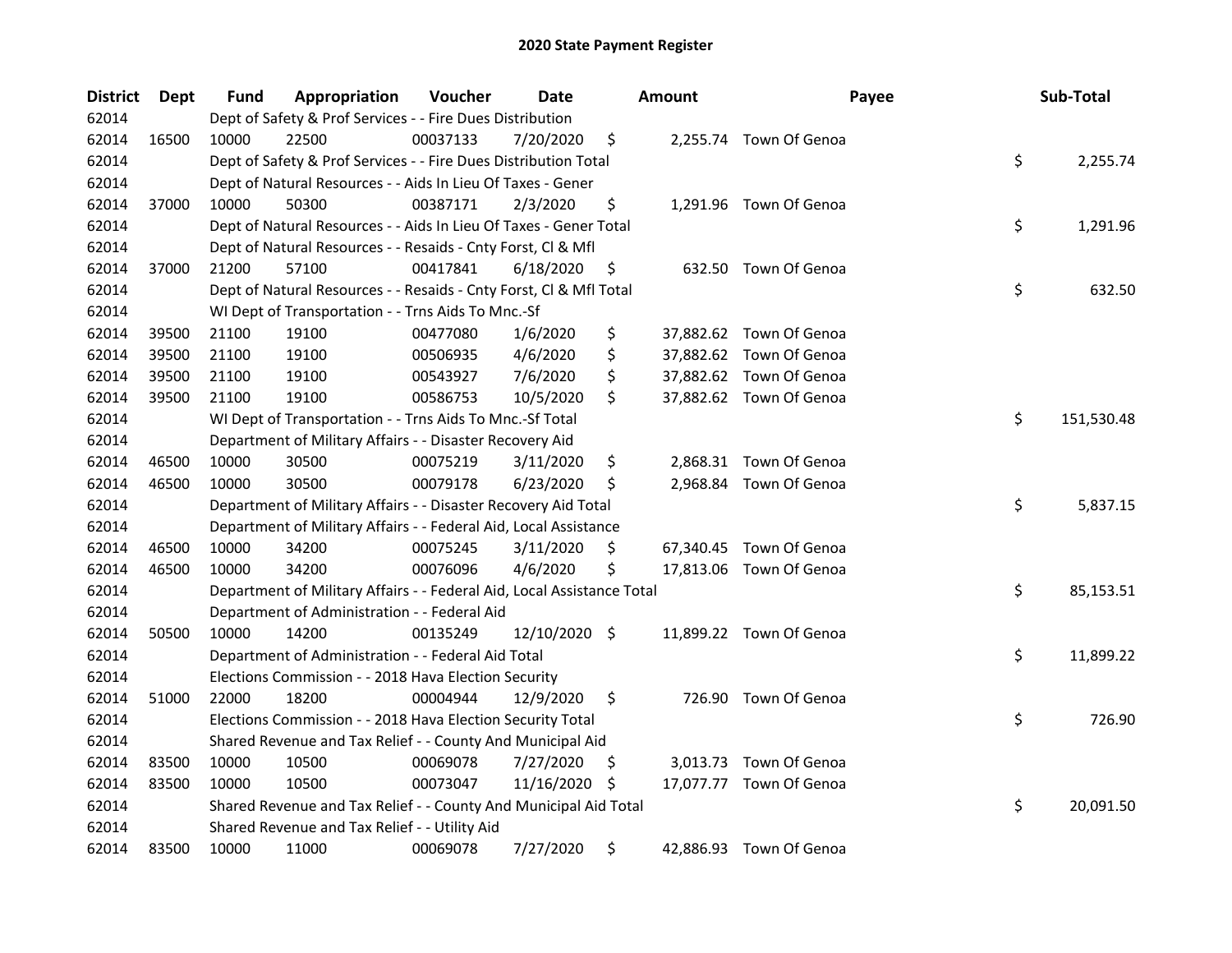| <b>District</b> | Dept  | Fund  | Appropriation                                                          | Voucher  | Date          |     | <b>Amount</b> | Payee                   | Sub-Total        |
|-----------------|-------|-------|------------------------------------------------------------------------|----------|---------------|-----|---------------|-------------------------|------------------|
| 62014           |       |       | Dept of Safety & Prof Services - - Fire Dues Distribution              |          |               |     |               |                         |                  |
| 62014           | 16500 | 10000 | 22500                                                                  | 00037133 | 7/20/2020     | \$  |               | 2,255.74 Town Of Genoa  |                  |
| 62014           |       |       | Dept of Safety & Prof Services - - Fire Dues Distribution Total        |          |               |     |               |                         | \$<br>2,255.74   |
| 62014           |       |       | Dept of Natural Resources - - Aids In Lieu Of Taxes - Gener            |          |               |     |               |                         |                  |
| 62014           | 37000 | 10000 | 50300                                                                  | 00387171 | 2/3/2020      | \$  |               | 1,291.96 Town Of Genoa  |                  |
| 62014           |       |       | Dept of Natural Resources - - Aids In Lieu Of Taxes - Gener Total      |          |               |     |               |                         | \$<br>1,291.96   |
| 62014           |       |       | Dept of Natural Resources - - Resaids - Cnty Forst, Cl & Mfl           |          |               |     |               |                         |                  |
| 62014           | 37000 | 21200 | 57100                                                                  | 00417841 | 6/18/2020     | \$  |               | 632.50 Town Of Genoa    |                  |
| 62014           |       |       | Dept of Natural Resources - - Resaids - Cnty Forst, Cl & Mfl Total     |          |               |     |               |                         | \$<br>632.50     |
| 62014           |       |       | WI Dept of Transportation - - Trns Aids To Mnc.-Sf                     |          |               |     |               |                         |                  |
| 62014           | 39500 | 21100 | 19100                                                                  | 00477080 | 1/6/2020      | \$  |               | 37,882.62 Town Of Genoa |                  |
| 62014           | 39500 | 21100 | 19100                                                                  | 00506935 | 4/6/2020      | \$  |               | 37,882.62 Town Of Genoa |                  |
| 62014           | 39500 | 21100 | 19100                                                                  | 00543927 | 7/6/2020      | \$  |               | 37,882.62 Town Of Genoa |                  |
| 62014           | 39500 | 21100 | 19100                                                                  | 00586753 | 10/5/2020     | \$  |               | 37,882.62 Town Of Genoa |                  |
| 62014           |       |       | WI Dept of Transportation - - Trns Aids To Mnc.-Sf Total               |          |               |     |               |                         | \$<br>151,530.48 |
| 62014           |       |       | Department of Military Affairs - - Disaster Recovery Aid               |          |               |     |               |                         |                  |
| 62014           | 46500 | 10000 | 30500                                                                  | 00075219 | 3/11/2020     | \$  |               | 2,868.31 Town Of Genoa  |                  |
| 62014           | 46500 | 10000 | 30500                                                                  | 00079178 | 6/23/2020     | \$  | 2,968.84      | Town Of Genoa           |                  |
| 62014           |       |       | Department of Military Affairs - - Disaster Recovery Aid Total         |          |               |     |               |                         | \$<br>5,837.15   |
| 62014           |       |       | Department of Military Affairs - - Federal Aid, Local Assistance       |          |               |     |               |                         |                  |
| 62014           | 46500 | 10000 | 34200                                                                  | 00075245 | 3/11/2020     | \$  |               | 67,340.45 Town Of Genoa |                  |
| 62014           | 46500 | 10000 | 34200                                                                  | 00076096 | 4/6/2020      | \$  |               | 17,813.06 Town Of Genoa |                  |
| 62014           |       |       | Department of Military Affairs - - Federal Aid, Local Assistance Total |          |               |     |               |                         | \$<br>85,153.51  |
| 62014           |       |       | Department of Administration - - Federal Aid                           |          |               |     |               |                         |                  |
| 62014           | 50500 | 10000 | 14200                                                                  | 00135249 | 12/10/2020 \$ |     |               | 11,899.22 Town Of Genoa |                  |
| 62014           |       |       | Department of Administration - - Federal Aid Total                     |          |               |     |               |                         | \$<br>11,899.22  |
| 62014           |       |       | Elections Commission - - 2018 Hava Election Security                   |          |               |     |               |                         |                  |
| 62014           | 51000 | 22000 | 18200                                                                  | 00004944 | 12/9/2020     | \$  |               | 726.90 Town Of Genoa    |                  |
| 62014           |       |       | Elections Commission - - 2018 Hava Election Security Total             |          |               |     |               |                         | \$<br>726.90     |
| 62014           |       |       | Shared Revenue and Tax Relief - - County And Municipal Aid             |          |               |     |               |                         |                  |
| 62014           | 83500 | 10000 | 10500                                                                  | 00069078 | 7/27/2020     | \$, |               | 3,013.73 Town Of Genoa  |                  |
| 62014           | 83500 | 10000 | 10500                                                                  | 00073047 | 11/16/2020    | -\$ |               | 17,077.77 Town Of Genoa |                  |
| 62014           |       |       | Shared Revenue and Tax Relief - - County And Municipal Aid Total       |          |               |     |               |                         | \$<br>20,091.50  |
| 62014           |       |       | Shared Revenue and Tax Relief - - Utility Aid                          |          |               |     |               |                         |                  |
| 62014           | 83500 | 10000 | 11000                                                                  | 00069078 | 7/27/2020     | \$  |               | 42,886.93 Town Of Genoa |                  |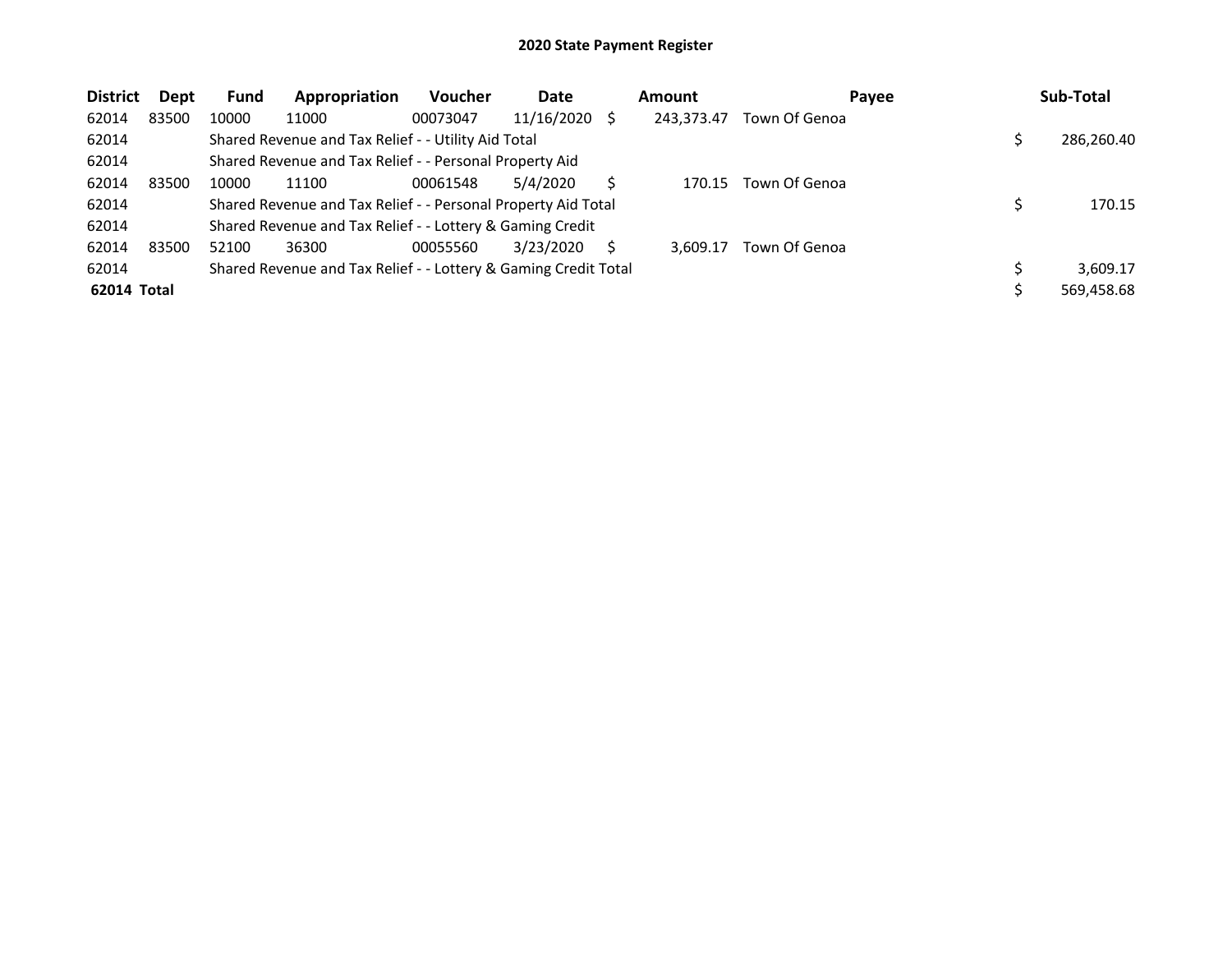| <b>District</b> | Dept  | <b>Fund</b> | Appropriation                                                   | <b>Voucher</b> | Date          | <b>Amount</b> | Payee         | Sub-Total  |
|-----------------|-------|-------------|-----------------------------------------------------------------|----------------|---------------|---------------|---------------|------------|
| 62014           | 83500 | 10000       | 11000                                                           | 00073047       | 11/16/2020 \$ | 243,373.47    | Town Of Genoa |            |
| 62014           |       |             | Shared Revenue and Tax Relief - - Utility Aid Total             |                |               |               |               | 286,260.40 |
| 62014           |       |             | Shared Revenue and Tax Relief - - Personal Property Aid         |                |               |               |               |            |
| 62014           | 83500 | 10000       | 11100                                                           | 00061548       | 5/4/2020      | 170.15        | Town Of Genoa |            |
| 62014           |       |             | Shared Revenue and Tax Relief - - Personal Property Aid Total   |                |               |               |               | 170.15     |
| 62014           |       |             | Shared Revenue and Tax Relief - - Lottery & Gaming Credit       |                |               |               |               |            |
| 62014           | 83500 | 52100       | 36300                                                           | 00055560       | 3/23/2020     | 3.609.17      | Town Of Genoa |            |
| 62014           |       |             | Shared Revenue and Tax Relief - - Lottery & Gaming Credit Total |                |               |               |               | 3.609.17   |
| 62014 Total     |       |             |                                                                 |                |               |               |               | 569,458.68 |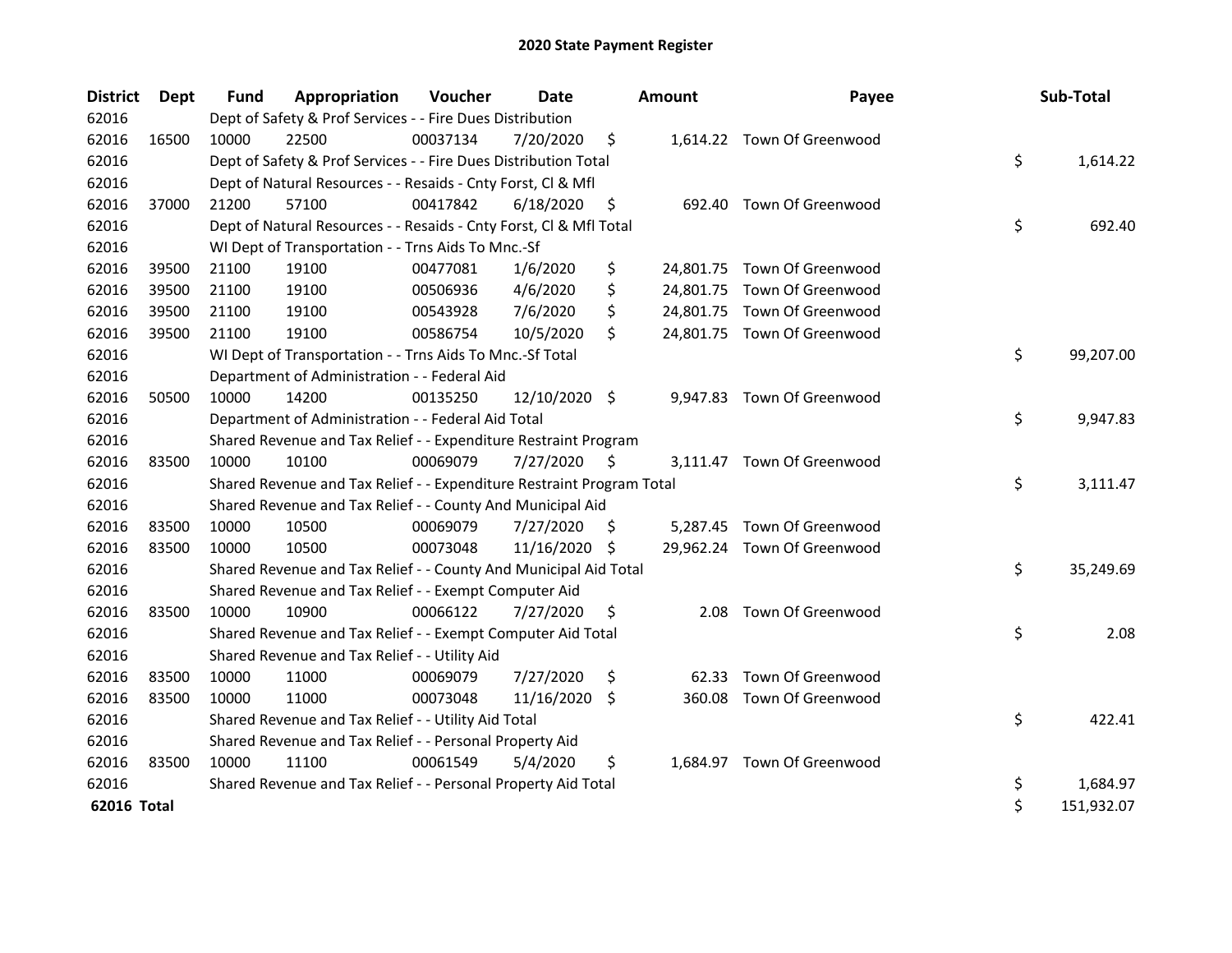| <b>District</b> | Dept  | <b>Fund</b> | Appropriation                                                         | Voucher  | Date          |    | <b>Amount</b> | Payee                       | Sub-Total        |
|-----------------|-------|-------------|-----------------------------------------------------------------------|----------|---------------|----|---------------|-----------------------------|------------------|
| 62016           |       |             | Dept of Safety & Prof Services - - Fire Dues Distribution             |          |               |    |               |                             |                  |
| 62016           | 16500 | 10000       | 22500                                                                 | 00037134 | 7/20/2020     | \$ |               | 1,614.22 Town Of Greenwood  |                  |
| 62016           |       |             | Dept of Safety & Prof Services - - Fire Dues Distribution Total       |          |               |    |               |                             | \$<br>1,614.22   |
| 62016           |       |             | Dept of Natural Resources - - Resaids - Cnty Forst, CI & Mfl          |          |               |    |               |                             |                  |
| 62016           | 37000 | 21200       | 57100                                                                 | 00417842 | 6/18/2020     | \$ | 692.40        | Town Of Greenwood           |                  |
| 62016           |       |             | Dept of Natural Resources - - Resaids - Cnty Forst, Cl & Mfl Total    |          |               |    |               |                             | \$<br>692.40     |
| 62016           |       |             | WI Dept of Transportation - - Trns Aids To Mnc.-Sf                    |          |               |    |               |                             |                  |
| 62016           | 39500 | 21100       | 19100                                                                 | 00477081 | 1/6/2020      | \$ |               | 24,801.75 Town Of Greenwood |                  |
| 62016           | 39500 | 21100       | 19100                                                                 | 00506936 | 4/6/2020      | \$ |               | 24,801.75 Town Of Greenwood |                  |
| 62016           | 39500 | 21100       | 19100                                                                 | 00543928 | 7/6/2020      | \$ |               | 24,801.75 Town Of Greenwood |                  |
| 62016           | 39500 | 21100       | 19100                                                                 | 00586754 | 10/5/2020     | Ŝ. |               | 24,801.75 Town Of Greenwood |                  |
| 62016           |       |             | WI Dept of Transportation - - Trns Aids To Mnc.-Sf Total              |          |               |    |               |                             | \$<br>99,207.00  |
| 62016           |       |             | Department of Administration - - Federal Aid                          |          |               |    |               |                             |                  |
| 62016           | 50500 | 10000       | 14200                                                                 | 00135250 | 12/10/2020 \$ |    |               | 9,947.83 Town Of Greenwood  |                  |
| 62016           |       |             | Department of Administration - - Federal Aid Total                    |          |               |    |               |                             | \$<br>9,947.83   |
| 62016           |       |             | Shared Revenue and Tax Relief - - Expenditure Restraint Program       |          |               |    |               |                             |                  |
| 62016           | 83500 | 10000       | 10100                                                                 | 00069079 | 7/27/2020     | \$ |               | 3,111.47 Town Of Greenwood  |                  |
| 62016           |       |             | Shared Revenue and Tax Relief - - Expenditure Restraint Program Total |          |               |    |               |                             | \$<br>3,111.47   |
| 62016           |       |             | Shared Revenue and Tax Relief - - County And Municipal Aid            |          |               |    |               |                             |                  |
| 62016           | 83500 | 10000       | 10500                                                                 | 00069079 | 7/27/2020     | S. |               | 5,287.45 Town Of Greenwood  |                  |
| 62016           | 83500 | 10000       | 10500                                                                 | 00073048 | 11/16/2020 \$ |    |               | 29,962.24 Town Of Greenwood |                  |
| 62016           |       |             | Shared Revenue and Tax Relief - - County And Municipal Aid Total      |          |               |    |               |                             | \$<br>35,249.69  |
| 62016           |       |             | Shared Revenue and Tax Relief - - Exempt Computer Aid                 |          |               |    |               |                             |                  |
| 62016           | 83500 | 10000       | 10900                                                                 | 00066122 | 7/27/2020     | \$ | 2.08          | Town Of Greenwood           |                  |
| 62016           |       |             | Shared Revenue and Tax Relief - - Exempt Computer Aid Total           |          |               |    |               |                             | \$<br>2.08       |
| 62016           |       |             | Shared Revenue and Tax Relief - - Utility Aid                         |          |               |    |               |                             |                  |
| 62016           | 83500 | 10000       | 11000                                                                 | 00069079 | 7/27/2020     | \$ | 62.33         | Town Of Greenwood           |                  |
| 62016           | 83500 | 10000       | 11000                                                                 | 00073048 | 11/16/2020 \$ |    | 360.08        | Town Of Greenwood           |                  |
| 62016           |       |             | Shared Revenue and Tax Relief - - Utility Aid Total                   |          |               |    |               |                             | \$<br>422.41     |
| 62016           |       |             | Shared Revenue and Tax Relief - - Personal Property Aid               |          |               |    |               |                             |                  |
| 62016           | 83500 | 10000       | 11100                                                                 | 00061549 | 5/4/2020      | \$ |               | 1,684.97 Town Of Greenwood  |                  |
| 62016           |       |             | Shared Revenue and Tax Relief - - Personal Property Aid Total         |          |               |    |               |                             | \$<br>1,684.97   |
| 62016 Total     |       |             |                                                                       |          |               |    |               |                             | \$<br>151,932.07 |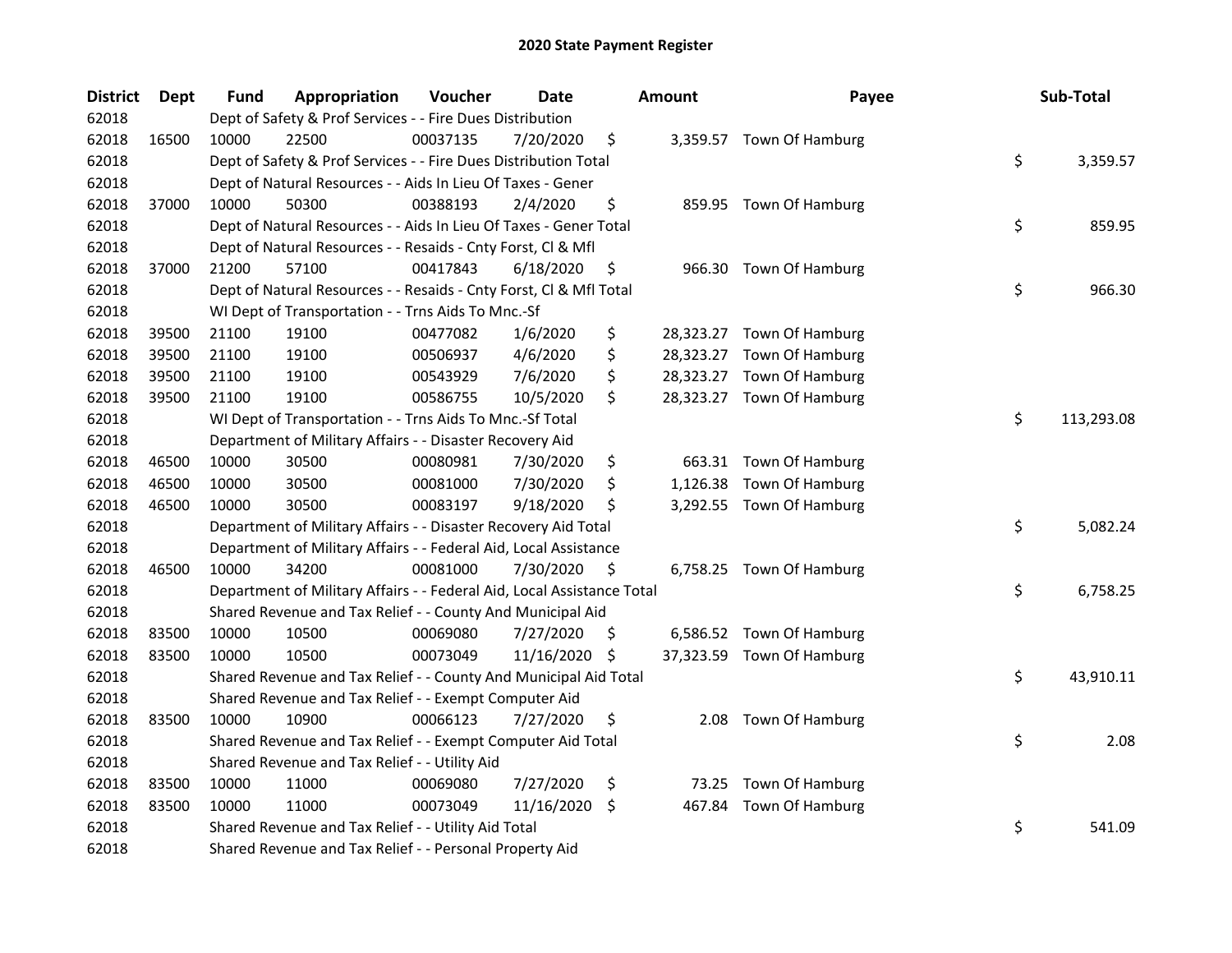| <b>District</b> | Dept  | Fund  | Appropriation                                                          | Voucher  | <b>Date</b> |     | <b>Amount</b> | Payee                     | Sub-Total        |
|-----------------|-------|-------|------------------------------------------------------------------------|----------|-------------|-----|---------------|---------------------------|------------------|
| 62018           |       |       | Dept of Safety & Prof Services - - Fire Dues Distribution              |          |             |     |               |                           |                  |
| 62018           | 16500 | 10000 | 22500                                                                  | 00037135 | 7/20/2020   | \$  |               | 3,359.57 Town Of Hamburg  |                  |
| 62018           |       |       | Dept of Safety & Prof Services - - Fire Dues Distribution Total        |          |             |     |               |                           | \$<br>3,359.57   |
| 62018           |       |       | Dept of Natural Resources - - Aids In Lieu Of Taxes - Gener            |          |             |     |               |                           |                  |
| 62018           | 37000 | 10000 | 50300                                                                  | 00388193 | 2/4/2020    | \$  |               | 859.95 Town Of Hamburg    |                  |
| 62018           |       |       | Dept of Natural Resources - - Aids In Lieu Of Taxes - Gener Total      |          |             |     |               |                           | \$<br>859.95     |
| 62018           |       |       | Dept of Natural Resources - - Resaids - Cnty Forst, Cl & Mfl           |          |             |     |               |                           |                  |
| 62018           | 37000 | 21200 | 57100                                                                  | 00417843 | 6/18/2020   | \$  |               | 966.30 Town Of Hamburg    |                  |
| 62018           |       |       | Dept of Natural Resources - - Resaids - Cnty Forst, Cl & Mfl Total     |          |             |     |               |                           | \$<br>966.30     |
| 62018           |       |       | WI Dept of Transportation - - Trns Aids To Mnc.-Sf                     |          |             |     |               |                           |                  |
| 62018           | 39500 | 21100 | 19100                                                                  | 00477082 | 1/6/2020    | \$  |               | 28,323.27 Town Of Hamburg |                  |
| 62018           | 39500 | 21100 | 19100                                                                  | 00506937 | 4/6/2020    | \$  | 28,323.27     | Town Of Hamburg           |                  |
| 62018           | 39500 | 21100 | 19100                                                                  | 00543929 | 7/6/2020    | \$  |               | 28,323.27 Town Of Hamburg |                  |
| 62018           | 39500 | 21100 | 19100                                                                  | 00586755 | 10/5/2020   | \$  |               | 28,323.27 Town Of Hamburg |                  |
| 62018           |       |       | WI Dept of Transportation - - Trns Aids To Mnc.-Sf Total               |          |             |     |               |                           | \$<br>113,293.08 |
| 62018           |       |       | Department of Military Affairs - - Disaster Recovery Aid               |          |             |     |               |                           |                  |
| 62018           | 46500 | 10000 | 30500                                                                  | 00080981 | 7/30/2020   | \$  | 663.31        | Town Of Hamburg           |                  |
| 62018           | 46500 | 10000 | 30500                                                                  | 00081000 | 7/30/2020   | \$  | 1,126.38      | Town Of Hamburg           |                  |
| 62018           | 46500 | 10000 | 30500                                                                  | 00083197 | 9/18/2020   | \$  |               | 3,292.55 Town Of Hamburg  |                  |
| 62018           |       |       | Department of Military Affairs - - Disaster Recovery Aid Total         |          |             |     |               |                           | \$<br>5,082.24   |
| 62018           |       |       | Department of Military Affairs - - Federal Aid, Local Assistance       |          |             |     |               |                           |                  |
| 62018           | 46500 | 10000 | 34200                                                                  | 00081000 | 7/30/2020   | \$  |               | 6,758.25 Town Of Hamburg  |                  |
| 62018           |       |       | Department of Military Affairs - - Federal Aid, Local Assistance Total |          |             |     |               |                           | \$<br>6,758.25   |
| 62018           |       |       | Shared Revenue and Tax Relief - - County And Municipal Aid             |          |             |     |               |                           |                  |
| 62018           | 83500 | 10000 | 10500                                                                  | 00069080 | 7/27/2020   | \$. |               | 6,586.52 Town Of Hamburg  |                  |
| 62018           | 83500 | 10000 | 10500                                                                  | 00073049 | 11/16/2020  | \$. |               | 37,323.59 Town Of Hamburg |                  |
| 62018           |       |       | Shared Revenue and Tax Relief - - County And Municipal Aid Total       |          |             |     |               |                           | \$<br>43,910.11  |
| 62018           |       |       | Shared Revenue and Tax Relief - - Exempt Computer Aid                  |          |             |     |               |                           |                  |
| 62018           | 83500 | 10000 | 10900                                                                  | 00066123 | 7/27/2020   | \$  |               | 2.08 Town Of Hamburg      |                  |
| 62018           |       |       | Shared Revenue and Tax Relief - - Exempt Computer Aid Total            |          |             |     |               |                           | \$<br>2.08       |
| 62018           |       |       | Shared Revenue and Tax Relief - - Utility Aid                          |          |             |     |               |                           |                  |
| 62018           | 83500 | 10000 | 11000                                                                  | 00069080 | 7/27/2020   | \$  | 73.25         | Town Of Hamburg           |                  |
| 62018           | 83500 | 10000 | 11000                                                                  | 00073049 | 11/16/2020  | \$. | 467.84        | Town Of Hamburg           |                  |
| 62018           |       |       | Shared Revenue and Tax Relief - - Utility Aid Total                    |          |             |     |               |                           | \$<br>541.09     |
| 62018           |       |       | Shared Revenue and Tax Relief - - Personal Property Aid                |          |             |     |               |                           |                  |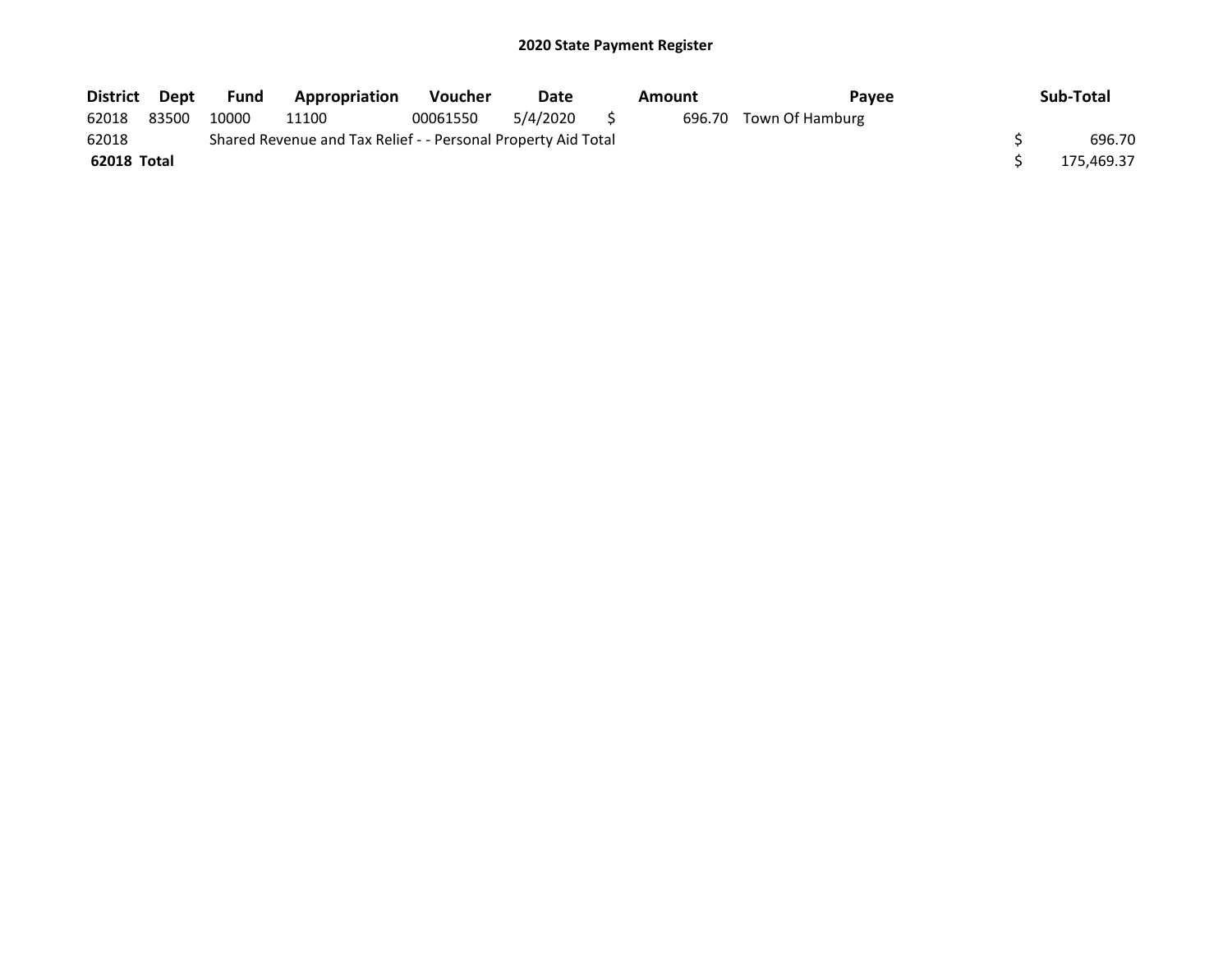| District Dept |       | Fund  | Appropriation                                                 | <b>Voucher</b> | Date        | Amount | <b>Pavee</b>           | Sub-Total  |
|---------------|-------|-------|---------------------------------------------------------------|----------------|-------------|--------|------------------------|------------|
| 62018         | 83500 | 10000 | 11100                                                         | 00061550       | 5/4/2020 \$ |        | 696.70 Town Of Hamburg |            |
| 62018         |       |       | Shared Revenue and Tax Relief - - Personal Property Aid Total |                |             |        |                        | 696.70     |
| 62018 Total   |       |       |                                                               |                |             |        |                        | 175,469.37 |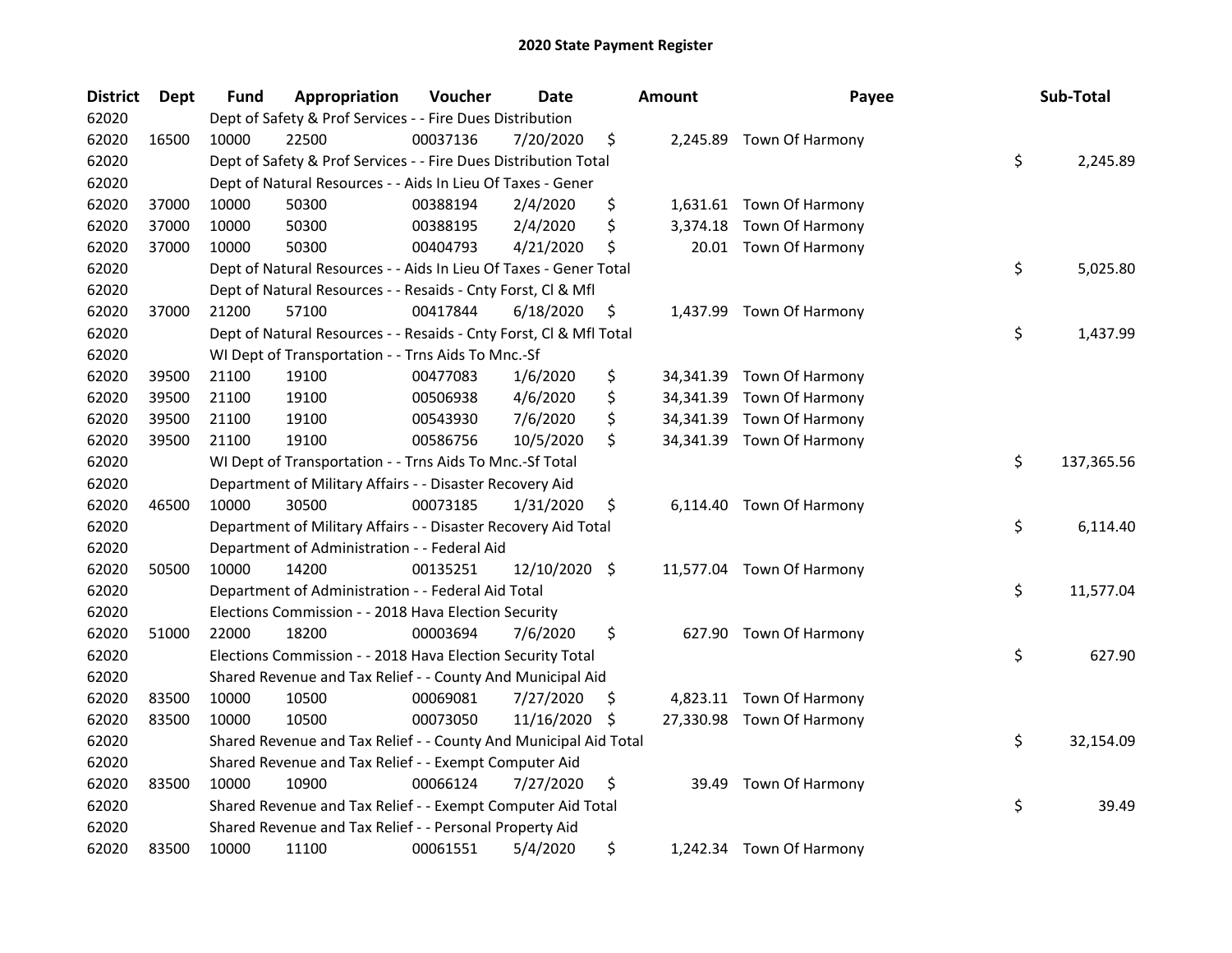| <b>District</b> | Dept  | Fund  | Appropriation                                                      | Voucher  | <b>Date</b>   |     | <b>Amount</b> | Payee                     | Sub-Total        |
|-----------------|-------|-------|--------------------------------------------------------------------|----------|---------------|-----|---------------|---------------------------|------------------|
| 62020           |       |       | Dept of Safety & Prof Services - - Fire Dues Distribution          |          |               |     |               |                           |                  |
| 62020           | 16500 | 10000 | 22500                                                              | 00037136 | 7/20/2020     | \$  |               | 2,245.89 Town Of Harmony  |                  |
| 62020           |       |       | Dept of Safety & Prof Services - - Fire Dues Distribution Total    |          |               |     |               |                           | \$<br>2,245.89   |
| 62020           |       |       | Dept of Natural Resources - - Aids In Lieu Of Taxes - Gener        |          |               |     |               |                           |                  |
| 62020           | 37000 | 10000 | 50300                                                              | 00388194 | 2/4/2020      | \$  |               | 1,631.61 Town Of Harmony  |                  |
| 62020           | 37000 | 10000 | 50300                                                              | 00388195 | 2/4/2020      | \$  | 3,374.18      | Town Of Harmony           |                  |
| 62020           | 37000 | 10000 | 50300                                                              | 00404793 | 4/21/2020     | \$  |               | 20.01 Town Of Harmony     |                  |
| 62020           |       |       | Dept of Natural Resources - - Aids In Lieu Of Taxes - Gener Total  |          |               |     |               |                           | \$<br>5,025.80   |
| 62020           |       |       | Dept of Natural Resources - - Resaids - Cnty Forst, Cl & Mfl       |          |               |     |               |                           |                  |
| 62020           | 37000 | 21200 | 57100                                                              | 00417844 | 6/18/2020     | \$  |               | 1,437.99 Town Of Harmony  |                  |
| 62020           |       |       | Dept of Natural Resources - - Resaids - Cnty Forst, Cl & Mfl Total |          |               |     |               |                           | \$<br>1,437.99   |
| 62020           |       |       | WI Dept of Transportation - - Trns Aids To Mnc.-Sf                 |          |               |     |               |                           |                  |
| 62020           | 39500 | 21100 | 19100                                                              | 00477083 | 1/6/2020      | \$  | 34,341.39     | Town Of Harmony           |                  |
| 62020           | 39500 | 21100 | 19100                                                              | 00506938 | 4/6/2020      | \$  |               | 34,341.39 Town Of Harmony |                  |
| 62020           | 39500 | 21100 | 19100                                                              | 00543930 | 7/6/2020      | \$  |               | 34,341.39 Town Of Harmony |                  |
| 62020           | 39500 | 21100 | 19100                                                              | 00586756 | 10/5/2020     | \$  |               | 34,341.39 Town Of Harmony |                  |
| 62020           |       |       | WI Dept of Transportation - - Trns Aids To Mnc.-Sf Total           |          |               |     |               |                           | \$<br>137,365.56 |
| 62020           |       |       | Department of Military Affairs - - Disaster Recovery Aid           |          |               |     |               |                           |                  |
| 62020           | 46500 | 10000 | 30500                                                              | 00073185 | 1/31/2020     | \$  |               | 6,114.40 Town Of Harmony  |                  |
| 62020           |       |       | Department of Military Affairs - - Disaster Recovery Aid Total     |          |               |     |               |                           | \$<br>6,114.40   |
| 62020           |       |       | Department of Administration - - Federal Aid                       |          |               |     |               |                           |                  |
| 62020           | 50500 | 10000 | 14200                                                              | 00135251 | 12/10/2020 \$ |     |               | 11,577.04 Town Of Harmony |                  |
| 62020           |       |       | Department of Administration - - Federal Aid Total                 |          |               |     |               |                           | \$<br>11,577.04  |
| 62020           |       |       | Elections Commission - - 2018 Hava Election Security               |          |               |     |               |                           |                  |
| 62020           | 51000 | 22000 | 18200                                                              | 00003694 | 7/6/2020      | \$  |               | 627.90 Town Of Harmony    |                  |
| 62020           |       |       | Elections Commission - - 2018 Hava Election Security Total         |          |               |     |               |                           | \$<br>627.90     |
| 62020           |       |       | Shared Revenue and Tax Relief - - County And Municipal Aid         |          |               |     |               |                           |                  |
| 62020           | 83500 | 10000 | 10500                                                              | 00069081 | 7/27/2020     | \$, |               | 4,823.11 Town Of Harmony  |                  |
| 62020           | 83500 | 10000 | 10500                                                              | 00073050 | 11/16/2020    | \$, |               | 27,330.98 Town Of Harmony |                  |
| 62020           |       |       | Shared Revenue and Tax Relief - - County And Municipal Aid Total   |          |               |     |               |                           | \$<br>32,154.09  |
| 62020           |       |       | Shared Revenue and Tax Relief - - Exempt Computer Aid              |          |               |     |               |                           |                  |
| 62020           | 83500 | 10000 | 10900                                                              | 00066124 | 7/27/2020     | \$  | 39.49         | Town Of Harmony           |                  |
| 62020           |       |       | Shared Revenue and Tax Relief - - Exempt Computer Aid Total        |          |               |     |               |                           | \$<br>39.49      |
| 62020           |       |       | Shared Revenue and Tax Relief - - Personal Property Aid            |          |               |     |               |                           |                  |
| 62020           | 83500 | 10000 | 11100                                                              | 00061551 | 5/4/2020      | \$  |               | 1,242.34 Town Of Harmony  |                  |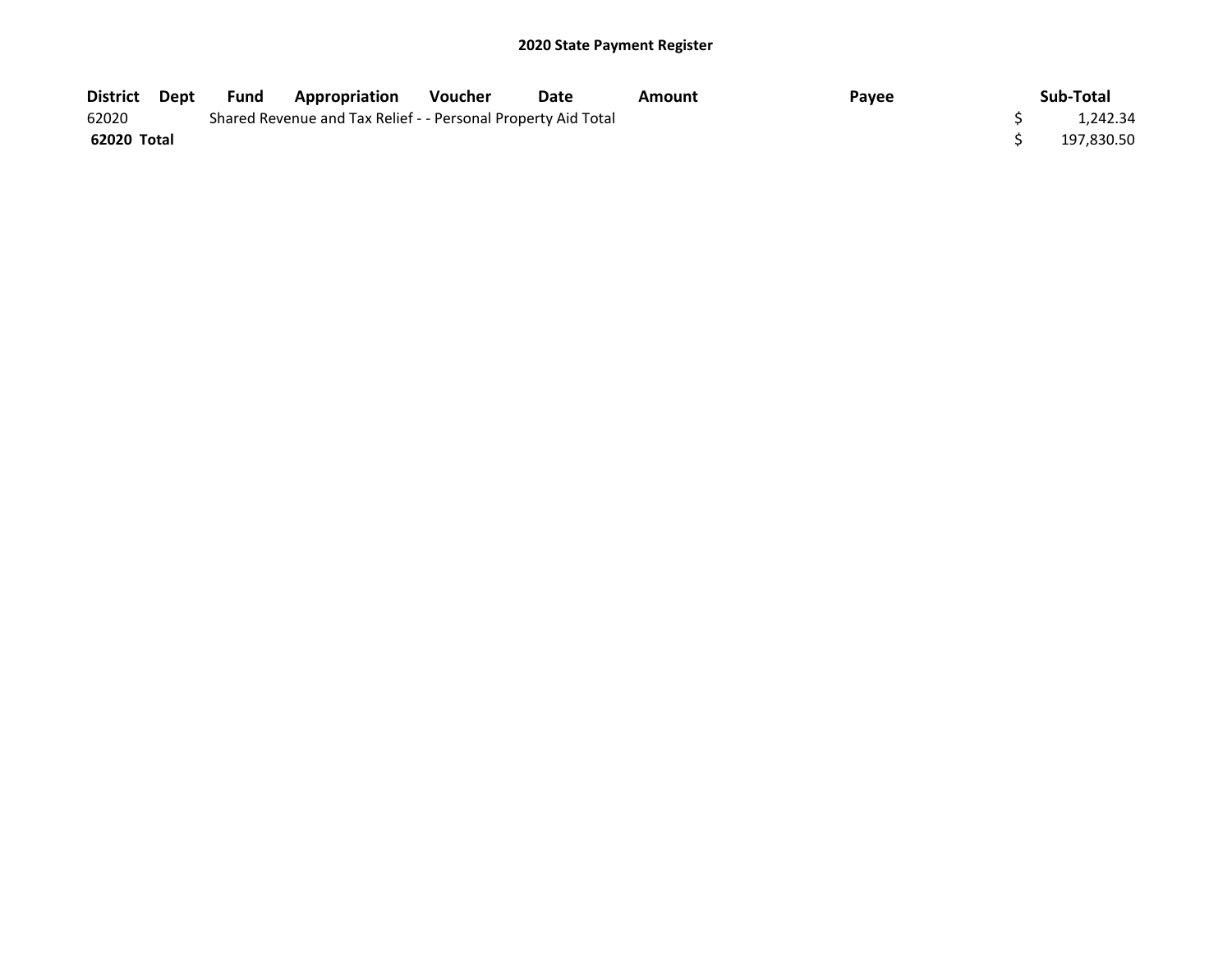| District Dept | Fund | Appropriation                                                 | <b>Voucher</b> | Date | Amount | Payee | Sub-Total  |
|---------------|------|---------------------------------------------------------------|----------------|------|--------|-------|------------|
| 62020         |      | Shared Revenue and Tax Relief - - Personal Property Aid Total |                |      |        |       | 1.242.34   |
| 62020 Total   |      |                                                               |                |      |        |       | 197,830.50 |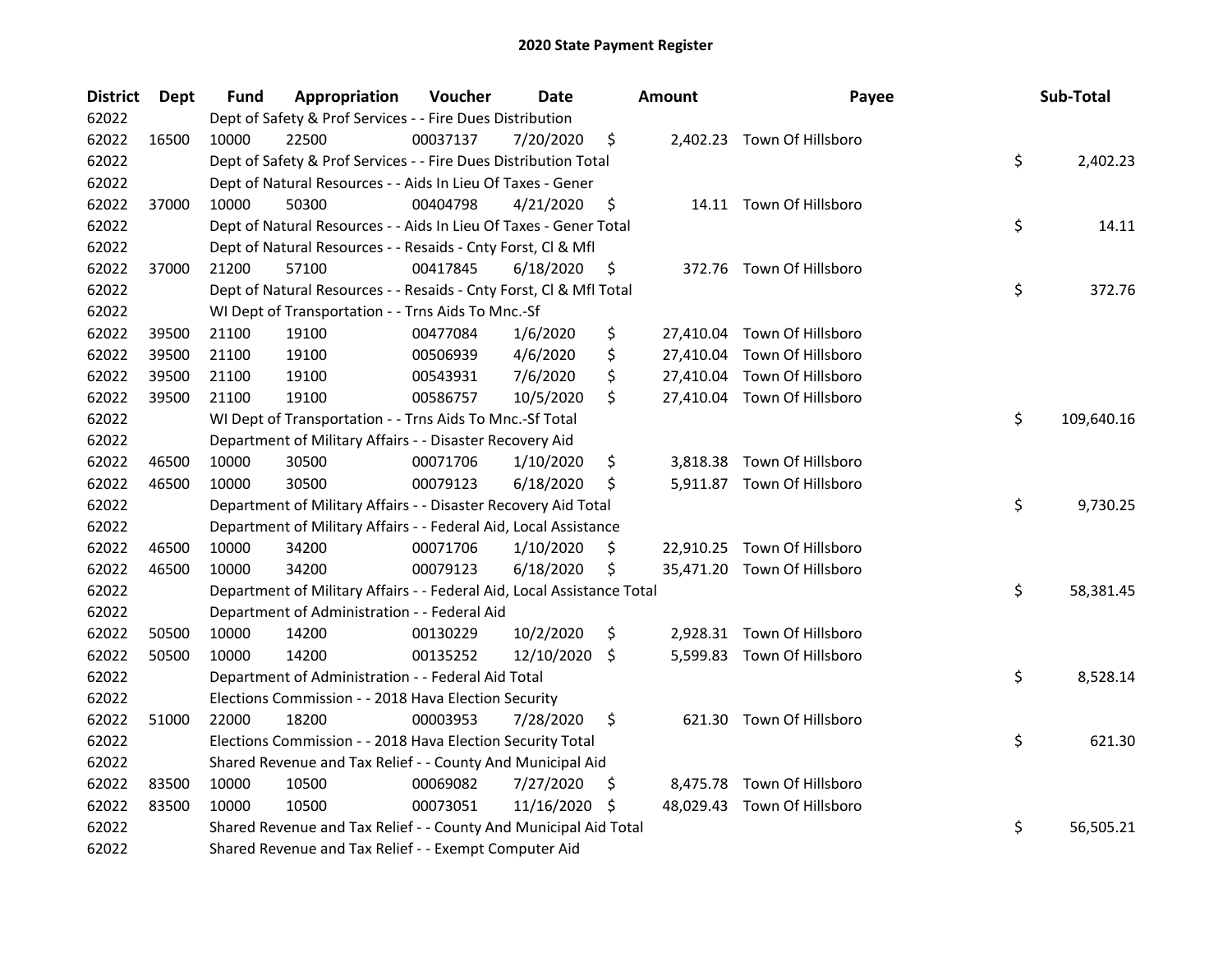| <b>District</b> | Dept  | Fund  | Appropriation                                                          | Voucher  | <b>Date</b> |    | <b>Amount</b> | Payee                       | Sub-Total        |
|-----------------|-------|-------|------------------------------------------------------------------------|----------|-------------|----|---------------|-----------------------------|------------------|
| 62022           |       |       | Dept of Safety & Prof Services - - Fire Dues Distribution              |          |             |    |               |                             |                  |
| 62022           | 16500 | 10000 | 22500                                                                  | 00037137 | 7/20/2020   | \$ |               | 2,402.23 Town Of Hillsboro  |                  |
| 62022           |       |       | Dept of Safety & Prof Services - - Fire Dues Distribution Total        |          |             |    |               |                             | \$<br>2,402.23   |
| 62022           |       |       | Dept of Natural Resources - - Aids In Lieu Of Taxes - Gener            |          |             |    |               |                             |                  |
| 62022           | 37000 | 10000 | 50300                                                                  | 00404798 | 4/21/2020   | \$ |               | 14.11 Town Of Hillsboro     |                  |
| 62022           |       |       | Dept of Natural Resources - - Aids In Lieu Of Taxes - Gener Total      |          |             |    |               |                             | \$<br>14.11      |
| 62022           |       |       | Dept of Natural Resources - - Resaids - Cnty Forst, Cl & Mfl           |          |             |    |               |                             |                  |
| 62022           | 37000 | 21200 | 57100                                                                  | 00417845 | 6/18/2020   | \$ |               | 372.76 Town Of Hillsboro    |                  |
| 62022           |       |       | Dept of Natural Resources - - Resaids - Cnty Forst, Cl & Mfl Total     |          |             |    |               |                             | \$<br>372.76     |
| 62022           |       |       | WI Dept of Transportation - - Trns Aids To Mnc.-Sf                     |          |             |    |               |                             |                  |
| 62022           | 39500 | 21100 | 19100                                                                  | 00477084 | 1/6/2020    | \$ |               | 27,410.04 Town Of Hillsboro |                  |
| 62022           | 39500 | 21100 | 19100                                                                  | 00506939 | 4/6/2020    | \$ |               | 27,410.04 Town Of Hillsboro |                  |
| 62022           | 39500 | 21100 | 19100                                                                  | 00543931 | 7/6/2020    | \$ |               | 27,410.04 Town Of Hillsboro |                  |
| 62022           | 39500 | 21100 | 19100                                                                  | 00586757 | 10/5/2020   | \$ |               | 27,410.04 Town Of Hillsboro |                  |
| 62022           |       |       | WI Dept of Transportation - - Trns Aids To Mnc.-Sf Total               |          |             |    |               |                             | \$<br>109,640.16 |
| 62022           |       |       | Department of Military Affairs - - Disaster Recovery Aid               |          |             |    |               |                             |                  |
| 62022           | 46500 | 10000 | 30500                                                                  | 00071706 | 1/10/2020   | \$ | 3,818.38      | Town Of Hillsboro           |                  |
| 62022           | 46500 | 10000 | 30500                                                                  | 00079123 | 6/18/2020   | \$ |               | 5,911.87 Town Of Hillsboro  |                  |
| 62022           |       |       | Department of Military Affairs - - Disaster Recovery Aid Total         |          |             |    |               |                             | \$<br>9,730.25   |
| 62022           |       |       | Department of Military Affairs - - Federal Aid, Local Assistance       |          |             |    |               |                             |                  |
| 62022           | 46500 | 10000 | 34200                                                                  | 00071706 | 1/10/2020   | \$ |               | 22,910.25 Town Of Hillsboro |                  |
| 62022           | 46500 | 10000 | 34200                                                                  | 00079123 | 6/18/2020   | \$ |               | 35,471.20 Town Of Hillsboro |                  |
| 62022           |       |       | Department of Military Affairs - - Federal Aid, Local Assistance Total |          |             |    |               |                             | \$<br>58,381.45  |
| 62022           |       |       | Department of Administration - - Federal Aid                           |          |             |    |               |                             |                  |
| 62022           | 50500 | 10000 | 14200                                                                  | 00130229 | 10/2/2020   | \$ |               | 2,928.31 Town Of Hillsboro  |                  |
| 62022           | 50500 | 10000 | 14200                                                                  | 00135252 | 12/10/2020  | \$ |               | 5,599.83 Town Of Hillsboro  |                  |
| 62022           |       |       | Department of Administration - - Federal Aid Total                     |          |             |    |               |                             | \$<br>8,528.14   |
| 62022           |       |       | Elections Commission - - 2018 Hava Election Security                   |          |             |    |               |                             |                  |
| 62022           | 51000 | 22000 | 18200                                                                  | 00003953 | 7/28/2020   | \$ |               | 621.30 Town Of Hillsboro    |                  |
| 62022           |       |       | Elections Commission - - 2018 Hava Election Security Total             |          |             |    |               |                             | \$<br>621.30     |
| 62022           |       |       | Shared Revenue and Tax Relief - - County And Municipal Aid             |          |             |    |               |                             |                  |
| 62022           | 83500 | 10000 | 10500                                                                  | 00069082 | 7/27/2020   | Ş  |               | 8,475.78 Town Of Hillsboro  |                  |
| 62022           | 83500 | 10000 | 10500                                                                  | 00073051 | 11/16/2020  | \$ |               | 48,029.43 Town Of Hillsboro |                  |
| 62022           |       |       | Shared Revenue and Tax Relief - - County And Municipal Aid Total       |          |             |    |               |                             | \$<br>56,505.21  |
| 62022           |       |       | Shared Revenue and Tax Relief - - Exempt Computer Aid                  |          |             |    |               |                             |                  |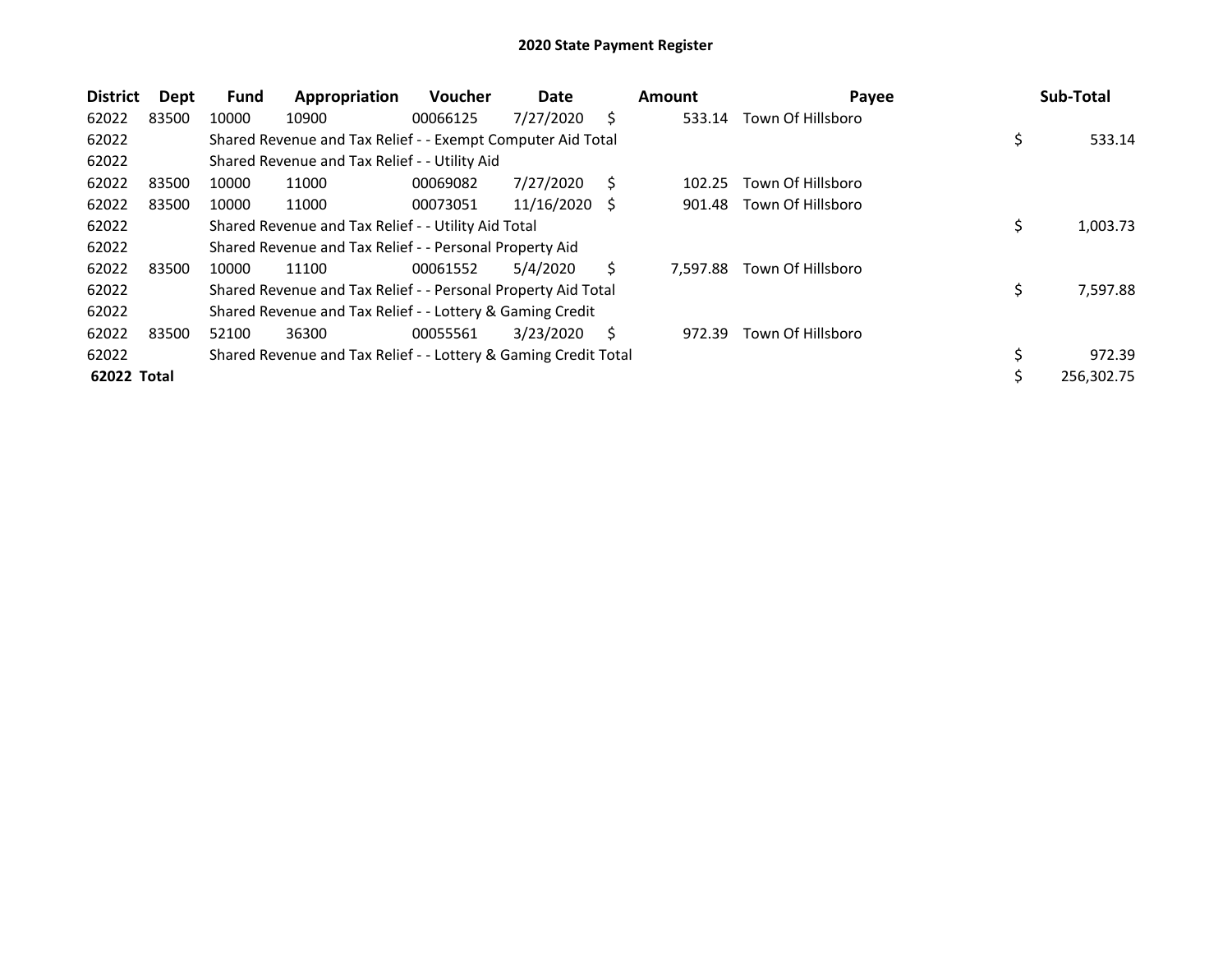| <b>District</b> | Dept  | Fund  | Appropriation                                                   | <b>Voucher</b> | Date       |    | <b>Amount</b> | Payee             |    | Sub-Total  |
|-----------------|-------|-------|-----------------------------------------------------------------|----------------|------------|----|---------------|-------------------|----|------------|
| 62022           | 83500 | 10000 | 10900                                                           | 00066125       | 7/27/2020  | Ś  | 533.14        | Town Of Hillsboro |    |            |
| 62022           |       |       | Shared Revenue and Tax Relief - - Exempt Computer Aid Total     |                |            |    |               |                   | \$ | 533.14     |
| 62022           |       |       | Shared Revenue and Tax Relief - - Utility Aid                   |                |            |    |               |                   |    |            |
| 62022           | 83500 | 10000 | 11000                                                           | 00069082       | 7/27/2020  | S  | 102.25        | Town Of Hillsboro |    |            |
| 62022           | 83500 | 10000 | 11000                                                           | 00073051       | 11/16/2020 | S  | 901.48        | Town Of Hillsboro |    |            |
| 62022           |       |       | Shared Revenue and Tax Relief - - Utility Aid Total             |                |            |    |               |                   | Ş  | 1,003.73   |
| 62022           |       |       | Shared Revenue and Tax Relief - - Personal Property Aid         |                |            |    |               |                   |    |            |
| 62022           | 83500 | 10000 | 11100                                                           | 00061552       | 5/4/2020   | Ś  | 7.597.88      | Town Of Hillsboro |    |            |
| 62022           |       |       | Shared Revenue and Tax Relief - - Personal Property Aid Total   |                |            |    |               |                   | \$ | 7,597.88   |
| 62022           |       |       | Shared Revenue and Tax Relief - - Lottery & Gaming Credit       |                |            |    |               |                   |    |            |
| 62022           | 83500 | 52100 | 36300                                                           | 00055561       | 3/23/2020  | S. | 972.39        | Town Of Hillsboro |    |            |
| 62022           |       |       | Shared Revenue and Tax Relief - - Lottery & Gaming Credit Total |                |            |    |               |                   | \$ | 972.39     |
| 62022 Total     |       |       |                                                                 |                |            |    |               |                   |    | 256,302.75 |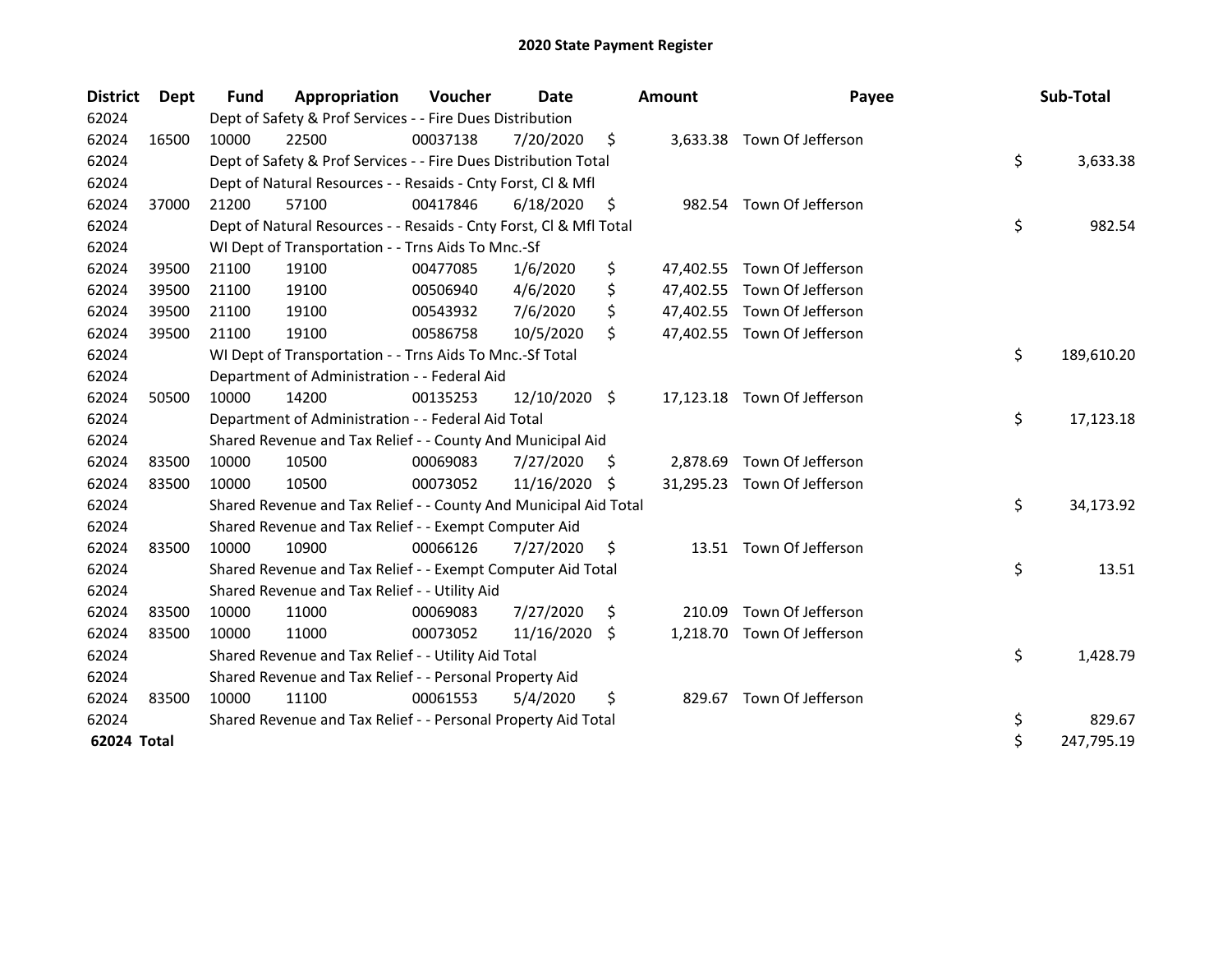| <b>District</b> | Dept  | <b>Fund</b> | Appropriation                                                      | Voucher  | Date          |    | <b>Amount</b> | Payee                       | Sub-Total        |
|-----------------|-------|-------------|--------------------------------------------------------------------|----------|---------------|----|---------------|-----------------------------|------------------|
| 62024           |       |             | Dept of Safety & Prof Services - - Fire Dues Distribution          |          |               |    |               |                             |                  |
| 62024           | 16500 | 10000       | 22500                                                              | 00037138 | 7/20/2020     | \$ |               | 3,633.38 Town Of Jefferson  |                  |
| 62024           |       |             | Dept of Safety & Prof Services - - Fire Dues Distribution Total    |          |               |    |               |                             | \$<br>3,633.38   |
| 62024           |       |             | Dept of Natural Resources - - Resaids - Cnty Forst, Cl & Mfl       |          |               |    |               |                             |                  |
| 62024           | 37000 | 21200       | 57100                                                              | 00417846 | 6/18/2020     | \$ |               | 982.54 Town Of Jefferson    |                  |
| 62024           |       |             | Dept of Natural Resources - - Resaids - Cnty Forst, Cl & Mfl Total |          |               |    |               |                             | \$<br>982.54     |
| 62024           |       |             | WI Dept of Transportation - - Trns Aids To Mnc.-Sf                 |          |               |    |               |                             |                  |
| 62024           | 39500 | 21100       | 19100                                                              | 00477085 | 1/6/2020      | \$ |               | 47,402.55 Town Of Jefferson |                  |
| 62024           | 39500 | 21100       | 19100                                                              | 00506940 | 4/6/2020      | \$ |               | 47,402.55 Town Of Jefferson |                  |
| 62024           | 39500 | 21100       | 19100                                                              | 00543932 | 7/6/2020      | \$ |               | 47,402.55 Town Of Jefferson |                  |
| 62024           | 39500 | 21100       | 19100                                                              | 00586758 | 10/5/2020     | \$ |               | 47,402.55 Town Of Jefferson |                  |
| 62024           |       |             | WI Dept of Transportation - - Trns Aids To Mnc.-Sf Total           |          |               |    |               |                             | \$<br>189,610.20 |
| 62024           |       |             | Department of Administration - - Federal Aid                       |          |               |    |               |                             |                  |
| 62024           | 50500 | 10000       | 14200                                                              | 00135253 | 12/10/2020 \$ |    |               | 17,123.18 Town Of Jefferson |                  |
| 62024           |       |             | Department of Administration - - Federal Aid Total                 |          |               |    |               |                             | \$<br>17,123.18  |
| 62024           |       |             | Shared Revenue and Tax Relief - - County And Municipal Aid         |          |               |    |               |                             |                  |
| 62024           | 83500 | 10000       | 10500                                                              | 00069083 | 7/27/2020     | S  | 2,878.69      | Town Of Jefferson           |                  |
| 62024           | 83500 | 10000       | 10500                                                              | 00073052 | 11/16/2020    | S  |               | 31,295.23 Town Of Jefferson |                  |
| 62024           |       |             | Shared Revenue and Tax Relief - - County And Municipal Aid Total   |          |               |    |               |                             | \$<br>34,173.92  |
| 62024           |       |             | Shared Revenue and Tax Relief - - Exempt Computer Aid              |          |               |    |               |                             |                  |
| 62024           | 83500 | 10000       | 10900                                                              | 00066126 | 7/27/2020     | \$ |               | 13.51 Town Of Jefferson     |                  |
| 62024           |       |             | Shared Revenue and Tax Relief - - Exempt Computer Aid Total        |          |               |    |               |                             | \$<br>13.51      |
| 62024           |       |             | Shared Revenue and Tax Relief - - Utility Aid                      |          |               |    |               |                             |                  |
| 62024           | 83500 | 10000       | 11000                                                              | 00069083 | 7/27/2020     | \$ | 210.09        | Town Of Jefferson           |                  |
| 62024           | 83500 | 10000       | 11000                                                              | 00073052 | 11/16/2020    | S. | 1,218.70      | Town Of Jefferson           |                  |
| 62024           |       |             | Shared Revenue and Tax Relief - - Utility Aid Total                |          |               |    |               |                             | \$<br>1,428.79   |
| 62024           |       |             | Shared Revenue and Tax Relief - - Personal Property Aid            |          |               |    |               |                             |                  |
| 62024           | 83500 | 10000       | 11100                                                              | 00061553 | 5/4/2020      | \$ | 829.67        | Town Of Jefferson           |                  |
| 62024           |       |             | Shared Revenue and Tax Relief - - Personal Property Aid Total      |          |               |    |               |                             | \$<br>829.67     |
| 62024 Total     |       |             |                                                                    |          |               |    |               |                             | \$<br>247,795.19 |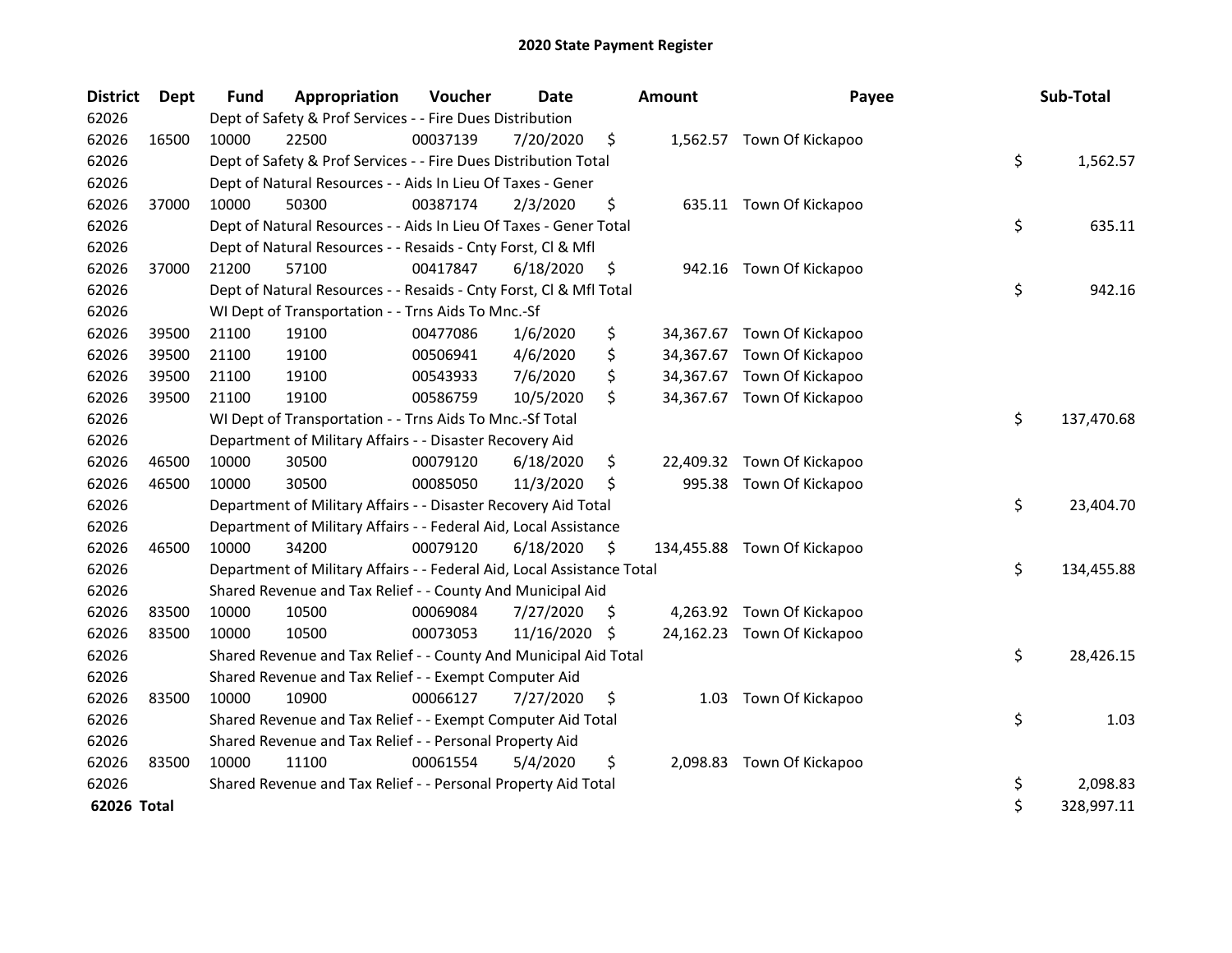| <b>District</b> | <b>Dept</b> | <b>Fund</b> | Appropriation                                                          | Voucher  | <b>Date</b> |     | <b>Amount</b> | Payee                       | Sub-Total        |
|-----------------|-------------|-------------|------------------------------------------------------------------------|----------|-------------|-----|---------------|-----------------------------|------------------|
| 62026           |             |             | Dept of Safety & Prof Services - - Fire Dues Distribution              |          |             |     |               |                             |                  |
| 62026           | 16500       | 10000       | 22500                                                                  | 00037139 | 7/20/2020   | \$  |               | 1,562.57 Town Of Kickapoo   |                  |
| 62026           |             |             | Dept of Safety & Prof Services - - Fire Dues Distribution Total        |          |             |     |               |                             | \$<br>1,562.57   |
| 62026           |             |             | Dept of Natural Resources - - Aids In Lieu Of Taxes - Gener            |          |             |     |               |                             |                  |
| 62026           | 37000       | 10000       | 50300                                                                  | 00387174 | 2/3/2020    | \$  |               | 635.11 Town Of Kickapoo     |                  |
| 62026           |             |             | Dept of Natural Resources - - Aids In Lieu Of Taxes - Gener Total      |          |             |     |               |                             | \$<br>635.11     |
| 62026           |             |             | Dept of Natural Resources - - Resaids - Cnty Forst, Cl & Mfl           |          |             |     |               |                             |                  |
| 62026           | 37000       | 21200       | 57100                                                                  | 00417847 | 6/18/2020   | \$  |               | 942.16 Town Of Kickapoo     |                  |
| 62026           |             |             | Dept of Natural Resources - - Resaids - Cnty Forst, Cl & Mfl Total     |          |             |     |               |                             | \$<br>942.16     |
| 62026           |             |             | WI Dept of Transportation - - Trns Aids To Mnc.-Sf                     |          |             |     |               |                             |                  |
| 62026           | 39500       | 21100       | 19100                                                                  | 00477086 | 1/6/2020    | \$  |               | 34,367.67 Town Of Kickapoo  |                  |
| 62026           | 39500       | 21100       | 19100                                                                  | 00506941 | 4/6/2020    | \$  |               | 34,367.67 Town Of Kickapoo  |                  |
| 62026           | 39500       | 21100       | 19100                                                                  | 00543933 | 7/6/2020    | \$  |               | 34,367.67 Town Of Kickapoo  |                  |
| 62026           | 39500       | 21100       | 19100                                                                  | 00586759 | 10/5/2020   | \$  |               | 34,367.67 Town Of Kickapoo  |                  |
| 62026           |             |             | WI Dept of Transportation - - Trns Aids To Mnc.-Sf Total               |          |             |     |               |                             | \$<br>137,470.68 |
| 62026           |             |             | Department of Military Affairs - - Disaster Recovery Aid               |          |             |     |               |                             |                  |
| 62026           | 46500       | 10000       | 30500                                                                  | 00079120 | 6/18/2020   | \$  |               | 22,409.32 Town Of Kickapoo  |                  |
| 62026           | 46500       | 10000       | 30500                                                                  | 00085050 | 11/3/2020   | \$  |               | 995.38 Town Of Kickapoo     |                  |
| 62026           |             |             | Department of Military Affairs - - Disaster Recovery Aid Total         |          |             |     |               |                             | \$<br>23,404.70  |
| 62026           |             |             | Department of Military Affairs - - Federal Aid, Local Assistance       |          |             |     |               |                             |                  |
| 62026           | 46500       | 10000       | 34200                                                                  | 00079120 | 6/18/2020   | \$  |               | 134,455.88 Town Of Kickapoo |                  |
| 62026           |             |             | Department of Military Affairs - - Federal Aid, Local Assistance Total |          |             |     |               |                             | \$<br>134,455.88 |
| 62026           |             |             | Shared Revenue and Tax Relief - - County And Municipal Aid             |          |             |     |               |                             |                  |
| 62026           | 83500       | 10000       | 10500                                                                  | 00069084 | 7/27/2020   | \$. |               | 4,263.92 Town Of Kickapoo   |                  |
| 62026           | 83500       | 10000       | 10500                                                                  | 00073053 | 11/16/2020  | \$  |               | 24,162.23 Town Of Kickapoo  |                  |
| 62026           |             |             | Shared Revenue and Tax Relief - - County And Municipal Aid Total       |          |             |     |               |                             | \$<br>28,426.15  |
| 62026           |             |             | Shared Revenue and Tax Relief - - Exempt Computer Aid                  |          |             |     |               |                             |                  |
| 62026           | 83500       | 10000       | 10900                                                                  | 00066127 | 7/27/2020   | \$  | 1.03          | Town Of Kickapoo            |                  |
| 62026           |             |             | Shared Revenue and Tax Relief - - Exempt Computer Aid Total            |          |             |     |               |                             | \$<br>1.03       |
| 62026           |             |             | Shared Revenue and Tax Relief - - Personal Property Aid                |          |             |     |               |                             |                  |
| 62026           | 83500       | 10000       | 11100                                                                  | 00061554 | 5/4/2020    | \$  |               | 2,098.83 Town Of Kickapoo   |                  |
| 62026           |             |             | Shared Revenue and Tax Relief - - Personal Property Aid Total          |          |             |     |               |                             | \$<br>2,098.83   |
| 62026 Total     |             |             |                                                                        |          |             |     |               |                             | \$<br>328,997.11 |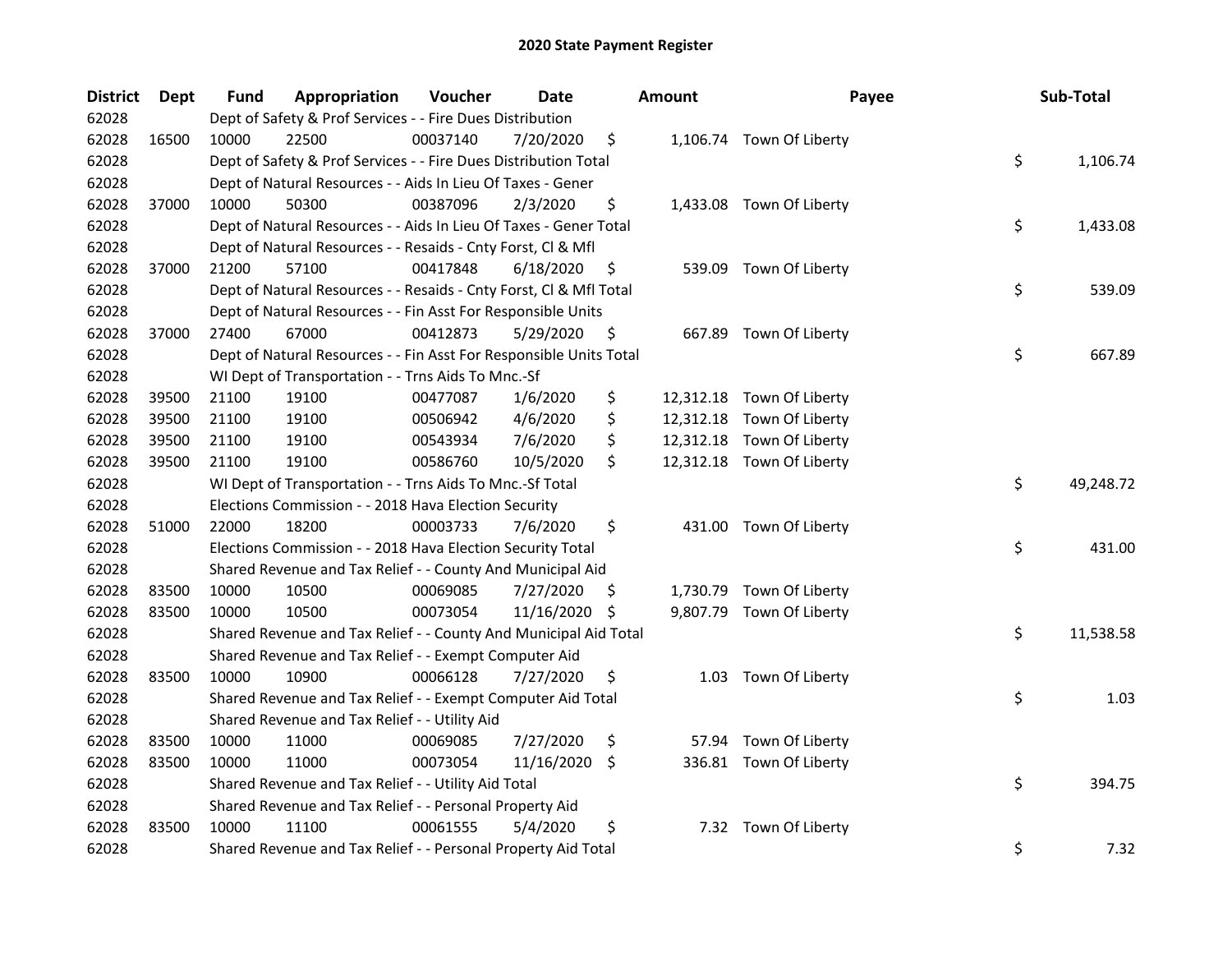| <b>District</b> | Dept  | Fund  | Appropriation                                                      | Voucher  | <b>Date</b> |     | <b>Amount</b> | Payee                     | Sub-Total       |
|-----------------|-------|-------|--------------------------------------------------------------------|----------|-------------|-----|---------------|---------------------------|-----------------|
| 62028           |       |       | Dept of Safety & Prof Services - - Fire Dues Distribution          |          |             |     |               |                           |                 |
| 62028           | 16500 | 10000 | 22500                                                              | 00037140 | 7/20/2020   | \$  |               | 1,106.74 Town Of Liberty  |                 |
| 62028           |       |       | Dept of Safety & Prof Services - - Fire Dues Distribution Total    |          |             |     |               |                           | \$<br>1,106.74  |
| 62028           |       |       | Dept of Natural Resources - - Aids In Lieu Of Taxes - Gener        |          |             |     |               |                           |                 |
| 62028           | 37000 | 10000 | 50300                                                              | 00387096 | 2/3/2020    | \$  |               | 1,433.08 Town Of Liberty  |                 |
| 62028           |       |       | Dept of Natural Resources - - Aids In Lieu Of Taxes - Gener Total  |          |             |     |               |                           | \$<br>1,433.08  |
| 62028           |       |       | Dept of Natural Resources - - Resaids - Cnty Forst, Cl & Mfl       |          |             |     |               |                           |                 |
| 62028           | 37000 | 21200 | 57100                                                              | 00417848 | 6/18/2020   | \$  |               | 539.09 Town Of Liberty    |                 |
| 62028           |       |       | Dept of Natural Resources - - Resaids - Cnty Forst, Cl & Mfl Total |          |             |     |               |                           | \$<br>539.09    |
| 62028           |       |       | Dept of Natural Resources - - Fin Asst For Responsible Units       |          |             |     |               |                           |                 |
| 62028           | 37000 | 27400 | 67000                                                              | 00412873 | 5/29/2020   | \$, |               | 667.89 Town Of Liberty    |                 |
| 62028           |       |       | Dept of Natural Resources - - Fin Asst For Responsible Units Total |          |             |     |               |                           | \$<br>667.89    |
| 62028           |       |       | WI Dept of Transportation - - Trns Aids To Mnc.-Sf                 |          |             |     |               |                           |                 |
| 62028           | 39500 | 21100 | 19100                                                              | 00477087 | 1/6/2020    | \$  |               | 12,312.18 Town Of Liberty |                 |
| 62028           | 39500 | 21100 | 19100                                                              | 00506942 | 4/6/2020    | \$  |               | 12,312.18 Town Of Liberty |                 |
| 62028           | 39500 | 21100 | 19100                                                              | 00543934 | 7/6/2020    | \$  |               | 12,312.18 Town Of Liberty |                 |
| 62028           | 39500 | 21100 | 19100                                                              | 00586760 | 10/5/2020   | \$  |               | 12,312.18 Town Of Liberty |                 |
| 62028           |       |       | WI Dept of Transportation - - Trns Aids To Mnc.-Sf Total           |          |             |     |               |                           | \$<br>49,248.72 |
| 62028           |       |       | Elections Commission - - 2018 Hava Election Security               |          |             |     |               |                           |                 |
| 62028           | 51000 | 22000 | 18200                                                              | 00003733 | 7/6/2020    | \$  |               | 431.00 Town Of Liberty    |                 |
| 62028           |       |       | Elections Commission - - 2018 Hava Election Security Total         |          |             |     |               |                           | \$<br>431.00    |
| 62028           |       |       | Shared Revenue and Tax Relief - - County And Municipal Aid         |          |             |     |               |                           |                 |
| 62028           | 83500 | 10000 | 10500                                                              | 00069085 | 7/27/2020   | \$. |               | 1,730.79 Town Of Liberty  |                 |
| 62028           | 83500 | 10000 | 10500                                                              | 00073054 | 11/16/2020  | -\$ |               | 9,807.79 Town Of Liberty  |                 |
| 62028           |       |       | Shared Revenue and Tax Relief - - County And Municipal Aid Total   |          |             |     |               |                           | \$<br>11,538.58 |
| 62028           |       |       | Shared Revenue and Tax Relief - - Exempt Computer Aid              |          |             |     |               |                           |                 |
| 62028           | 83500 | 10000 | 10900                                                              | 00066128 | 7/27/2020   | \$  |               | 1.03 Town Of Liberty      |                 |
| 62028           |       |       | Shared Revenue and Tax Relief - - Exempt Computer Aid Total        |          |             |     |               |                           | \$<br>1.03      |
| 62028           |       |       | Shared Revenue and Tax Relief - - Utility Aid                      |          |             |     |               |                           |                 |
| 62028           | 83500 | 10000 | 11000                                                              | 00069085 | 7/27/2020   | \$  |               | 57.94 Town Of Liberty     |                 |
| 62028           | 83500 | 10000 | 11000                                                              | 00073054 | 11/16/2020  | \$  |               | 336.81 Town Of Liberty    |                 |
| 62028           |       |       | Shared Revenue and Tax Relief - - Utility Aid Total                |          |             |     |               |                           | \$<br>394.75    |
| 62028           |       |       | Shared Revenue and Tax Relief - - Personal Property Aid            |          |             |     |               |                           |                 |
| 62028           | 83500 | 10000 | 11100                                                              | 00061555 | 5/4/2020    | \$  |               | 7.32 Town Of Liberty      |                 |
| 62028           |       |       | Shared Revenue and Tax Relief - - Personal Property Aid Total      |          |             |     |               |                           | \$<br>7.32      |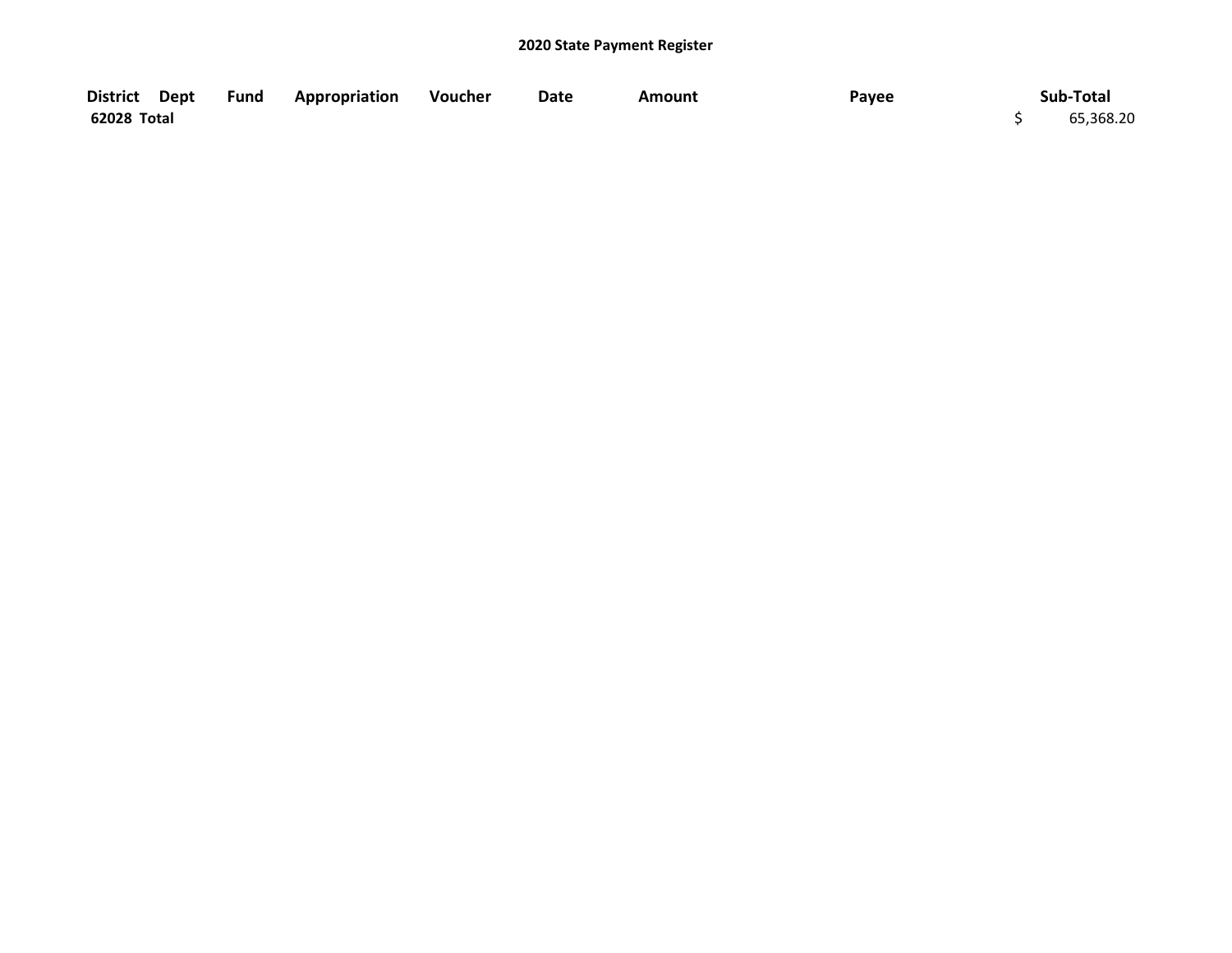| District Dept | <b>Fund Appropriation Voucher</b> | Date | Amount | Payee | Sub-Total |
|---------------|-----------------------------------|------|--------|-------|-----------|
| 62028 Total   |                                   |      |        |       | 65,368.20 |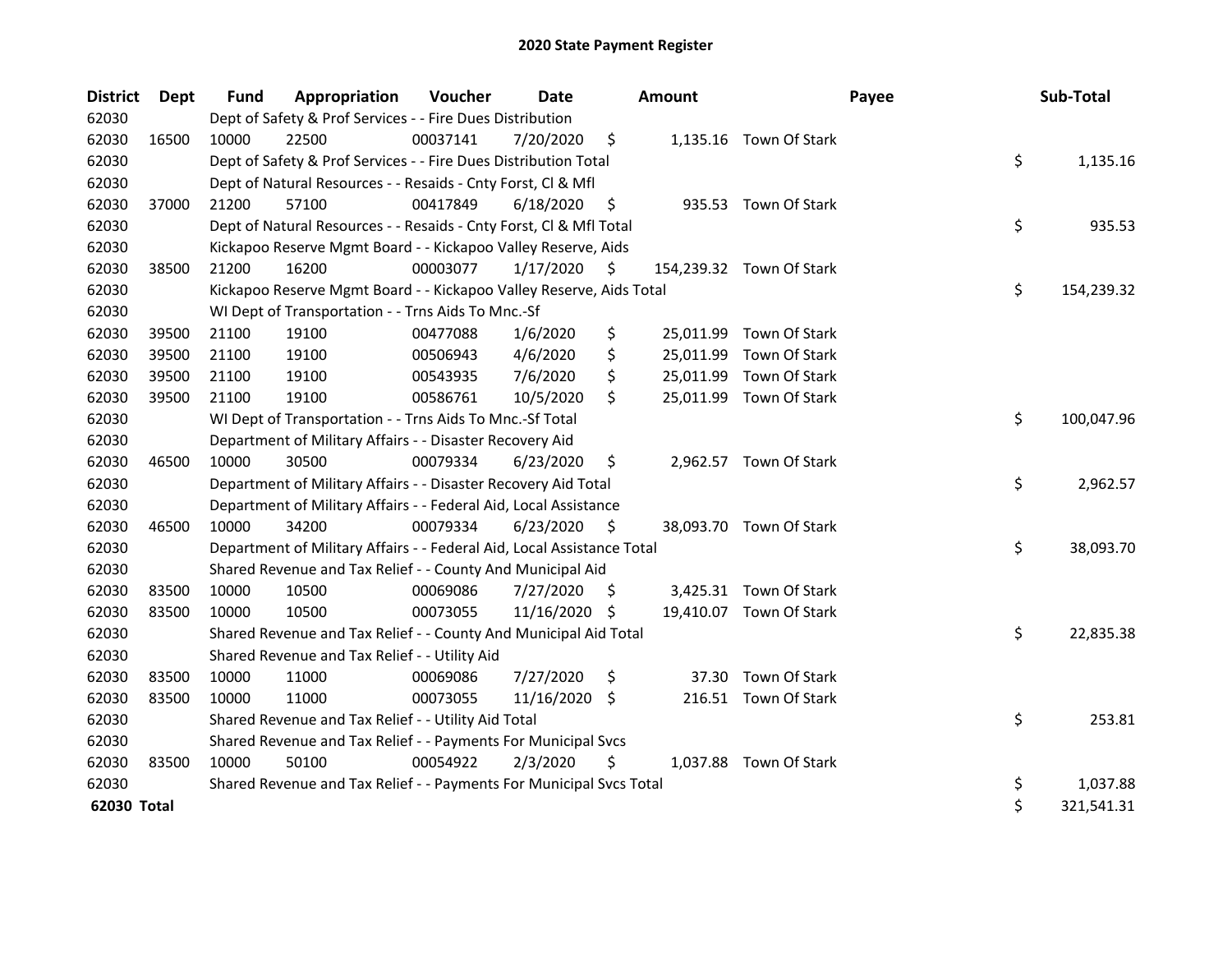| <b>District</b> | Dept  | <b>Fund</b> | Appropriation                                                          | Voucher  | <b>Date</b>   |     | <b>Amount</b> |                          | Payee | Sub-Total        |
|-----------------|-------|-------------|------------------------------------------------------------------------|----------|---------------|-----|---------------|--------------------------|-------|------------------|
| 62030           |       |             | Dept of Safety & Prof Services - - Fire Dues Distribution              |          |               |     |               |                          |       |                  |
| 62030           | 16500 | 10000       | 22500                                                                  | 00037141 | 7/20/2020     | \$  |               | 1,135.16 Town Of Stark   |       |                  |
| 62030           |       |             | Dept of Safety & Prof Services - - Fire Dues Distribution Total        |          |               |     |               |                          |       | \$<br>1,135.16   |
| 62030           |       |             | Dept of Natural Resources - - Resaids - Cnty Forst, Cl & Mfl           |          |               |     |               |                          |       |                  |
| 62030           | 37000 | 21200       | 57100                                                                  | 00417849 | 6/18/2020     | \$. |               | 935.53 Town Of Stark     |       |                  |
| 62030           |       |             | Dept of Natural Resources - - Resaids - Cnty Forst, Cl & Mfl Total     |          |               |     |               |                          |       | \$<br>935.53     |
| 62030           |       |             | Kickapoo Reserve Mgmt Board - - Kickapoo Valley Reserve, Aids          |          |               |     |               |                          |       |                  |
| 62030           | 38500 | 21200       | 16200                                                                  | 00003077 | 1/17/2020     | \$  |               | 154,239.32 Town Of Stark |       |                  |
| 62030           |       |             | Kickapoo Reserve Mgmt Board - - Kickapoo Valley Reserve, Aids Total    |          |               |     |               |                          |       | \$<br>154,239.32 |
| 62030           |       |             | WI Dept of Transportation - - Trns Aids To Mnc.-Sf                     |          |               |     |               |                          |       |                  |
| 62030           | 39500 | 21100       | 19100                                                                  | 00477088 | 1/6/2020      | \$  |               | 25,011.99 Town Of Stark  |       |                  |
| 62030           | 39500 | 21100       | 19100                                                                  | 00506943 | 4/6/2020      | \$  |               | 25,011.99 Town Of Stark  |       |                  |
| 62030           | 39500 | 21100       | 19100                                                                  | 00543935 | 7/6/2020      | \$  |               | 25,011.99 Town Of Stark  |       |                  |
| 62030           | 39500 | 21100       | 19100                                                                  | 00586761 | 10/5/2020     | \$  |               | 25,011.99 Town Of Stark  |       |                  |
| 62030           |       |             | WI Dept of Transportation - - Trns Aids To Mnc.-Sf Total               |          |               |     |               |                          |       | \$<br>100,047.96 |
| 62030           |       |             | Department of Military Affairs - - Disaster Recovery Aid               |          |               |     |               |                          |       |                  |
| 62030           | 46500 | 10000       | 30500                                                                  | 00079334 | 6/23/2020     | \$  |               | 2,962.57 Town Of Stark   |       |                  |
| 62030           |       |             | Department of Military Affairs - - Disaster Recovery Aid Total         |          |               |     |               |                          |       | \$<br>2,962.57   |
| 62030           |       |             | Department of Military Affairs - - Federal Aid, Local Assistance       |          |               |     |               |                          |       |                  |
| 62030           | 46500 | 10000       | 34200                                                                  | 00079334 | 6/23/2020     | -\$ |               | 38,093.70 Town Of Stark  |       |                  |
| 62030           |       |             | Department of Military Affairs - - Federal Aid, Local Assistance Total |          |               |     |               |                          |       | \$<br>38,093.70  |
| 62030           |       |             | Shared Revenue and Tax Relief - - County And Municipal Aid             |          |               |     |               |                          |       |                  |
| 62030           | 83500 | 10000       | 10500                                                                  | 00069086 | 7/27/2020     | \$. |               | 3,425.31 Town Of Stark   |       |                  |
| 62030           | 83500 | 10000       | 10500                                                                  | 00073055 | 11/16/2020 \$ |     |               | 19,410.07 Town Of Stark  |       |                  |
| 62030           |       |             | Shared Revenue and Tax Relief - - County And Municipal Aid Total       |          |               |     |               |                          |       | \$<br>22,835.38  |
| 62030           |       |             | Shared Revenue and Tax Relief - - Utility Aid                          |          |               |     |               |                          |       |                  |
| 62030           | 83500 | 10000       | 11000                                                                  | 00069086 | 7/27/2020     | \$  |               | 37.30 Town Of Stark      |       |                  |
| 62030           | 83500 | 10000       | 11000                                                                  | 00073055 | 11/16/2020 \$ |     |               | 216.51 Town Of Stark     |       |                  |
| 62030           |       |             | Shared Revenue and Tax Relief - - Utility Aid Total                    |          |               |     |               |                          |       | \$<br>253.81     |
| 62030           |       |             | Shared Revenue and Tax Relief - - Payments For Municipal Svcs          |          |               |     |               |                          |       |                  |
| 62030           | 83500 | 10000       | 50100                                                                  | 00054922 | 2/3/2020      | \$  |               | 1,037.88 Town Of Stark   |       |                  |
| 62030           |       |             | Shared Revenue and Tax Relief - - Payments For Municipal Svcs Total    |          |               |     |               |                          |       | \$<br>1,037.88   |
| 62030 Total     |       |             |                                                                        |          |               |     |               |                          |       | \$<br>321,541.31 |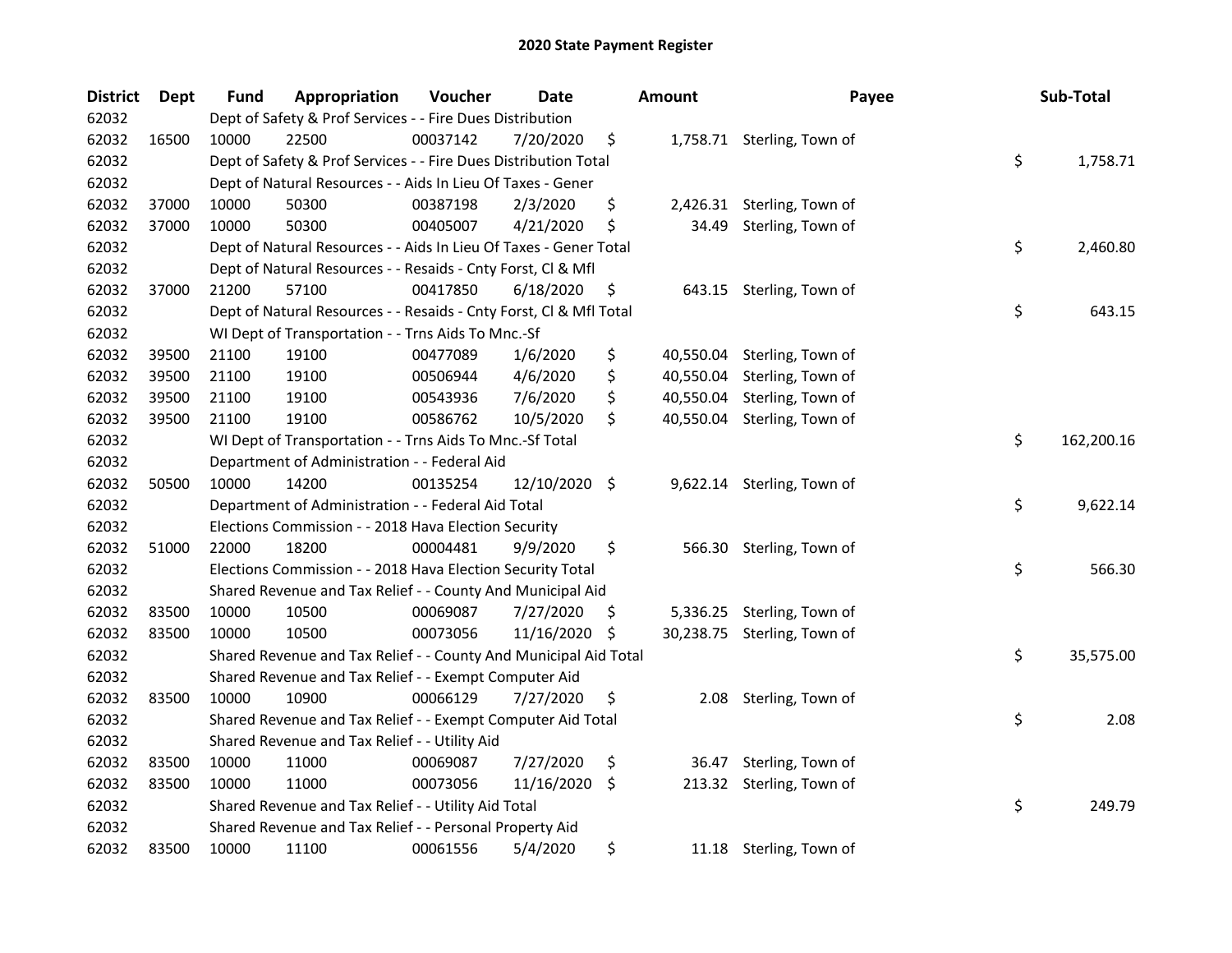| <b>District</b> | Dept  | <b>Fund</b> | Appropriation                                                      | Voucher  | Date       |      | <b>Amount</b> | Payee                       | Sub-Total        |
|-----------------|-------|-------------|--------------------------------------------------------------------|----------|------------|------|---------------|-----------------------------|------------------|
| 62032           |       |             | Dept of Safety & Prof Services - - Fire Dues Distribution          |          |            |      |               |                             |                  |
| 62032           | 16500 | 10000       | 22500                                                              | 00037142 | 7/20/2020  | \$   |               | 1,758.71 Sterling, Town of  |                  |
| 62032           |       |             | Dept of Safety & Prof Services - - Fire Dues Distribution Total    |          |            |      |               |                             | \$<br>1,758.71   |
| 62032           |       |             | Dept of Natural Resources - - Aids In Lieu Of Taxes - Gener        |          |            |      |               |                             |                  |
| 62032           | 37000 | 10000       | 50300                                                              | 00387198 | 2/3/2020   | \$   |               | 2,426.31 Sterling, Town of  |                  |
| 62032           | 37000 | 10000       | 50300                                                              | 00405007 | 4/21/2020  | \$   | 34.49         | Sterling, Town of           |                  |
| 62032           |       |             | Dept of Natural Resources - - Aids In Lieu Of Taxes - Gener Total  |          |            |      |               |                             | \$<br>2,460.80   |
| 62032           |       |             | Dept of Natural Resources - - Resaids - Cnty Forst, Cl & Mfl       |          |            |      |               |                             |                  |
| 62032           | 37000 | 21200       | 57100                                                              | 00417850 | 6/18/2020  | \$   |               | 643.15 Sterling, Town of    |                  |
| 62032           |       |             | Dept of Natural Resources - - Resaids - Cnty Forst, Cl & Mfl Total |          |            |      |               |                             | \$<br>643.15     |
| 62032           |       |             | WI Dept of Transportation - - Trns Aids To Mnc.-Sf                 |          |            |      |               |                             |                  |
| 62032           | 39500 | 21100       | 19100                                                              | 00477089 | 1/6/2020   | \$   | 40,550.04     | Sterling, Town of           |                  |
| 62032           | 39500 | 21100       | 19100                                                              | 00506944 | 4/6/2020   | \$   | 40,550.04     | Sterling, Town of           |                  |
| 62032           | 39500 | 21100       | 19100                                                              | 00543936 | 7/6/2020   | \$   | 40,550.04     | Sterling, Town of           |                  |
| 62032           | 39500 | 21100       | 19100                                                              | 00586762 | 10/5/2020  | \$   | 40,550.04     | Sterling, Town of           |                  |
| 62032           |       |             | WI Dept of Transportation - - Trns Aids To Mnc.-Sf Total           |          |            |      |               |                             | \$<br>162,200.16 |
| 62032           |       |             | Department of Administration - - Federal Aid                       |          |            |      |               |                             |                  |
| 62032           | 50500 | 10000       | 14200                                                              | 00135254 | 12/10/2020 | - \$ |               | 9,622.14 Sterling, Town of  |                  |
| 62032           |       |             | Department of Administration - - Federal Aid Total                 |          |            |      |               |                             | \$<br>9,622.14   |
| 62032           |       |             | Elections Commission - - 2018 Hava Election Security               |          |            |      |               |                             |                  |
| 62032           | 51000 | 22000       | 18200                                                              | 00004481 | 9/9/2020   | \$   |               | 566.30 Sterling, Town of    |                  |
| 62032           |       |             | Elections Commission - - 2018 Hava Election Security Total         |          |            |      |               |                             | \$<br>566.30     |
| 62032           |       |             | Shared Revenue and Tax Relief - - County And Municipal Aid         |          |            |      |               |                             |                  |
| 62032           | 83500 | 10000       | 10500                                                              | 00069087 | 7/27/2020  | \$.  |               | 5,336.25 Sterling, Town of  |                  |
| 62032           | 83500 | 10000       | 10500                                                              | 00073056 | 11/16/2020 | \$   |               | 30,238.75 Sterling, Town of |                  |
| 62032           |       |             | Shared Revenue and Tax Relief - - County And Municipal Aid Total   |          |            |      |               |                             | \$<br>35,575.00  |
| 62032           |       |             | Shared Revenue and Tax Relief - - Exempt Computer Aid              |          |            |      |               |                             |                  |
| 62032           | 83500 | 10000       | 10900                                                              | 00066129 | 7/27/2020  | \$   |               | 2.08 Sterling, Town of      |                  |
| 62032           |       |             | Shared Revenue and Tax Relief - - Exempt Computer Aid Total        |          |            |      |               |                             | \$<br>2.08       |
| 62032           |       |             | Shared Revenue and Tax Relief - - Utility Aid                      |          |            |      |               |                             |                  |
| 62032           | 83500 | 10000       | 11000                                                              | 00069087 | 7/27/2020  | \$   | 36.47         | Sterling, Town of           |                  |
| 62032           | 83500 | 10000       | 11000                                                              | 00073056 | 11/16/2020 | \$   | 213.32        | Sterling, Town of           |                  |
| 62032           |       |             | Shared Revenue and Tax Relief - - Utility Aid Total                |          |            |      |               |                             | \$<br>249.79     |
| 62032           |       |             | Shared Revenue and Tax Relief - - Personal Property Aid            |          |            |      |               |                             |                  |
| 62032           | 83500 | 10000       | 11100                                                              | 00061556 | 5/4/2020   | \$   |               | 11.18 Sterling, Town of     |                  |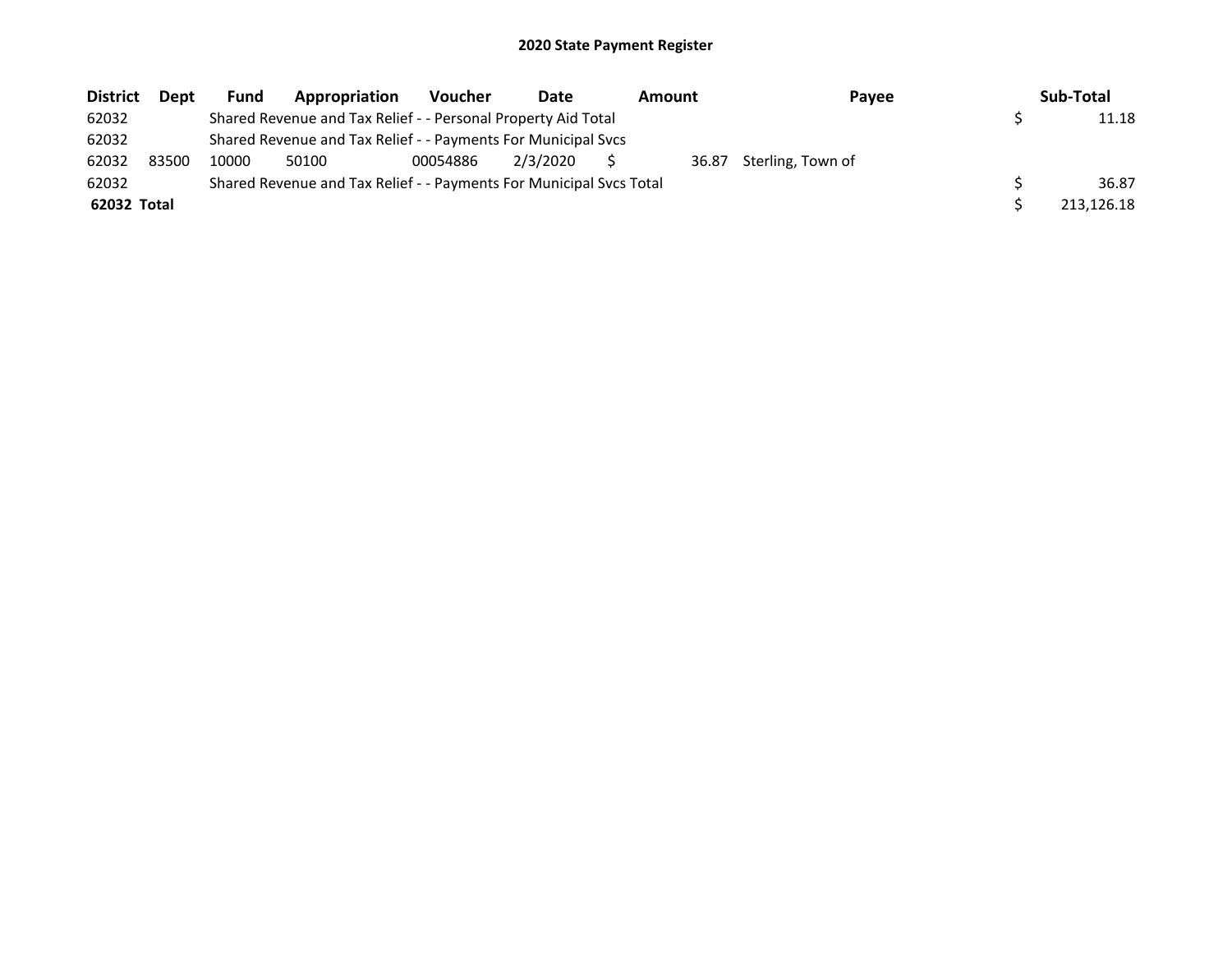| <b>District</b> | <b>Dept</b> | Fund  | Appropriation                                                       | <b>Voucher</b> | Date     | Amount | Payee             | Sub-Total  |
|-----------------|-------------|-------|---------------------------------------------------------------------|----------------|----------|--------|-------------------|------------|
| 62032           |             |       | Shared Revenue and Tax Relief - - Personal Property Aid Total       |                |          |        |                   | 11.18      |
| 62032           |             |       | Shared Revenue and Tax Relief - - Payments For Municipal Svcs       |                |          |        |                   |            |
| 62032           | 83500       | 10000 | 50100                                                               | 00054886       | 2/3/2020 | 36.87  | Sterling, Town of |            |
| 62032           |             |       | Shared Revenue and Tax Relief - - Payments For Municipal Svcs Total |                |          |        |                   | 36.87      |
| 62032 Total     |             |       |                                                                     |                |          |        |                   | 213,126.18 |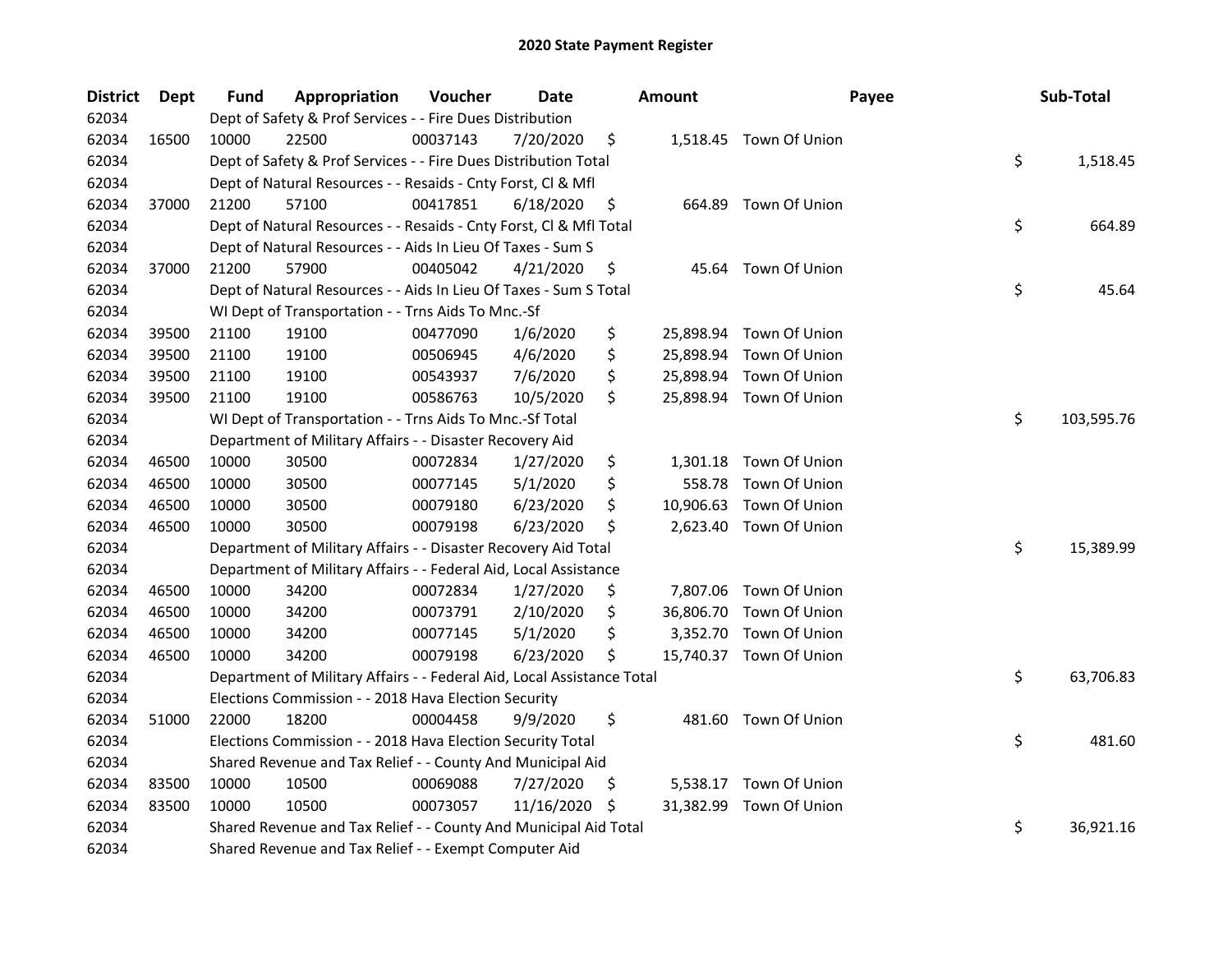| <b>District</b> | <b>Dept</b> | Fund  | Appropriation                                                          | Voucher  | <b>Date</b> |     | <b>Amount</b> | Payee                   | Sub-Total        |
|-----------------|-------------|-------|------------------------------------------------------------------------|----------|-------------|-----|---------------|-------------------------|------------------|
| 62034           |             |       | Dept of Safety & Prof Services - - Fire Dues Distribution              |          |             |     |               |                         |                  |
| 62034           | 16500       | 10000 | 22500                                                                  | 00037143 | 7/20/2020   | \$  |               | 1,518.45 Town Of Union  |                  |
| 62034           |             |       | Dept of Safety & Prof Services - - Fire Dues Distribution Total        |          |             |     |               |                         | \$<br>1,518.45   |
| 62034           |             |       | Dept of Natural Resources - - Resaids - Cnty Forst, Cl & Mfl           |          |             |     |               |                         |                  |
| 62034           | 37000       | 21200 | 57100                                                                  | 00417851 | 6/18/2020   | \$  |               | 664.89 Town Of Union    |                  |
| 62034           |             |       | Dept of Natural Resources - - Resaids - Cnty Forst, Cl & Mfl Total     |          |             |     |               |                         | \$<br>664.89     |
| 62034           |             |       | Dept of Natural Resources - - Aids In Lieu Of Taxes - Sum S            |          |             |     |               |                         |                  |
| 62034           | 37000       | 21200 | 57900                                                                  | 00405042 | 4/21/2020   | \$  |               | 45.64 Town Of Union     |                  |
| 62034           |             |       | Dept of Natural Resources - - Aids In Lieu Of Taxes - Sum S Total      |          |             |     |               |                         | \$<br>45.64      |
| 62034           |             |       | WI Dept of Transportation - - Trns Aids To Mnc.-Sf                     |          |             |     |               |                         |                  |
| 62034           | 39500       | 21100 | 19100                                                                  | 00477090 | 1/6/2020    | \$  |               | 25,898.94 Town Of Union |                  |
| 62034           | 39500       | 21100 | 19100                                                                  | 00506945 | 4/6/2020    | \$  | 25,898.94     | Town Of Union           |                  |
| 62034           | 39500       | 21100 | 19100                                                                  | 00543937 | 7/6/2020    | \$  | 25,898.94     | Town Of Union           |                  |
| 62034           | 39500       | 21100 | 19100                                                                  | 00586763 | 10/5/2020   | \$  |               | 25,898.94 Town Of Union |                  |
| 62034           |             |       | WI Dept of Transportation - - Trns Aids To Mnc.-Sf Total               |          |             |     |               |                         | \$<br>103,595.76 |
| 62034           |             |       | Department of Military Affairs - - Disaster Recovery Aid               |          |             |     |               |                         |                  |
| 62034           | 46500       | 10000 | 30500                                                                  | 00072834 | 1/27/2020   | \$  | 1,301.18      | Town Of Union           |                  |
| 62034           | 46500       | 10000 | 30500                                                                  | 00077145 | 5/1/2020    | \$  | 558.78        | Town Of Union           |                  |
| 62034           | 46500       | 10000 | 30500                                                                  | 00079180 | 6/23/2020   | \$  | 10,906.63     | Town Of Union           |                  |
| 62034           | 46500       | 10000 | 30500                                                                  | 00079198 | 6/23/2020   | \$  |               | 2,623.40 Town Of Union  |                  |
| 62034           |             |       | Department of Military Affairs - - Disaster Recovery Aid Total         |          |             |     |               |                         | \$<br>15,389.99  |
| 62034           |             |       | Department of Military Affairs - - Federal Aid, Local Assistance       |          |             |     |               |                         |                  |
| 62034           | 46500       | 10000 | 34200                                                                  | 00072834 | 1/27/2020   | \$  |               | 7,807.06 Town Of Union  |                  |
| 62034           | 46500       | 10000 | 34200                                                                  | 00073791 | 2/10/2020   | \$  | 36,806.70     | Town Of Union           |                  |
| 62034           | 46500       | 10000 | 34200                                                                  | 00077145 | 5/1/2020    | \$  | 3,352.70      | Town Of Union           |                  |
| 62034           | 46500       | 10000 | 34200                                                                  | 00079198 | 6/23/2020   | \$  |               | 15,740.37 Town Of Union |                  |
| 62034           |             |       | Department of Military Affairs - - Federal Aid, Local Assistance Total |          |             |     |               |                         | \$<br>63,706.83  |
| 62034           |             |       | Elections Commission - - 2018 Hava Election Security                   |          |             |     |               |                         |                  |
| 62034           | 51000       | 22000 | 18200                                                                  | 00004458 | 9/9/2020    | \$  |               | 481.60 Town Of Union    |                  |
| 62034           |             |       | Elections Commission - - 2018 Hava Election Security Total             |          |             |     |               |                         | \$<br>481.60     |
| 62034           |             |       | Shared Revenue and Tax Relief - - County And Municipal Aid             |          |             |     |               |                         |                  |
| 62034           | 83500       | 10000 | 10500                                                                  | 00069088 | 7/27/2020   | Ş   | 5,538.17      | Town Of Union           |                  |
| 62034           | 83500       | 10000 | 10500                                                                  | 00073057 | 11/16/2020  | \$. | 31,382.99     | Town Of Union           |                  |
| 62034           |             |       | Shared Revenue and Tax Relief - - County And Municipal Aid Total       |          |             |     |               |                         | \$<br>36,921.16  |
| 62034           |             |       | Shared Revenue and Tax Relief - - Exempt Computer Aid                  |          |             |     |               |                         |                  |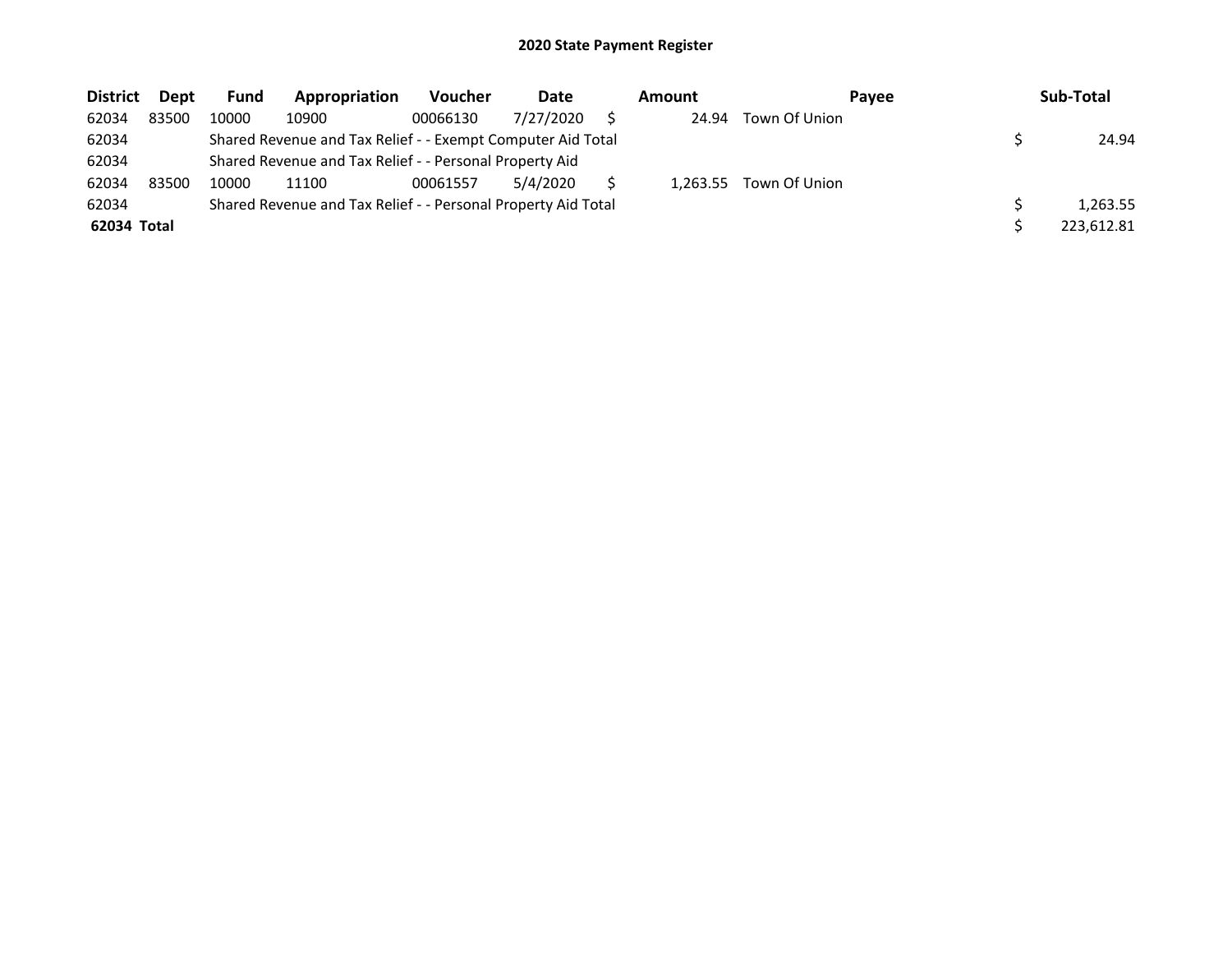| <b>District</b> | Dept  | <b>Fund</b> | Appropriation                                                 | <b>Voucher</b> | Date      | Amount   | <b>Pavee</b>  | Sub-Total  |
|-----------------|-------|-------------|---------------------------------------------------------------|----------------|-----------|----------|---------------|------------|
| 62034           | 83500 | 10000       | 10900                                                         | 00066130       | 7/27/2020 | 24.94    | Town Of Union |            |
| 62034           |       |             | Shared Revenue and Tax Relief - - Exempt Computer Aid Total   |                |           |          |               | 24.94      |
| 62034           |       |             | Shared Revenue and Tax Relief - - Personal Property Aid       |                |           |          |               |            |
| 62034           | 83500 | 10000       | 11100                                                         | 00061557       | 5/4/2020  | 1.263.55 | Town Of Union |            |
| 62034           |       |             | Shared Revenue and Tax Relief - - Personal Property Aid Total |                |           |          |               | 1.263.55   |
| 62034 Total     |       |             |                                                               |                |           |          |               | 223,612.81 |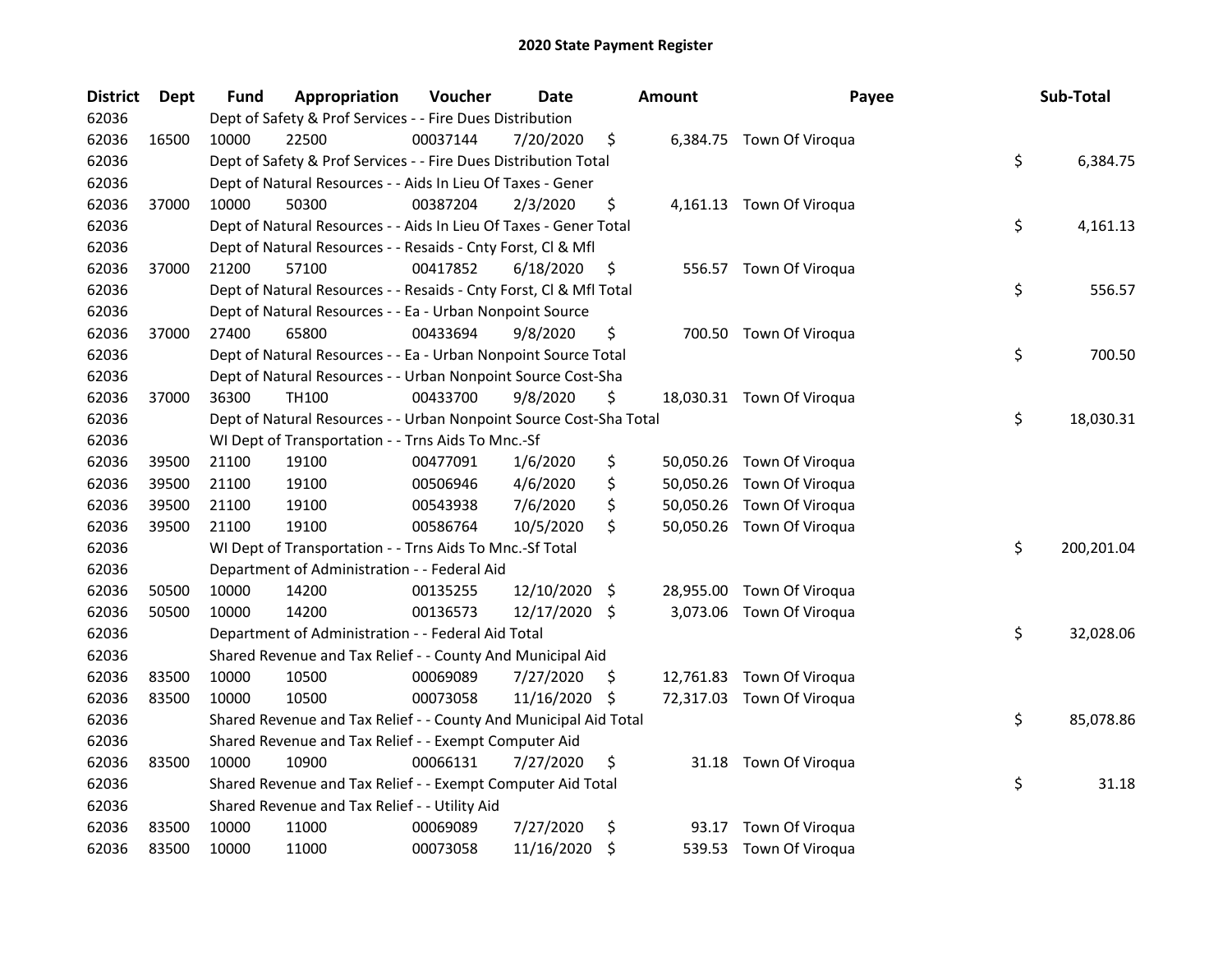| <b>District</b> | Dept  | Fund  | Appropriation                                                      | Voucher  | <b>Date</b>   |      | <b>Amount</b> | Payee                     | Sub-Total        |
|-----------------|-------|-------|--------------------------------------------------------------------|----------|---------------|------|---------------|---------------------------|------------------|
| 62036           |       |       | Dept of Safety & Prof Services - - Fire Dues Distribution          |          |               |      |               |                           |                  |
| 62036           | 16500 | 10000 | 22500                                                              | 00037144 | 7/20/2020     | \$   |               | 6,384.75 Town Of Viroqua  |                  |
| 62036           |       |       | Dept of Safety & Prof Services - - Fire Dues Distribution Total    |          |               |      |               |                           | \$<br>6,384.75   |
| 62036           |       |       | Dept of Natural Resources - - Aids In Lieu Of Taxes - Gener        |          |               |      |               |                           |                  |
| 62036           | 37000 | 10000 | 50300                                                              | 00387204 | 2/3/2020      | \$   |               | 4,161.13 Town Of Viroqua  |                  |
| 62036           |       |       | Dept of Natural Resources - - Aids In Lieu Of Taxes - Gener Total  |          |               |      |               |                           | \$<br>4,161.13   |
| 62036           |       |       | Dept of Natural Resources - - Resaids - Cnty Forst, Cl & Mfl       |          |               |      |               |                           |                  |
| 62036           | 37000 | 21200 | 57100                                                              | 00417852 | 6/18/2020     | \$   |               | 556.57 Town Of Viroqua    |                  |
| 62036           |       |       | Dept of Natural Resources - - Resaids - Cnty Forst, Cl & Mfl Total |          |               |      |               |                           | \$<br>556.57     |
| 62036           |       |       | Dept of Natural Resources - - Ea - Urban Nonpoint Source           |          |               |      |               |                           |                  |
| 62036           | 37000 | 27400 | 65800                                                              | 00433694 | 9/8/2020      | \$   |               | 700.50 Town Of Viroqua    |                  |
| 62036           |       |       | Dept of Natural Resources - - Ea - Urban Nonpoint Source Total     |          |               |      |               |                           | \$<br>700.50     |
| 62036           |       |       | Dept of Natural Resources - - Urban Nonpoint Source Cost-Sha       |          |               |      |               |                           |                  |
| 62036           | 37000 | 36300 | TH100                                                              | 00433700 | 9/8/2020      | \$   |               | 18,030.31 Town Of Viroqua |                  |
| 62036           |       |       | Dept of Natural Resources - - Urban Nonpoint Source Cost-Sha Total |          |               |      |               |                           | \$<br>18,030.31  |
| 62036           |       |       | WI Dept of Transportation - - Trns Aids To Mnc.-Sf                 |          |               |      |               |                           |                  |
| 62036           | 39500 | 21100 | 19100                                                              | 00477091 | 1/6/2020      | \$   |               | 50,050.26 Town Of Viroqua |                  |
| 62036           | 39500 | 21100 | 19100                                                              | 00506946 | 4/6/2020      | \$   | 50,050.26     | Town Of Viroqua           |                  |
| 62036           | 39500 | 21100 | 19100                                                              | 00543938 | 7/6/2020      | \$   | 50,050.26     | Town Of Viroqua           |                  |
| 62036           | 39500 | 21100 | 19100                                                              | 00586764 | 10/5/2020     | \$   |               | 50,050.26 Town Of Viroqua |                  |
| 62036           |       |       | WI Dept of Transportation - - Trns Aids To Mnc.-Sf Total           |          |               |      |               |                           | \$<br>200,201.04 |
| 62036           |       |       | Department of Administration - - Federal Aid                       |          |               |      |               |                           |                  |
| 62036           | 50500 | 10000 | 14200                                                              | 00135255 | 12/10/2020    | - \$ |               | 28,955.00 Town Of Viroqua |                  |
| 62036           | 50500 | 10000 | 14200                                                              | 00136573 | 12/17/2020 \$ |      |               | 3,073.06 Town Of Viroqua  |                  |
| 62036           |       |       | Department of Administration - - Federal Aid Total                 |          |               |      |               |                           | \$<br>32,028.06  |
| 62036           |       |       | Shared Revenue and Tax Relief - - County And Municipal Aid         |          |               |      |               |                           |                  |
| 62036           | 83500 | 10000 | 10500                                                              | 00069089 | 7/27/2020     | S.   |               | 12,761.83 Town Of Viroqua |                  |
| 62036           | 83500 | 10000 | 10500                                                              | 00073058 | 11/16/2020    | \$   |               | 72,317.03 Town Of Viroqua |                  |
| 62036           |       |       | Shared Revenue and Tax Relief - - County And Municipal Aid Total   |          |               |      |               |                           | \$<br>85,078.86  |
| 62036           |       |       | Shared Revenue and Tax Relief - - Exempt Computer Aid              |          |               |      |               |                           |                  |
| 62036           | 83500 | 10000 | 10900                                                              | 00066131 | 7/27/2020     | \$   |               | 31.18 Town Of Viroqua     |                  |
| 62036           |       |       | Shared Revenue and Tax Relief - - Exempt Computer Aid Total        |          |               |      |               |                           | \$<br>31.18      |
| 62036           |       |       | Shared Revenue and Tax Relief - - Utility Aid                      |          |               |      |               |                           |                  |
| 62036           | 83500 | 10000 | 11000                                                              | 00069089 | 7/27/2020     | \$   | 93.17         | Town Of Viroqua           |                  |
| 62036           | 83500 | 10000 | 11000                                                              | 00073058 | 11/16/2020    | \$   |               | 539.53 Town Of Viroqua    |                  |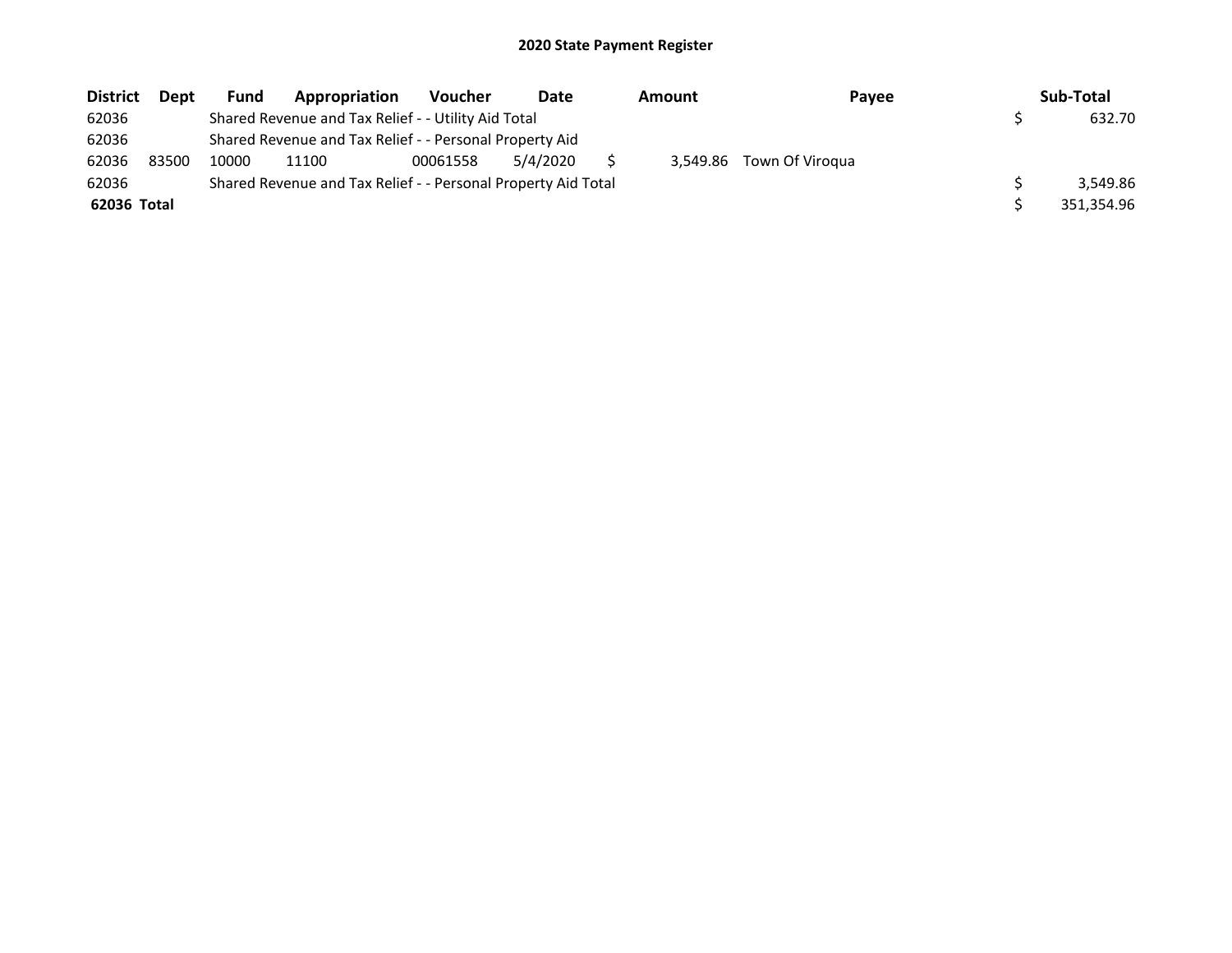| <b>District</b> | <b>Dept</b> | Fund  | Appropriation                                                 | <b>Voucher</b> | Date     | Amount | Payee                    | Sub-Total  |
|-----------------|-------------|-------|---------------------------------------------------------------|----------------|----------|--------|--------------------------|------------|
| 62036           |             |       | Shared Revenue and Tax Relief - - Utility Aid Total           |                |          |        |                          | 632.70     |
| 62036           |             |       | Shared Revenue and Tax Relief - - Personal Property Aid       |                |          |        |                          |            |
| 62036           | 83500       | 10000 | 11100                                                         | 00061558       | 5/4/2020 |        | 3,549.86 Town Of Viroqua |            |
| 62036           |             |       | Shared Revenue and Tax Relief - - Personal Property Aid Total |                |          |        |                          | 3.549.86   |
| 62036 Total     |             |       |                                                               |                |          |        |                          | 351,354.96 |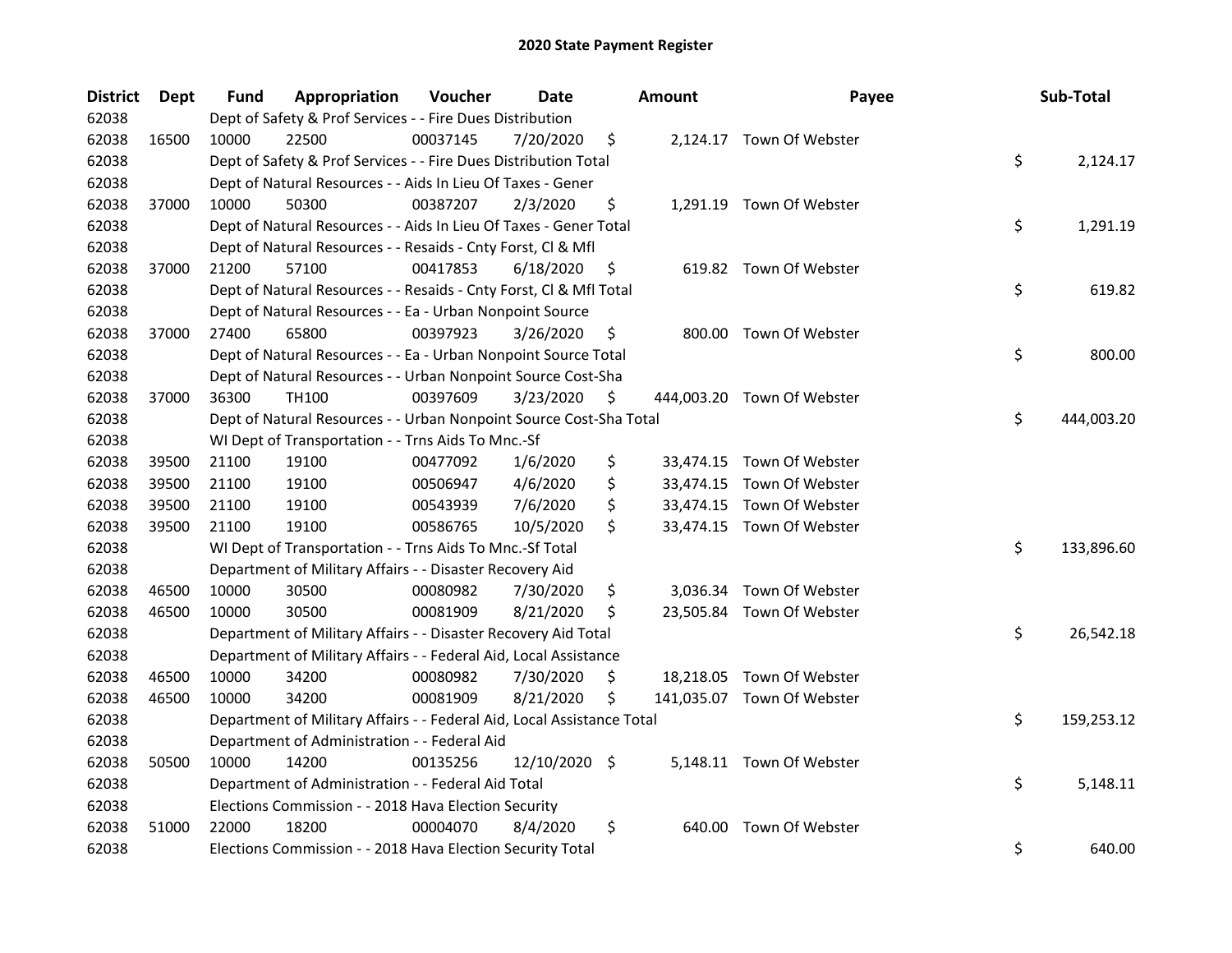| <b>District</b> | <b>Dept</b> | Fund  | Appropriation                                                          | Voucher  | <b>Date</b>   | <b>Amount</b> | Payee                      | Sub-Total        |
|-----------------|-------------|-------|------------------------------------------------------------------------|----------|---------------|---------------|----------------------------|------------------|
| 62038           |             |       | Dept of Safety & Prof Services - - Fire Dues Distribution              |          |               |               |                            |                  |
| 62038           | 16500       | 10000 | 22500                                                                  | 00037145 | 7/20/2020     | \$            | 2,124.17 Town Of Webster   |                  |
| 62038           |             |       | Dept of Safety & Prof Services - - Fire Dues Distribution Total        |          |               |               |                            | \$<br>2,124.17   |
| 62038           |             |       | Dept of Natural Resources - - Aids In Lieu Of Taxes - Gener            |          |               |               |                            |                  |
| 62038           | 37000       | 10000 | 50300                                                                  | 00387207 | 2/3/2020      | \$            | 1,291.19 Town Of Webster   |                  |
| 62038           |             |       | Dept of Natural Resources - - Aids In Lieu Of Taxes - Gener Total      |          |               |               |                            | \$<br>1,291.19   |
| 62038           |             |       | Dept of Natural Resources - - Resaids - Cnty Forst, Cl & Mfl           |          |               |               |                            |                  |
| 62038           | 37000       | 21200 | 57100                                                                  | 00417853 | 6/18/2020     | \$            | 619.82 Town Of Webster     |                  |
| 62038           |             |       | Dept of Natural Resources - - Resaids - Cnty Forst, Cl & Mfl Total     |          |               |               |                            | \$<br>619.82     |
| 62038           |             |       | Dept of Natural Resources - - Ea - Urban Nonpoint Source               |          |               |               |                            |                  |
| 62038           | 37000       | 27400 | 65800                                                                  | 00397923 | 3/26/2020     | \$            | 800.00 Town Of Webster     |                  |
| 62038           |             |       | Dept of Natural Resources - - Ea - Urban Nonpoint Source Total         |          |               |               |                            | \$<br>800.00     |
| 62038           |             |       | Dept of Natural Resources - - Urban Nonpoint Source Cost-Sha           |          |               |               |                            |                  |
| 62038           | 37000       | 36300 | TH100                                                                  | 00397609 | 3/23/2020     | \$            | 444,003.20 Town Of Webster |                  |
| 62038           |             |       | Dept of Natural Resources - - Urban Nonpoint Source Cost-Sha Total     |          |               |               |                            | \$<br>444,003.20 |
| 62038           |             |       | WI Dept of Transportation - - Trns Aids To Mnc.-Sf                     |          |               |               |                            |                  |
| 62038           | 39500       | 21100 | 19100                                                                  | 00477092 | 1/6/2020      | \$            | 33,474.15 Town Of Webster  |                  |
| 62038           | 39500       | 21100 | 19100                                                                  | 00506947 | 4/6/2020      | \$            | 33,474.15 Town Of Webster  |                  |
| 62038           | 39500       | 21100 | 19100                                                                  | 00543939 | 7/6/2020      | \$            | 33,474.15 Town Of Webster  |                  |
| 62038           | 39500       | 21100 | 19100                                                                  | 00586765 | 10/5/2020     | \$            | 33,474.15 Town Of Webster  |                  |
| 62038           |             |       | WI Dept of Transportation - - Trns Aids To Mnc.-Sf Total               |          |               |               |                            | \$<br>133,896.60 |
| 62038           |             |       | Department of Military Affairs - - Disaster Recovery Aid               |          |               |               |                            |                  |
| 62038           | 46500       | 10000 | 30500                                                                  | 00080982 | 7/30/2020     | \$            | 3,036.34 Town Of Webster   |                  |
| 62038           | 46500       | 10000 | 30500                                                                  | 00081909 | 8/21/2020     | \$            | 23,505.84 Town Of Webster  |                  |
| 62038           |             |       | Department of Military Affairs - - Disaster Recovery Aid Total         |          |               |               |                            | \$<br>26,542.18  |
| 62038           |             |       | Department of Military Affairs - - Federal Aid, Local Assistance       |          |               |               |                            |                  |
| 62038           | 46500       | 10000 | 34200                                                                  | 00080982 | 7/30/2020     | \$            | 18,218.05 Town Of Webster  |                  |
| 62038           | 46500       | 10000 | 34200                                                                  | 00081909 | 8/21/2020     | \$            | 141,035.07 Town Of Webster |                  |
| 62038           |             |       | Department of Military Affairs - - Federal Aid, Local Assistance Total |          |               |               |                            | \$<br>159,253.12 |
| 62038           |             |       | Department of Administration - - Federal Aid                           |          |               |               |                            |                  |
| 62038           | 50500       | 10000 | 14200                                                                  | 00135256 | 12/10/2020 \$ |               | 5,148.11 Town Of Webster   |                  |
| 62038           |             |       | Department of Administration - - Federal Aid Total                     |          |               |               |                            | \$<br>5,148.11   |
| 62038           |             |       | Elections Commission - - 2018 Hava Election Security                   |          |               |               |                            |                  |
| 62038           | 51000       | 22000 | 18200                                                                  | 00004070 | 8/4/2020      | \$            | 640.00 Town Of Webster     |                  |
| 62038           |             |       | Elections Commission - - 2018 Hava Election Security Total             |          |               |               |                            | \$<br>640.00     |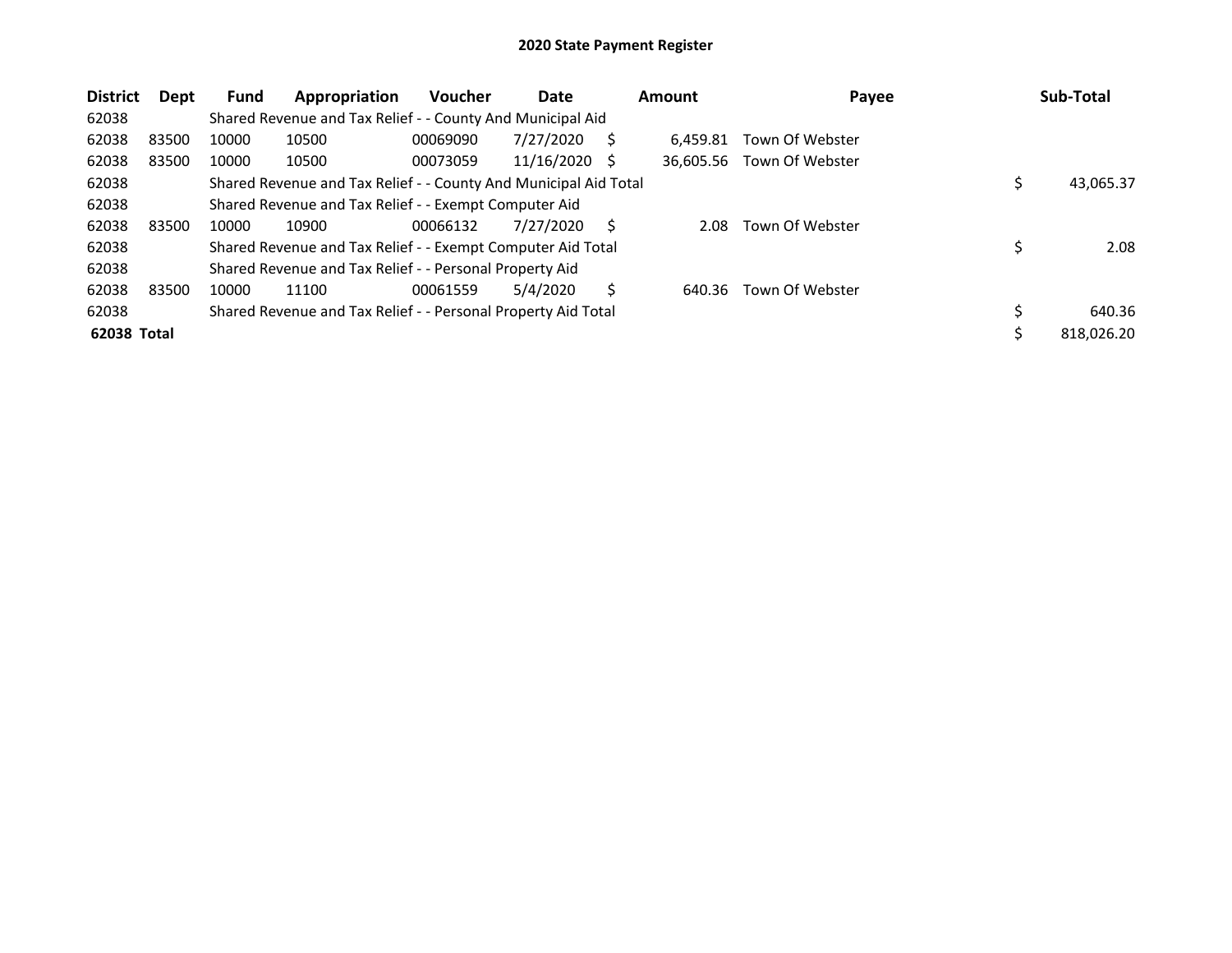| <b>District</b> | Dept  | <b>Fund</b> | Appropriation                                                    | Voucher  | Date            |   | <b>Amount</b> | Payee           | Sub-Total    |
|-----------------|-------|-------------|------------------------------------------------------------------|----------|-----------------|---|---------------|-----------------|--------------|
| 62038           |       |             | Shared Revenue and Tax Relief - - County And Municipal Aid       |          |                 |   |               |                 |              |
| 62038           | 83500 | 10000       | 10500                                                            | 00069090 | 7/27/2020       | S | 6.459.81      | Town Of Webster |              |
| 62038           | 83500 | 10000       | 10500                                                            | 00073059 | $11/16/2020$ \$ |   | 36.605.56     | Town Of Webster |              |
| 62038           |       |             | Shared Revenue and Tax Relief - - County And Municipal Aid Total |          |                 |   |               |                 | 43,065.37    |
| 62038           |       |             | Shared Revenue and Tax Relief - - Exempt Computer Aid            |          |                 |   |               |                 |              |
| 62038           | 83500 | 10000       | 10900                                                            | 00066132 | 7/27/2020       | S | 2.08          | Town Of Webster |              |
| 62038           |       |             | Shared Revenue and Tax Relief - - Exempt Computer Aid Total      |          |                 |   |               |                 | 2.08         |
| 62038           |       |             | Shared Revenue and Tax Relief - - Personal Property Aid          |          |                 |   |               |                 |              |
| 62038           | 83500 | 10000       | 11100                                                            | 00061559 | 5/4/2020        | Ś | 640.36        | Town Of Webster |              |
| 62038           |       |             | Shared Revenue and Tax Relief - - Personal Property Aid Total    |          |                 |   |               |                 | \$<br>640.36 |
| 62038 Total     |       |             |                                                                  |          |                 |   |               |                 | 818.026.20   |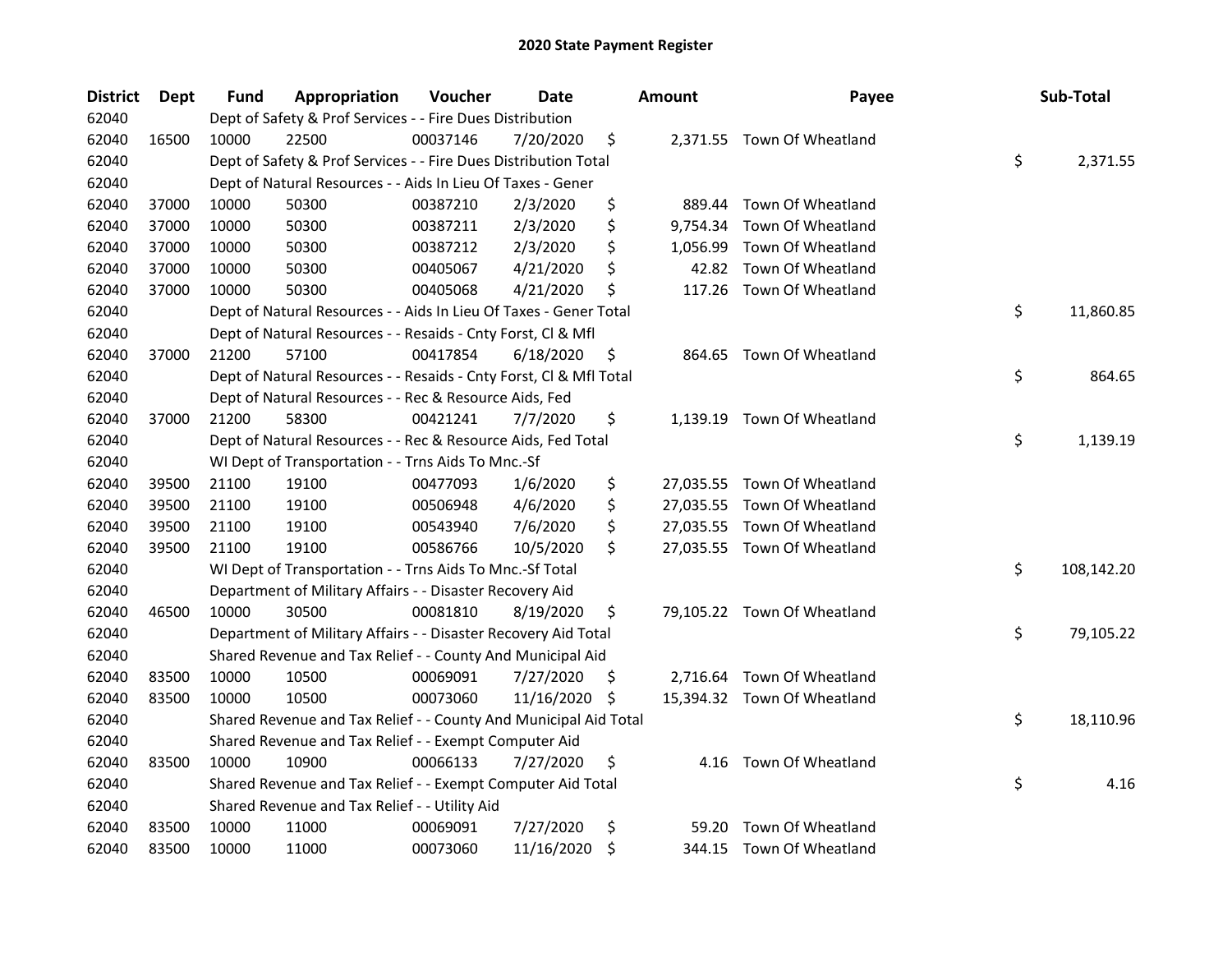| <b>District</b> | <b>Dept</b> | Fund  | Appropriation                                                      | Voucher  | Date          |     | <b>Amount</b> | Payee                       | Sub-Total        |
|-----------------|-------------|-------|--------------------------------------------------------------------|----------|---------------|-----|---------------|-----------------------------|------------------|
| 62040           |             |       | Dept of Safety & Prof Services - - Fire Dues Distribution          |          |               |     |               |                             |                  |
| 62040           | 16500       | 10000 | 22500                                                              | 00037146 | 7/20/2020     | \$  |               | 2,371.55 Town Of Wheatland  |                  |
| 62040           |             |       | Dept of Safety & Prof Services - - Fire Dues Distribution Total    |          |               |     |               |                             | \$<br>2,371.55   |
| 62040           |             |       | Dept of Natural Resources - - Aids In Lieu Of Taxes - Gener        |          |               |     |               |                             |                  |
| 62040           | 37000       | 10000 | 50300                                                              | 00387210 | 2/3/2020      | \$  | 889.44        | Town Of Wheatland           |                  |
| 62040           | 37000       | 10000 | 50300                                                              | 00387211 | 2/3/2020      | \$  | 9,754.34      | Town Of Wheatland           |                  |
| 62040           | 37000       | 10000 | 50300                                                              | 00387212 | 2/3/2020      | \$  | 1,056.99      | Town Of Wheatland           |                  |
| 62040           | 37000       | 10000 | 50300                                                              | 00405067 | 4/21/2020     | \$  |               | 42.82 Town Of Wheatland     |                  |
| 62040           | 37000       | 10000 | 50300                                                              | 00405068 | 4/21/2020     | \$  | 117.26        | Town Of Wheatland           |                  |
| 62040           |             |       | Dept of Natural Resources - - Aids In Lieu Of Taxes - Gener Total  |          |               |     |               |                             | \$<br>11,860.85  |
| 62040           |             |       | Dept of Natural Resources - - Resaids - Cnty Forst, Cl & Mfl       |          |               |     |               |                             |                  |
| 62040           | 37000       | 21200 | 57100                                                              | 00417854 | 6/18/2020     | \$  |               | 864.65 Town Of Wheatland    |                  |
| 62040           |             |       | Dept of Natural Resources - - Resaids - Cnty Forst, Cl & Mfl Total |          |               |     |               |                             | \$<br>864.65     |
| 62040           |             |       | Dept of Natural Resources - - Rec & Resource Aids, Fed             |          |               |     |               |                             |                  |
| 62040           | 37000       | 21200 | 58300                                                              | 00421241 | 7/7/2020      | \$  | 1,139.19      | Town Of Wheatland           |                  |
| 62040           |             |       | Dept of Natural Resources - - Rec & Resource Aids, Fed Total       |          |               |     |               |                             | \$<br>1,139.19   |
| 62040           |             |       | WI Dept of Transportation - - Trns Aids To Mnc.-Sf                 |          |               |     |               |                             |                  |
| 62040           | 39500       | 21100 | 19100                                                              | 00477093 | 1/6/2020      | \$  |               | 27,035.55 Town Of Wheatland |                  |
| 62040           | 39500       | 21100 | 19100                                                              | 00506948 | 4/6/2020      | \$  |               | 27,035.55 Town Of Wheatland |                  |
| 62040           | 39500       | 21100 | 19100                                                              | 00543940 | 7/6/2020      | \$  |               | 27,035.55 Town Of Wheatland |                  |
| 62040           | 39500       | 21100 | 19100                                                              | 00586766 | 10/5/2020     | \$  |               | 27,035.55 Town Of Wheatland |                  |
| 62040           |             |       | WI Dept of Transportation - - Trns Aids To Mnc.-Sf Total           |          |               |     |               |                             | \$<br>108,142.20 |
| 62040           |             |       | Department of Military Affairs - - Disaster Recovery Aid           |          |               |     |               |                             |                  |
| 62040           | 46500       | 10000 | 30500                                                              | 00081810 | 8/19/2020     | \$  |               | 79,105.22 Town Of Wheatland |                  |
| 62040           |             |       | Department of Military Affairs - - Disaster Recovery Aid Total     |          |               |     |               |                             | \$<br>79,105.22  |
| 62040           |             |       | Shared Revenue and Tax Relief - - County And Municipal Aid         |          |               |     |               |                             |                  |
| 62040           | 83500       | 10000 | 10500                                                              | 00069091 | 7/27/2020     | \$. |               | 2,716.64 Town Of Wheatland  |                  |
| 62040           | 83500       | 10000 | 10500                                                              | 00073060 | 11/16/2020 \$ |     |               | 15,394.32 Town Of Wheatland |                  |
| 62040           |             |       | Shared Revenue and Tax Relief - - County And Municipal Aid Total   |          |               |     |               |                             | \$<br>18,110.96  |
| 62040           |             |       | Shared Revenue and Tax Relief - - Exempt Computer Aid              |          |               |     |               |                             |                  |
| 62040           | 83500       | 10000 | 10900                                                              | 00066133 | 7/27/2020     | \$  | 4.16          | Town Of Wheatland           |                  |
| 62040           |             |       | Shared Revenue and Tax Relief - - Exempt Computer Aid Total        |          |               |     |               |                             | \$<br>4.16       |
| 62040           |             |       | Shared Revenue and Tax Relief - - Utility Aid                      |          |               |     |               |                             |                  |
| 62040           | 83500       | 10000 | 11000                                                              | 00069091 | 7/27/2020     | \$  | 59.20         | Town Of Wheatland           |                  |
| 62040           | 83500       | 10000 | 11000                                                              | 00073060 | 11/16/2020    | \$  |               | 344.15 Town Of Wheatland    |                  |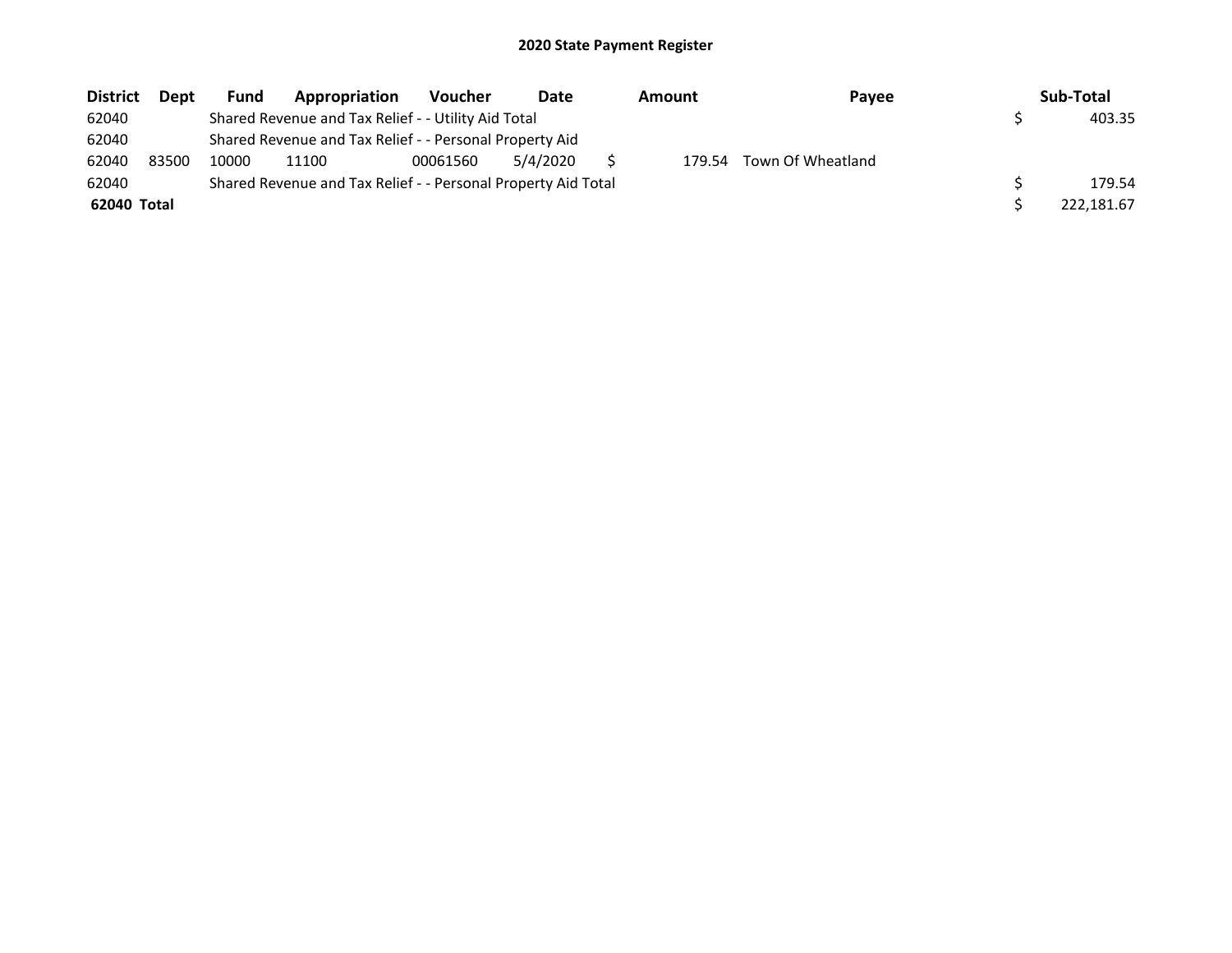| <b>District</b> | <b>Dept</b> | <b>Fund</b> | Appropriation                                                 | <b>Voucher</b> | Date     | Amount | Payee             | Sub-Total  |
|-----------------|-------------|-------------|---------------------------------------------------------------|----------------|----------|--------|-------------------|------------|
| 62040           |             |             | Shared Revenue and Tax Relief - - Utility Aid Total           |                |          |        |                   | 403.35     |
| 62040           |             |             | Shared Revenue and Tax Relief - - Personal Property Aid       |                |          |        |                   |            |
| 62040           | 83500       | 10000       | 11100                                                         | 00061560       | 5/4/2020 | 179.54 | Town Of Wheatland |            |
| 62040           |             |             | Shared Revenue and Tax Relief - - Personal Property Aid Total |                |          |        |                   | 179.54     |
| 62040 Total     |             |             |                                                               |                |          |        |                   | 222.181.67 |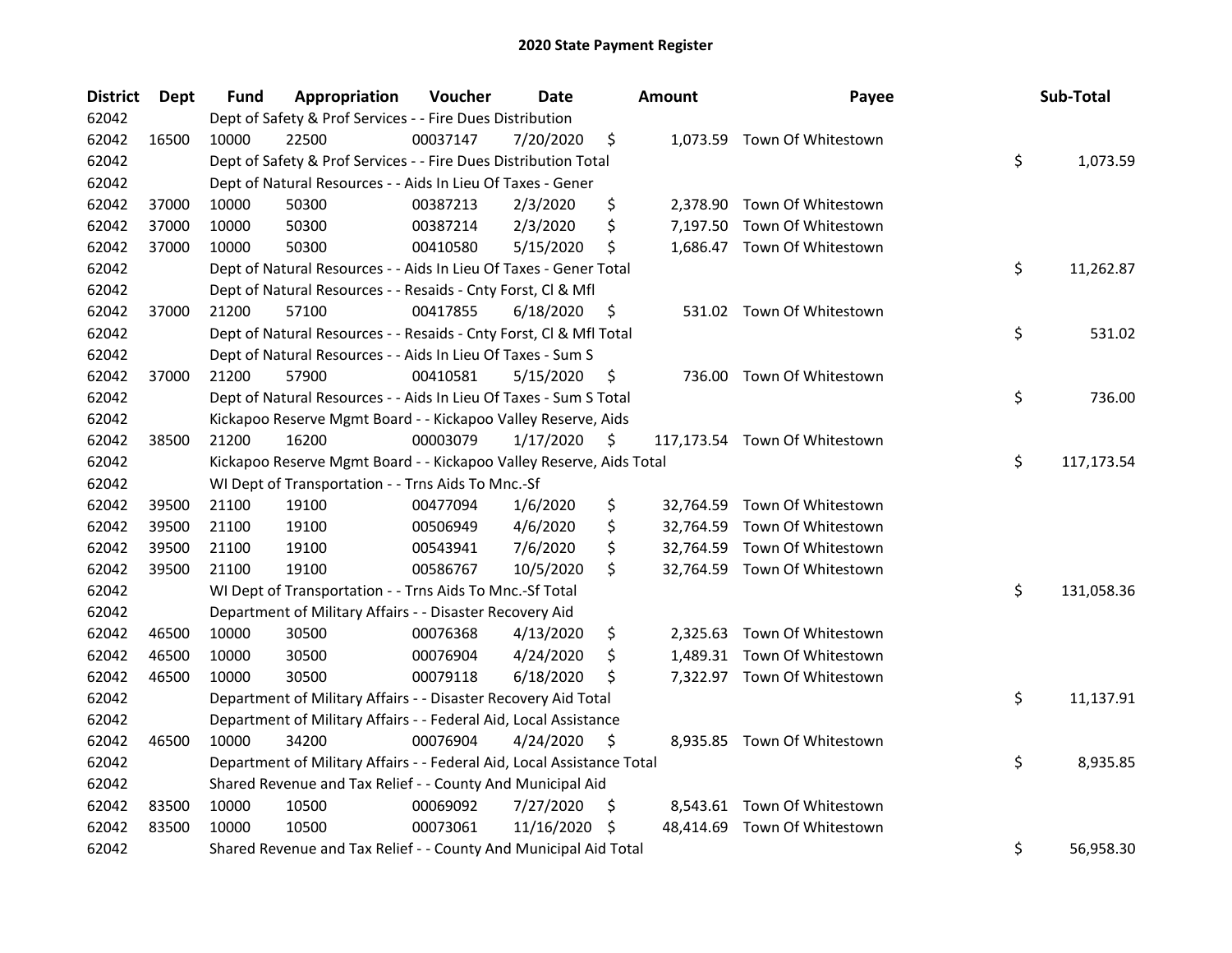| <b>District</b> | Dept  | Fund  | Appropriation                                                          | Voucher  | <b>Date</b> |    | <b>Amount</b> | Payee                         | Sub-Total        |
|-----------------|-------|-------|------------------------------------------------------------------------|----------|-------------|----|---------------|-------------------------------|------------------|
| 62042           |       |       | Dept of Safety & Prof Services - - Fire Dues Distribution              |          |             |    |               |                               |                  |
| 62042           | 16500 | 10000 | 22500                                                                  | 00037147 | 7/20/2020   | \$ |               | 1,073.59 Town Of Whitestown   |                  |
| 62042           |       |       | Dept of Safety & Prof Services - - Fire Dues Distribution Total        |          |             |    |               |                               | \$<br>1,073.59   |
| 62042           |       |       | Dept of Natural Resources - - Aids In Lieu Of Taxes - Gener            |          |             |    |               |                               |                  |
| 62042           | 37000 | 10000 | 50300                                                                  | 00387213 | 2/3/2020    | \$ |               | 2,378.90 Town Of Whitestown   |                  |
| 62042           | 37000 | 10000 | 50300                                                                  | 00387214 | 2/3/2020    | \$ | 7,197.50      | Town Of Whitestown            |                  |
| 62042           | 37000 | 10000 | 50300                                                                  | 00410580 | 5/15/2020   | \$ |               | 1,686.47 Town Of Whitestown   |                  |
| 62042           |       |       | Dept of Natural Resources - - Aids In Lieu Of Taxes - Gener Total      |          |             |    |               |                               | \$<br>11,262.87  |
| 62042           |       |       | Dept of Natural Resources - - Resaids - Cnty Forst, Cl & Mfl           |          |             |    |               |                               |                  |
| 62042           | 37000 | 21200 | 57100                                                                  | 00417855 | 6/18/2020   | \$ |               | 531.02 Town Of Whitestown     |                  |
| 62042           |       |       | Dept of Natural Resources - - Resaids - Cnty Forst, Cl & Mfl Total     |          |             |    |               |                               | \$<br>531.02     |
| 62042           |       |       | Dept of Natural Resources - - Aids In Lieu Of Taxes - Sum S            |          |             |    |               |                               |                  |
| 62042           | 37000 | 21200 | 57900                                                                  | 00410581 | 5/15/2020   | \$ | 736.00        | Town Of Whitestown            |                  |
| 62042           |       |       | Dept of Natural Resources - - Aids In Lieu Of Taxes - Sum S Total      |          |             |    |               |                               | \$<br>736.00     |
| 62042           |       |       | Kickapoo Reserve Mgmt Board - - Kickapoo Valley Reserve, Aids          |          |             |    |               |                               |                  |
| 62042           | 38500 | 21200 | 16200                                                                  | 00003079 | 1/17/2020   | \$ |               | 117,173.54 Town Of Whitestown |                  |
| 62042           |       |       | Kickapoo Reserve Mgmt Board - - Kickapoo Valley Reserve, Aids Total    |          |             |    |               |                               | \$<br>117,173.54 |
| 62042           |       |       | WI Dept of Transportation - - Trns Aids To Mnc.-Sf                     |          |             |    |               |                               |                  |
| 62042           | 39500 | 21100 | 19100                                                                  | 00477094 | 1/6/2020    | \$ |               | 32,764.59 Town Of Whitestown  |                  |
| 62042           | 39500 | 21100 | 19100                                                                  | 00506949 | 4/6/2020    | \$ |               | 32,764.59 Town Of Whitestown  |                  |
| 62042           | 39500 | 21100 | 19100                                                                  | 00543941 | 7/6/2020    | \$ |               | 32,764.59 Town Of Whitestown  |                  |
| 62042           | 39500 | 21100 | 19100                                                                  | 00586767 | 10/5/2020   | \$ |               | 32,764.59 Town Of Whitestown  |                  |
| 62042           |       |       | WI Dept of Transportation - - Trns Aids To Mnc.-Sf Total               |          |             |    |               |                               | \$<br>131,058.36 |
| 62042           |       |       | Department of Military Affairs - - Disaster Recovery Aid               |          |             |    |               |                               |                  |
| 62042           | 46500 | 10000 | 30500                                                                  | 00076368 | 4/13/2020   | \$ |               | 2,325.63 Town Of Whitestown   |                  |
| 62042           | 46500 | 10000 | 30500                                                                  | 00076904 | 4/24/2020   | \$ |               | 1,489.31 Town Of Whitestown   |                  |
| 62042           | 46500 | 10000 | 30500                                                                  | 00079118 | 6/18/2020   | Ś  |               | 7,322.97 Town Of Whitestown   |                  |
| 62042           |       |       | Department of Military Affairs - - Disaster Recovery Aid Total         |          |             |    |               |                               | \$<br>11,137.91  |
| 62042           |       |       | Department of Military Affairs - - Federal Aid, Local Assistance       |          |             |    |               |                               |                  |
| 62042           | 46500 | 10000 | 34200                                                                  | 00076904 | 4/24/2020   | \$ |               | 8,935.85 Town Of Whitestown   |                  |
| 62042           |       |       | Department of Military Affairs - - Federal Aid, Local Assistance Total |          |             |    |               |                               | \$<br>8,935.85   |
| 62042           |       |       | Shared Revenue and Tax Relief - - County And Municipal Aid             |          |             |    |               |                               |                  |
| 62042           | 83500 | 10000 | 10500                                                                  | 00069092 | 7/27/2020   | \$ |               | 8,543.61 Town Of Whitestown   |                  |
| 62042           | 83500 | 10000 | 10500                                                                  | 00073061 | 11/16/2020  | S  | 48,414.69     | Town Of Whitestown            |                  |
| 62042           |       |       | Shared Revenue and Tax Relief - - County And Municipal Aid Total       |          |             |    |               |                               | \$<br>56,958.30  |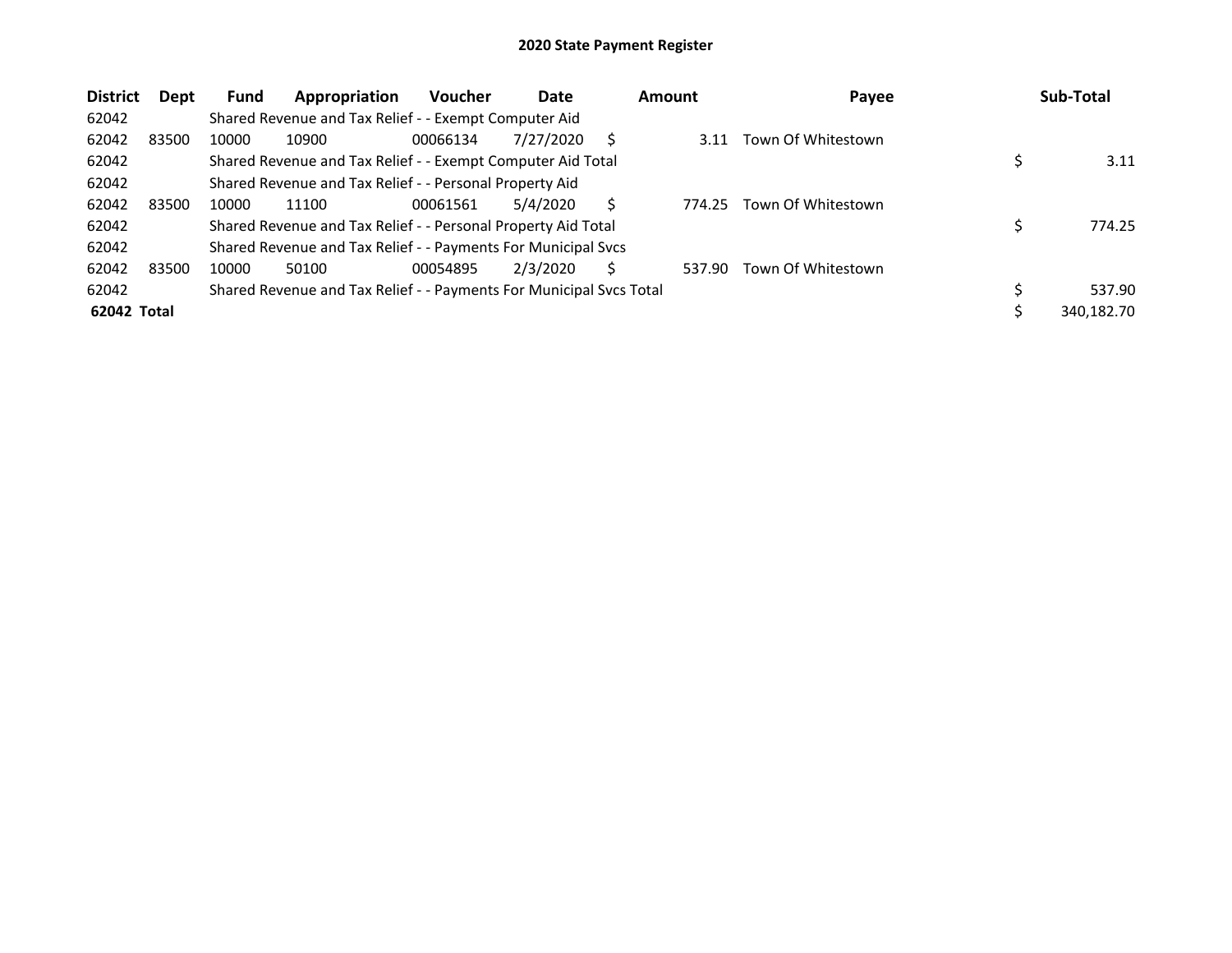| <b>District</b> | Dept  | <b>Fund</b> | Appropriation                                                       | <b>Voucher</b> | Date      |   | <b>Amount</b> | Payee              | Sub-Total  |
|-----------------|-------|-------------|---------------------------------------------------------------------|----------------|-----------|---|---------------|--------------------|------------|
| 62042           |       |             | Shared Revenue and Tax Relief - - Exempt Computer Aid               |                |           |   |               |                    |            |
| 62042           | 83500 | 10000       | 10900                                                               | 00066134       | 7/27/2020 | S | 3.11          | Town Of Whitestown |            |
| 62042           |       |             | Shared Revenue and Tax Relief - - Exempt Computer Aid Total         |                |           |   |               |                    | 3.11       |
| 62042           |       |             | Shared Revenue and Tax Relief - - Personal Property Aid             |                |           |   |               |                    |            |
| 62042           | 83500 | 10000       | 11100                                                               | 00061561       | 5/4/2020  | S | 774.25        | Town Of Whitestown |            |
| 62042           |       |             | Shared Revenue and Tax Relief - - Personal Property Aid Total       |                |           |   |               |                    | 774.25     |
| 62042           |       |             | Shared Revenue and Tax Relief - - Payments For Municipal Svcs       |                |           |   |               |                    |            |
| 62042           | 83500 | 10000       | 50100                                                               | 00054895       | 2/3/2020  |   | 537.90        | Town Of Whitestown |            |
| 62042           |       |             | Shared Revenue and Tax Relief - - Payments For Municipal Svcs Total |                |           |   |               |                    | 537.90     |
| 62042 Total     |       |             |                                                                     |                |           |   |               |                    | 340,182.70 |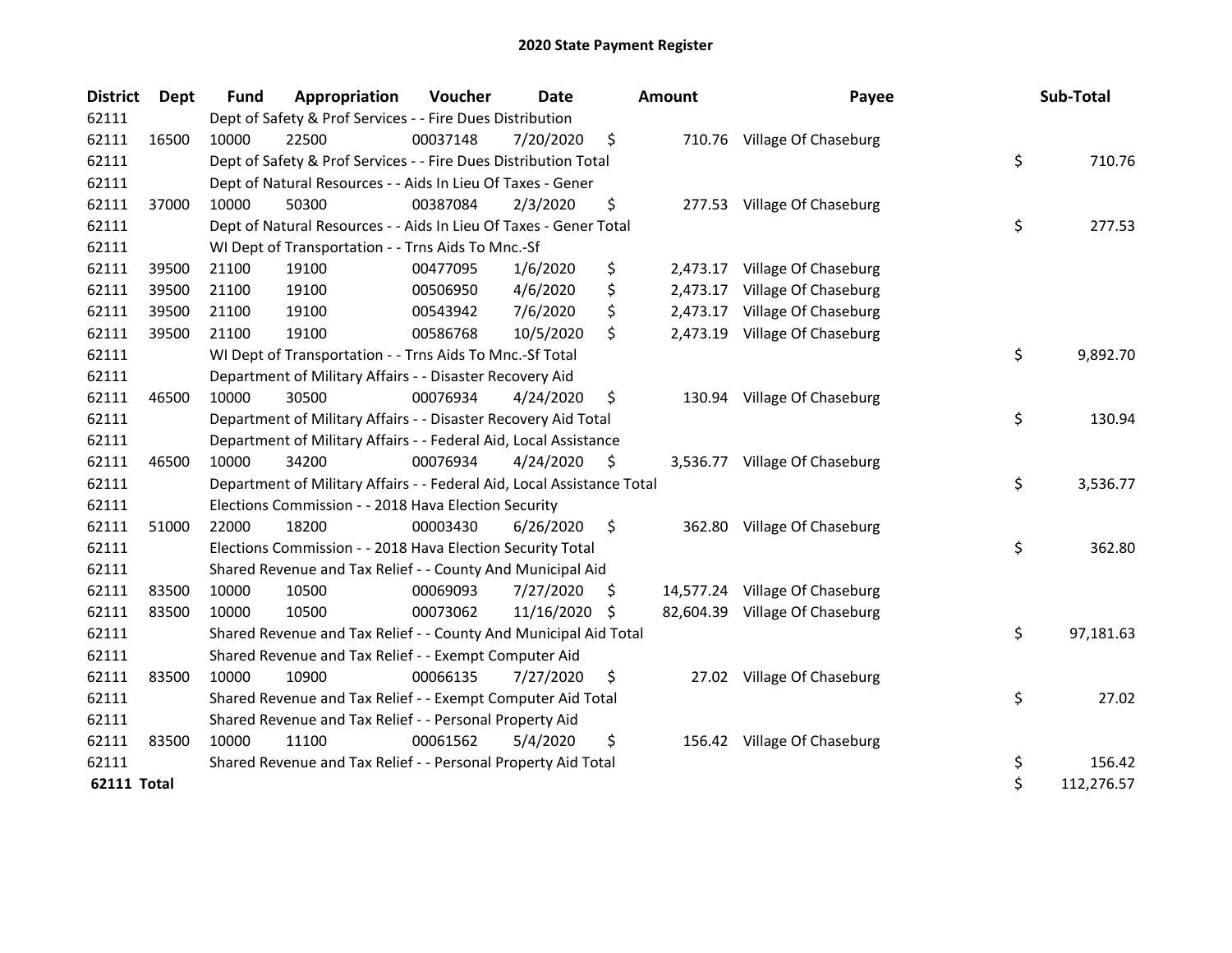| <b>District</b>    | <b>Dept</b> | Fund  | Appropriation                                                          | Voucher  | <b>Date</b> |     | <b>Amount</b> | Payee                          | Sub-Total        |
|--------------------|-------------|-------|------------------------------------------------------------------------|----------|-------------|-----|---------------|--------------------------------|------------------|
| 62111              |             |       | Dept of Safety & Prof Services - - Fire Dues Distribution              |          |             |     |               |                                |                  |
| 62111              | 16500       | 10000 | 22500                                                                  | 00037148 | 7/20/2020   | \$  |               | 710.76 Village Of Chaseburg    |                  |
| 62111              |             |       | Dept of Safety & Prof Services - - Fire Dues Distribution Total        |          |             |     |               |                                | \$<br>710.76     |
| 62111              |             |       | Dept of Natural Resources - - Aids In Lieu Of Taxes - Gener            |          |             |     |               |                                |                  |
| 62111              | 37000       | 10000 | 50300                                                                  | 00387084 | 2/3/2020    | \$  |               | 277.53 Village Of Chaseburg    |                  |
| 62111              |             |       | Dept of Natural Resources - - Aids In Lieu Of Taxes - Gener Total      |          |             |     |               |                                | \$<br>277.53     |
| 62111              |             |       | WI Dept of Transportation - - Trns Aids To Mnc.-Sf                     |          |             |     |               |                                |                  |
| 62111              | 39500       | 21100 | 19100                                                                  | 00477095 | 1/6/2020    | \$  | 2,473.17      | Village Of Chaseburg           |                  |
| 62111              | 39500       | 21100 | 19100                                                                  | 00506950 | 4/6/2020    | \$  | 2,473.17      | Village Of Chaseburg           |                  |
| 62111              | 39500       | 21100 | 19100                                                                  | 00543942 | 7/6/2020    | \$  | 2,473.17      | Village Of Chaseburg           |                  |
| 62111              | 39500       | 21100 | 19100                                                                  | 00586768 | 10/5/2020   | \$  | 2,473.19      | Village Of Chaseburg           |                  |
| 62111              |             |       | WI Dept of Transportation - - Trns Aids To Mnc.-Sf Total               |          |             |     |               |                                | \$<br>9,892.70   |
| 62111              |             |       | Department of Military Affairs - - Disaster Recovery Aid               |          |             |     |               |                                |                  |
| 62111              | 46500       | 10000 | 30500                                                                  | 00076934 | 4/24/2020   | \$  |               | 130.94 Village Of Chaseburg    |                  |
| 62111              |             |       | Department of Military Affairs - - Disaster Recovery Aid Total         |          |             |     |               |                                | \$<br>130.94     |
| 62111              |             |       | Department of Military Affairs - - Federal Aid, Local Assistance       |          |             |     |               |                                |                  |
| 62111              | 46500       | 10000 | 34200                                                                  | 00076934 | 4/24/2020   | \$. |               | 3,536.77 Village Of Chaseburg  |                  |
| 62111              |             |       | Department of Military Affairs - - Federal Aid, Local Assistance Total |          |             |     |               |                                | \$<br>3,536.77   |
| 62111              |             |       | Elections Commission - - 2018 Hava Election Security                   |          |             |     |               |                                |                  |
| 62111              | 51000       | 22000 | 18200                                                                  | 00003430 | 6/26/2020   | \$  | 362.80        | Village Of Chaseburg           |                  |
| 62111              |             |       | Elections Commission - - 2018 Hava Election Security Total             |          |             |     |               |                                | \$<br>362.80     |
| 62111              |             |       | Shared Revenue and Tax Relief - - County And Municipal Aid             |          |             |     |               |                                |                  |
| 62111              | 83500       | 10000 | 10500                                                                  | 00069093 | 7/27/2020   | S.  |               | 14,577.24 Village Of Chaseburg |                  |
| 62111              | 83500       | 10000 | 10500                                                                  | 00073062 | 11/16/2020  | S   |               | 82,604.39 Village Of Chaseburg |                  |
| 62111              |             |       | Shared Revenue and Tax Relief - - County And Municipal Aid Total       |          |             |     |               |                                | \$<br>97,181.63  |
| 62111              |             |       | Shared Revenue and Tax Relief - - Exempt Computer Aid                  |          |             |     |               |                                |                  |
| 62111              | 83500       | 10000 | 10900                                                                  | 00066135 | 7/27/2020   | \$  |               | 27.02 Village Of Chaseburg     |                  |
| 62111              |             |       | Shared Revenue and Tax Relief - - Exempt Computer Aid Total            |          |             |     |               |                                | \$<br>27.02      |
| 62111              |             |       | Shared Revenue and Tax Relief - - Personal Property Aid                |          |             |     |               |                                |                  |
| 62111              | 83500       | 10000 | 11100                                                                  | 00061562 | 5/4/2020    | \$  |               | 156.42 Village Of Chaseburg    |                  |
| 62111              |             |       | Shared Revenue and Tax Relief - - Personal Property Aid Total          |          |             |     |               |                                | \$<br>156.42     |
| <b>62111 Total</b> |             |       |                                                                        |          |             |     |               |                                | \$<br>112,276.57 |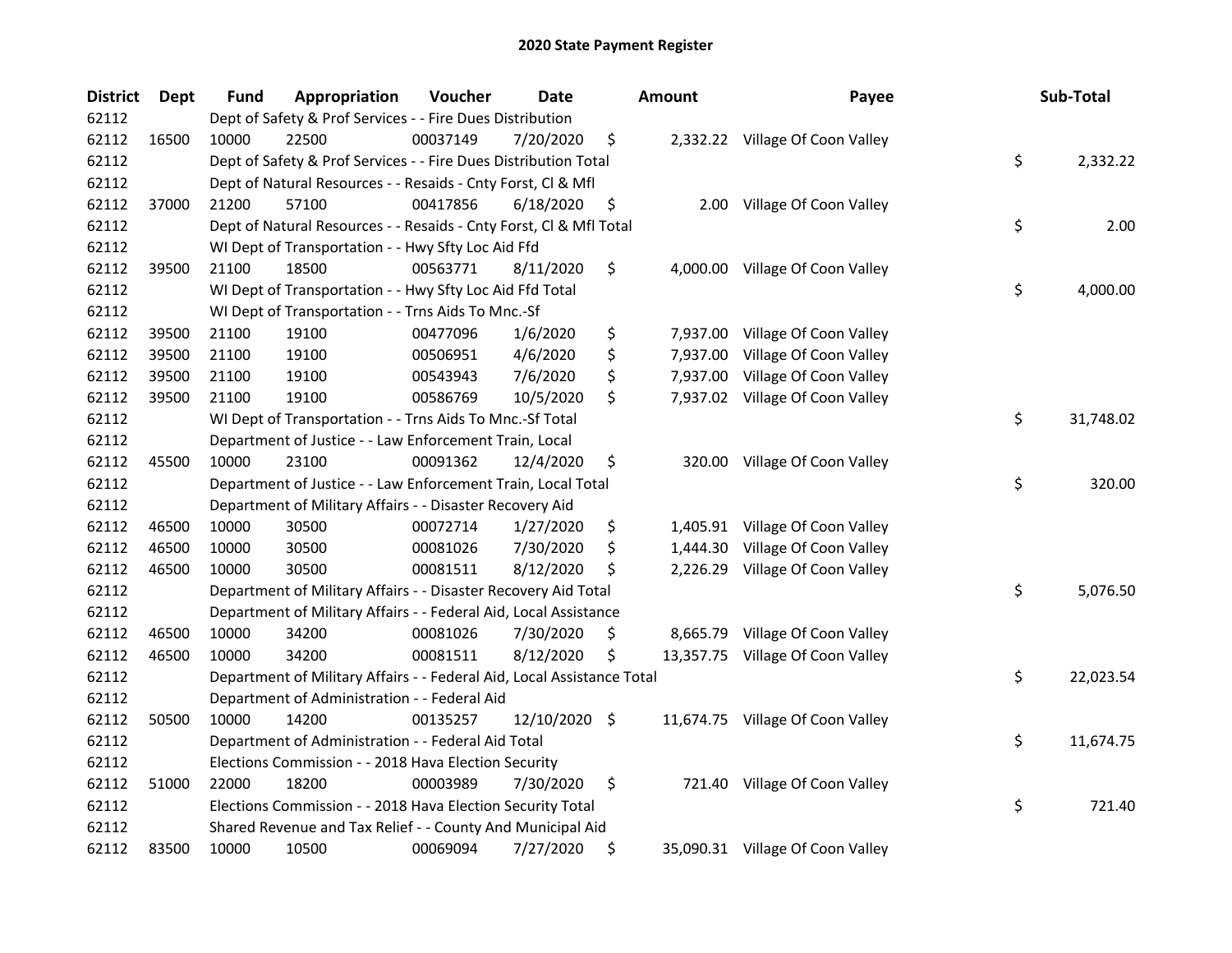| <b>District</b> | Dept  | Fund  | Appropriation                                                          | Voucher  | <b>Date</b>   | <b>Amount</b>  | Payee                            | Sub-Total       |
|-----------------|-------|-------|------------------------------------------------------------------------|----------|---------------|----------------|----------------------------------|-----------------|
| 62112           |       |       | Dept of Safety & Prof Services - - Fire Dues Distribution              |          |               |                |                                  |                 |
| 62112           | 16500 | 10000 | 22500                                                                  | 00037149 | 7/20/2020     | \$             | 2,332.22 Village Of Coon Valley  |                 |
| 62112           |       |       | Dept of Safety & Prof Services - - Fire Dues Distribution Total        |          |               |                |                                  | \$<br>2,332.22  |
| 62112           |       |       | Dept of Natural Resources - - Resaids - Cnty Forst, Cl & Mfl           |          |               |                |                                  |                 |
| 62112           | 37000 | 21200 | 57100                                                                  | 00417856 | 6/18/2020     | \$             | 2.00 Village Of Coon Valley      |                 |
| 62112           |       |       | Dept of Natural Resources - - Resaids - Cnty Forst, Cl & Mfl Total     |          |               |                |                                  | \$<br>2.00      |
| 62112           |       |       | WI Dept of Transportation - - Hwy Sfty Loc Aid Ffd                     |          |               |                |                                  |                 |
| 62112           | 39500 | 21100 | 18500                                                                  | 00563771 | 8/11/2020     | \$             | 4,000.00 Village Of Coon Valley  |                 |
| 62112           |       |       | WI Dept of Transportation - - Hwy Sfty Loc Aid Ffd Total               |          |               |                |                                  | \$<br>4,000.00  |
| 62112           |       |       | WI Dept of Transportation - - Trns Aids To Mnc.-Sf                     |          |               |                |                                  |                 |
| 62112           | 39500 | 21100 | 19100                                                                  | 00477096 | 1/6/2020      | \$             | 7,937.00 Village Of Coon Valley  |                 |
| 62112           | 39500 | 21100 | 19100                                                                  | 00506951 | 4/6/2020      | \$<br>7,937.00 | Village Of Coon Valley           |                 |
| 62112           | 39500 | 21100 | 19100                                                                  | 00543943 | 7/6/2020      | \$<br>7,937.00 | Village Of Coon Valley           |                 |
| 62112           | 39500 | 21100 | 19100                                                                  | 00586769 | 10/5/2020     | \$             | 7,937.02 Village Of Coon Valley  |                 |
| 62112           |       |       | WI Dept of Transportation - - Trns Aids To Mnc.-Sf Total               |          |               |                |                                  | \$<br>31,748.02 |
| 62112           |       |       | Department of Justice - - Law Enforcement Train, Local                 |          |               |                |                                  |                 |
| 62112           | 45500 | 10000 | 23100                                                                  | 00091362 | 12/4/2020     | \$<br>320.00   | Village Of Coon Valley           |                 |
| 62112           |       |       | Department of Justice - - Law Enforcement Train, Local Total           |          |               |                |                                  | \$<br>320.00    |
| 62112           |       |       | Department of Military Affairs - - Disaster Recovery Aid               |          |               |                |                                  |                 |
| 62112           | 46500 | 10000 | 30500                                                                  | 00072714 | 1/27/2020     | \$<br>1,405.91 | Village Of Coon Valley           |                 |
| 62112           | 46500 | 10000 | 30500                                                                  | 00081026 | 7/30/2020     | \$<br>1,444.30 | Village Of Coon Valley           |                 |
| 62112           | 46500 | 10000 | 30500                                                                  | 00081511 | 8/12/2020     | \$             | 2,226.29 Village Of Coon Valley  |                 |
| 62112           |       |       | Department of Military Affairs - - Disaster Recovery Aid Total         |          |               |                |                                  | \$<br>5,076.50  |
| 62112           |       |       | Department of Military Affairs - - Federal Aid, Local Assistance       |          |               |                |                                  |                 |
| 62112           | 46500 | 10000 | 34200                                                                  | 00081026 | 7/30/2020     | \$             | 8,665.79 Village Of Coon Valley  |                 |
| 62112           | 46500 | 10000 | 34200                                                                  | 00081511 | 8/12/2020     | \$             | 13,357.75 Village Of Coon Valley |                 |
| 62112           |       |       | Department of Military Affairs - - Federal Aid, Local Assistance Total |          |               |                |                                  | \$<br>22,023.54 |
| 62112           |       |       | Department of Administration - - Federal Aid                           |          |               |                |                                  |                 |
| 62112           | 50500 | 10000 | 14200                                                                  | 00135257 | 12/10/2020 \$ |                | 11,674.75 Village Of Coon Valley |                 |
| 62112           |       |       | Department of Administration - - Federal Aid Total                     |          |               |                |                                  | \$<br>11,674.75 |
| 62112           |       |       | Elections Commission - - 2018 Hava Election Security                   |          |               |                |                                  |                 |
| 62112           | 51000 | 22000 | 18200                                                                  | 00003989 | 7/30/2020     | \$             | 721.40 Village Of Coon Valley    |                 |
| 62112           |       |       | Elections Commission - - 2018 Hava Election Security Total             |          |               |                |                                  | \$<br>721.40    |
| 62112           |       |       | Shared Revenue and Tax Relief - - County And Municipal Aid             |          |               |                |                                  |                 |
| 62112           | 83500 | 10000 | 10500                                                                  | 00069094 | 7/27/2020     | \$             | 35,090.31 Village Of Coon Valley |                 |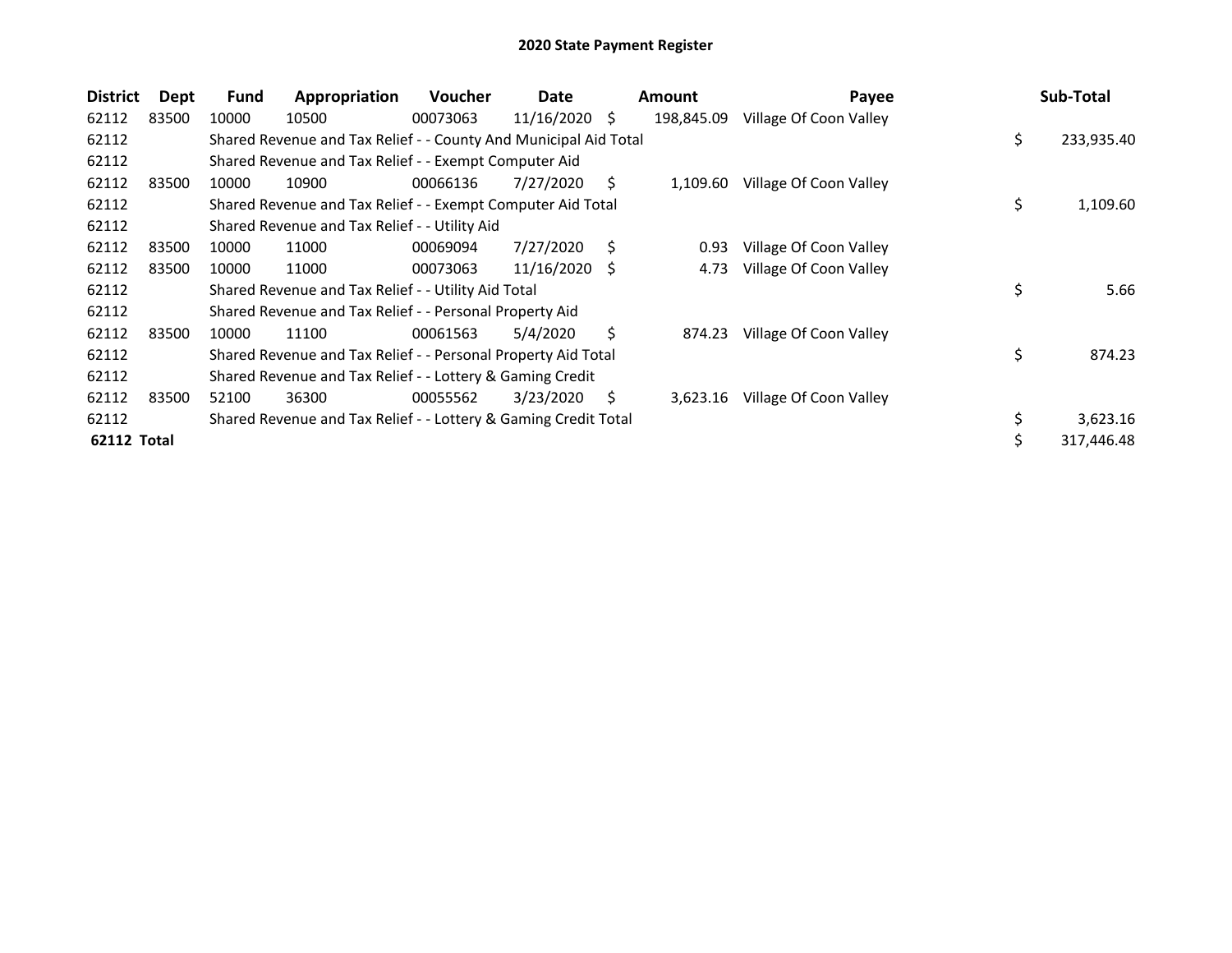| <b>District</b>    | Dept  | <b>Fund</b> | Appropriation                                                    | Voucher  | Date            |    | <b>Amount</b> | Payee                  | Sub-Total        |
|--------------------|-------|-------------|------------------------------------------------------------------|----------|-----------------|----|---------------|------------------------|------------------|
| 62112              | 83500 | 10000       | 10500                                                            | 00073063 | 11/16/2020      | S. | 198,845.09    | Village Of Coon Valley |                  |
| 62112              |       |             | Shared Revenue and Tax Relief - - County And Municipal Aid Total |          |                 |    |               |                        | \$<br>233,935.40 |
| 62112              |       |             | Shared Revenue and Tax Relief - - Exempt Computer Aid            |          |                 |    |               |                        |                  |
| 62112              | 83500 | 10000       | 10900                                                            | 00066136 | 7/27/2020       | S  | 1,109.60      | Village Of Coon Valley |                  |
| 62112              |       |             | Shared Revenue and Tax Relief - - Exempt Computer Aid Total      |          |                 |    |               |                        | \$<br>1,109.60   |
| 62112              |       |             | Shared Revenue and Tax Relief - - Utility Aid                    |          |                 |    |               |                        |                  |
| 62112              | 83500 | 10000       | 11000                                                            | 00069094 | 7/27/2020       | S. | 0.93          | Village Of Coon Valley |                  |
| 62112              | 83500 | 10000       | 11000                                                            | 00073063 | $11/16/2020$ \$ |    | 4.73          | Village Of Coon Valley |                  |
| 62112              |       |             | Shared Revenue and Tax Relief - - Utility Aid Total              |          |                 |    |               |                        | \$<br>5.66       |
| 62112              |       |             | Shared Revenue and Tax Relief - - Personal Property Aid          |          |                 |    |               |                        |                  |
| 62112              | 83500 | 10000       | 11100                                                            | 00061563 | 5/4/2020        | Ŝ. | 874.23        | Village Of Coon Valley |                  |
| 62112              |       |             | Shared Revenue and Tax Relief - - Personal Property Aid Total    |          |                 |    |               |                        | \$<br>874.23     |
| 62112              |       |             | Shared Revenue and Tax Relief - - Lottery & Gaming Credit        |          |                 |    |               |                        |                  |
| 62112              | 83500 | 52100       | 36300                                                            | 00055562 | 3/23/2020       | S  | 3,623.16      | Village Of Coon Valley |                  |
| 62112              |       |             | Shared Revenue and Tax Relief - - Lottery & Gaming Credit Total  |          |                 |    |               |                        | \$<br>3,623.16   |
| <b>62112 Total</b> |       |             |                                                                  |          |                 |    |               |                        | 317,446.48       |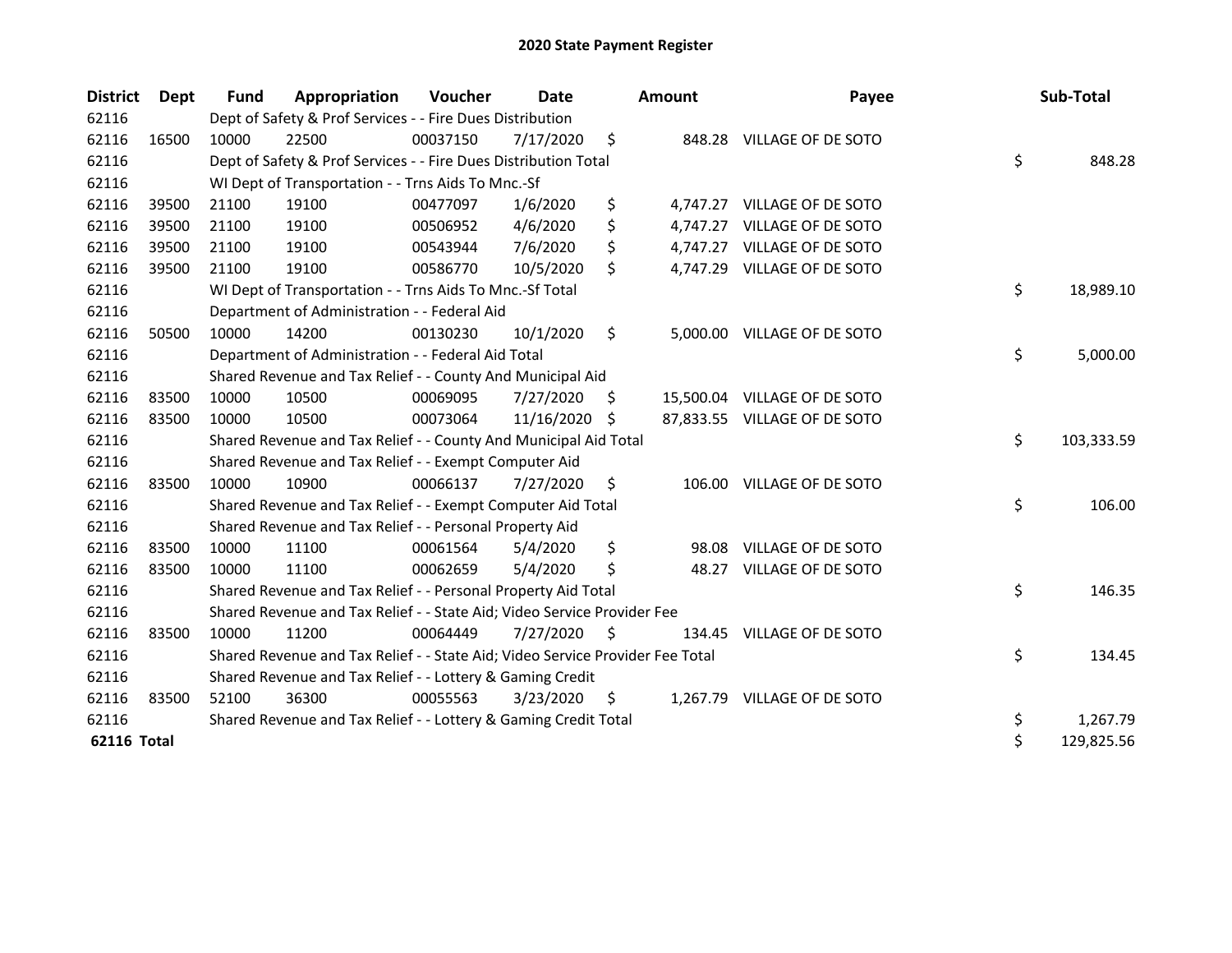| <b>District</b>    | Dept  | <b>Fund</b> | Appropriation                                                                 | Voucher  | Date          |     | <b>Amount</b> | Payee                        | Sub-Total        |
|--------------------|-------|-------------|-------------------------------------------------------------------------------|----------|---------------|-----|---------------|------------------------------|------------------|
| 62116              |       |             | Dept of Safety & Prof Services - - Fire Dues Distribution                     |          |               |     |               |                              |                  |
| 62116              | 16500 | 10000       | 22500                                                                         | 00037150 | 7/17/2020     | \$  |               | 848.28 VILLAGE OF DE SOTO    |                  |
| 62116              |       |             | Dept of Safety & Prof Services - - Fire Dues Distribution Total               |          |               |     |               |                              | \$<br>848.28     |
| 62116              |       |             | WI Dept of Transportation - - Trns Aids To Mnc.-Sf                            |          |               |     |               |                              |                  |
| 62116              | 39500 | 21100       | 19100                                                                         | 00477097 | 1/6/2020      | \$  |               | 4,747.27 VILLAGE OF DE SOTO  |                  |
| 62116              | 39500 | 21100       | 19100                                                                         | 00506952 | 4/6/2020      | \$  |               | 4,747.27 VILLAGE OF DE SOTO  |                  |
| 62116              | 39500 | 21100       | 19100                                                                         | 00543944 | 7/6/2020      | \$  |               | 4,747.27 VILLAGE OF DE SOTO  |                  |
| 62116              | 39500 | 21100       | 19100                                                                         | 00586770 | 10/5/2020     | \$  |               | 4,747.29 VILLAGE OF DE SOTO  |                  |
| 62116              |       |             | WI Dept of Transportation - - Trns Aids To Mnc.-Sf Total                      |          |               |     |               |                              | \$<br>18,989.10  |
| 62116              |       |             | Department of Administration - - Federal Aid                                  |          |               |     |               |                              |                  |
| 62116              | 50500 | 10000       | 14200                                                                         | 00130230 | 10/1/2020     | \$  |               | 5,000.00 VILLAGE OF DE SOTO  |                  |
| 62116              |       |             | Department of Administration - - Federal Aid Total                            |          |               |     |               |                              | \$<br>5,000.00   |
| 62116              |       |             | Shared Revenue and Tax Relief - - County And Municipal Aid                    |          |               |     |               |                              |                  |
| 62116              | 83500 | 10000       | 10500                                                                         | 00069095 | 7/27/2020     | \$. |               | 15,500.04 VILLAGE OF DE SOTO |                  |
| 62116              | 83500 | 10000       | 10500                                                                         | 00073064 | 11/16/2020 \$ |     |               | 87,833.55 VILLAGE OF DE SOTO |                  |
| 62116              |       |             | Shared Revenue and Tax Relief - - County And Municipal Aid Total              |          |               |     |               |                              | \$<br>103,333.59 |
| 62116              |       |             | Shared Revenue and Tax Relief - - Exempt Computer Aid                         |          |               |     |               |                              |                  |
| 62116              | 83500 | 10000       | 10900                                                                         | 00066137 | 7/27/2020     | \$  | 106.00        | VILLAGE OF DE SOTO           |                  |
| 62116              |       |             | Shared Revenue and Tax Relief - - Exempt Computer Aid Total                   |          |               |     |               |                              | \$<br>106.00     |
| 62116              |       |             | Shared Revenue and Tax Relief - - Personal Property Aid                       |          |               |     |               |                              |                  |
| 62116              | 83500 | 10000       | 11100                                                                         | 00061564 | 5/4/2020      | \$  |               | 98.08 VILLAGE OF DE SOTO     |                  |
| 62116              | 83500 | 10000       | 11100                                                                         | 00062659 | 5/4/2020      | \$  | 48.27         | VILLAGE OF DE SOTO           |                  |
| 62116              |       |             | Shared Revenue and Tax Relief - - Personal Property Aid Total                 |          |               |     |               |                              | \$<br>146.35     |
| 62116              |       |             | Shared Revenue and Tax Relief - - State Aid; Video Service Provider Fee       |          |               |     |               |                              |                  |
| 62116              | 83500 | 10000       | 11200                                                                         | 00064449 | 7/27/2020     | S   |               | 134.45 VILLAGE OF DE SOTO    |                  |
| 62116              |       |             | Shared Revenue and Tax Relief - - State Aid; Video Service Provider Fee Total |          |               |     |               |                              | \$<br>134.45     |
| 62116              |       |             | Shared Revenue and Tax Relief - - Lottery & Gaming Credit                     |          |               |     |               |                              |                  |
| 62116              | 83500 | 52100       | 36300                                                                         | 00055563 | 3/23/2020     | \$  |               | 1,267.79 VILLAGE OF DE SOTO  |                  |
| 62116              |       |             | Shared Revenue and Tax Relief - - Lottery & Gaming Credit Total               |          |               |     |               |                              | \$<br>1,267.79   |
| <b>62116 Total</b> |       |             |                                                                               |          |               |     |               |                              | \$<br>129,825.56 |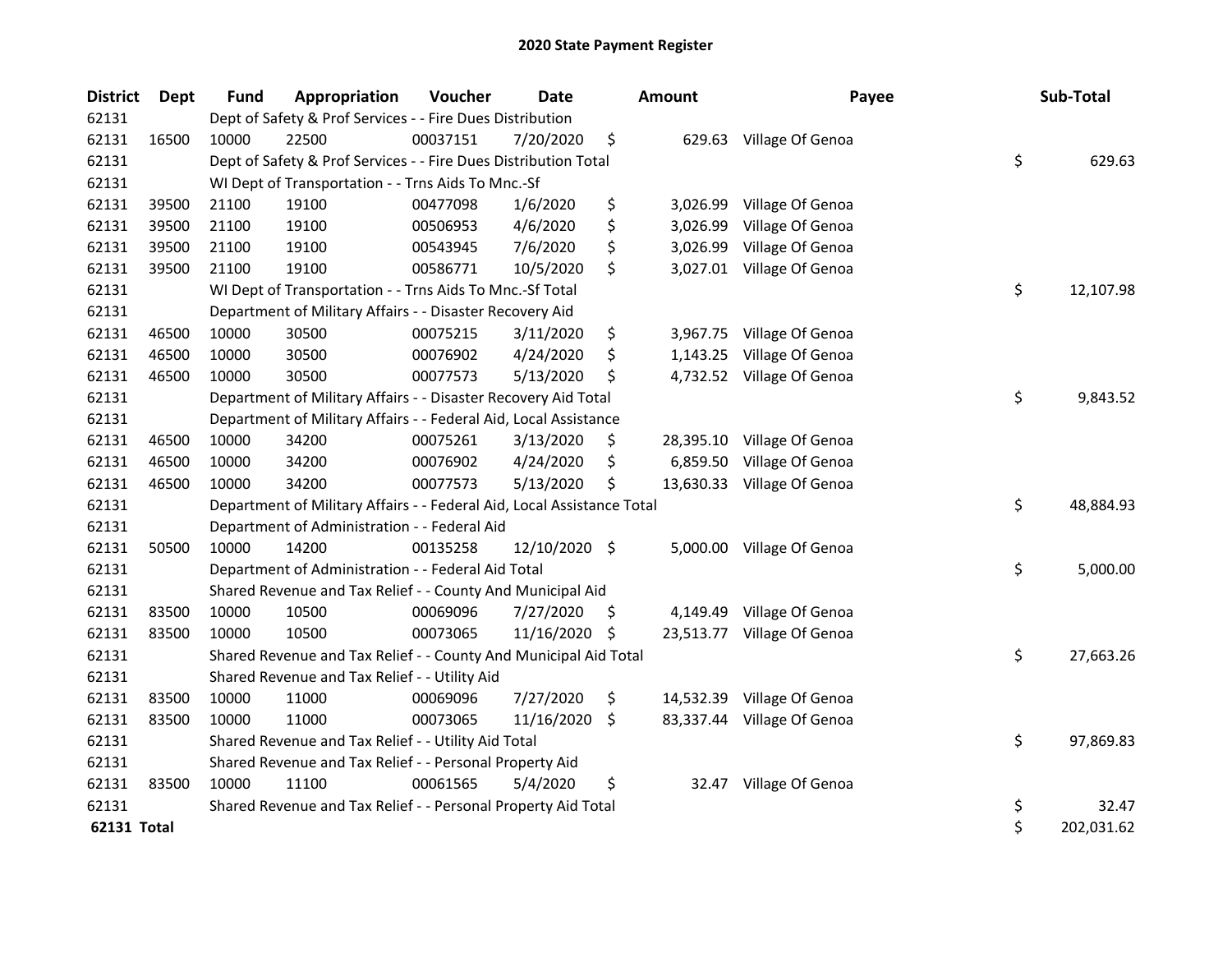| <b>District</b>    | <b>Dept</b> | <b>Fund</b> | Appropriation                                                          | Voucher  | <b>Date</b>   |                    | <b>Amount</b> | Payee                      | Sub-Total        |
|--------------------|-------------|-------------|------------------------------------------------------------------------|----------|---------------|--------------------|---------------|----------------------------|------------------|
| 62131              |             |             | Dept of Safety & Prof Services - - Fire Dues Distribution              |          |               |                    |               |                            |                  |
| 62131              | 16500       | 10000       | 22500                                                                  | 00037151 | 7/20/2020     | \$                 |               | 629.63 Village Of Genoa    |                  |
| 62131              |             |             | Dept of Safety & Prof Services - - Fire Dues Distribution Total        |          |               |                    |               |                            | \$<br>629.63     |
| 62131              |             |             | WI Dept of Transportation - - Trns Aids To Mnc.-Sf                     |          |               |                    |               |                            |                  |
| 62131              | 39500       | 21100       | 19100                                                                  | 00477098 | 1/6/2020      | \$                 |               | 3,026.99 Village Of Genoa  |                  |
| 62131              | 39500       | 21100       | 19100                                                                  | 00506953 | 4/6/2020      | \$                 | 3,026.99      | Village Of Genoa           |                  |
| 62131              | 39500       | 21100       | 19100                                                                  | 00543945 | 7/6/2020      | \$                 | 3,026.99      | Village Of Genoa           |                  |
| 62131              | 39500       | 21100       | 19100                                                                  | 00586771 | 10/5/2020     | \$                 |               | 3,027.01 Village Of Genoa  |                  |
| 62131              |             |             | WI Dept of Transportation - - Trns Aids To Mnc.-Sf Total               |          |               |                    |               |                            | \$<br>12,107.98  |
| 62131              |             |             | Department of Military Affairs - - Disaster Recovery Aid               |          |               |                    |               |                            |                  |
| 62131              | 46500       | 10000       | 30500                                                                  | 00075215 | 3/11/2020     | \$                 |               | 3,967.75 Village Of Genoa  |                  |
| 62131              | 46500       | 10000       | 30500                                                                  | 00076902 | 4/24/2020     | \$                 |               | 1,143.25 Village Of Genoa  |                  |
| 62131              | 46500       | 10000       | 30500                                                                  | 00077573 | 5/13/2020     | \$                 |               | 4,732.52 Village Of Genoa  |                  |
| 62131              |             |             | Department of Military Affairs - - Disaster Recovery Aid Total         |          |               |                    |               |                            | \$<br>9,843.52   |
| 62131              |             |             | Department of Military Affairs - - Federal Aid, Local Assistance       |          |               |                    |               |                            |                  |
| 62131              | 46500       | 10000       | 34200                                                                  | 00075261 | 3/13/2020     | S.                 |               | 28,395.10 Village Of Genoa |                  |
| 62131              | 46500       | 10000       | 34200                                                                  | 00076902 | 4/24/2020     | \$                 | 6,859.50      | Village Of Genoa           |                  |
| 62131              | 46500       | 10000       | 34200                                                                  | 00077573 | 5/13/2020     | \$                 |               | 13,630.33 Village Of Genoa |                  |
| 62131              |             |             | Department of Military Affairs - - Federal Aid, Local Assistance Total |          |               |                    |               |                            | \$<br>48,884.93  |
| 62131              |             |             | Department of Administration - - Federal Aid                           |          |               |                    |               |                            |                  |
| 62131              | 50500       | 10000       | 14200                                                                  | 00135258 | 12/10/2020 \$ |                    | 5,000.00      | Village Of Genoa           |                  |
| 62131              |             |             | Department of Administration - - Federal Aid Total                     |          |               |                    |               |                            | \$<br>5,000.00   |
| 62131              |             |             | Shared Revenue and Tax Relief - - County And Municipal Aid             |          |               |                    |               |                            |                  |
| 62131              | 83500       | 10000       | 10500                                                                  | 00069096 | 7/27/2020     | \$                 | 4,149.49      | Village Of Genoa           |                  |
| 62131              | 83500       | 10000       | 10500                                                                  | 00073065 | 11/16/2020 \$ |                    |               | 23,513.77 Village Of Genoa |                  |
| 62131              |             |             | Shared Revenue and Tax Relief - - County And Municipal Aid Total       |          |               |                    |               |                            | \$<br>27,663.26  |
| 62131              |             |             | Shared Revenue and Tax Relief - - Utility Aid                          |          |               |                    |               |                            |                  |
| 62131              | 83500       | 10000       | 11000                                                                  | 00069096 | 7/27/2020     | \$                 |               | 14,532.39 Village Of Genoa |                  |
| 62131              | 83500       | 10000       | 11000                                                                  | 00073065 | 11/16/2020    | $\ddot{\varsigma}$ |               | 83,337.44 Village Of Genoa |                  |
| 62131              |             |             | Shared Revenue and Tax Relief - - Utility Aid Total                    |          |               |                    |               |                            | \$<br>97,869.83  |
| 62131              |             |             | Shared Revenue and Tax Relief - - Personal Property Aid                |          |               |                    |               |                            |                  |
| 62131              | 83500       | 10000       | 11100                                                                  | 00061565 | 5/4/2020      | \$                 | 32.47         | Village Of Genoa           |                  |
| 62131              |             |             | Shared Revenue and Tax Relief - - Personal Property Aid Total          |          |               |                    |               |                            | \$<br>32.47      |
| <b>62131 Total</b> |             |             |                                                                        |          |               |                    |               |                            | \$<br>202,031.62 |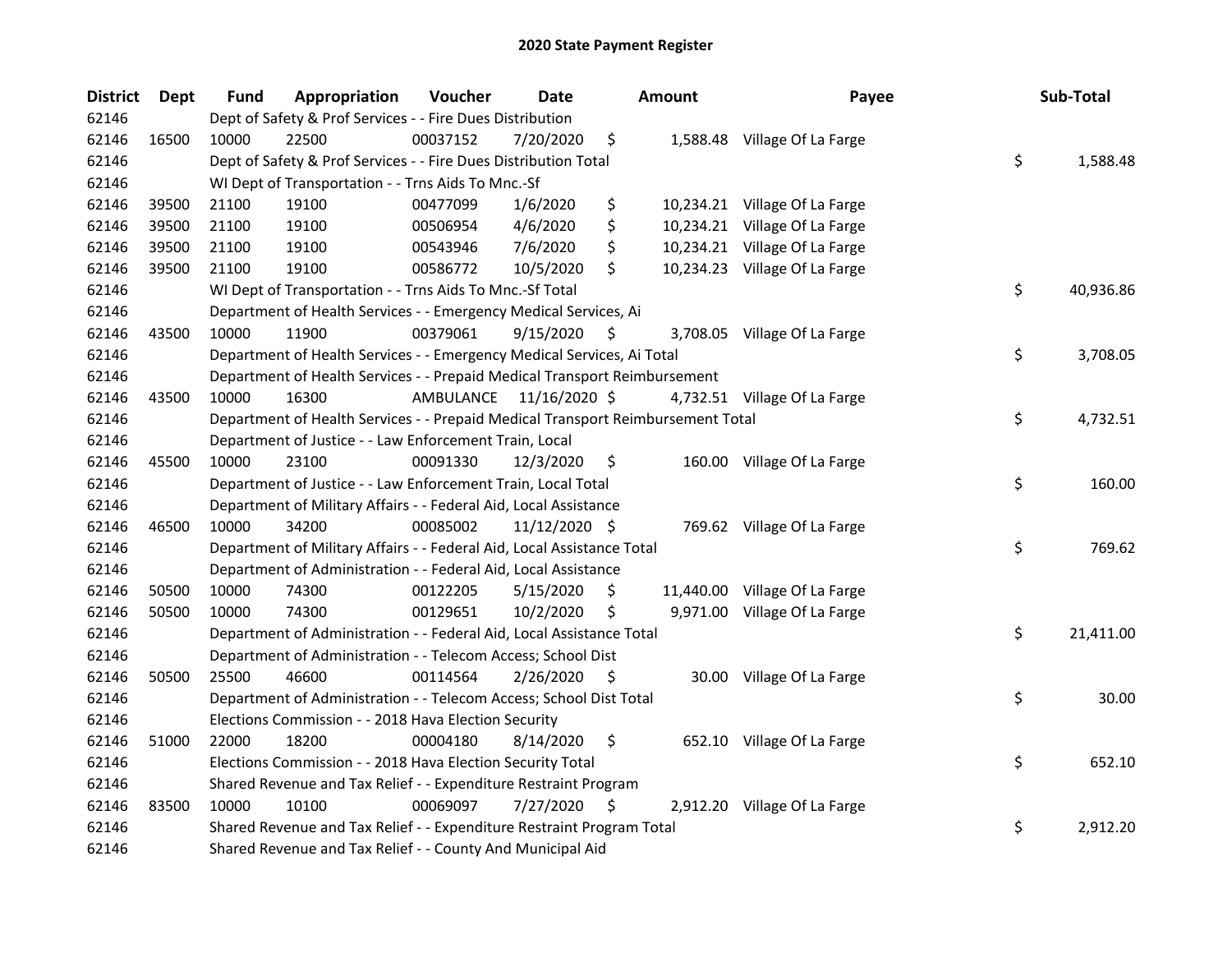| <b>District</b> | <b>Dept</b> | <b>Fund</b> | Appropriation                                                                   | Voucher   | Date          |     | <b>Amount</b> | Payee                         | Sub-Total       |
|-----------------|-------------|-------------|---------------------------------------------------------------------------------|-----------|---------------|-----|---------------|-------------------------------|-----------------|
| 62146           |             |             | Dept of Safety & Prof Services - - Fire Dues Distribution                       |           |               |     |               |                               |                 |
| 62146           | 16500       | 10000       | 22500                                                                           | 00037152  | 7/20/2020     | \$  |               | 1,588.48 Village Of La Farge  |                 |
| 62146           |             |             | Dept of Safety & Prof Services - - Fire Dues Distribution Total                 |           |               |     |               |                               | \$<br>1,588.48  |
| 62146           |             |             | WI Dept of Transportation - - Trns Aids To Mnc.-Sf                              |           |               |     |               |                               |                 |
| 62146           | 39500       | 21100       | 19100                                                                           | 00477099  | 1/6/2020      | \$  |               | 10,234.21 Village Of La Farge |                 |
| 62146           | 39500       | 21100       | 19100                                                                           | 00506954  | 4/6/2020      | \$  |               | 10,234.21 Village Of La Farge |                 |
| 62146           | 39500       | 21100       | 19100                                                                           | 00543946  | 7/6/2020      | \$  |               | 10,234.21 Village Of La Farge |                 |
| 62146           | 39500       | 21100       | 19100                                                                           | 00586772  | 10/5/2020     | \$  |               | 10,234.23 Village Of La Farge |                 |
| 62146           |             |             | WI Dept of Transportation - - Trns Aids To Mnc.-Sf Total                        |           |               |     |               |                               | \$<br>40,936.86 |
| 62146           |             |             | Department of Health Services - - Emergency Medical Services, Ai                |           |               |     |               |                               |                 |
| 62146           | 43500       | 10000       | 11900                                                                           | 00379061  | 9/15/2020     | \$. |               | 3,708.05 Village Of La Farge  |                 |
| 62146           |             |             | Department of Health Services - - Emergency Medical Services, Ai Total          |           |               |     |               |                               | \$<br>3,708.05  |
| 62146           |             |             | Department of Health Services - - Prepaid Medical Transport Reimbursement       |           |               |     |               |                               |                 |
| 62146           | 43500       | 10000       | 16300                                                                           | AMBULANCE | 11/16/2020 \$ |     |               | 4,732.51 Village Of La Farge  |                 |
| 62146           |             |             | Department of Health Services - - Prepaid Medical Transport Reimbursement Total |           |               |     |               |                               | \$<br>4,732.51  |
| 62146           |             |             | Department of Justice - - Law Enforcement Train, Local                          |           |               |     |               |                               |                 |
| 62146           | 45500       | 10000       | 23100                                                                           | 00091330  | 12/3/2020     | S   |               | 160.00 Village Of La Farge    |                 |
| 62146           |             |             | Department of Justice - - Law Enforcement Train, Local Total                    |           |               |     |               |                               | \$<br>160.00    |
| 62146           |             |             | Department of Military Affairs - - Federal Aid, Local Assistance                |           |               |     |               |                               |                 |
| 62146           | 46500       | 10000       | 34200                                                                           | 00085002  | 11/12/2020 \$ |     |               | 769.62 Village Of La Farge    |                 |
| 62146           |             |             | Department of Military Affairs - - Federal Aid, Local Assistance Total          |           |               |     |               |                               | \$<br>769.62    |
| 62146           |             |             | Department of Administration - - Federal Aid, Local Assistance                  |           |               |     |               |                               |                 |
| 62146           | 50500       | 10000       | 74300                                                                           | 00122205  | 5/15/2020     | \$. |               | 11,440.00 Village Of La Farge |                 |
| 62146           | 50500       | 10000       | 74300                                                                           | 00129651  | 10/2/2020     | \$  |               | 9,971.00 Village Of La Farge  |                 |
| 62146           |             |             | Department of Administration - - Federal Aid, Local Assistance Total            |           |               |     |               |                               | \$<br>21,411.00 |
| 62146           |             |             | Department of Administration - - Telecom Access; School Dist                    |           |               |     |               |                               |                 |
| 62146           | 50500       | 25500       | 46600                                                                           | 00114564  | 2/26/2020     | \$. |               | 30.00 Village Of La Farge     |                 |
| 62146           |             |             | Department of Administration - - Telecom Access; School Dist Total              |           |               |     |               |                               | \$<br>30.00     |
| 62146           |             |             | Elections Commission - - 2018 Hava Election Security                            |           |               |     |               |                               |                 |
| 62146           | 51000       | 22000       | 18200                                                                           | 00004180  | 8/14/2020     | \$  |               | 652.10 Village Of La Farge    |                 |
| 62146           |             |             | Elections Commission - - 2018 Hava Election Security Total                      |           |               |     |               |                               | \$<br>652.10    |
| 62146           |             |             | Shared Revenue and Tax Relief - - Expenditure Restraint Program                 |           |               |     |               |                               |                 |
| 62146           | 83500       | 10000       | 10100                                                                           | 00069097  | 7/27/2020     | \$. |               | 2,912.20 Village Of La Farge  |                 |
| 62146           |             |             | Shared Revenue and Tax Relief - - Expenditure Restraint Program Total           |           |               |     |               |                               | \$<br>2,912.20  |
| 62146           |             |             | Shared Revenue and Tax Relief - - County And Municipal Aid                      |           |               |     |               |                               |                 |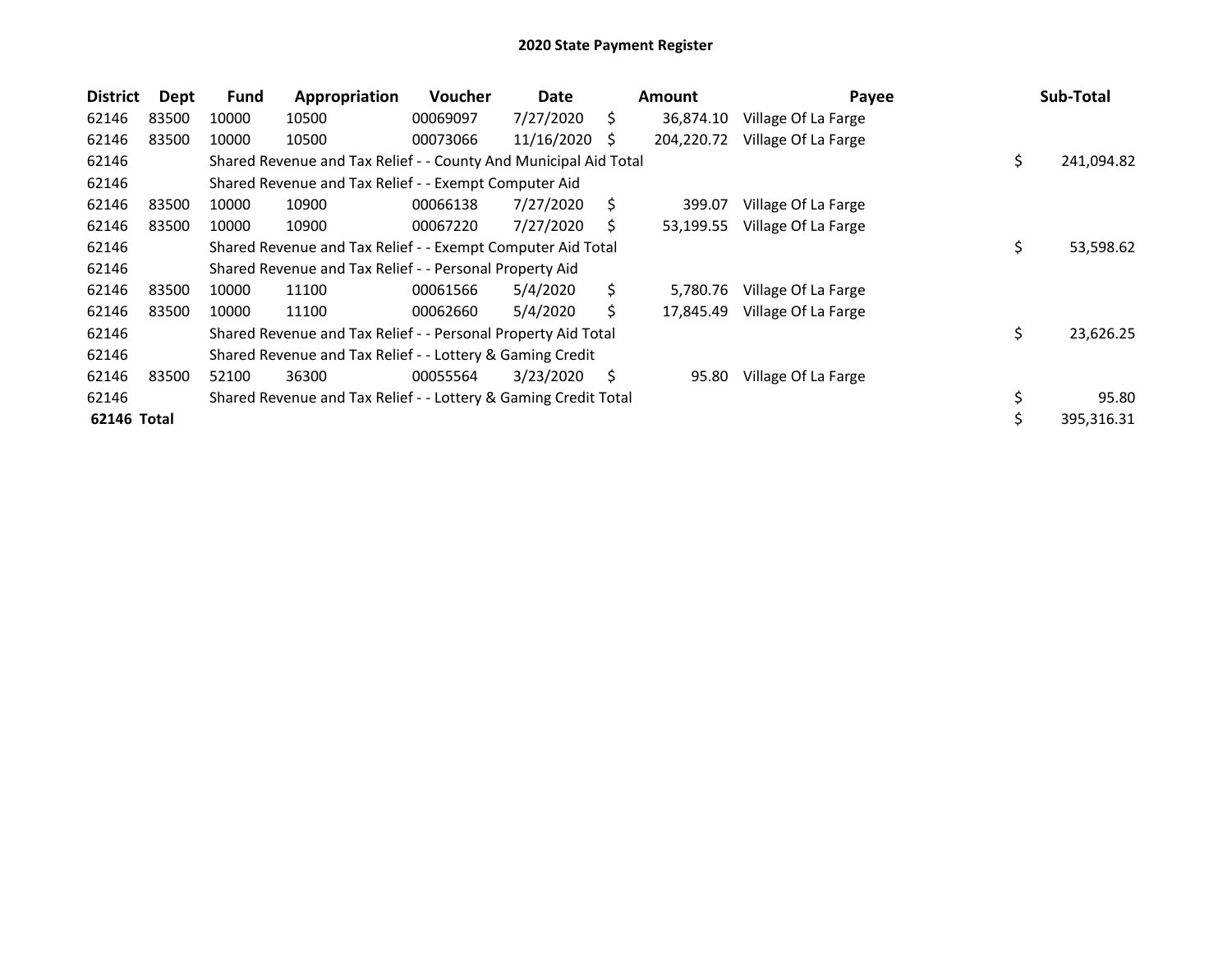| <b>District</b> | Dept  | <b>Fund</b> | Appropriation                                                    | <b>Voucher</b> | Date       |    | <b>Amount</b> | Payee               |     | Sub-Total  |
|-----------------|-------|-------------|------------------------------------------------------------------|----------------|------------|----|---------------|---------------------|-----|------------|
| 62146           | 83500 | 10000       | 10500                                                            | 00069097       | 7/27/2020  | S. | 36,874.10     | Village Of La Farge |     |            |
| 62146           | 83500 | 10000       | 10500                                                            | 00073066       | 11/16/2020 | S  | 204,220.72    | Village Of La Farge |     |            |
| 62146           |       |             | Shared Revenue and Tax Relief - - County And Municipal Aid Total |                |            |    |               |                     | \$  | 241,094.82 |
| 62146           |       |             | Shared Revenue and Tax Relief - - Exempt Computer Aid            |                |            |    |               |                     |     |            |
| 62146           | 83500 | 10000       | 10900                                                            | 00066138       | 7/27/2020  | Ś. | 399.07        | Village Of La Farge |     |            |
| 62146           | 83500 | 10000       | 10900                                                            | 00067220       | 7/27/2020  | S  | 53,199.55     | Village Of La Farge |     |            |
| 62146           |       |             | Shared Revenue and Tax Relief - - Exempt Computer Aid Total      |                |            |    |               |                     | \$  | 53,598.62  |
| 62146           |       |             | Shared Revenue and Tax Relief - - Personal Property Aid          |                |            |    |               |                     |     |            |
| 62146           | 83500 | 10000       | 11100                                                            | 00061566       | 5/4/2020   | S. | 5.780.76      | Village Of La Farge |     |            |
| 62146           | 83500 | 10000       | 11100                                                            | 00062660       | 5/4/2020   | Ś  | 17,845.49     | Village Of La Farge |     |            |
| 62146           |       |             | Shared Revenue and Tax Relief - - Personal Property Aid Total    |                |            |    |               |                     | \$. | 23,626.25  |
| 62146           |       |             | Shared Revenue and Tax Relief - - Lottery & Gaming Credit        |                |            |    |               |                     |     |            |
| 62146           | 83500 | 52100       | 36300                                                            | 00055564       | 3/23/2020  | S  | 95.80         | Village Of La Farge |     |            |
| 62146           |       |             | Shared Revenue and Tax Relief - - Lottery & Gaming Credit Total  |                |            |    |               |                     | \$  | 95.80      |
| 62146 Total     |       |             |                                                                  |                |            |    |               |                     | \$  | 395,316.31 |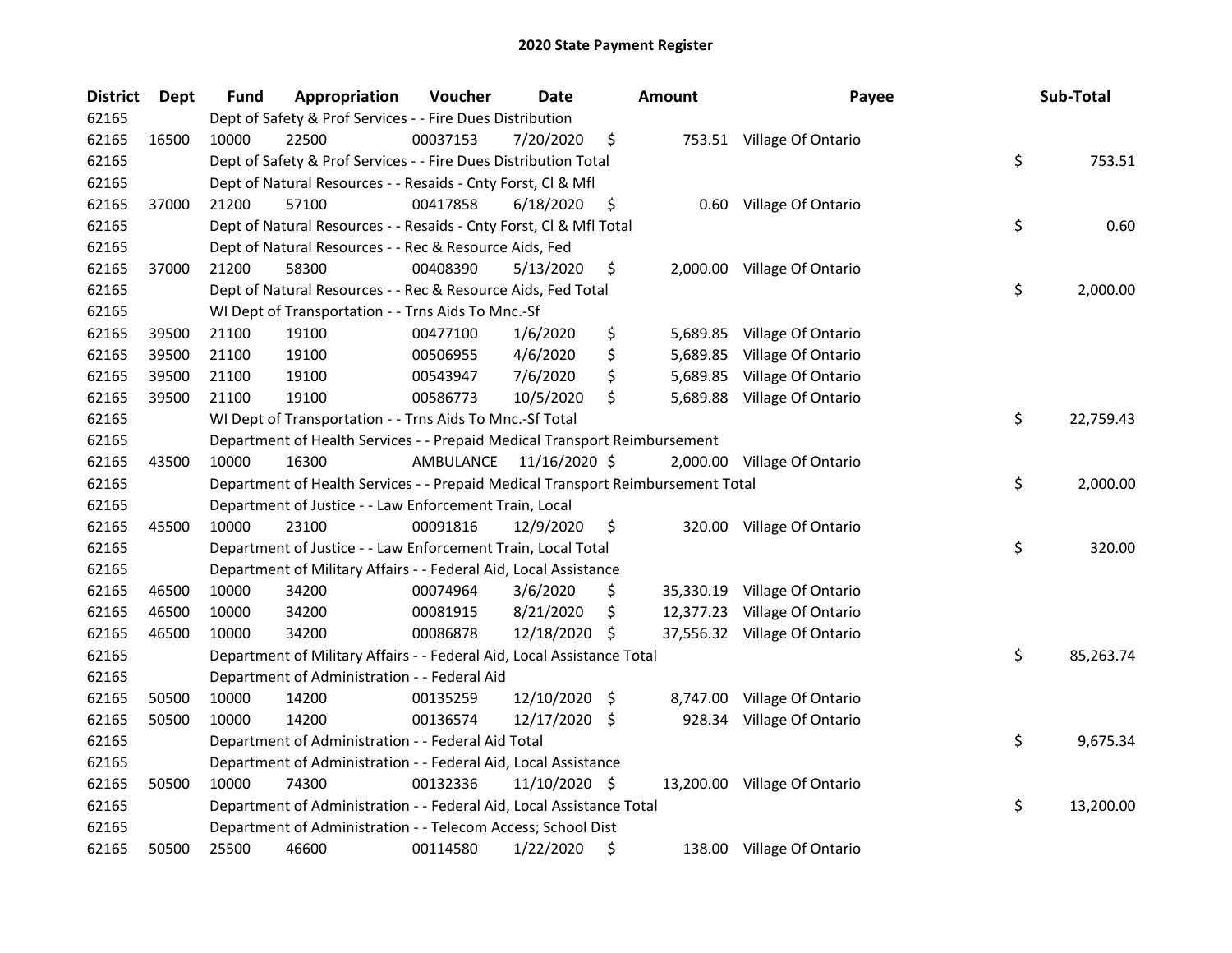| <b>District</b> | Dept  | Fund  | Appropriation                                                                   | Voucher   | Date          |    | <b>Amount</b> | Payee                        | Sub-Total       |
|-----------------|-------|-------|---------------------------------------------------------------------------------|-----------|---------------|----|---------------|------------------------------|-----------------|
| 62165           |       |       | Dept of Safety & Prof Services - - Fire Dues Distribution                       |           |               |    |               |                              |                 |
| 62165           | 16500 | 10000 | 22500                                                                           | 00037153  | 7/20/2020     | \$ |               | 753.51 Village Of Ontario    |                 |
| 62165           |       |       | Dept of Safety & Prof Services - - Fire Dues Distribution Total                 |           |               |    |               |                              | \$<br>753.51    |
| 62165           |       |       | Dept of Natural Resources - - Resaids - Cnty Forst, Cl & Mfl                    |           |               |    |               |                              |                 |
| 62165           | 37000 | 21200 | 57100                                                                           | 00417858  | 6/18/2020     | \$ | 0.60          | Village Of Ontario           |                 |
| 62165           |       |       | Dept of Natural Resources - - Resaids - Cnty Forst, Cl & Mfl Total              |           |               |    |               |                              | \$<br>0.60      |
| 62165           |       |       | Dept of Natural Resources - - Rec & Resource Aids, Fed                          |           |               |    |               |                              |                 |
| 62165           | 37000 | 21200 | 58300                                                                           | 00408390  | 5/13/2020     | \$ |               | 2,000.00 Village Of Ontario  |                 |
| 62165           |       |       | Dept of Natural Resources - - Rec & Resource Aids, Fed Total                    |           |               |    |               |                              | \$<br>2,000.00  |
| 62165           |       |       | WI Dept of Transportation - - Trns Aids To Mnc.-Sf                              |           |               |    |               |                              |                 |
| 62165           | 39500 | 21100 | 19100                                                                           | 00477100  | 1/6/2020      | \$ | 5,689.85      | Village Of Ontario           |                 |
| 62165           | 39500 | 21100 | 19100                                                                           | 00506955  | 4/6/2020      | \$ | 5,689.85      | Village Of Ontario           |                 |
| 62165           | 39500 | 21100 | 19100                                                                           | 00543947  | 7/6/2020      | \$ | 5,689.85      | Village Of Ontario           |                 |
| 62165           | 39500 | 21100 | 19100                                                                           | 00586773  | 10/5/2020     | \$ | 5,689.88      | Village Of Ontario           |                 |
| 62165           |       |       | WI Dept of Transportation - - Trns Aids To Mnc.-Sf Total                        |           |               |    |               |                              | \$<br>22,759.43 |
| 62165           |       |       | Department of Health Services - - Prepaid Medical Transport Reimbursement       |           |               |    |               |                              |                 |
| 62165           | 43500 | 10000 | 16300                                                                           | AMBULANCE | 11/16/2020 \$ |    |               | 2,000.00 Village Of Ontario  |                 |
| 62165           |       |       | Department of Health Services - - Prepaid Medical Transport Reimbursement Total |           |               |    |               |                              | \$<br>2,000.00  |
| 62165           |       |       | Department of Justice - - Law Enforcement Train, Local                          |           |               |    |               |                              |                 |
| 62165           | 45500 | 10000 | 23100                                                                           | 00091816  | 12/9/2020     | \$ |               | 320.00 Village Of Ontario    |                 |
| 62165           |       |       | Department of Justice - - Law Enforcement Train, Local Total                    |           |               |    |               |                              | \$<br>320.00    |
| 62165           |       |       | Department of Military Affairs - - Federal Aid, Local Assistance                |           |               |    |               |                              |                 |
| 62165           | 46500 | 10000 | 34200                                                                           | 00074964  | 3/6/2020      | \$ |               | 35,330.19 Village Of Ontario |                 |
| 62165           | 46500 | 10000 | 34200                                                                           | 00081915  | 8/21/2020     | \$ |               | 12,377.23 Village Of Ontario |                 |
| 62165           | 46500 | 10000 | 34200                                                                           | 00086878  | 12/18/2020    | \$ |               | 37,556.32 Village Of Ontario |                 |
| 62165           |       |       | Department of Military Affairs - - Federal Aid, Local Assistance Total          |           |               |    |               |                              | \$<br>85,263.74 |
| 62165           |       |       | Department of Administration - - Federal Aid                                    |           |               |    |               |                              |                 |
| 62165           | 50500 | 10000 | 14200                                                                           | 00135259  | 12/10/2020 \$ |    | 8,747.00      | Village Of Ontario           |                 |
| 62165           | 50500 | 10000 | 14200                                                                           | 00136574  | 12/17/2020    | -S |               | 928.34 Village Of Ontario    |                 |
| 62165           |       |       | Department of Administration - - Federal Aid Total                              |           |               |    |               |                              | \$<br>9,675.34  |
| 62165           |       |       | Department of Administration - - Federal Aid, Local Assistance                  |           |               |    |               |                              |                 |
| 62165           | 50500 | 10000 | 74300                                                                           | 00132336  | 11/10/2020 \$ |    |               | 13,200.00 Village Of Ontario |                 |
| 62165           |       |       | Department of Administration - - Federal Aid, Local Assistance Total            |           |               |    |               |                              | \$<br>13,200.00 |
| 62165           |       |       | Department of Administration - - Telecom Access; School Dist                    |           |               |    |               |                              |                 |
| 62165           | 50500 | 25500 | 46600                                                                           | 00114580  | 1/22/2020     | \$ |               | 138.00 Village Of Ontario    |                 |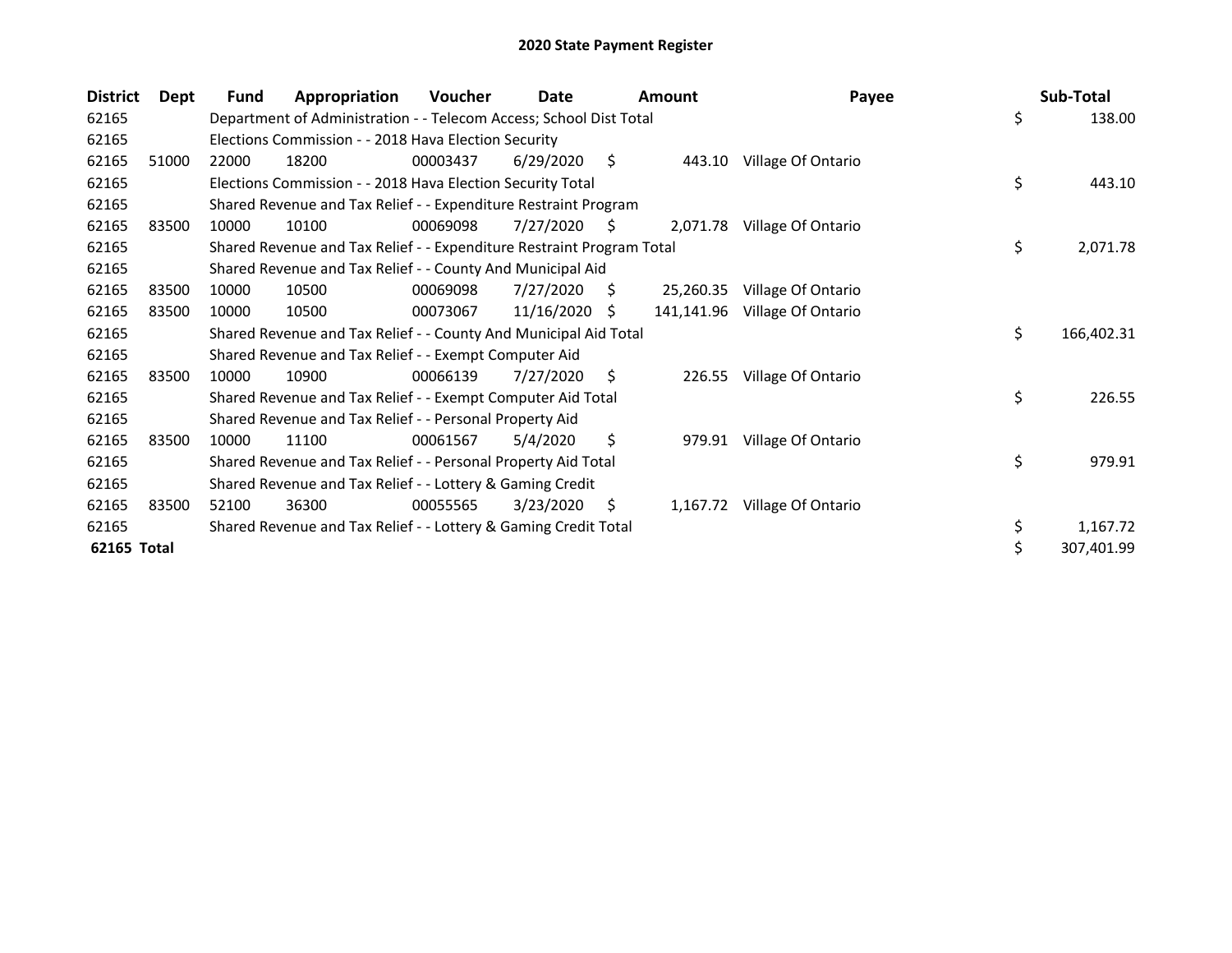| <b>District</b> | Dept  | <b>Fund</b> | Appropriation                                                         | <b>Voucher</b> | Date       |    | <b>Amount</b> | Payee              | Sub-Total        |
|-----------------|-------|-------------|-----------------------------------------------------------------------|----------------|------------|----|---------------|--------------------|------------------|
| 62165           |       |             | Department of Administration - - Telecom Access; School Dist Total    |                |            |    |               |                    | \$<br>138.00     |
| 62165           |       |             | Elections Commission - - 2018 Hava Election Security                  |                |            |    |               |                    |                  |
| 62165           | 51000 | 22000       | 18200                                                                 | 00003437       | 6/29/2020  | \$ | 443.10        | Village Of Ontario |                  |
| 62165           |       |             | Elections Commission - - 2018 Hava Election Security Total            |                |            |    |               |                    | \$<br>443.10     |
| 62165           |       |             | Shared Revenue and Tax Relief - - Expenditure Restraint Program       |                |            |    |               |                    |                  |
| 62165           | 83500 | 10000       | 10100                                                                 | 00069098       | 7/27/2020  | -S | 2,071.78      | Village Of Ontario |                  |
| 62165           |       |             | Shared Revenue and Tax Relief - - Expenditure Restraint Program Total |                |            |    |               |                    | \$<br>2,071.78   |
| 62165           |       |             | Shared Revenue and Tax Relief - - County And Municipal Aid            |                |            |    |               |                    |                  |
| 62165           | 83500 | 10000       | 10500                                                                 | 00069098       | 7/27/2020  | S  | 25,260.35     | Village Of Ontario |                  |
| 62165           | 83500 | 10000       | 10500                                                                 | 00073067       | 11/16/2020 | S. | 141,141.96    | Village Of Ontario |                  |
| 62165           |       |             | Shared Revenue and Tax Relief - - County And Municipal Aid Total      |                |            |    |               |                    | \$<br>166,402.31 |
| 62165           |       |             | Shared Revenue and Tax Relief - - Exempt Computer Aid                 |                |            |    |               |                    |                  |
| 62165           | 83500 | 10000       | 10900                                                                 | 00066139       | 7/27/2020  | S  | 226.55        | Village Of Ontario |                  |
| 62165           |       |             | Shared Revenue and Tax Relief - - Exempt Computer Aid Total           |                |            |    |               |                    | \$<br>226.55     |
| 62165           |       |             | Shared Revenue and Tax Relief - - Personal Property Aid               |                |            |    |               |                    |                  |
| 62165           | 83500 | 10000       | 11100                                                                 | 00061567       | 5/4/2020   | \$ | 979.91        | Village Of Ontario |                  |
| 62165           |       |             | Shared Revenue and Tax Relief - - Personal Property Aid Total         |                |            |    |               |                    | \$<br>979.91     |
| 62165           |       |             | Shared Revenue and Tax Relief - - Lottery & Gaming Credit             |                |            |    |               |                    |                  |
| 62165           | 83500 | 52100       | 36300                                                                 | 00055565       | 3/23/2020  | S  | 1,167.72      | Village Of Ontario |                  |
| 62165           |       |             | Shared Revenue and Tax Relief - - Lottery & Gaming Credit Total       |                |            |    |               |                    | \$<br>1,167.72   |
| 62165 Total     |       |             |                                                                       |                |            |    |               |                    | \$<br>307,401.99 |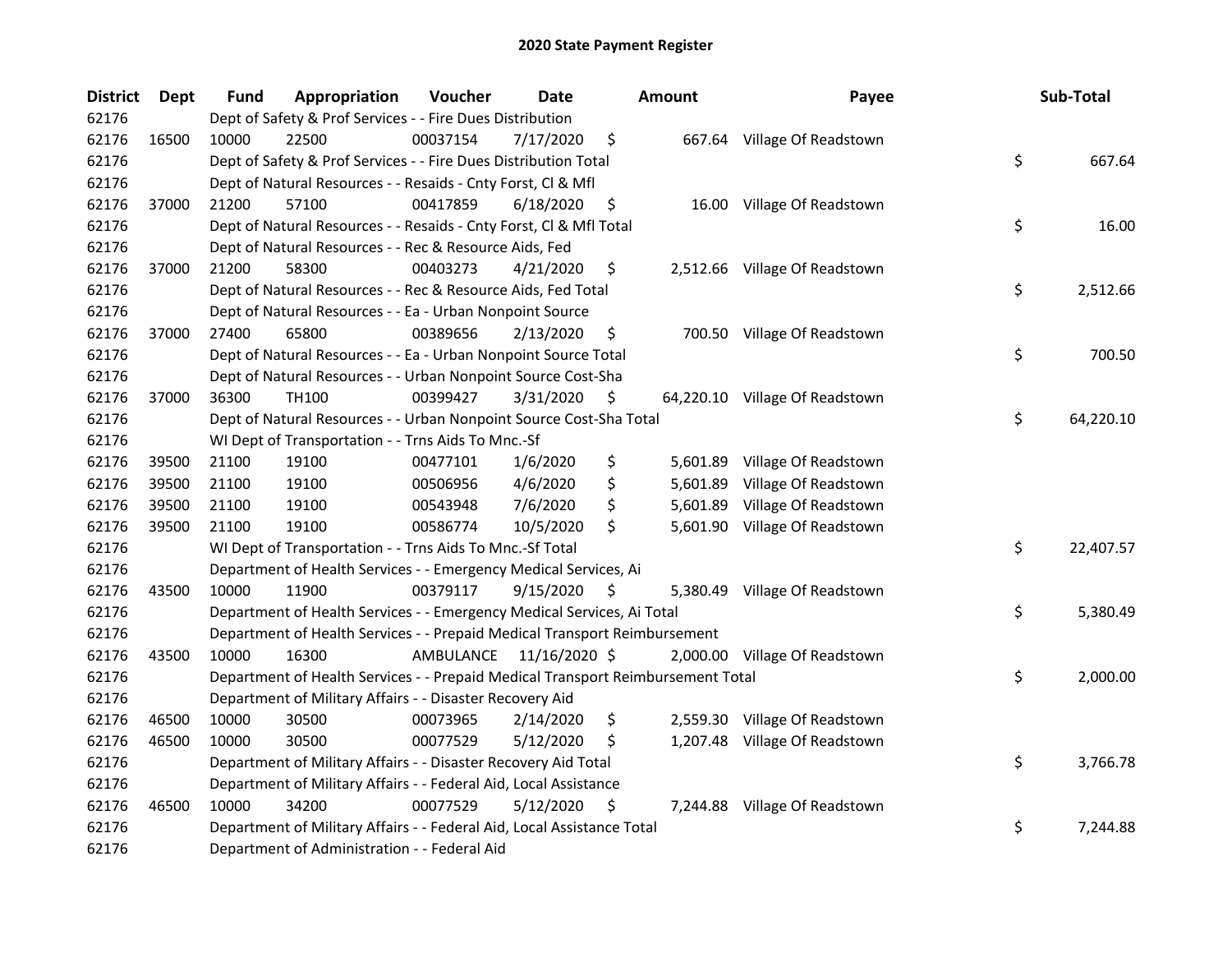| <b>District</b> | <b>Dept</b> | Fund  | Appropriation                                                                   | Voucher  | <b>Date</b>             | <b>Amount</b>  | Payee                          | Sub-Total       |
|-----------------|-------------|-------|---------------------------------------------------------------------------------|----------|-------------------------|----------------|--------------------------------|-----------------|
| 62176           |             |       | Dept of Safety & Prof Services - - Fire Dues Distribution                       |          |                         |                |                                |                 |
| 62176           | 16500       | 10000 | 22500                                                                           | 00037154 | 7/17/2020               | \$             | 667.64 Village Of Readstown    |                 |
| 62176           |             |       | Dept of Safety & Prof Services - - Fire Dues Distribution Total                 |          |                         |                |                                | \$<br>667.64    |
| 62176           |             |       | Dept of Natural Resources - - Resaids - Cnty Forst, Cl & Mfl                    |          |                         |                |                                |                 |
| 62176           | 37000       | 21200 | 57100                                                                           | 00417859 | 6/18/2020               | \$             | 16.00 Village Of Readstown     |                 |
| 62176           |             |       | Dept of Natural Resources - - Resaids - Cnty Forst, CI & Mfl Total              |          |                         |                |                                | \$<br>16.00     |
| 62176           |             |       | Dept of Natural Resources - - Rec & Resource Aids, Fed                          |          |                         |                |                                |                 |
| 62176           | 37000       | 21200 | 58300                                                                           | 00403273 | 4/21/2020               | \$             | 2,512.66 Village Of Readstown  |                 |
| 62176           |             |       | Dept of Natural Resources - - Rec & Resource Aids, Fed Total                    |          |                         |                |                                | \$<br>2,512.66  |
| 62176           |             |       | Dept of Natural Resources - - Ea - Urban Nonpoint Source                        |          |                         |                |                                |                 |
| 62176           | 37000       | 27400 | 65800                                                                           | 00389656 | 2/13/2020               | \$             | 700.50 Village Of Readstown    |                 |
| 62176           |             |       | Dept of Natural Resources - - Ea - Urban Nonpoint Source Total                  |          |                         |                |                                | \$<br>700.50    |
| 62176           |             |       | Dept of Natural Resources - - Urban Nonpoint Source Cost-Sha                    |          |                         |                |                                |                 |
| 62176           | 37000       | 36300 | TH100                                                                           | 00399427 | 3/31/2020               | \$             | 64,220.10 Village Of Readstown |                 |
| 62176           |             |       | Dept of Natural Resources - - Urban Nonpoint Source Cost-Sha Total              |          |                         |                |                                | \$<br>64,220.10 |
| 62176           |             |       | WI Dept of Transportation - - Trns Aids To Mnc.-Sf                              |          |                         |                |                                |                 |
| 62176           | 39500       | 21100 | 19100                                                                           | 00477101 | 1/6/2020                | \$<br>5,601.89 | Village Of Readstown           |                 |
| 62176           | 39500       | 21100 | 19100                                                                           | 00506956 | 4/6/2020                | \$<br>5,601.89 | Village Of Readstown           |                 |
| 62176           | 39500       | 21100 | 19100                                                                           | 00543948 | 7/6/2020                | \$<br>5,601.89 | Village Of Readstown           |                 |
| 62176           | 39500       | 21100 | 19100                                                                           | 00586774 | 10/5/2020               | \$             | 5,601.90 Village Of Readstown  |                 |
| 62176           |             |       | WI Dept of Transportation - - Trns Aids To Mnc.-Sf Total                        |          |                         |                |                                | \$<br>22,407.57 |
| 62176           |             |       | Department of Health Services - - Emergency Medical Services, Ai                |          |                         |                |                                |                 |
| 62176           | 43500       | 10000 | 11900                                                                           | 00379117 | 9/15/2020               | \$             | 5,380.49 Village Of Readstown  |                 |
| 62176           |             |       | Department of Health Services - - Emergency Medical Services, Ai Total          |          |                         |                |                                | \$<br>5,380.49  |
| 62176           |             |       | Department of Health Services - - Prepaid Medical Transport Reimbursement       |          |                         |                |                                |                 |
| 62176           | 43500       | 10000 | 16300                                                                           |          | AMBULANCE 11/16/2020 \$ |                | 2,000.00 Village Of Readstown  |                 |
| 62176           |             |       | Department of Health Services - - Prepaid Medical Transport Reimbursement Total |          |                         |                |                                | \$<br>2,000.00  |
| 62176           |             |       | Department of Military Affairs - - Disaster Recovery Aid                        |          |                         |                |                                |                 |
| 62176           | 46500       | 10000 | 30500                                                                           | 00073965 | 2/14/2020               | \$             | 2,559.30 Village Of Readstown  |                 |
| 62176           | 46500       | 10000 | 30500                                                                           | 00077529 | 5/12/2020               | \$             | 1,207.48 Village Of Readstown  |                 |
| 62176           |             |       | Department of Military Affairs - - Disaster Recovery Aid Total                  |          |                         |                |                                | \$<br>3,766.78  |
| 62176           |             |       | Department of Military Affairs - - Federal Aid, Local Assistance                |          |                         |                |                                |                 |
| 62176           | 46500       | 10000 | 34200                                                                           | 00077529 | 5/12/2020               | \$             | 7,244.88 Village Of Readstown  |                 |
| 62176           |             |       | Department of Military Affairs - - Federal Aid, Local Assistance Total          |          |                         |                |                                | \$<br>7,244.88  |
| 62176           |             |       | Department of Administration - - Federal Aid                                    |          |                         |                |                                |                 |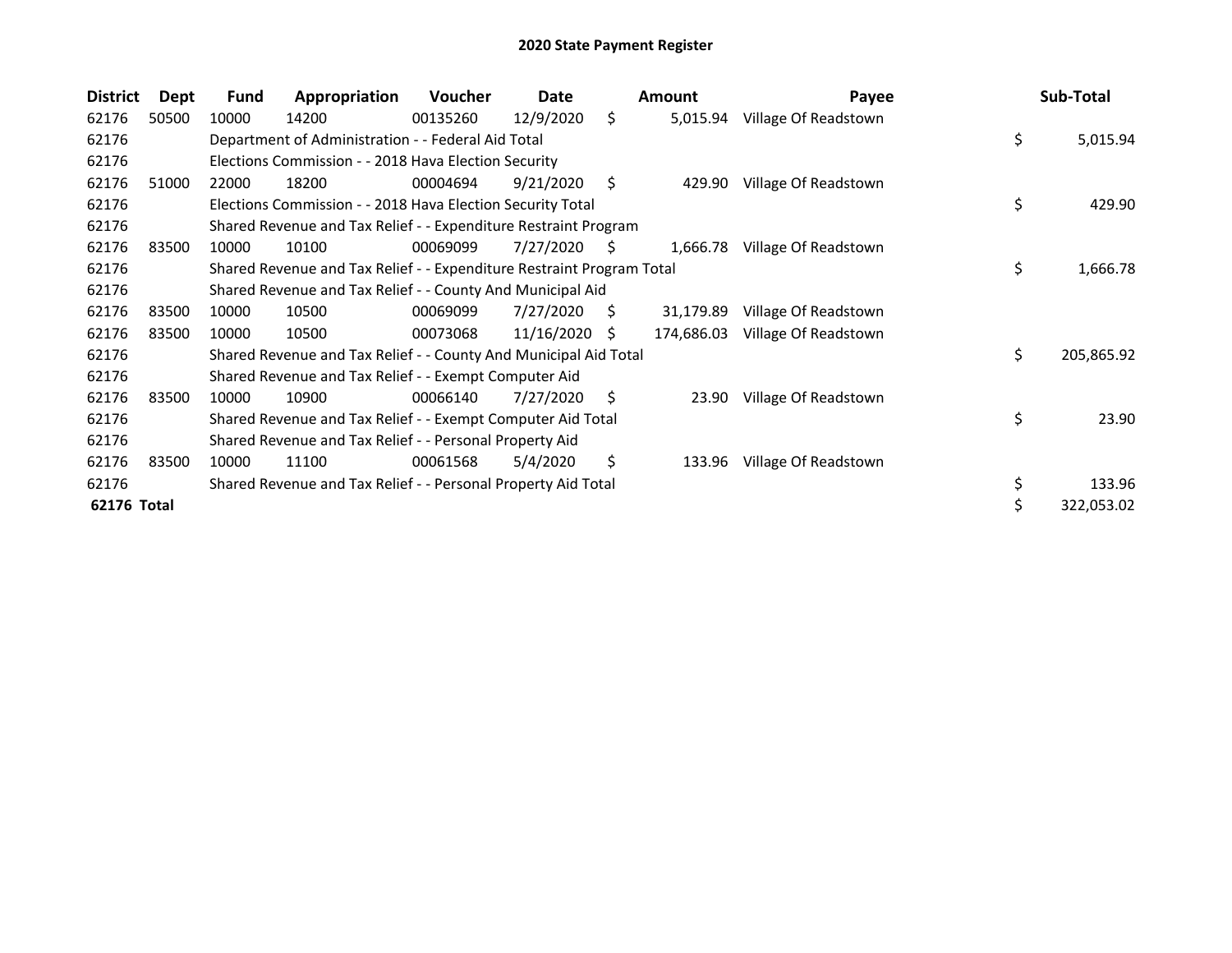| <b>District</b> | Dept  | Fund  | Appropriation                                                         | Voucher  | Date       |    | Amount     | Payee                | Sub-Total        |
|-----------------|-------|-------|-----------------------------------------------------------------------|----------|------------|----|------------|----------------------|------------------|
| 62176           | 50500 | 10000 | 14200                                                                 | 00135260 | 12/9/2020  | \$ | 5,015.94   | Village Of Readstown |                  |
| 62176           |       |       | Department of Administration - - Federal Aid Total                    |          |            |    |            |                      | \$<br>5,015.94   |
| 62176           |       |       | Elections Commission - - 2018 Hava Election Security                  |          |            |    |            |                      |                  |
| 62176           | 51000 | 22000 | 18200                                                                 | 00004694 | 9/21/2020  | S. | 429.90     | Village Of Readstown |                  |
| 62176           |       |       | Elections Commission - - 2018 Hava Election Security Total            |          |            |    |            |                      | \$<br>429.90     |
| 62176           |       |       | Shared Revenue and Tax Relief - - Expenditure Restraint Program       |          |            |    |            |                      |                  |
| 62176           | 83500 | 10000 | 10100                                                                 | 00069099 | 7/27/2020  | S  | 1,666.78   | Village Of Readstown |                  |
| 62176           |       |       | Shared Revenue and Tax Relief - - Expenditure Restraint Program Total |          |            |    |            |                      | \$<br>1,666.78   |
| 62176           |       |       | Shared Revenue and Tax Relief - - County And Municipal Aid            |          |            |    |            |                      |                  |
| 62176           | 83500 | 10000 | 10500                                                                 | 00069099 | 7/27/2020  | S. | 31,179.89  | Village Of Readstown |                  |
| 62176           | 83500 | 10000 | 10500                                                                 | 00073068 | 11/16/2020 | S. | 174,686.03 | Village Of Readstown |                  |
| 62176           |       |       | Shared Revenue and Tax Relief - - County And Municipal Aid Total      |          |            |    |            |                      | \$<br>205,865.92 |
| 62176           |       |       | Shared Revenue and Tax Relief - - Exempt Computer Aid                 |          |            |    |            |                      |                  |
| 62176           | 83500 | 10000 | 10900                                                                 | 00066140 | 7/27/2020  | S. | 23.90      | Village Of Readstown |                  |
| 62176           |       |       | Shared Revenue and Tax Relief - - Exempt Computer Aid Total           |          |            |    |            |                      | \$<br>23.90      |
| 62176           |       |       | Shared Revenue and Tax Relief - - Personal Property Aid               |          |            |    |            |                      |                  |
| 62176           | 83500 | 10000 | 11100                                                                 | 00061568 | 5/4/2020   | \$ | 133.96     | Village Of Readstown |                  |
| 62176           |       |       | Shared Revenue and Tax Relief - - Personal Property Aid Total         |          |            |    |            |                      | \$<br>133.96     |
| 62176 Total     |       |       |                                                                       |          |            |    |            |                      | \$<br>322,053.02 |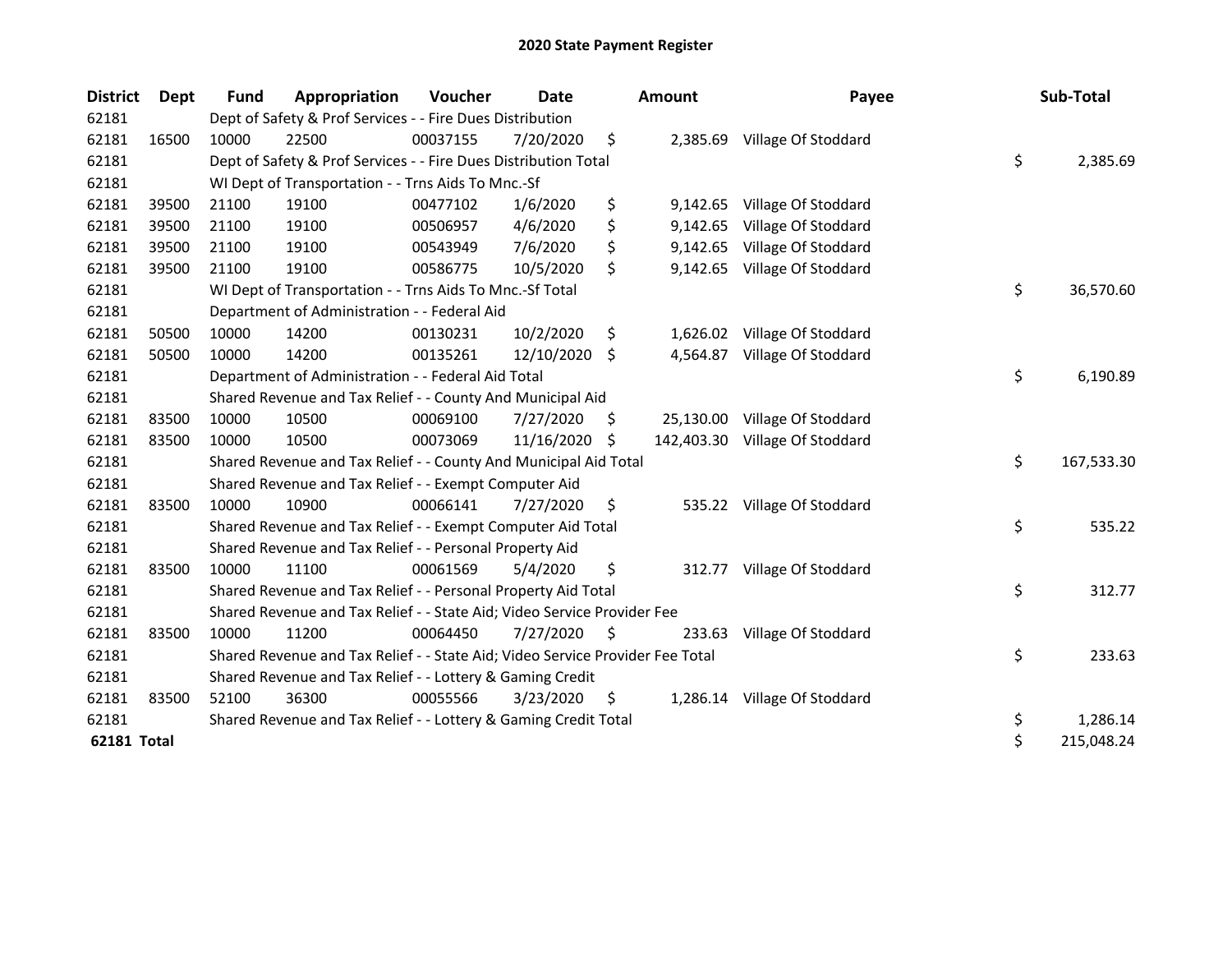| <b>District</b>    | Dept  | <b>Fund</b> | Appropriation                                                                 | Voucher  | Date          |     | <b>Amount</b> | Payee                          | Sub-Total        |
|--------------------|-------|-------------|-------------------------------------------------------------------------------|----------|---------------|-----|---------------|--------------------------------|------------------|
| 62181              |       |             | Dept of Safety & Prof Services - - Fire Dues Distribution                     |          |               |     |               |                                |                  |
| 62181              | 16500 | 10000       | 22500                                                                         | 00037155 | 7/20/2020     | \$  |               | 2,385.69 Village Of Stoddard   |                  |
| 62181              |       |             | Dept of Safety & Prof Services - - Fire Dues Distribution Total               |          |               |     |               |                                | \$<br>2,385.69   |
| 62181              |       |             | WI Dept of Transportation - - Trns Aids To Mnc.-Sf                            |          |               |     |               |                                |                  |
| 62181              | 39500 | 21100       | 19100                                                                         | 00477102 | 1/6/2020      | \$  | 9,142.65      | Village Of Stoddard            |                  |
| 62181              | 39500 | 21100       | 19100                                                                         | 00506957 | 4/6/2020      | \$  | 9,142.65      | Village Of Stoddard            |                  |
| 62181              | 39500 | 21100       | 19100                                                                         | 00543949 | 7/6/2020      | \$  | 9,142.65      | Village Of Stoddard            |                  |
| 62181              | 39500 | 21100       | 19100                                                                         | 00586775 | 10/5/2020     | \$  | 9,142.65      | Village Of Stoddard            |                  |
| 62181              |       |             | WI Dept of Transportation - - Trns Aids To Mnc.-Sf Total                      |          |               |     |               |                                | \$<br>36,570.60  |
| 62181              |       |             | Department of Administration - - Federal Aid                                  |          |               |     |               |                                |                  |
| 62181              | 50500 | 10000       | 14200                                                                         | 00130231 | 10/2/2020     | \$  |               | 1,626.02 Village Of Stoddard   |                  |
| 62181              | 50500 | 10000       | 14200                                                                         | 00135261 | 12/10/2020    | S.  | 4,564.87      | Village Of Stoddard            |                  |
| 62181              |       |             | Department of Administration - - Federal Aid Total                            |          |               |     |               |                                | \$<br>6,190.89   |
| 62181              |       |             | Shared Revenue and Tax Relief - - County And Municipal Aid                    |          |               |     |               |                                |                  |
| 62181              | 83500 | 10000       | 10500                                                                         | 00069100 | 7/27/2020     | S.  | 25,130.00     | Village Of Stoddard            |                  |
| 62181              | 83500 | 10000       | 10500                                                                         | 00073069 | 11/16/2020 \$ |     |               | 142,403.30 Village Of Stoddard |                  |
| 62181              |       |             | Shared Revenue and Tax Relief - - County And Municipal Aid Total              |          |               |     |               |                                | \$<br>167,533.30 |
| 62181              |       |             | Shared Revenue and Tax Relief - - Exempt Computer Aid                         |          |               |     |               |                                |                  |
| 62181              | 83500 | 10000       | 10900                                                                         | 00066141 | 7/27/2020     | \$  |               | 535.22 Village Of Stoddard     |                  |
| 62181              |       |             | Shared Revenue and Tax Relief - - Exempt Computer Aid Total                   |          |               |     |               |                                | \$<br>535.22     |
| 62181              |       |             | Shared Revenue and Tax Relief - - Personal Property Aid                       |          |               |     |               |                                |                  |
| 62181              | 83500 | 10000       | 11100                                                                         | 00061569 | 5/4/2020      | \$  | 312.77        | Village Of Stoddard            |                  |
| 62181              |       |             | Shared Revenue and Tax Relief - - Personal Property Aid Total                 |          |               |     |               |                                | \$<br>312.77     |
| 62181              |       |             | Shared Revenue and Tax Relief - - State Aid; Video Service Provider Fee       |          |               |     |               |                                |                  |
| 62181              | 83500 | 10000       | 11200                                                                         | 00064450 | 7/27/2020     | \$, | 233.63        | Village Of Stoddard            |                  |
| 62181              |       |             | Shared Revenue and Tax Relief - - State Aid; Video Service Provider Fee Total |          |               |     |               |                                | \$<br>233.63     |
| 62181              |       |             | Shared Revenue and Tax Relief - - Lottery & Gaming Credit                     |          |               |     |               |                                |                  |
| 62181              | 83500 | 52100       | 36300                                                                         | 00055566 | 3/23/2020     | \$  |               | 1,286.14 Village Of Stoddard   |                  |
| 62181              |       |             | Shared Revenue and Tax Relief - - Lottery & Gaming Credit Total               |          |               |     |               |                                | \$<br>1,286.14   |
| <b>62181 Total</b> |       |             |                                                                               |          |               |     |               |                                | \$<br>215,048.24 |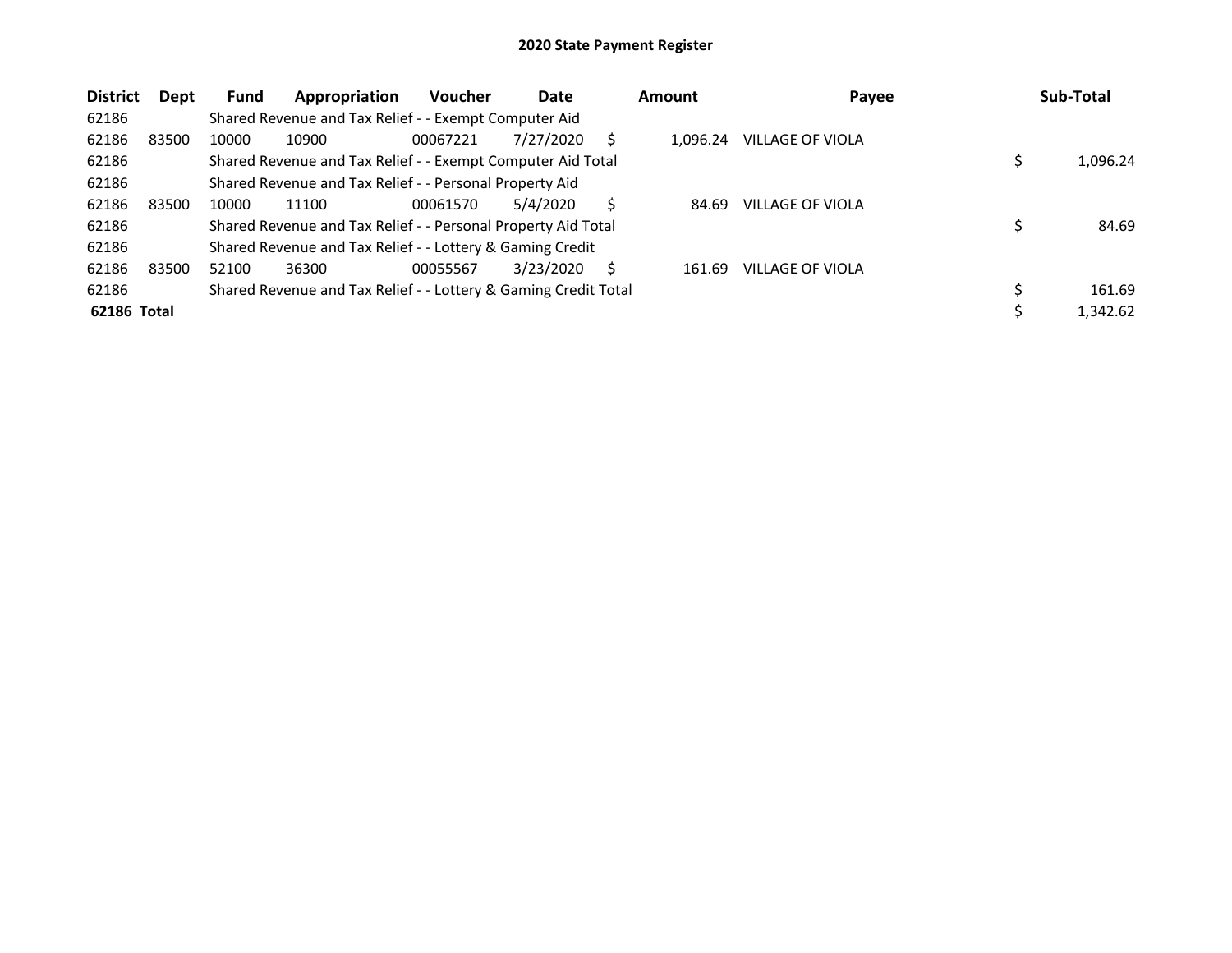| <b>District</b> | <b>Dept</b> | <b>Fund</b> | Appropriation                                                   | <b>Voucher</b> | Date      |    | Amount   | Payee                   | Sub-Total |
|-----------------|-------------|-------------|-----------------------------------------------------------------|----------------|-----------|----|----------|-------------------------|-----------|
| 62186           |             |             | Shared Revenue and Tax Relief - - Exempt Computer Aid           |                |           |    |          |                         |           |
| 62186           | 83500       | 10000       | 10900                                                           | 00067221       | 7/27/2020 | S  | 1.096.24 | <b>VILLAGE OF VIOLA</b> |           |
| 62186           |             |             | Shared Revenue and Tax Relief - - Exempt Computer Aid Total     |                |           |    |          |                         | 1,096.24  |
| 62186           |             |             | Shared Revenue and Tax Relief - - Personal Property Aid         |                |           |    |          |                         |           |
| 62186           | 83500       | 10000       | 11100                                                           | 00061570       | 5/4/2020  | Ś  | 84.69    | VILLAGE OF VIOLA        |           |
| 62186           |             |             | Shared Revenue and Tax Relief - - Personal Property Aid Total   |                |           |    |          |                         | 84.69     |
| 62186           |             |             | Shared Revenue and Tax Relief - - Lottery & Gaming Credit       |                |           |    |          |                         |           |
| 62186           | 83500       | 52100       | 36300                                                           | 00055567       | 3/23/2020 | Ŝ. | 161.69   | <b>VILLAGE OF VIOLA</b> |           |
| 62186           |             |             | Shared Revenue and Tax Relief - - Lottery & Gaming Credit Total |                |           |    |          |                         | 161.69    |
| 62186 Total     |             |             |                                                                 |                |           |    |          |                         | 1,342.62  |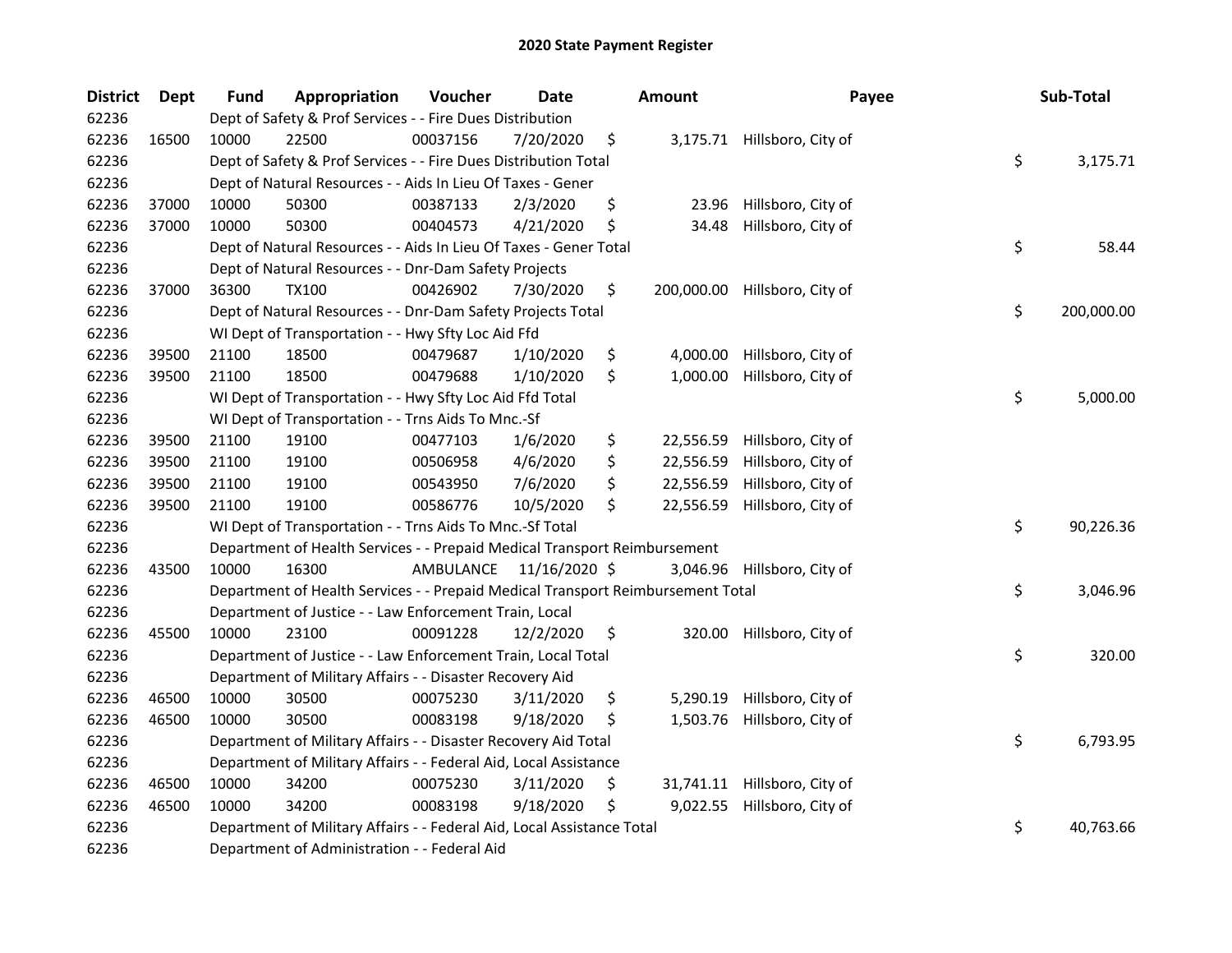| <b>District</b> | Dept  | Fund  | Appropriation                                                                   | Voucher                 | <b>Date</b> | <b>Amount</b>    | Payee                       | Sub-Total        |
|-----------------|-------|-------|---------------------------------------------------------------------------------|-------------------------|-------------|------------------|-----------------------------|------------------|
| 62236           |       |       | Dept of Safety & Prof Services - - Fire Dues Distribution                       |                         |             |                  |                             |                  |
| 62236           | 16500 | 10000 | 22500                                                                           | 00037156                | 7/20/2020   | \$               | 3,175.71 Hillsboro, City of |                  |
| 62236           |       |       | Dept of Safety & Prof Services - - Fire Dues Distribution Total                 |                         |             |                  |                             | \$<br>3,175.71   |
| 62236           |       |       | Dept of Natural Resources - - Aids In Lieu Of Taxes - Gener                     |                         |             |                  |                             |                  |
| 62236           | 37000 | 10000 | 50300                                                                           | 00387133                | 2/3/2020    | \$<br>23.96      | Hillsboro, City of          |                  |
| 62236           | 37000 | 10000 | 50300                                                                           | 00404573                | 4/21/2020   | \$<br>34.48      | Hillsboro, City of          |                  |
| 62236           |       |       | Dept of Natural Resources - - Aids In Lieu Of Taxes - Gener Total               |                         |             |                  |                             | \$<br>58.44      |
| 62236           |       |       | Dept of Natural Resources - - Dnr-Dam Safety Projects                           |                         |             |                  |                             |                  |
| 62236           | 37000 | 36300 | <b>TX100</b>                                                                    | 00426902                | 7/30/2020   | \$<br>200,000.00 | Hillsboro, City of          |                  |
| 62236           |       |       | Dept of Natural Resources - - Dnr-Dam Safety Projects Total                     |                         |             |                  |                             | \$<br>200,000.00 |
| 62236           |       |       | WI Dept of Transportation - - Hwy Sfty Loc Aid Ffd                              |                         |             |                  |                             |                  |
| 62236           | 39500 | 21100 | 18500                                                                           | 00479687                | 1/10/2020   | \$<br>4,000.00   | Hillsboro, City of          |                  |
| 62236           | 39500 | 21100 | 18500                                                                           | 00479688                | 1/10/2020   | \$<br>1,000.00   | Hillsboro, City of          |                  |
| 62236           |       |       | WI Dept of Transportation - - Hwy Sfty Loc Aid Ffd Total                        |                         |             |                  |                             | \$<br>5,000.00   |
| 62236           |       |       | WI Dept of Transportation - - Trns Aids To Mnc.-Sf                              |                         |             |                  |                             |                  |
| 62236           | 39500 | 21100 | 19100                                                                           | 00477103                | 1/6/2020    | \$<br>22,556.59  | Hillsboro, City of          |                  |
| 62236           | 39500 | 21100 | 19100                                                                           | 00506958                | 4/6/2020    | \$<br>22,556.59  | Hillsboro, City of          |                  |
| 62236           | 39500 | 21100 | 19100                                                                           | 00543950                | 7/6/2020    | \$<br>22,556.59  | Hillsboro, City of          |                  |
| 62236           | 39500 | 21100 | 19100                                                                           | 00586776                | 10/5/2020   | \$<br>22,556.59  | Hillsboro, City of          |                  |
| 62236           |       |       | WI Dept of Transportation - - Trns Aids To Mnc.-Sf Total                        |                         |             |                  |                             | \$<br>90,226.36  |
| 62236           |       |       | Department of Health Services - - Prepaid Medical Transport Reimbursement       |                         |             |                  |                             |                  |
| 62236           | 43500 | 10000 | 16300                                                                           | AMBULANCE 11/16/2020 \$ |             | 3,046.96         | Hillsboro, City of          |                  |
| 62236           |       |       | Department of Health Services - - Prepaid Medical Transport Reimbursement Total |                         |             |                  |                             | \$<br>3,046.96   |
| 62236           |       |       | Department of Justice - - Law Enforcement Train, Local                          |                         |             |                  |                             |                  |
| 62236           | 45500 | 10000 | 23100                                                                           | 00091228                | 12/2/2020   | \$<br>320.00     | Hillsboro, City of          |                  |
| 62236           |       |       | Department of Justice - - Law Enforcement Train, Local Total                    |                         |             |                  |                             | \$<br>320.00     |
| 62236           |       |       | Department of Military Affairs - - Disaster Recovery Aid                        |                         |             |                  |                             |                  |
| 62236           | 46500 | 10000 | 30500                                                                           | 00075230                | 3/11/2020   | \$<br>5,290.19   | Hillsboro, City of          |                  |
| 62236           | 46500 | 10000 | 30500                                                                           | 00083198                | 9/18/2020   | \$<br>1,503.76   | Hillsboro, City of          |                  |
| 62236           |       |       | Department of Military Affairs - - Disaster Recovery Aid Total                  |                         |             |                  |                             | \$<br>6,793.95   |
| 62236           |       |       | Department of Military Affairs - - Federal Aid, Local Assistance                |                         |             |                  |                             |                  |
| 62236           | 46500 | 10000 | 34200                                                                           | 00075230                | 3/11/2020   | \$<br>31,741.11  | Hillsboro, City of          |                  |
| 62236           | 46500 | 10000 | 34200                                                                           | 00083198                | 9/18/2020   | \$<br>9,022.55   | Hillsboro, City of          |                  |
| 62236           |       |       | Department of Military Affairs - - Federal Aid, Local Assistance Total          |                         |             |                  |                             | \$<br>40,763.66  |
| 62236           |       |       | Department of Administration - - Federal Aid                                    |                         |             |                  |                             |                  |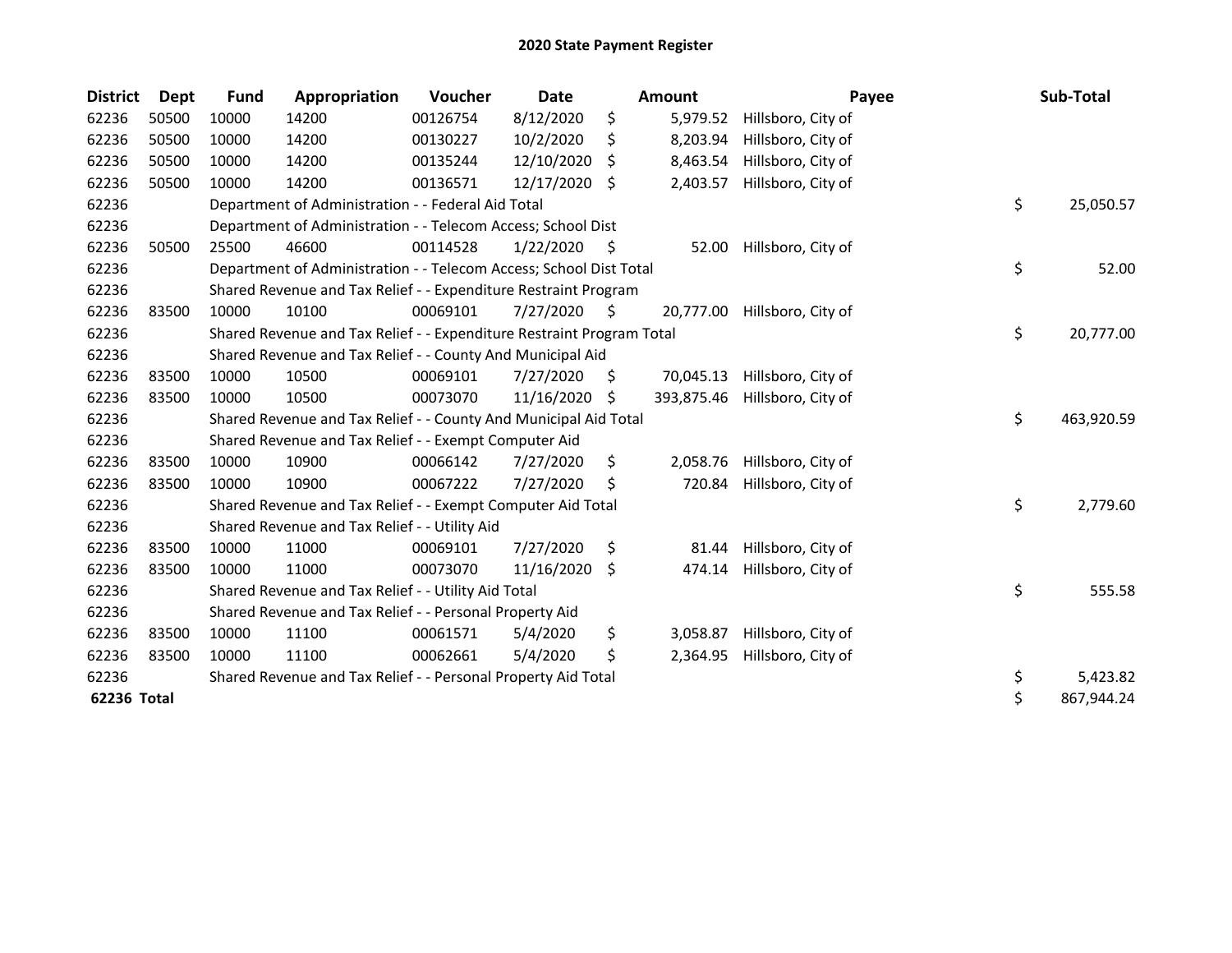| <b>District</b> | <b>Dept</b> | <b>Fund</b> | Appropriation                                                         | Voucher  | <b>Date</b> |     | Amount     | Payee              | Sub-Total        |
|-----------------|-------------|-------------|-----------------------------------------------------------------------|----------|-------------|-----|------------|--------------------|------------------|
| 62236           | 50500       | 10000       | 14200                                                                 | 00126754 | 8/12/2020   | \$  | 5,979.52   | Hillsboro, City of |                  |
| 62236           | 50500       | 10000       | 14200                                                                 | 00130227 | 10/2/2020   | Ś   | 8,203.94   | Hillsboro, City of |                  |
| 62236           | 50500       | 10000       | 14200                                                                 | 00135244 | 12/10/2020  | S   | 8,463.54   | Hillsboro, City of |                  |
| 62236           | 50500       | 10000       | 14200                                                                 | 00136571 | 12/17/2020  | \$  | 2,403.57   | Hillsboro, City of |                  |
| 62236           |             |             | Department of Administration - - Federal Aid Total                    |          |             |     |            |                    | \$<br>25,050.57  |
| 62236           |             |             | Department of Administration - - Telecom Access; School Dist          |          |             |     |            |                    |                  |
| 62236           | 50500       | 25500       | 46600                                                                 | 00114528 | 1/22/2020   | S   | 52.00      | Hillsboro, City of |                  |
| 62236           |             |             | Department of Administration - - Telecom Access; School Dist Total    |          |             |     |            |                    | \$<br>52.00      |
| 62236           |             |             | Shared Revenue and Tax Relief - - Expenditure Restraint Program       |          |             |     |            |                    |                  |
| 62236           | 83500       | 10000       | 10100                                                                 | 00069101 | 7/27/2020   | \$  | 20,777.00  | Hillsboro, City of |                  |
| 62236           |             |             | Shared Revenue and Tax Relief - - Expenditure Restraint Program Total |          |             |     |            |                    | \$<br>20,777.00  |
| 62236           |             |             | Shared Revenue and Tax Relief - - County And Municipal Aid            |          |             |     |            |                    |                  |
| 62236           | 83500       | 10000       | 10500                                                                 | 00069101 | 7/27/2020   | \$. | 70,045.13  | Hillsboro, City of |                  |
| 62236           | 83500       | 10000       | 10500                                                                 | 00073070 | 11/16/2020  | \$  | 393,875.46 | Hillsboro, City of |                  |
| 62236           |             |             | Shared Revenue and Tax Relief - - County And Municipal Aid Total      |          |             |     |            |                    | \$<br>463,920.59 |
| 62236           |             |             | Shared Revenue and Tax Relief - - Exempt Computer Aid                 |          |             |     |            |                    |                  |
| 62236           | 83500       | 10000       | 10900                                                                 | 00066142 | 7/27/2020   | \$  | 2,058.76   | Hillsboro, City of |                  |
| 62236           | 83500       | 10000       | 10900                                                                 | 00067222 | 7/27/2020   | \$  | 720.84     | Hillsboro, City of |                  |
| 62236           |             |             | Shared Revenue and Tax Relief - - Exempt Computer Aid Total           |          |             |     |            |                    | \$<br>2,779.60   |
| 62236           |             |             | Shared Revenue and Tax Relief - - Utility Aid                         |          |             |     |            |                    |                  |
| 62236           | 83500       | 10000       | 11000                                                                 | 00069101 | 7/27/2020   | \$  | 81.44      | Hillsboro, City of |                  |
| 62236           | 83500       | 10000       | 11000                                                                 | 00073070 | 11/16/2020  | S.  | 474.14     | Hillsboro, City of |                  |
| 62236           |             |             | Shared Revenue and Tax Relief - - Utility Aid Total                   |          |             |     |            |                    | \$<br>555.58     |
| 62236           |             |             | Shared Revenue and Tax Relief - - Personal Property Aid               |          |             |     |            |                    |                  |
| 62236           | 83500       | 10000       | 11100                                                                 | 00061571 | 5/4/2020    | \$  | 3,058.87   | Hillsboro, City of |                  |
| 62236           | 83500       | 10000       | 11100                                                                 | 00062661 | 5/4/2020    | \$  | 2,364.95   | Hillsboro, City of |                  |
| 62236           |             |             | Shared Revenue and Tax Relief - - Personal Property Aid Total         |          |             |     |            |                    | \$<br>5,423.82   |
| 62236 Total     |             |             |                                                                       |          |             |     |            |                    | \$<br>867,944.24 |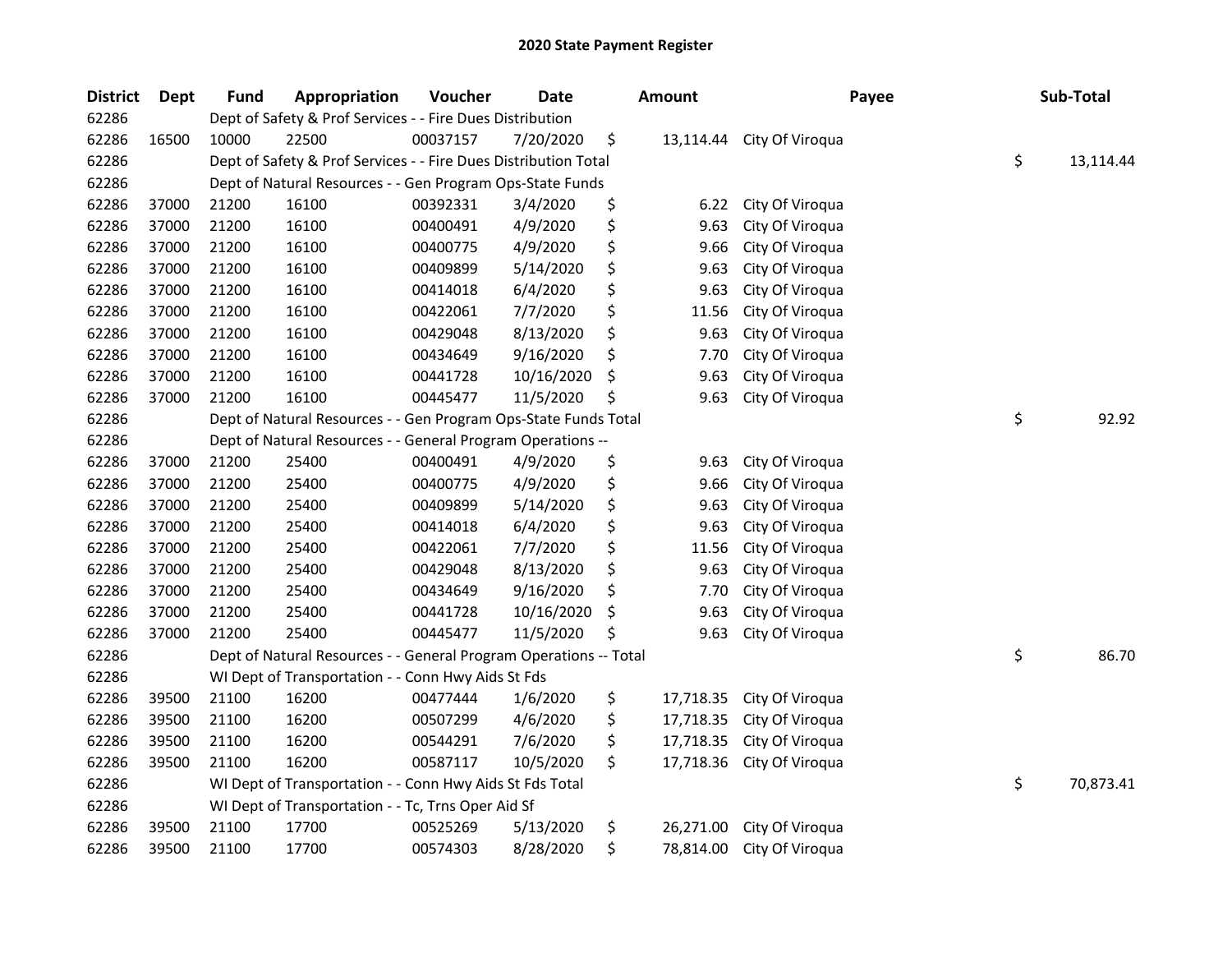| <b>District</b> | <b>Dept</b> | <b>Fund</b> | Appropriation                                                     | Voucher  | Date       | <b>Amount</b>   | Payee           | Sub-Total       |
|-----------------|-------------|-------------|-------------------------------------------------------------------|----------|------------|-----------------|-----------------|-----------------|
| 62286           |             |             | Dept of Safety & Prof Services - - Fire Dues Distribution         |          |            |                 |                 |                 |
| 62286           | 16500       | 10000       | 22500                                                             | 00037157 | 7/20/2020  | \$<br>13,114.44 | City Of Viroqua |                 |
| 62286           |             |             | Dept of Safety & Prof Services - - Fire Dues Distribution Total   |          |            |                 |                 | \$<br>13,114.44 |
| 62286           |             |             | Dept of Natural Resources - - Gen Program Ops-State Funds         |          |            |                 |                 |                 |
| 62286           | 37000       | 21200       | 16100                                                             | 00392331 | 3/4/2020   | \$<br>6.22      | City Of Viroqua |                 |
| 62286           | 37000       | 21200       | 16100                                                             | 00400491 | 4/9/2020   | \$<br>9.63      | City Of Viroqua |                 |
| 62286           | 37000       | 21200       | 16100                                                             | 00400775 | 4/9/2020   | \$<br>9.66      | City Of Viroqua |                 |
| 62286           | 37000       | 21200       | 16100                                                             | 00409899 | 5/14/2020  | \$<br>9.63      | City Of Viroqua |                 |
| 62286           | 37000       | 21200       | 16100                                                             | 00414018 | 6/4/2020   | \$<br>9.63      | City Of Viroqua |                 |
| 62286           | 37000       | 21200       | 16100                                                             | 00422061 | 7/7/2020   | \$<br>11.56     | City Of Viroqua |                 |
| 62286           | 37000       | 21200       | 16100                                                             | 00429048 | 8/13/2020  | \$<br>9.63      | City Of Viroqua |                 |
| 62286           | 37000       | 21200       | 16100                                                             | 00434649 | 9/16/2020  | \$<br>7.70      | City Of Viroqua |                 |
| 62286           | 37000       | 21200       | 16100                                                             | 00441728 | 10/16/2020 | \$<br>9.63      | City Of Viroqua |                 |
| 62286           | 37000       | 21200       | 16100                                                             | 00445477 | 11/5/2020  | \$<br>9.63      | City Of Viroqua |                 |
| 62286           |             |             | Dept of Natural Resources - - Gen Program Ops-State Funds Total   |          |            |                 |                 | \$<br>92.92     |
| 62286           |             |             | Dept of Natural Resources - - General Program Operations --       |          |            |                 |                 |                 |
| 62286           | 37000       | 21200       | 25400                                                             | 00400491 | 4/9/2020   | \$<br>9.63      | City Of Viroqua |                 |
| 62286           | 37000       | 21200       | 25400                                                             | 00400775 | 4/9/2020   | \$<br>9.66      | City Of Viroqua |                 |
| 62286           | 37000       | 21200       | 25400                                                             | 00409899 | 5/14/2020  | \$<br>9.63      | City Of Viroqua |                 |
| 62286           | 37000       | 21200       | 25400                                                             | 00414018 | 6/4/2020   | \$<br>9.63      | City Of Viroqua |                 |
| 62286           | 37000       | 21200       | 25400                                                             | 00422061 | 7/7/2020   | \$<br>11.56     | City Of Viroqua |                 |
| 62286           | 37000       | 21200       | 25400                                                             | 00429048 | 8/13/2020  | \$<br>9.63      | City Of Viroqua |                 |
| 62286           | 37000       | 21200       | 25400                                                             | 00434649 | 9/16/2020  | \$<br>7.70      | City Of Viroqua |                 |
| 62286           | 37000       | 21200       | 25400                                                             | 00441728 | 10/16/2020 | \$<br>9.63      | City Of Viroqua |                 |
| 62286           | 37000       | 21200       | 25400                                                             | 00445477 | 11/5/2020  | \$<br>9.63      | City Of Viroqua |                 |
| 62286           |             |             | Dept of Natural Resources - - General Program Operations -- Total |          |            |                 |                 | \$<br>86.70     |
| 62286           |             |             | WI Dept of Transportation - - Conn Hwy Aids St Fds                |          |            |                 |                 |                 |
| 62286           | 39500       | 21100       | 16200                                                             | 00477444 | 1/6/2020   | \$<br>17,718.35 | City Of Viroqua |                 |
| 62286           | 39500       | 21100       | 16200                                                             | 00507299 | 4/6/2020   | \$<br>17,718.35 | City Of Viroqua |                 |
| 62286           | 39500       | 21100       | 16200                                                             | 00544291 | 7/6/2020   | \$<br>17,718.35 | City Of Viroqua |                 |
| 62286           | 39500       | 21100       | 16200                                                             | 00587117 | 10/5/2020  | \$<br>17,718.36 | City Of Viroqua |                 |
| 62286           |             |             | WI Dept of Transportation - - Conn Hwy Aids St Fds Total          |          |            |                 |                 | \$<br>70,873.41 |
| 62286           |             |             | WI Dept of Transportation - - Tc, Trns Oper Aid Sf                |          |            |                 |                 |                 |
| 62286           | 39500       | 21100       | 17700                                                             | 00525269 | 5/13/2020  | \$<br>26,271.00 | City Of Viroqua |                 |
| 62286           | 39500       | 21100       | 17700                                                             | 00574303 | 8/28/2020  | \$<br>78,814.00 | City Of Viroqua |                 |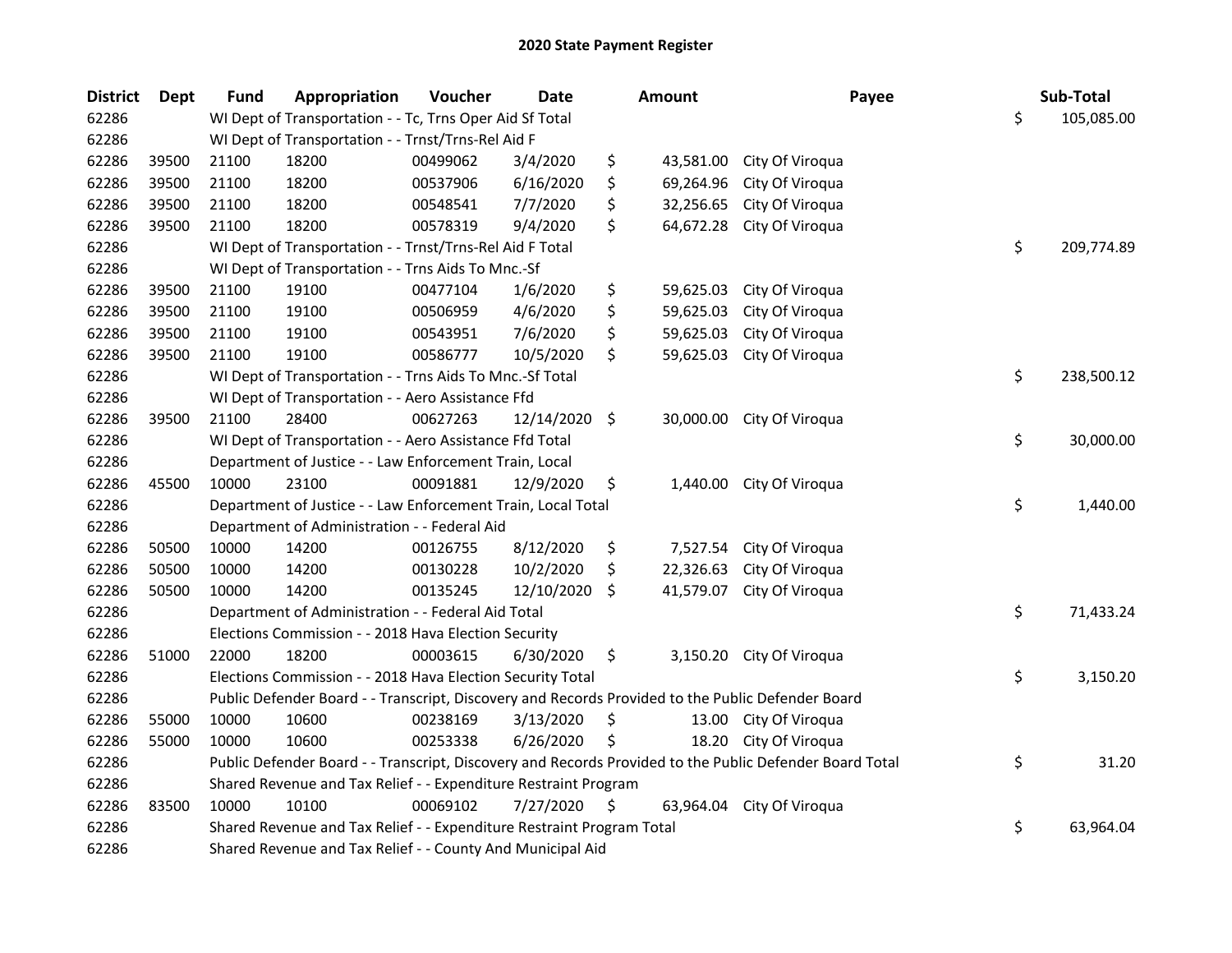| <b>District</b> | Dept  | <b>Fund</b> | Appropriation                                                                                     | Voucher  | Date          |               | <b>Amount</b> | Payee                                                                                                   | Sub-Total        |
|-----------------|-------|-------------|---------------------------------------------------------------------------------------------------|----------|---------------|---------------|---------------|---------------------------------------------------------------------------------------------------------|------------------|
| 62286           |       |             | WI Dept of Transportation - - Tc, Trns Oper Aid Sf Total                                          |          |               |               |               |                                                                                                         | \$<br>105,085.00 |
| 62286           |       |             | WI Dept of Transportation - - Trnst/Trns-Rel Aid F                                                |          |               |               |               |                                                                                                         |                  |
| 62286           | 39500 | 21100       | 18200                                                                                             | 00499062 | 3/4/2020      | \$            | 43,581.00     | City Of Viroqua                                                                                         |                  |
| 62286           | 39500 | 21100       | 18200                                                                                             | 00537906 | 6/16/2020     | \$            | 69,264.96     | City Of Viroqua                                                                                         |                  |
| 62286           | 39500 | 21100       | 18200                                                                                             | 00548541 | 7/7/2020      | \$            | 32,256.65     | City Of Viroqua                                                                                         |                  |
| 62286           | 39500 | 21100       | 18200                                                                                             | 00578319 | 9/4/2020      | \$            | 64,672.28     | City Of Viroqua                                                                                         |                  |
| 62286           |       |             | WI Dept of Transportation - - Trnst/Trns-Rel Aid F Total                                          |          |               |               |               |                                                                                                         | \$<br>209,774.89 |
| 62286           |       |             | WI Dept of Transportation - - Trns Aids To Mnc.-Sf                                                |          |               |               |               |                                                                                                         |                  |
| 62286           | 39500 | 21100       | 19100                                                                                             | 00477104 | 1/6/2020      | \$            | 59,625.03     | City Of Viroqua                                                                                         |                  |
| 62286           | 39500 | 21100       | 19100                                                                                             | 00506959 | 4/6/2020      | \$            | 59,625.03     | City Of Viroqua                                                                                         |                  |
| 62286           | 39500 | 21100       | 19100                                                                                             | 00543951 | 7/6/2020      | \$            | 59,625.03     | City Of Viroqua                                                                                         |                  |
| 62286           | 39500 | 21100       | 19100                                                                                             | 00586777 | 10/5/2020     | \$            | 59,625.03     | City Of Viroqua                                                                                         |                  |
| 62286           |       |             | WI Dept of Transportation - - Trns Aids To Mnc.-Sf Total                                          |          |               |               |               |                                                                                                         | \$<br>238,500.12 |
| 62286           |       |             | WI Dept of Transportation - - Aero Assistance Ffd                                                 |          |               |               |               |                                                                                                         |                  |
| 62286           | 39500 | 21100       | 28400                                                                                             | 00627263 | 12/14/2020 \$ |               | 30,000.00     | City Of Viroqua                                                                                         |                  |
| 62286           |       |             | WI Dept of Transportation - - Aero Assistance Ffd Total                                           |          |               |               |               |                                                                                                         | \$<br>30,000.00  |
| 62286           |       |             | Department of Justice - - Law Enforcement Train, Local                                            |          |               |               |               |                                                                                                         |                  |
| 62286           | 45500 | 10000       | 23100                                                                                             | 00091881 | 12/9/2020     | \$            | 1,440.00      | City Of Viroqua                                                                                         |                  |
| 62286           |       |             | Department of Justice - - Law Enforcement Train, Local Total                                      |          |               |               |               |                                                                                                         | \$<br>1,440.00   |
| 62286           |       |             | Department of Administration - - Federal Aid                                                      |          |               |               |               |                                                                                                         |                  |
| 62286           | 50500 | 10000       | 14200                                                                                             | 00126755 | 8/12/2020     | \$            | 7,527.54      | City Of Viroqua                                                                                         |                  |
| 62286           | 50500 | 10000       | 14200                                                                                             | 00130228 | 10/2/2020     | \$            | 22,326.63     | City Of Viroqua                                                                                         |                  |
| 62286           | 50500 | 10000       | 14200                                                                                             | 00135245 | 12/10/2020    | \$            | 41,579.07     | City Of Viroqua                                                                                         |                  |
| 62286           |       |             | Department of Administration - - Federal Aid Total                                                |          |               |               |               |                                                                                                         | \$<br>71,433.24  |
| 62286           |       |             | Elections Commission - - 2018 Hava Election Security                                              |          |               |               |               |                                                                                                         |                  |
| 62286           | 51000 | 22000       | 18200                                                                                             | 00003615 | 6/30/2020     | \$            |               | 3,150.20 City Of Viroqua                                                                                |                  |
| 62286           |       |             | Elections Commission - - 2018 Hava Election Security Total                                        |          |               |               |               |                                                                                                         | \$<br>3,150.20   |
| 62286           |       |             | Public Defender Board - - Transcript, Discovery and Records Provided to the Public Defender Board |          |               |               |               |                                                                                                         |                  |
| 62286           | 55000 | 10000       | 10600                                                                                             | 00238169 | 3/13/2020     | \$            | 13.00         | City Of Viroqua                                                                                         |                  |
| 62286           | 55000 | 10000       | 10600                                                                                             | 00253338 | 6/26/2020     | \$            | 18.20         | City Of Viroqua                                                                                         |                  |
| 62286           |       |             |                                                                                                   |          |               |               |               | Public Defender Board - - Transcript, Discovery and Records Provided to the Public Defender Board Total | \$<br>31.20      |
| 62286           |       |             | Shared Revenue and Tax Relief - - Expenditure Restraint Program                                   |          |               |               |               |                                                                                                         |                  |
| 62286           | 83500 | 10000       | 10100                                                                                             | 00069102 | 7/27/2020     | $\ddot{\phi}$ | 63,964.04     | City Of Viroqua                                                                                         |                  |
| 62286           |       |             | Shared Revenue and Tax Relief - - Expenditure Restraint Program Total                             |          |               |               |               |                                                                                                         | \$<br>63,964.04  |
| 62286           |       |             | Shared Revenue and Tax Relief - - County And Municipal Aid                                        |          |               |               |               |                                                                                                         |                  |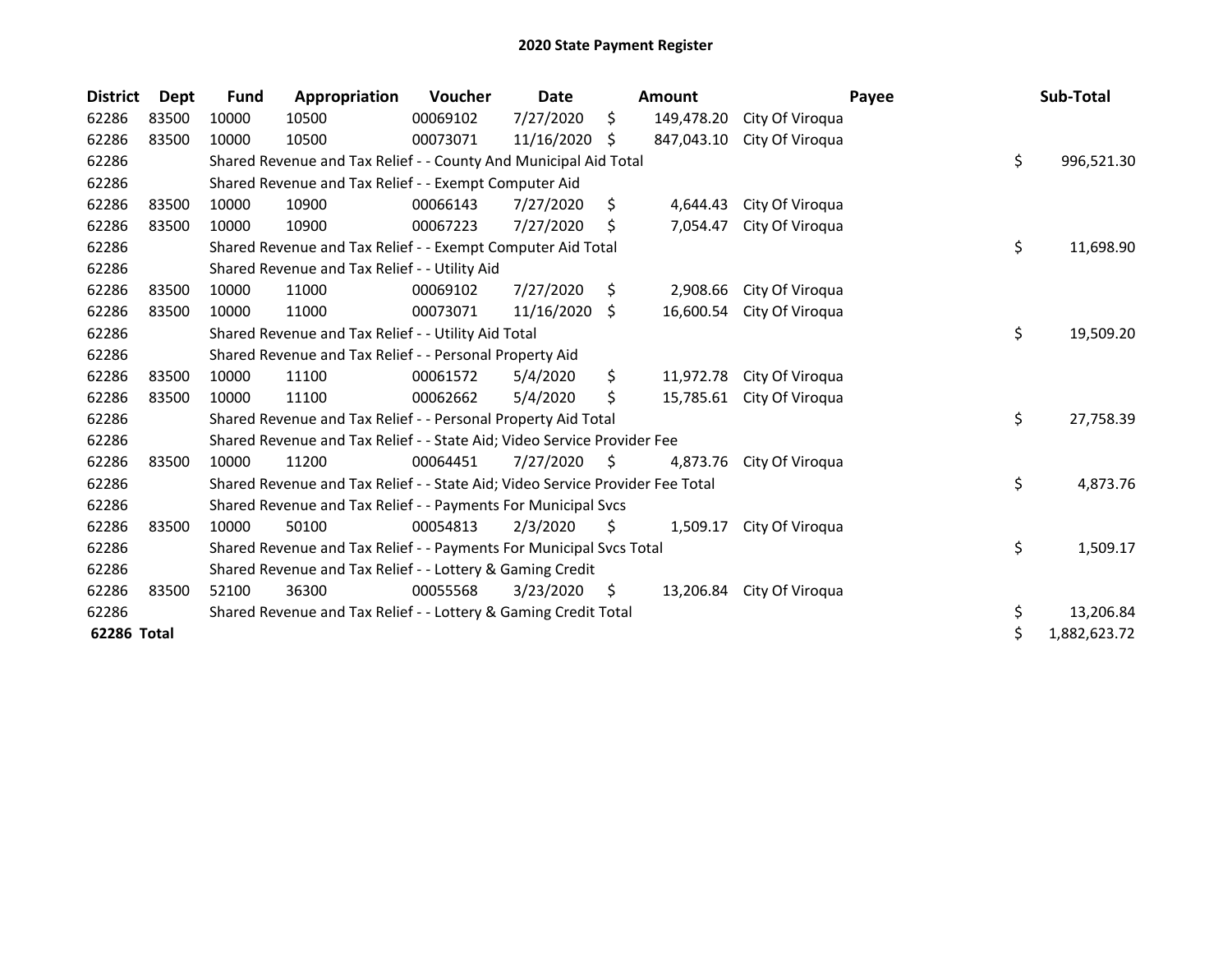| <b>District</b> | Dept  | Fund  | Appropriation                                                                 | <b>Voucher</b> | Date       |    | <b>Amount</b> |                           | Payee | Sub-Total          |
|-----------------|-------|-------|-------------------------------------------------------------------------------|----------------|------------|----|---------------|---------------------------|-------|--------------------|
| 62286           | 83500 | 10000 | 10500                                                                         | 00069102       | 7/27/2020  | \$ | 149,478.20    | City Of Viroqua           |       |                    |
| 62286           | 83500 | 10000 | 10500                                                                         | 00073071       | 11/16/2020 | \$ | 847,043.10    | City Of Viroqua           |       |                    |
| 62286           |       |       | Shared Revenue and Tax Relief - - County And Municipal Aid Total              |                |            |    |               |                           |       | \$<br>996,521.30   |
| 62286           |       |       | Shared Revenue and Tax Relief - - Exempt Computer Aid                         |                |            |    |               |                           |       |                    |
| 62286           | 83500 | 10000 | 10900                                                                         | 00066143       | 7/27/2020  | \$ | 4,644.43      | City Of Viroqua           |       |                    |
| 62286           | 83500 | 10000 | 10900                                                                         | 00067223       | 7/27/2020  | \$ | 7,054.47      | City Of Viroqua           |       |                    |
| 62286           |       |       | Shared Revenue and Tax Relief - - Exempt Computer Aid Total                   |                |            |    |               |                           |       | \$<br>11,698.90    |
| 62286           |       |       | Shared Revenue and Tax Relief - - Utility Aid                                 |                |            |    |               |                           |       |                    |
| 62286           | 83500 | 10000 | 11000                                                                         | 00069102       | 7/27/2020  | S  | 2,908.66      | City Of Viroqua           |       |                    |
| 62286           | 83500 | 10000 | 11000                                                                         | 00073071       | 11/16/2020 | S. | 16,600.54     | City Of Viroqua           |       |                    |
| 62286           |       |       | Shared Revenue and Tax Relief - - Utility Aid Total                           |                |            |    |               |                           |       | \$<br>19,509.20    |
| 62286           |       |       | Shared Revenue and Tax Relief - - Personal Property Aid                       |                |            |    |               |                           |       |                    |
| 62286           | 83500 | 10000 | 11100                                                                         | 00061572       | 5/4/2020   | \$ | 11,972.78     | City Of Viroqua           |       |                    |
| 62286           | 83500 | 10000 | 11100                                                                         | 00062662       | 5/4/2020   | \$ | 15,785.61     | City Of Viroqua           |       |                    |
| 62286           |       |       | Shared Revenue and Tax Relief - - Personal Property Aid Total                 |                |            |    |               |                           |       | \$<br>27,758.39    |
| 62286           |       |       | Shared Revenue and Tax Relief - - State Aid; Video Service Provider Fee       |                |            |    |               |                           |       |                    |
| 62286           | 83500 | 10000 | 11200                                                                         | 00064451       | 7/27/2020  | \$ | 4,873.76      | City Of Viroqua           |       |                    |
| 62286           |       |       | Shared Revenue and Tax Relief - - State Aid; Video Service Provider Fee Total |                |            |    |               |                           |       | \$<br>4,873.76     |
| 62286           |       |       | Shared Revenue and Tax Relief - - Payments For Municipal Svcs                 |                |            |    |               |                           |       |                    |
| 62286           | 83500 | 10000 | 50100                                                                         | 00054813       | 2/3/2020   | \$ | 1,509.17      | City Of Viroqua           |       |                    |
| 62286           |       |       | Shared Revenue and Tax Relief - - Payments For Municipal Svcs Total           |                |            |    |               |                           |       | \$<br>1,509.17     |
| 62286           |       |       | Shared Revenue and Tax Relief - - Lottery & Gaming Credit                     |                |            |    |               |                           |       |                    |
| 62286           | 83500 | 52100 | 36300                                                                         | 00055568       | 3/23/2020  | S. |               | 13,206.84 City Of Viroqua |       |                    |
| 62286           |       |       | Shared Revenue and Tax Relief - - Lottery & Gaming Credit Total               |                |            |    |               |                           |       | \$<br>13,206.84    |
| 62286 Total     |       |       |                                                                               |                |            |    |               |                           |       | \$<br>1,882,623.72 |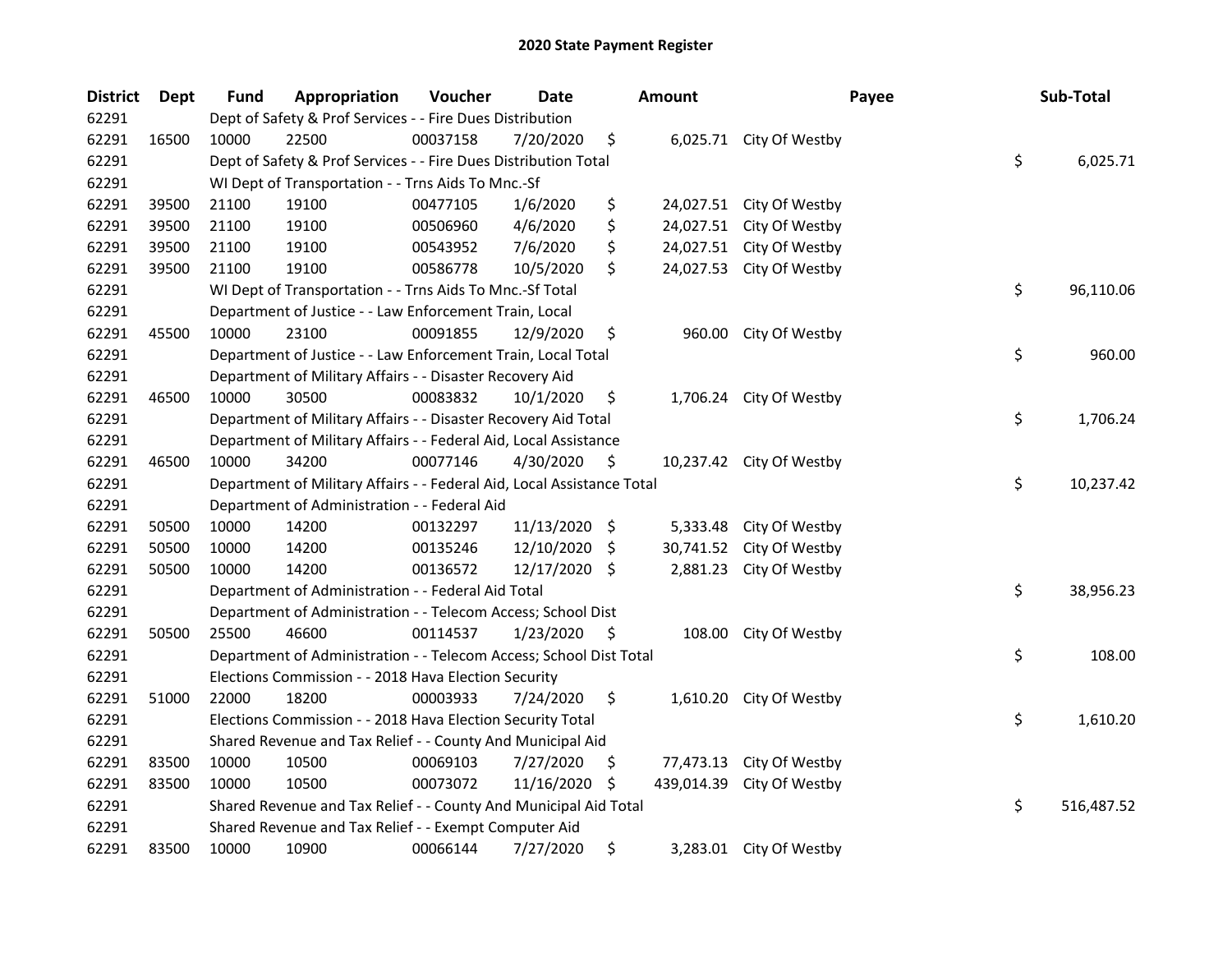| <b>District</b> | Dept  | <b>Fund</b> | Appropriation                                                          | Voucher  | <b>Date</b>   |      | <b>Amount</b> |                          | Payee | Sub-Total        |
|-----------------|-------|-------------|------------------------------------------------------------------------|----------|---------------|------|---------------|--------------------------|-------|------------------|
| 62291           |       |             | Dept of Safety & Prof Services - - Fire Dues Distribution              |          |               |      |               |                          |       |                  |
| 62291           | 16500 | 10000       | 22500                                                                  | 00037158 | 7/20/2020     | \$   |               | 6,025.71 City Of Westby  |       |                  |
| 62291           |       |             | Dept of Safety & Prof Services - - Fire Dues Distribution Total        |          |               |      |               |                          |       | \$<br>6,025.71   |
| 62291           |       |             | WI Dept of Transportation - - Trns Aids To Mnc.-Sf                     |          |               |      |               |                          |       |                  |
| 62291           | 39500 | 21100       | 19100                                                                  | 00477105 | 1/6/2020      | \$   |               | 24,027.51 City Of Westby |       |                  |
| 62291           | 39500 | 21100       | 19100                                                                  | 00506960 | 4/6/2020      | \$   | 24,027.51     | City Of Westby           |       |                  |
| 62291           | 39500 | 21100       | 19100                                                                  | 00543952 | 7/6/2020      | \$   |               | 24,027.51 City Of Westby |       |                  |
| 62291           | 39500 | 21100       | 19100                                                                  | 00586778 | 10/5/2020     | \$   |               | 24,027.53 City Of Westby |       |                  |
| 62291           |       |             | WI Dept of Transportation - - Trns Aids To Mnc.-Sf Total               |          |               |      |               |                          |       | \$<br>96,110.06  |
| 62291           |       |             | Department of Justice - - Law Enforcement Train, Local                 |          |               |      |               |                          |       |                  |
| 62291           | 45500 | 10000       | 23100                                                                  | 00091855 | 12/9/2020     | \$   |               | 960.00 City Of Westby    |       |                  |
| 62291           |       |             | Department of Justice - - Law Enforcement Train, Local Total           |          |               |      |               |                          |       | \$<br>960.00     |
| 62291           |       |             | Department of Military Affairs - - Disaster Recovery Aid               |          |               |      |               |                          |       |                  |
| 62291           | 46500 | 10000       | 30500                                                                  | 00083832 | 10/1/2020     | \$   | 1,706.24      | City Of Westby           |       |                  |
| 62291           |       |             | Department of Military Affairs - - Disaster Recovery Aid Total         |          |               |      |               |                          |       | \$<br>1,706.24   |
| 62291           |       |             | Department of Military Affairs - - Federal Aid, Local Assistance       |          |               |      |               |                          |       |                  |
| 62291           | 46500 | 10000       | 34200                                                                  | 00077146 | 4/30/2020     | \$   |               | 10,237.42 City Of Westby |       |                  |
| 62291           |       |             | Department of Military Affairs - - Federal Aid, Local Assistance Total |          |               |      |               |                          |       | \$<br>10,237.42  |
| 62291           |       |             | Department of Administration - - Federal Aid                           |          |               |      |               |                          |       |                  |
| 62291           | 50500 | 10000       | 14200                                                                  | 00132297 | 11/13/2020 \$ |      | 5,333.48      | City Of Westby           |       |                  |
| 62291           | 50500 | 10000       | 14200                                                                  | 00135246 | 12/10/2020    | - \$ | 30,741.52     | City Of Westby           |       |                  |
| 62291           | 50500 | 10000       | 14200                                                                  | 00136572 | 12/17/2020 \$ |      |               | 2,881.23 City Of Westby  |       |                  |
| 62291           |       |             | Department of Administration - - Federal Aid Total                     |          |               |      |               |                          |       | \$<br>38,956.23  |
| 62291           |       |             | Department of Administration - - Telecom Access; School Dist           |          |               |      |               |                          |       |                  |
| 62291           | 50500 | 25500       | 46600                                                                  | 00114537 | 1/23/2020     | S    | 108.00        | City Of Westby           |       |                  |
| 62291           |       |             | Department of Administration - - Telecom Access; School Dist Total     |          |               |      |               |                          |       | \$<br>108.00     |
| 62291           |       |             | Elections Commission - - 2018 Hava Election Security                   |          |               |      |               |                          |       |                  |
| 62291           | 51000 | 22000       | 18200                                                                  | 00003933 | 7/24/2020     | \$   |               | 1,610.20 City Of Westby  |       |                  |
| 62291           |       |             | Elections Commission - - 2018 Hava Election Security Total             |          |               |      |               |                          |       | \$<br>1,610.20   |
| 62291           |       |             | Shared Revenue and Tax Relief - - County And Municipal Aid             |          |               |      |               |                          |       |                  |
| 62291           | 83500 | 10000       | 10500                                                                  | 00069103 | 7/27/2020     | \$   | 77,473.13     | City Of Westby           |       |                  |
| 62291           | 83500 | 10000       | 10500                                                                  | 00073072 | 11/16/2020    | -\$  | 439,014.39    | City Of Westby           |       |                  |
| 62291           |       |             | Shared Revenue and Tax Relief - - County And Municipal Aid Total       |          |               |      |               |                          |       | \$<br>516,487.52 |
| 62291           |       |             | Shared Revenue and Tax Relief - - Exempt Computer Aid                  |          |               |      |               |                          |       |                  |
| 62291           | 83500 | 10000       | 10900                                                                  | 00066144 | 7/27/2020     | \$   |               | 3,283.01 City Of Westby  |       |                  |